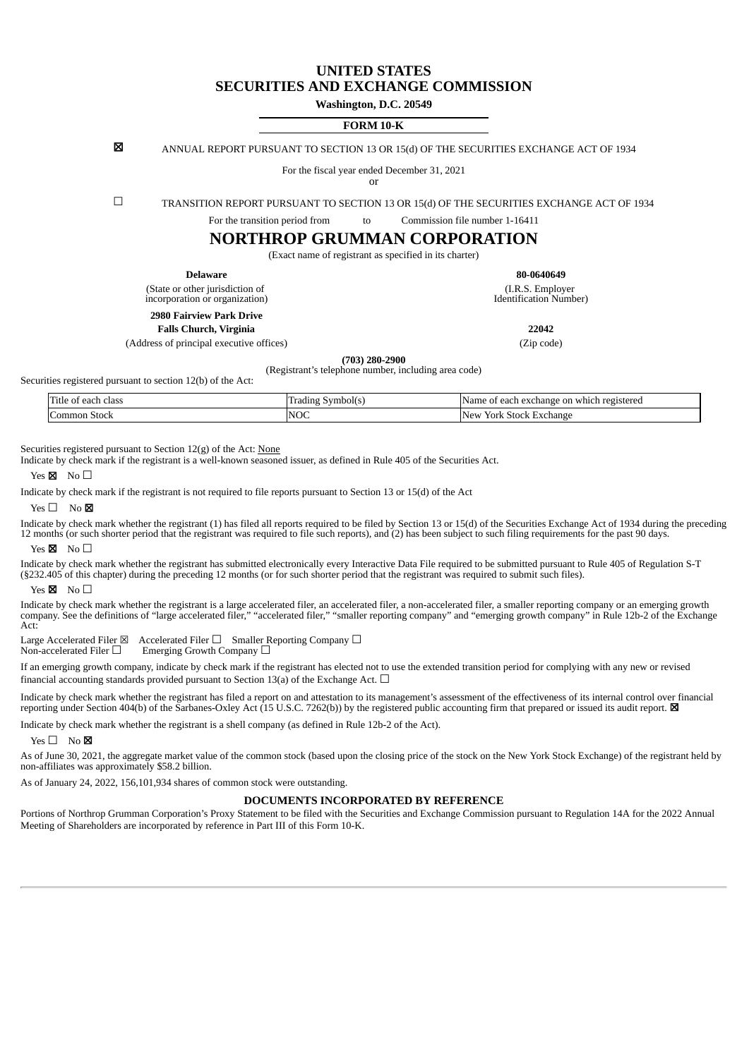# **UNITED STATES SECURITIES AND EXCHANGE COMMISSION**

**Washington, D.C. 20549**

#### **FORM 10-K**

☒ ANNUAL REPORT PURSUANT TO SECTION 13 OR 15(d) OF THE SECURITIES EXCHANGE ACT OF 1934

For the fiscal year ended December 31, 2021

or

☐ TRANSITION REPORT PURSUANT TO SECTION 13 OR 15(d) OF THE SECURITIES EXCHANGE ACT OF 1934

For the transition period from to Commission file number 1-16411

**NORTHROP GRUMMAN CORPORATION**

(Exact name of registrant as specified in its charter)

**Delaware 80-0640649**

(State or other jurisdiction of incorporation or organization)

**2980 Fairview Park Drive**

**Falls Church, Virginia 22042**

(Address of principal executive offices) (Zip code)

**(703) 280-2900** (Registrant's telephone number, including area code)

Securities registered pursuant to section 12(b) of the Act:

| $\overline{\phantom{0}}$<br>Title<br>clas:<br>cacii<br>υı | Tradıng<br>! Symbol(s | registered<br>-on-<br>r each exchange.<br>which re<br>Name<br>∂Ω⊺ |
|-----------------------------------------------------------|-----------------------|-------------------------------------------------------------------|
| 5tock<br>ommon<br>.                                       | <b>NOC</b>            | . Exchange<br>York<br>Stock.<br>New                               |

Securities registered pursuant to Section 12(g) of the Act: None

Indicate by check mark if the registrant is a well-known seasoned issuer, as defined in Rule 405 of the Securities Act.

Yes ☒No ☐

Indicate by check mark if the registrant is not required to file reports pursuant to Section 13 or 15(d) of the Act

 $Y_{PS} \Box$  No  $\boxtimes$ 

Indicate by check mark whether the registrant (1) has filed all reports required to be filed by Section 13 or 15(d) of the Securities Exchange Act of 1934 during the preceding 12 months (or such shorter period that the registrant was required to file such reports), and (2) has been subject to such filing requirements for the past 90 days.

 $V_{\text{AC}} \boxtimes \text{N}_0 \square$ 

Indicate by check mark whether the registrant has submitted electronically every Interactive Data File required to be submitted pursuant to Rule 405 of Regulation S-T (§232.405 of this chapter) during the preceding 12 months (or for such shorter period that the registrant was required to submit such files).

 $Yes \boxtimes \text{No} \square$ 

Indicate by check mark whether the registrant is a large accelerated filer, an accelerated filer, a non-accelerated filer, a smaller reporting company or an emerging growth company. See the definitions of "large accelerated filer," "accelerated filer," "smaller reporting company" and "emerging growth company" in Rule 12b-2 of the Exchange Act:

Large Accelerated Filer  $\boxtimes$  Accelerated Filer  $\Box$  Smaller Reporting Company  $\Box$  Non-accelerated Filer  $\Box$  Emerging Growth Company  $\Box$ 

**Emerging Growth Company** □

If an emerging growth company, indicate by check mark if the registrant has elected not to use the extended transition period for complying with any new or revised financial accounting standards provided pursuant to Section 13(a) of the Exchange Act.  $\Box$ 

Indicate by check mark whether the registrant has filed a report on and attestation to its management's assessment of the effectiveness of its internal control over financial reporting under Section 404(b) of the Sarbanes-Oxley Act (15 U.S.C. 7262(b)) by the registered public accounting firm that prepared or issued its audit report.  $\boxtimes$ 

Indicate by check mark whether the registrant is a shell company (as defined in Rule 12b-2 of the Act).

 $Y_{PS} \Box$  **No**  $\overline{X}$ 

As of June 30, 2021, the aggregate market value of the common stock (based upon the closing price of the stock on the New York Stock Exchange) of the registrant held by non-affiliates was approximately \$58.2 billion.

As of January 24, 2022, 156,101,934 shares of common stock were outstanding.

#### **DOCUMENTS INCORPORATED BY REFERENCE**

Portions of Northrop Grumman Corporation's Proxy Statement to be filed with the Securities and Exchange Commission pursuant to Regulation 14A for the 2022 Annual Meeting of Shareholders are incorporated by reference in Part III of this Form 10-K.

(I.R.S. Employer Identification Number)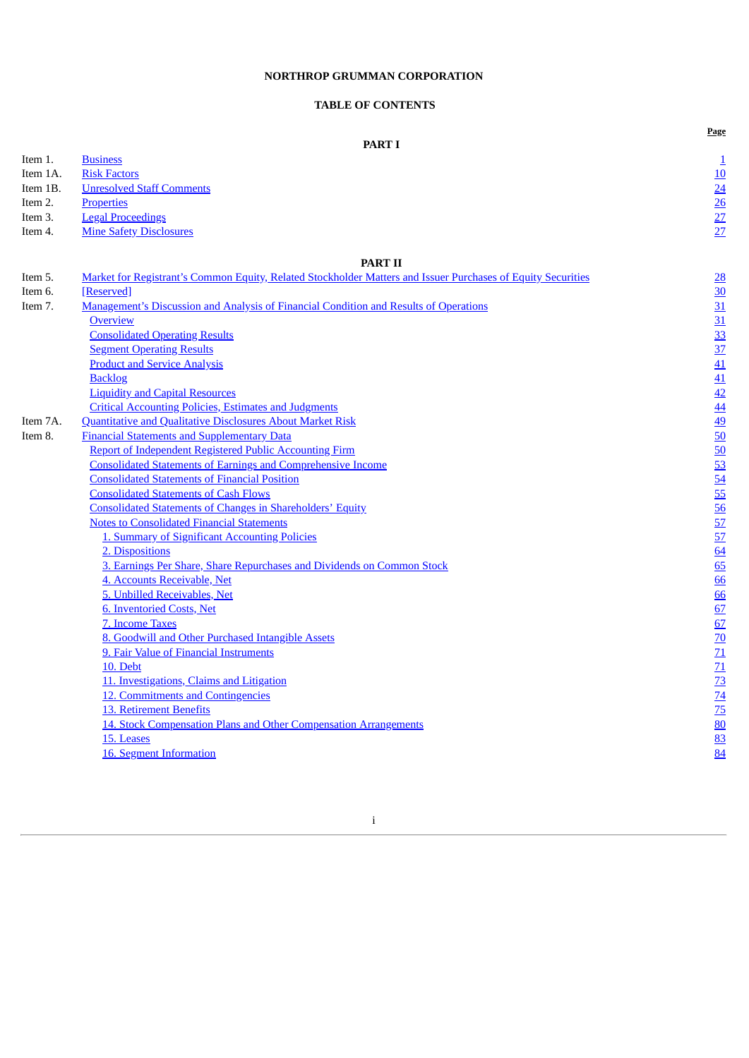# **TABLE OF CONTENTS**

|          |                                                                                                              | <b>Page</b>                                                                                                                                     |
|----------|--------------------------------------------------------------------------------------------------------------|-------------------------------------------------------------------------------------------------------------------------------------------------|
|          | <b>PART I</b>                                                                                                |                                                                                                                                                 |
| Item 1.  | <b>Business</b>                                                                                              |                                                                                                                                                 |
| Item 1A. | <b>Risk Factors</b>                                                                                          | 10                                                                                                                                              |
| Item 1B. | <b>Unresolved Staff Comments</b>                                                                             | $\frac{24}{26}$<br>$\frac{27}{27}$                                                                                                              |
| Item 2.  | <b>Properties</b>                                                                                            |                                                                                                                                                 |
| Item 3.  | <b>Legal Proceedings</b>                                                                                     |                                                                                                                                                 |
| Item 4.  | <b>Mine Safety Disclosures</b>                                                                               |                                                                                                                                                 |
|          | <b>PART II</b>                                                                                               |                                                                                                                                                 |
| Item 5.  | Market for Registrant's Common Equity, Related Stockholder Matters and Issuer Purchases of Equity Securities | 28                                                                                                                                              |
| Item 6.  | [Reserved]                                                                                                   | 30                                                                                                                                              |
| Item 7.  | <b>Management's Discussion and Analysis of Financial Condition and Results of Operations</b>                 | 31                                                                                                                                              |
|          | <b>Overview</b>                                                                                              | 31                                                                                                                                              |
|          | <b>Consolidated Operating Results</b>                                                                        |                                                                                                                                                 |
|          | <b>Segment Operating Results</b>                                                                             | $\frac{33}{37}$                                                                                                                                 |
|          | <b>Product and Service Analysis</b>                                                                          |                                                                                                                                                 |
|          | <b>Backlog</b>                                                                                               |                                                                                                                                                 |
|          | <b>Liquidity and Capital Resources</b>                                                                       | $\frac{41}{42}$ $\frac{42}{42}$ $\frac{44}{49}$ $\frac{50}{50}$ $\frac{53}{50}$ $\frac{54}{50}$ $\frac{55}{50}$ $\frac{57}{52}$ $\frac{54}{50}$ |
|          |                                                                                                              |                                                                                                                                                 |
|          | <b>Critical Accounting Policies, Estimates and Judgments</b>                                                 |                                                                                                                                                 |
| Item 7A. | <b>Quantitative and Qualitative Disclosures About Market Risk</b>                                            |                                                                                                                                                 |
| Item 8.  | <b>Financial Statements and Supplementary Data</b>                                                           |                                                                                                                                                 |
|          | Report of Independent Registered Public Accounting Firm                                                      |                                                                                                                                                 |
|          | <b>Consolidated Statements of Earnings and Comprehensive Income</b>                                          |                                                                                                                                                 |
|          | <b>Consolidated Statements of Financial Position</b>                                                         |                                                                                                                                                 |
|          | <b>Consolidated Statements of Cash Flows</b>                                                                 |                                                                                                                                                 |
|          | <b>Consolidated Statements of Changes in Shareholders' Equity</b>                                            |                                                                                                                                                 |
|          | <b>Notes to Consolidated Financial Statements</b>                                                            |                                                                                                                                                 |
|          | 1. Summary of Significant Accounting Policies                                                                |                                                                                                                                                 |
|          | 2. Dispositions                                                                                              |                                                                                                                                                 |
|          | 3. Earnings Per Share, Share Repurchases and Dividends on Common Stock                                       |                                                                                                                                                 |
|          | 4. Accounts Receivable, Net                                                                                  | 66                                                                                                                                              |
|          | 5. Unbilled Receivables, Net                                                                                 | 66                                                                                                                                              |
|          | <b>6. Inventoried Costs, Net</b>                                                                             | 67                                                                                                                                              |
|          | 7. Income Taxes                                                                                              | 67                                                                                                                                              |
|          | 8. Goodwill and Other Purchased Intangible Assets                                                            | $\overline{20}$                                                                                                                                 |
|          | 9. Fair Value of Financial Instruments                                                                       | $\overline{21}$                                                                                                                                 |
|          | 10. Debt                                                                                                     |                                                                                                                                                 |
|          | 11. Investigations, Claims and Litigation                                                                    |                                                                                                                                                 |
|          | 12. Commitments and Contingencies                                                                            | $\frac{71}{73}$<br>$\frac{73}{75}$                                                                                                              |
|          | 13. Retirement Benefits                                                                                      |                                                                                                                                                 |
|          | 14. Stock Compensation Plans and Other Compensation Arrangements                                             | $\frac{80}{83}$                                                                                                                                 |
|          | 15. Leases                                                                                                   |                                                                                                                                                 |
|          | 16. Segment Information                                                                                      | 84                                                                                                                                              |

i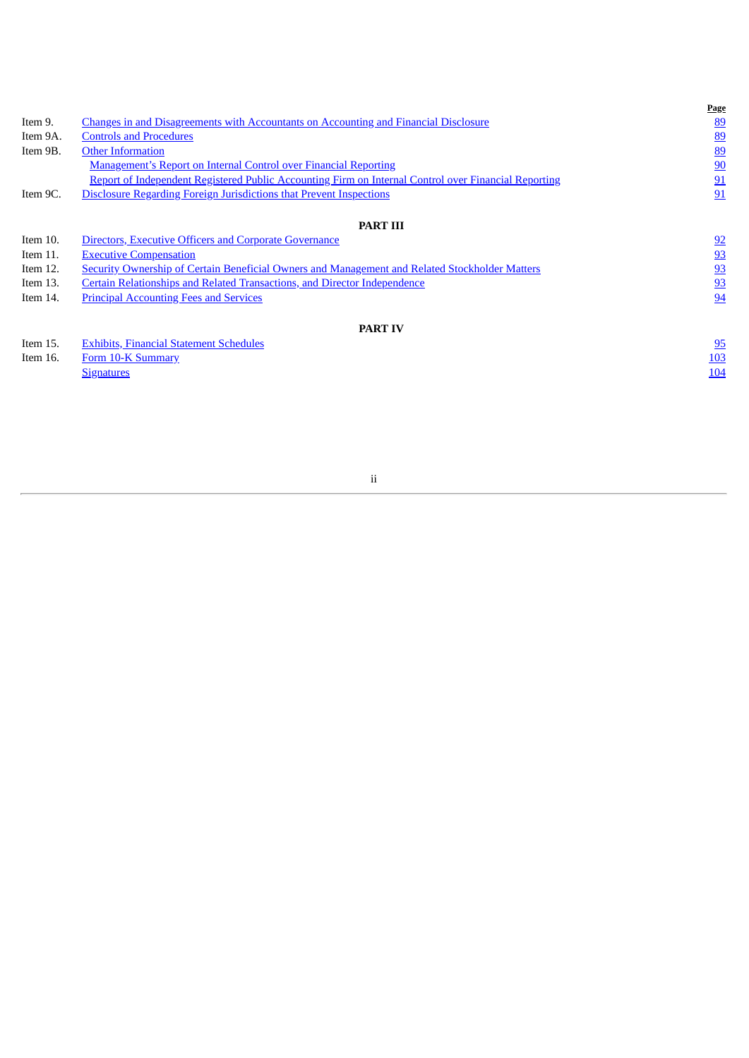|             |                                                                                                       | Page       |
|-------------|-------------------------------------------------------------------------------------------------------|------------|
| Item 9.     | Changes in and Disagreements with Accountants on Accounting and Financial Disclosure                  | <u>89</u>  |
| Item 9A.    | <b>Controls and Procedures</b>                                                                        | 89         |
| Item 9B.    | <b>Other Information</b>                                                                              | 89         |
|             | Management's Report on Internal Control over Financial Reporting                                      | 90         |
|             | Report of Independent Registered Public Accounting Firm on Internal Control over Financial Reporting  | 91         |
| Item 9C.    | <b>Disclosure Regarding Foreign Jurisdictions that Prevent Inspections</b>                            | 91         |
|             | <b>PART III</b>                                                                                       |            |
| Item 10.    | Directors, Executive Officers and Corporate Governance                                                | 92         |
| Item 11.    | <b>Executive Compensation</b>                                                                         | 93         |
| Item 12.    | <b>Security Ownership of Certain Beneficial Owners and Management and Related Stockholder Matters</b> | 93         |
| Item $13.$  | <b>Certain Relationships and Related Transactions, and Director Independence</b>                      | 93         |
| Item 14.    | <b>Principal Accounting Fees and Services</b>                                                         | 94         |
|             | <b>PART IV</b>                                                                                        |            |
| Item 15.    | <b>Exhibits, Financial Statement Schedules</b>                                                        | 95         |
| Item $16$ . | Form 10-K Summary                                                                                     | <b>103</b> |
|             | <b>Signatures</b>                                                                                     | 104        |
|             |                                                                                                       |            |
|             |                                                                                                       |            |

<span id="page-2-0"></span>ii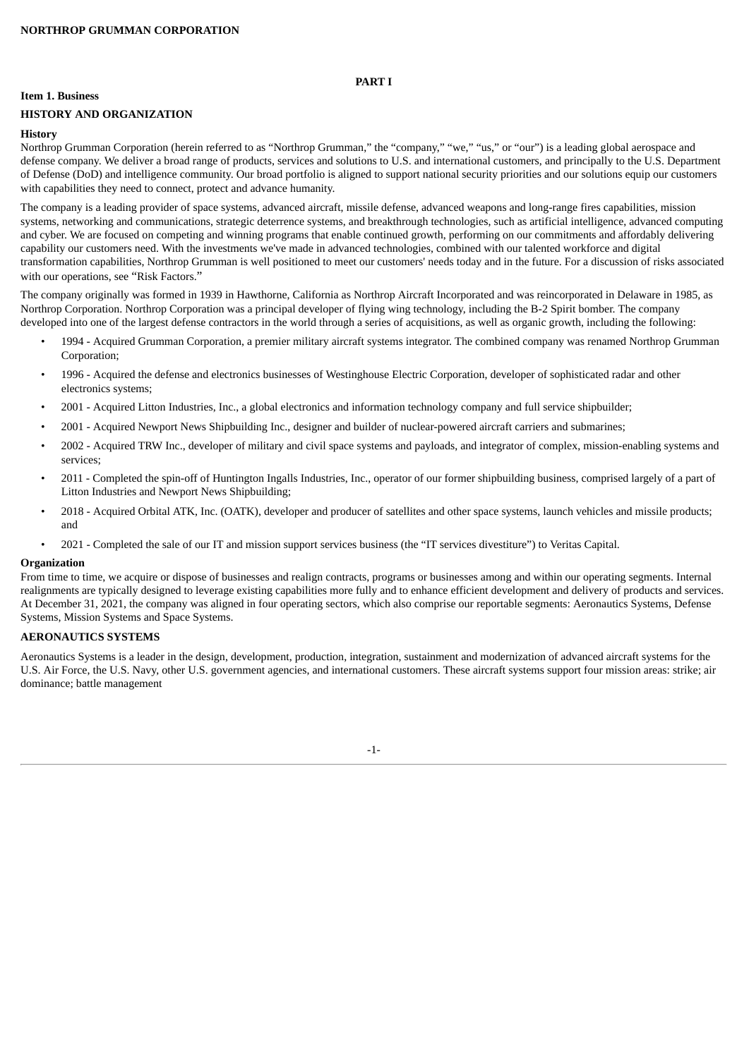### **PART I**

## <span id="page-3-0"></span>**Item 1. Business**

# **HISTORY AND ORGANIZATION**

# **History**

Northrop Grumman Corporation (herein referred to as "Northrop Grumman," the "company," "we," "us," or "our") is a leading global aerospace and defense company. We deliver a broad range of products, services and solutions to U.S. and international customers, and principally to the U.S. Department of Defense (DoD) and intelligence community. Our broad portfolio is aligned to support national security priorities and our solutions equip our customers with capabilities they need to connect, protect and advance humanity.

The company is a leading provider of space systems, advanced aircraft, missile defense, advanced weapons and long-range fires capabilities, mission systems, networking and communications, strategic deterrence systems, and breakthrough technologies, such as artificial intelligence, advanced computing and cyber. We are focused on competing and winning programs that enable continued growth, performing on our commitments and affordably delivering capability our customers need. With the investments we've made in advanced technologies, combined with our talented workforce and digital transformation capabilities, Northrop Grumman is well positioned to meet our customers' needs today and in the future. For a discussion of risks associated with our operations, see "Risk Factors."

The company originally was formed in 1939 in Hawthorne, California as Northrop Aircraft Incorporated and was reincorporated in Delaware in 1985, as Northrop Corporation. Northrop Corporation was a principal developer of flying wing technology, including the B-2 Spirit bomber. The company developed into one of the largest defense contractors in the world through a series of acquisitions, as well as organic growth, including the following:

- 1994 Acquired Grumman Corporation, a premier military aircraft systems integrator. The combined company was renamed Northrop Grumman Corporation;
- 1996 Acquired the defense and electronics businesses of Westinghouse Electric Corporation, developer of sophisticated radar and other electronics systems;
- 2001 Acquired Litton Industries, Inc., a global electronics and information technology company and full service shipbuilder;
- 2001 Acquired Newport News Shipbuilding Inc., designer and builder of nuclear-powered aircraft carriers and submarines;
- 2002 Acquired TRW Inc., developer of military and civil space systems and payloads, and integrator of complex, mission-enabling systems and services;
- 2011 Completed the spin-off of Huntington Ingalls Industries, Inc., operator of our former shipbuilding business, comprised largely of a part of Litton Industries and Newport News Shipbuilding;
- 2018 Acquired Orbital ATK, Inc. (OATK), developer and producer of satellites and other space systems, launch vehicles and missile products; and
- 2021 Completed the sale of our IT and mission support services business (the "IT services divestiture") to Veritas Capital.

### **Organization**

From time to time, we acquire or dispose of businesses and realign contracts, programs or businesses among and within our operating segments. Internal realignments are typically designed to leverage existing capabilities more fully and to enhance efficient development and delivery of products and services. At December 31, 2021, the company was aligned in four operating sectors, which also comprise our reportable segments: Aeronautics Systems, Defense Systems, Mission Systems and Space Systems.

# **AERONAUTICS SYSTEMS**

Aeronautics Systems is a leader in the design, development, production, integration, sustainment and modernization of advanced aircraft systems for the U.S. Air Force, the U.S. Navy, other U.S. government agencies, and international customers. These aircraft systems support four mission areas: strike; air dominance; battle management

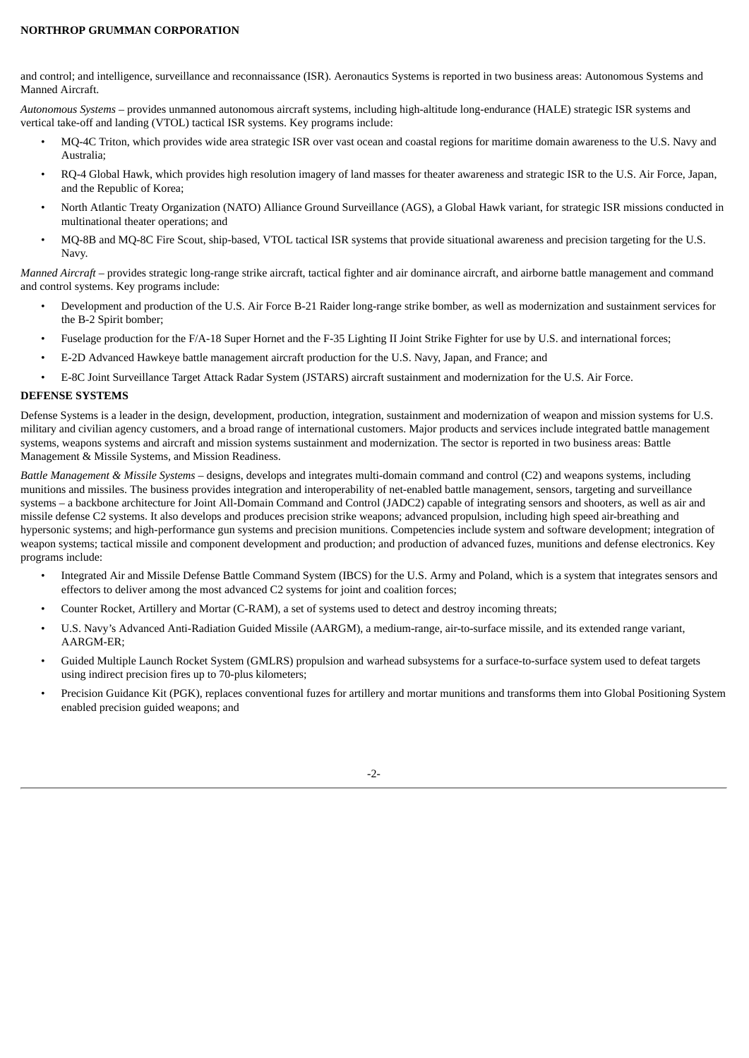and control; and intelligence, surveillance and reconnaissance (ISR). Aeronautics Systems is reported in two business areas: Autonomous Systems and Manned Aircraft.

*Autonomous Systems* – provides unmanned autonomous aircraft systems, including high-altitude long-endurance (HALE) strategic ISR systems and vertical take-off and landing (VTOL) tactical ISR systems. Key programs include:

- MQ-4C Triton, which provides wide area strategic ISR over vast ocean and coastal regions for maritime domain awareness to the U.S. Navy and Australia;
- RQ-4 Global Hawk, which provides high resolution imagery of land masses for theater awareness and strategic ISR to the U.S. Air Force, Japan, and the Republic of Korea;
- North Atlantic Treaty Organization (NATO) Alliance Ground Surveillance (AGS), a Global Hawk variant, for strategic ISR missions conducted in multinational theater operations; and
- MQ-8B and MQ-8C Fire Scout, ship-based, VTOL tactical ISR systems that provide situational awareness and precision targeting for the U.S. Navy.

*Manned Aircraft* – provides strategic long-range strike aircraft, tactical fighter and air dominance aircraft, and airborne battle management and command and control systems. Key programs include:

- Development and production of the U.S. Air Force B-21 Raider long-range strike bomber, as well as modernization and sustainment services for the B-2 Spirit bomber;
- Fuselage production for the F/A-18 Super Hornet and the F-35 Lighting II Joint Strike Fighter for use by U.S. and international forces;
- E-2D Advanced Hawkeye battle management aircraft production for the U.S. Navy, Japan, and France; and
- E-8C Joint Surveillance Target Attack Radar System (JSTARS) aircraft sustainment and modernization for the U.S. Air Force.

## **DEFENSE SYSTEMS**

Defense Systems is a leader in the design, development, production, integration, sustainment and modernization of weapon and mission systems for U.S. military and civilian agency customers, and a broad range of international customers. Major products and services include integrated battle management systems, weapons systems and aircraft and mission systems sustainment and modernization. The sector is reported in two business areas: Battle Management & Missile Systems, and Mission Readiness.

*Battle Management & Missile Systems* – designs, develops and integrates multi-domain command and control (C2) and weapons systems, including munitions and missiles. The business provides integration and interoperability of net-enabled battle management, sensors, targeting and surveillance systems – a backbone architecture for Joint All-Domain Command and Control (JADC2) capable of integrating sensors and shooters, as well as air and missile defense C2 systems. It also develops and produces precision strike weapons; advanced propulsion, including high speed air-breathing and hypersonic systems; and high-performance gun systems and precision munitions. Competencies include system and software development; integration of weapon systems; tactical missile and component development and production; and production of advanced fuzes, munitions and defense electronics. Key programs include:

- Integrated Air and Missile Defense Battle Command System (IBCS) for the U.S. Army and Poland, which is a system that integrates sensors and effectors to deliver among the most advanced C2 systems for joint and coalition forces;
- Counter Rocket, Artillery and Mortar (C-RAM), a set of systems used to detect and destroy incoming threats;
- U.S. Navy's Advanced Anti-Radiation Guided Missile (AARGM), a medium-range, air-to-surface missile, and its extended range variant, AARGM-ER;
- Guided Multiple Launch Rocket System (GMLRS) propulsion and warhead subsystems for a surface-to-surface system used to defeat targets using indirect precision fires up to 70-plus kilometers;
- Precision Guidance Kit (PGK), replaces conventional fuzes for artillery and mortar munitions and transforms them into Global Positioning System enabled precision guided weapons; and

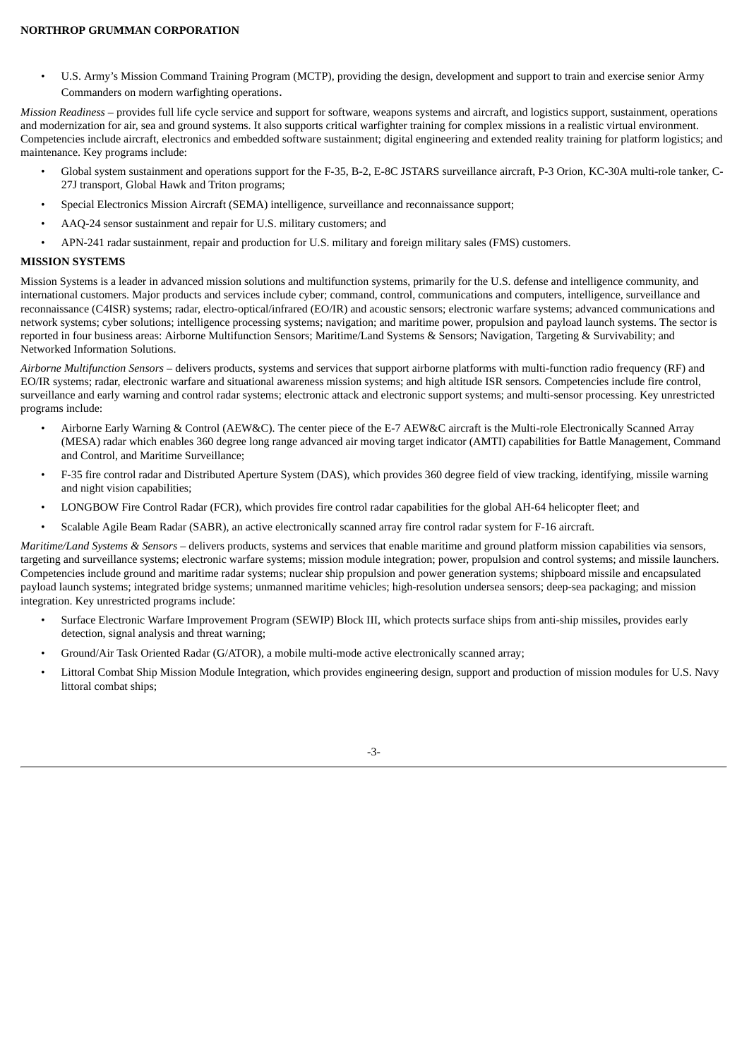• U.S. Army's Mission Command Training Program (MCTP), providing the design, development and support to train and exercise senior Army Commanders on modern warfighting operations.

*Mission Readiness* – provides full life cycle service and support for software, weapons systems and aircraft, and logistics support, sustainment, operations and modernization for air, sea and ground systems. It also supports critical warfighter training for complex missions in a realistic virtual environment. Competencies include aircraft, electronics and embedded software sustainment; digital engineering and extended reality training for platform logistics; and maintenance. Key programs include:

- Global system sustainment and operations support for the F-35, B-2, E-8C JSTARS surveillance aircraft, P-3 Orion, KC-30A multi-role tanker, C-27J transport, Global Hawk and Triton programs;
- Special Electronics Mission Aircraft (SEMA) intelligence, surveillance and reconnaissance support;
- AAQ-24 sensor sustainment and repair for U.S. military customers; and
- APN-241 radar sustainment, repair and production for U.S. military and foreign military sales (FMS) customers.

#### **MISSION SYSTEMS**

Mission Systems is a leader in advanced mission solutions and multifunction systems, primarily for the U.S. defense and intelligence community, and international customers. Major products and services include cyber; command, control, communications and computers, intelligence, surveillance and reconnaissance (C4ISR) systems; radar, electro-optical/infrared (EO/IR) and acoustic sensors; electronic warfare systems; advanced communications and network systems; cyber solutions; intelligence processing systems; navigation; and maritime power, propulsion and payload launch systems. The sector is reported in four business areas: Airborne Multifunction Sensors; Maritime/Land Systems & Sensors; Navigation, Targeting & Survivability; and Networked Information Solutions.

*Airborne Multifunction Sensors* – delivers products, systems and services that support airborne platforms with multi-function radio frequency (RF) and EO/IR systems; radar, electronic warfare and situational awareness mission systems; and high altitude ISR sensors. Competencies include fire control, surveillance and early warning and control radar systems; electronic attack and electronic support systems; and multi-sensor processing. Key unrestricted programs include:

- Airborne Early Warning & Control (AEW&C). The center piece of the E-7 AEW&C aircraft is the Multi-role Electronically Scanned Array (MESA) radar which enables 360 degree long range advanced air moving target indicator (AMTI) capabilities for Battle Management, Command and Control, and Maritime Surveillance;
- F-35 fire control radar and Distributed Aperture System (DAS), which provides 360 degree field of view tracking, identifying, missile warning and night vision capabilities;
- LONGBOW Fire Control Radar (FCR), which provides fire control radar capabilities for the global AH-64 helicopter fleet; and
- Scalable Agile Beam Radar (SABR), an active electronically scanned array fire control radar system for F-16 aircraft.

*Maritime/Land Systems & Sensors* – delivers products, systems and services that enable maritime and ground platform mission capabilities via sensors, targeting and surveillance systems; electronic warfare systems; mission module integration; power, propulsion and control systems; and missile launchers. Competencies include ground and maritime radar systems; nuclear ship propulsion and power generation systems; shipboard missile and encapsulated payload launch systems; integrated bridge systems; unmanned maritime vehicles; high-resolution undersea sensors; deep-sea packaging; and mission integration. Key unrestricted programs include:

- Surface Electronic Warfare Improvement Program (SEWIP) Block III, which protects surface ships from anti-ship missiles, provides early detection, signal analysis and threat warning;
- Ground/Air Task Oriented Radar (G/ATOR), a mobile multi-mode active electronically scanned array;
- Littoral Combat Ship Mission Module Integration, which provides engineering design, support and production of mission modules for U.S. Navy littoral combat ships;

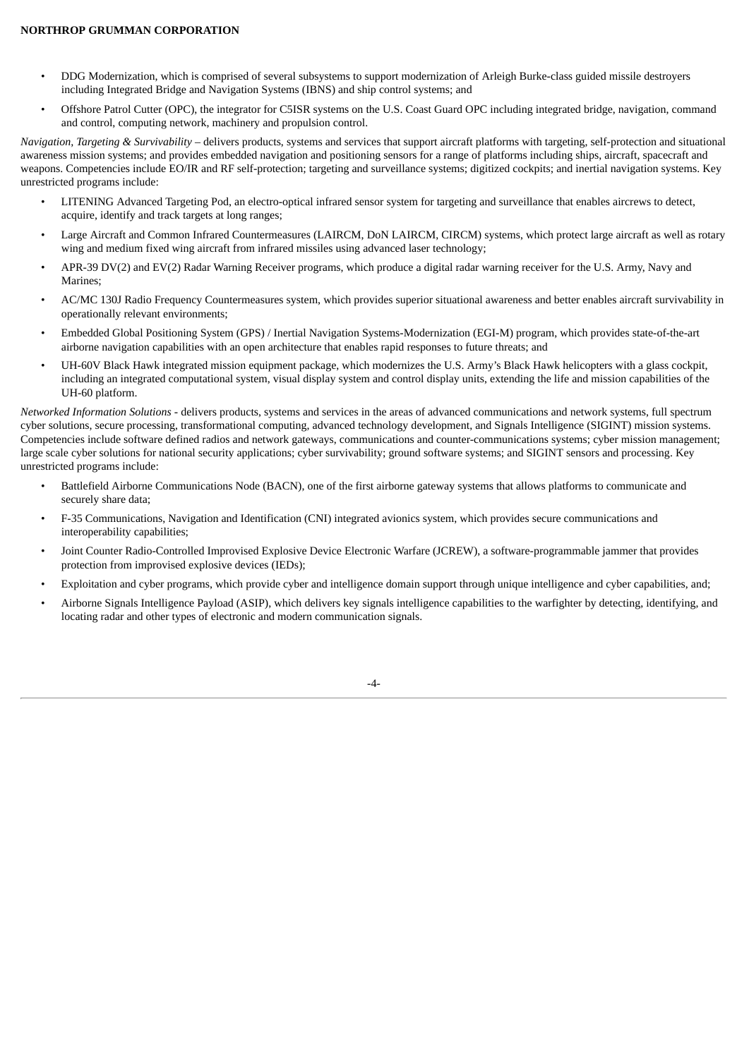- DDG Modernization, which is comprised of several subsystems to support modernization of Arleigh Burke-class guided missile destroyers including Integrated Bridge and Navigation Systems (IBNS) and ship control systems; and
- Offshore Patrol Cutter (OPC), the integrator for C5ISR systems on the U.S. Coast Guard OPC including integrated bridge, navigation, command and control, computing network, machinery and propulsion control.

*Navigation, Targeting & Survivability* – delivers products, systems and services that support aircraft platforms with targeting, self-protection and situational awareness mission systems; and provides embedded navigation and positioning sensors for a range of platforms including ships, aircraft, spacecraft and weapons. Competencies include EO/IR and RF self-protection; targeting and surveillance systems; digitized cockpits; and inertial navigation systems. Key unrestricted programs include:

- LITENING Advanced Targeting Pod, an electro-optical infrared sensor system for targeting and surveillance that enables aircrews to detect, acquire, identify and track targets at long ranges;
- Large Aircraft and Common Infrared Countermeasures (LAIRCM, DoN LAIRCM, CIRCM) systems, which protect large aircraft as well as rotary wing and medium fixed wing aircraft from infrared missiles using advanced laser technology;
- APR-39 DV(2) and EV(2) Radar Warning Receiver programs, which produce a digital radar warning receiver for the U.S. Army, Navy and Marines;
- AC/MC 130J Radio Frequency Countermeasures system, which provides superior situational awareness and better enables aircraft survivability in operationally relevant environments;
- Embedded Global Positioning System (GPS) / Inertial Navigation Systems-Modernization (EGI-M) program, which provides state-of-the-art airborne navigation capabilities with an open architecture that enables rapid responses to future threats; and
- UH-60V Black Hawk integrated mission equipment package, which modernizes the U.S. Army's Black Hawk helicopters with a glass cockpit, including an integrated computational system, visual display system and control display units, extending the life and mission capabilities of the UH-60 platform.

*Networked Information Solutions* - delivers products, systems and services in the areas of advanced communications and network systems, full spectrum cyber solutions, secure processing, transformational computing, advanced technology development, and Signals Intelligence (SIGINT) mission systems. Competencies include software defined radios and network gateways, communications and counter-communications systems; cyber mission management; large scale cyber solutions for national security applications; cyber survivability; ground software systems; and SIGINT sensors and processing. Key unrestricted programs include:

- Battlefield Airborne Communications Node (BACN), one of the first airborne gateway systems that allows platforms to communicate and securely share data;
- F-35 Communications, Navigation and Identification (CNI) integrated avionics system, which provides secure communications and interoperability capabilities;
- Joint Counter Radio-Controlled Improvised Explosive Device Electronic Warfare (JCREW), a software-programmable jammer that provides protection from improvised explosive devices (IEDs);
- Exploitation and cyber programs, which provide cyber and intelligence domain support through unique intelligence and cyber capabilities, and;
- Airborne Signals Intelligence Payload (ASIP), which delivers key signals intelligence capabilities to the warfighter by detecting, identifying, and locating radar and other types of electronic and modern communication signals.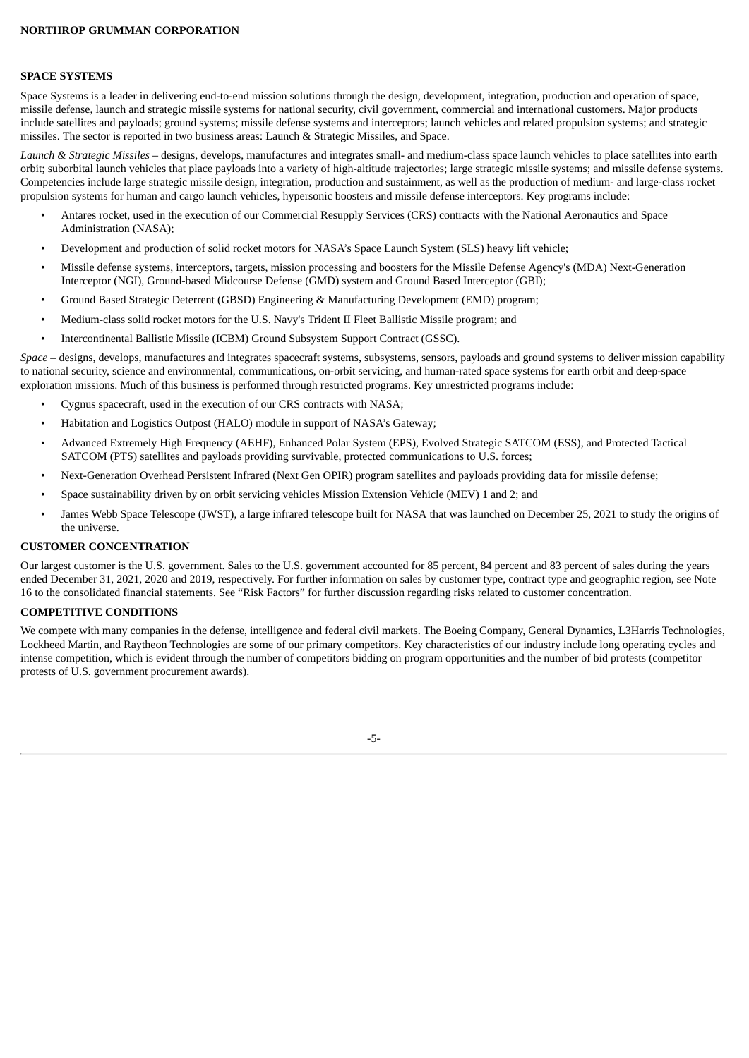### **SPACE SYSTEMS**

Space Systems is a leader in delivering end-to-end mission solutions through the design, development, integration, production and operation of space, missile defense, launch and strategic missile systems for national security, civil government, commercial and international customers. Major products include satellites and payloads; ground systems; missile defense systems and interceptors; launch vehicles and related propulsion systems; and strategic missiles. The sector is reported in two business areas: Launch & Strategic Missiles, and Space.

*Launch & Strategic Missiles* – designs, develops, manufactures and integrates small- and medium-class space launch vehicles to place satellites into earth orbit; suborbital launch vehicles that place payloads into a variety of high-altitude trajectories; large strategic missile systems; and missile defense systems. Competencies include large strategic missile design, integration, production and sustainment, as well as the production of medium- and large-class rocket propulsion systems for human and cargo launch vehicles, hypersonic boosters and missile defense interceptors. Key programs include:

- Antares rocket, used in the execution of our Commercial Resupply Services (CRS) contracts with the National Aeronautics and Space Administration (NASA);
- Development and production of solid rocket motors for NASA's Space Launch System (SLS) heavy lift vehicle;
- Missile defense systems, interceptors, targets, mission processing and boosters for the Missile Defense Agency's (MDA) Next-Generation Interceptor (NGI), Ground-based Midcourse Defense (GMD) system and Ground Based Interceptor (GBI);
- Ground Based Strategic Deterrent (GBSD) Engineering & Manufacturing Development (EMD) program;
- Medium-class solid rocket motors for the U.S. Navy's Trident II Fleet Ballistic Missile program; and
- Intercontinental Ballistic Missile (ICBM) Ground Subsystem Support Contract (GSSC).

*Space* – designs, develops, manufactures and integrates spacecraft systems, subsystems, sensors, payloads and ground systems to deliver mission capability to national security, science and environmental, communications, on-orbit servicing, and human-rated space systems for earth orbit and deep-space exploration missions. Much of this business is performed through restricted programs. Key unrestricted programs include:

- Cygnus spacecraft, used in the execution of our CRS contracts with NASA;
- Habitation and Logistics Outpost (HALO) module in support of NASA's Gateway;
- Advanced Extremely High Frequency (AEHF), Enhanced Polar System (EPS), Evolved Strategic SATCOM (ESS), and Protected Tactical SATCOM (PTS) satellites and payloads providing survivable, protected communications to U.S. forces;
- Next-Generation Overhead Persistent Infrared (Next Gen OPIR) program satellites and payloads providing data for missile defense;
- Space sustainability driven by on orbit servicing vehicles Mission Extension Vehicle (MEV) 1 and 2; and
- James Webb Space Telescope (JWST), a large infrared telescope built for NASA that was launched on December 25, 2021 to study the origins of the universe.

## **CUSTOMER CONCENTRATION**

Our largest customer is the U.S. government. Sales to the U.S. government accounted for 85 percent, 84 percent and 83 percent of sales during the years ended December 31, 2021, 2020 and 2019, respectively. For further information on sales by customer type, contract type and geographic region, see Note 16 to the consolidated financial statements. See "Risk Factors" for further discussion regarding risks related to customer concentration.

#### **COMPETITIVE CONDITIONS**

We compete with many companies in the defense, intelligence and federal civil markets. The Boeing Company, General Dynamics, L3Harris Technologies, Lockheed Martin, and Raytheon Technologies are some of our primary competitors. Key characteristics of our industry include long operating cycles and intense competition, which is evident through the number of competitors bidding on program opportunities and the number of bid protests (competitor protests of U.S. government procurement awards).

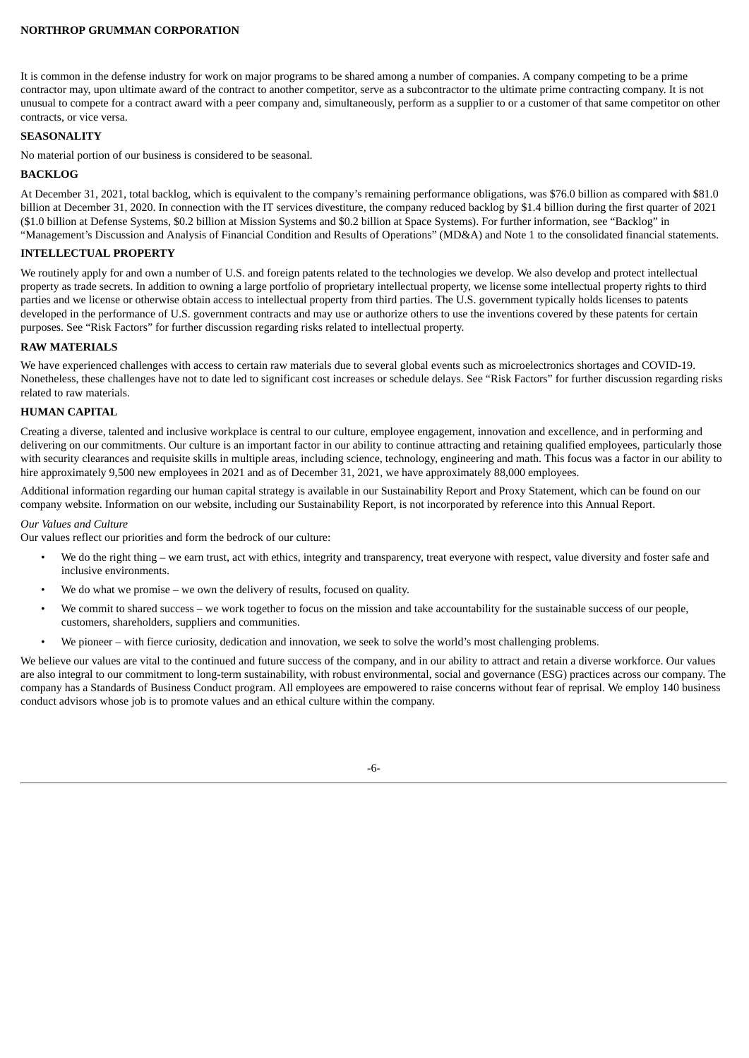It is common in the defense industry for work on major programs to be shared among a number of companies. A company competing to be a prime contractor may, upon ultimate award of the contract to another competitor, serve as a subcontractor to the ultimate prime contracting company. It is not unusual to compete for a contract award with a peer company and, simultaneously, perform as a supplier to or a customer of that same competitor on other contracts, or vice versa.

#### **SEASONALITY**

No material portion of our business is considered to be seasonal.

#### **BACKLOG**

At December 31, 2021, total backlog, which is equivalent to the company's remaining performance obligations, was \$76.0 billion as compared with \$81.0 billion at December 31, 2020. In connection with the IT services divestiture, the company reduced backlog by \$1.4 billion during the first quarter of 2021 (\$1.0 billion at Defense Systems, \$0.2 billion at Mission Systems and \$0.2 billion at Space Systems). For further information, see "Backlog" in "Management's Discussion and Analysis of Financial Condition and Results of Operations" (MD&A) and Note 1 to the consolidated financial statements.

# **INTELLECTUAL PROPERTY**

We routinely apply for and own a number of U.S. and foreign patents related to the technologies we develop. We also develop and protect intellectual property as trade secrets. In addition to owning a large portfolio of proprietary intellectual property, we license some intellectual property rights to third parties and we license or otherwise obtain access to intellectual property from third parties. The U.S. government typically holds licenses to patents developed in the performance of U.S. government contracts and may use or authorize others to use the inventions covered by these patents for certain purposes. See "Risk Factors" for further discussion regarding risks related to intellectual property.

#### **RAW MATERIALS**

We have experienced challenges with access to certain raw materials due to several global events such as microelectronics shortages and COVID-19. Nonetheless, these challenges have not to date led to significant cost increases or schedule delays. See "Risk Factors" for further discussion regarding risks related to raw materials.

#### **HUMAN CAPITAL**

Creating a diverse, talented and inclusive workplace is central to our culture, employee engagement, innovation and excellence, and in performing and delivering on our commitments. Our culture is an important factor in our ability to continue attracting and retaining qualified employees, particularly those with security clearances and requisite skills in multiple areas, including science, technology, engineering and math. This focus was a factor in our ability to hire approximately 9,500 new employees in 2021 and as of December 31, 2021, we have approximately 88,000 employees.

Additional information regarding our human capital strategy is available in our Sustainability Report and Proxy Statement, which can be found on our company website. Information on our website, including our Sustainability Report, is not incorporated by reference into this Annual Report.

# *Our Values and Culture*

Our values reflect our priorities and form the bedrock of our culture:

- We do the right thing we earn trust, act with ethics, integrity and transparency, treat everyone with respect, value diversity and foster safe and inclusive environments.
- We do what we promise  $-$  we own the delivery of results, focused on quality.
- We commit to shared success we work together to focus on the mission and take accountability for the sustainable success of our people, customers, shareholders, suppliers and communities.
- We pioneer with fierce curiosity, dedication and innovation, we seek to solve the world's most challenging problems.

We believe our values are vital to the continued and future success of the company, and in our ability to attract and retain a diverse workforce. Our values are also integral to our commitment to long-term sustainability, with robust environmental, social and governance (ESG) practices across our company. The company has a Standards of Business Conduct program. All employees are empowered to raise concerns without fear of reprisal. We employ 140 business conduct advisors whose job is to promote values and an ethical culture within the company.

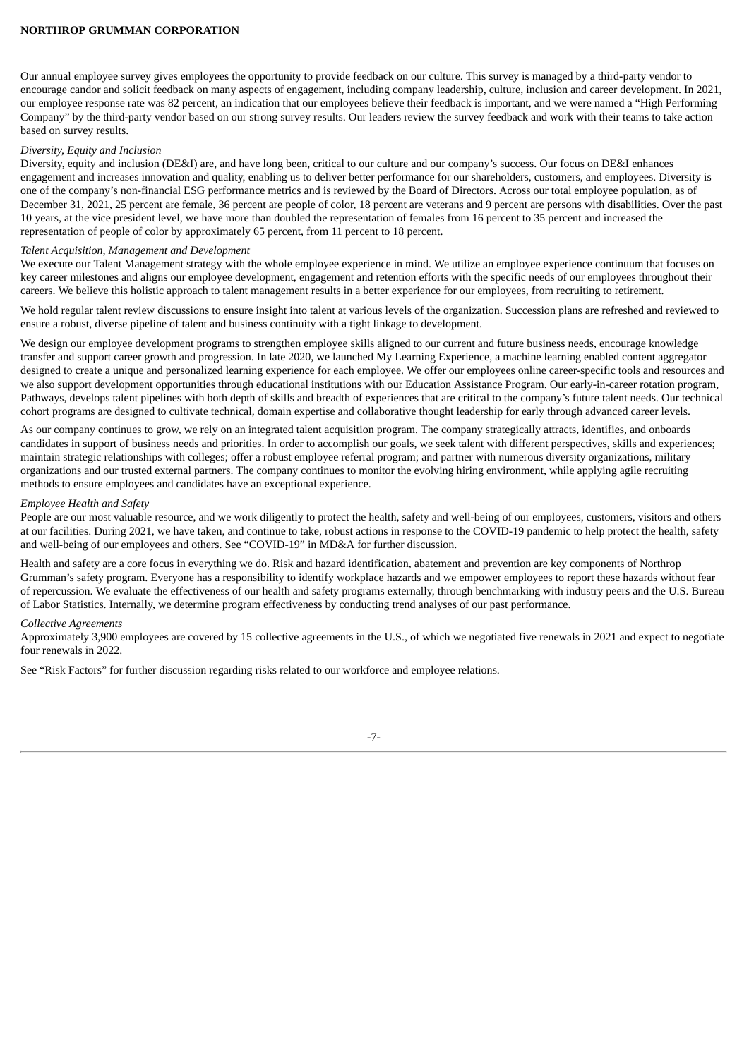Our annual employee survey gives employees the opportunity to provide feedback on our culture. This survey is managed by a third-party vendor to encourage candor and solicit feedback on many aspects of engagement, including company leadership, culture, inclusion and career development. In 2021, our employee response rate was 82 percent, an indication that our employees believe their feedback is important, and we were named a "High Performing Company" by the third-party vendor based on our strong survey results. Our leaders review the survey feedback and work with their teams to take action based on survey results.

#### *Diversity, Equity and Inclusion*

Diversity, equity and inclusion (DE&I) are, and have long been, critical to our culture and our company's success. Our focus on DE&I enhances engagement and increases innovation and quality, enabling us to deliver better performance for our shareholders, customers, and employees. Diversity is one of the company's non-financial ESG performance metrics and is reviewed by the Board of Directors. Across our total employee population, as of December 31, 2021, 25 percent are female, 36 percent are people of color, 18 percent are veterans and 9 percent are persons with disabilities. Over the past 10 years, at the vice president level, we have more than doubled the representation of females from 16 percent to 35 percent and increased the representation of people of color by approximately 65 percent, from 11 percent to 18 percent.

#### *Talent Acquisition, Management and Development*

We execute our Talent Management strategy with the whole employee experience in mind. We utilize an employee experience continuum that focuses on key career milestones and aligns our employee development, engagement and retention efforts with the specific needs of our employees throughout their careers. We believe this holistic approach to talent management results in a better experience for our employees, from recruiting to retirement.

We hold regular talent review discussions to ensure insight into talent at various levels of the organization. Succession plans are refreshed and reviewed to ensure a robust, diverse pipeline of talent and business continuity with a tight linkage to development.

We design our employee development programs to strengthen employee skills aligned to our current and future business needs, encourage knowledge transfer and support career growth and progression. In late 2020, we launched My Learning Experience, a machine learning enabled content aggregator designed to create a unique and personalized learning experience for each employee. We offer our employees online career-specific tools and resources and we also support development opportunities through educational institutions with our Education Assistance Program. Our early-in-career rotation program, Pathways, develops talent pipelines with both depth of skills and breadth of experiences that are critical to the company's future talent needs. Our technical cohort programs are designed to cultivate technical, domain expertise and collaborative thought leadership for early through advanced career levels.

As our company continues to grow, we rely on an integrated talent acquisition program. The company strategically attracts, identifies, and onboards candidates in support of business needs and priorities. In order to accomplish our goals, we seek talent with different perspectives, skills and experiences; maintain strategic relationships with colleges; offer a robust employee referral program; and partner with numerous diversity organizations, military organizations and our trusted external partners. The company continues to monitor the evolving hiring environment, while applying agile recruiting methods to ensure employees and candidates have an exceptional experience.

#### *Employee Health and Safety*

People are our most valuable resource, and we work diligently to protect the health, safety and well-being of our employees, customers, visitors and others at our facilities. During 2021, we have taken, and continue to take, robust actions in response to the COVID-19 pandemic to help protect the health, safety and well-being of our employees and others. See "COVID-19" in MD&A for further discussion.

Health and safety are a core focus in everything we do. Risk and hazard identification, abatement and prevention are key components of Northrop Grumman's safety program. Everyone has a responsibility to identify workplace hazards and we empower employees to report these hazards without fear of repercussion. We evaluate the effectiveness of our health and safety programs externally, through benchmarking with industry peers and the U.S. Bureau of Labor Statistics. Internally, we determine program effectiveness by conducting trend analyses of our past performance.

#### *Collective Agreements*

Approximately 3,900 employees are covered by 15 collective agreements in the U.S., of which we negotiated five renewals in 2021 and expect to negotiate four renewals in 2022.

See "Risk Factors" for further discussion regarding risks related to our workforce and employee relations.

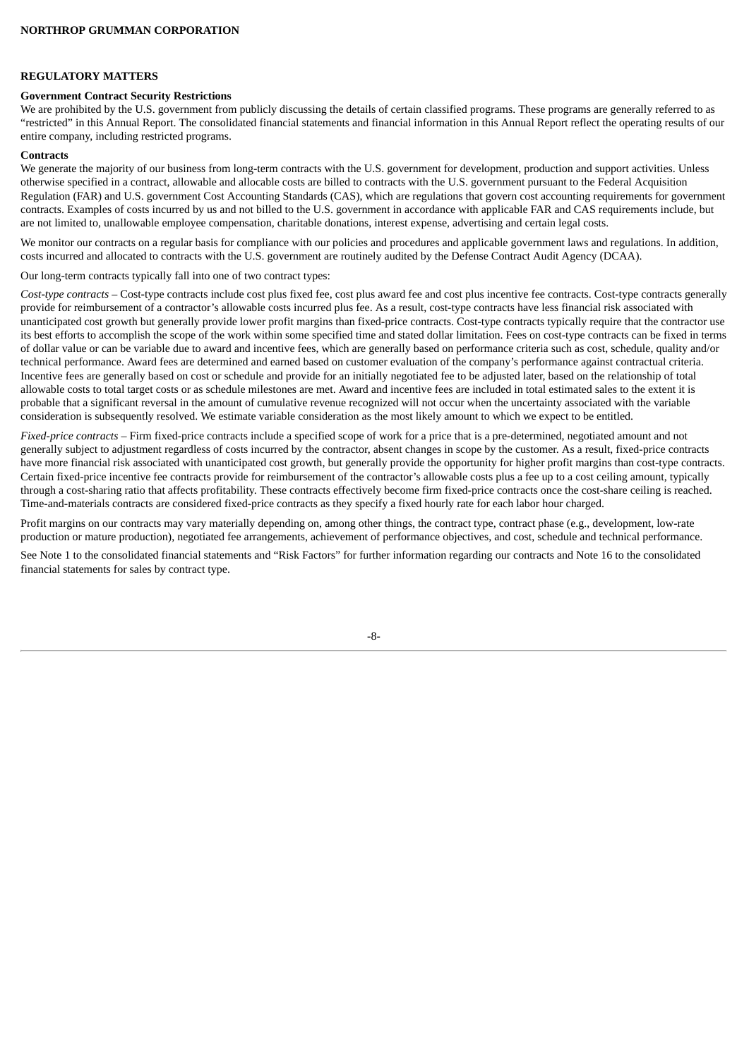### **REGULATORY MATTERS**

#### **Government Contract Security Restrictions**

We are prohibited by the U.S. government from publicly discussing the details of certain classified programs. These programs are generally referred to as "restricted" in this Annual Report. The consolidated financial statements and financial information in this Annual Report reflect the operating results of our entire company, including restricted programs.

#### **Contracts**

We generate the majority of our business from long-term contracts with the U.S. government for development, production and support activities. Unless otherwise specified in a contract, allowable and allocable costs are billed to contracts with the U.S. government pursuant to the Federal Acquisition Regulation (FAR) and U.S. government Cost Accounting Standards (CAS), which are regulations that govern cost accounting requirements for government contracts. Examples of costs incurred by us and not billed to the U.S. government in accordance with applicable FAR and CAS requirements include, but are not limited to, unallowable employee compensation, charitable donations, interest expense, advertising and certain legal costs.

We monitor our contracts on a regular basis for compliance with our policies and procedures and applicable government laws and regulations. In addition, costs incurred and allocated to contracts with the U.S. government are routinely audited by the Defense Contract Audit Agency (DCAA).

Our long-term contracts typically fall into one of two contract types:

*Cost-type contracts* – Cost-type contracts include cost plus fixed fee, cost plus award fee and cost plus incentive fee contracts. Cost-type contracts generally provide for reimbursement of a contractor's allowable costs incurred plus fee. As a result, cost-type contracts have less financial risk associated with unanticipated cost growth but generally provide lower profit margins than fixed-price contracts. Cost-type contracts typically require that the contractor use its best efforts to accomplish the scope of the work within some specified time and stated dollar limitation. Fees on cost-type contracts can be fixed in terms of dollar value or can be variable due to award and incentive fees, which are generally based on performance criteria such as cost, schedule, quality and/or technical performance. Award fees are determined and earned based on customer evaluation of the company's performance against contractual criteria. Incentive fees are generally based on cost or schedule and provide for an initially negotiated fee to be adjusted later, based on the relationship of total allowable costs to total target costs or as schedule milestones are met. Award and incentive fees are included in total estimated sales to the extent it is probable that a significant reversal in the amount of cumulative revenue recognized will not occur when the uncertainty associated with the variable consideration is subsequently resolved. We estimate variable consideration as the most likely amount to which we expect to be entitled.

*Fixed-price contracts* – Firm fixed-price contracts include a specified scope of work for a price that is a pre-determined, negotiated amount and not generally subject to adjustment regardless of costs incurred by the contractor, absent changes in scope by the customer. As a result, fixed-price contracts have more financial risk associated with unanticipated cost growth, but generally provide the opportunity for higher profit margins than cost-type contracts. Certain fixed-price incentive fee contracts provide for reimbursement of the contractor's allowable costs plus a fee up to a cost ceiling amount, typically through a cost-sharing ratio that affects profitability. These contracts effectively become firm fixed-price contracts once the cost-share ceiling is reached. Time-and-materials contracts are considered fixed-price contracts as they specify a fixed hourly rate for each labor hour charged.

Profit margins on our contracts may vary materially depending on, among other things, the contract type, contract phase (e.g., development, low-rate production or mature production), negotiated fee arrangements, achievement of performance objectives, and cost, schedule and technical performance.

See Note 1 to the consolidated financial statements and "Risk Factors" for further information regarding our contracts and Note 16 to the consolidated financial statements for sales by contract type.

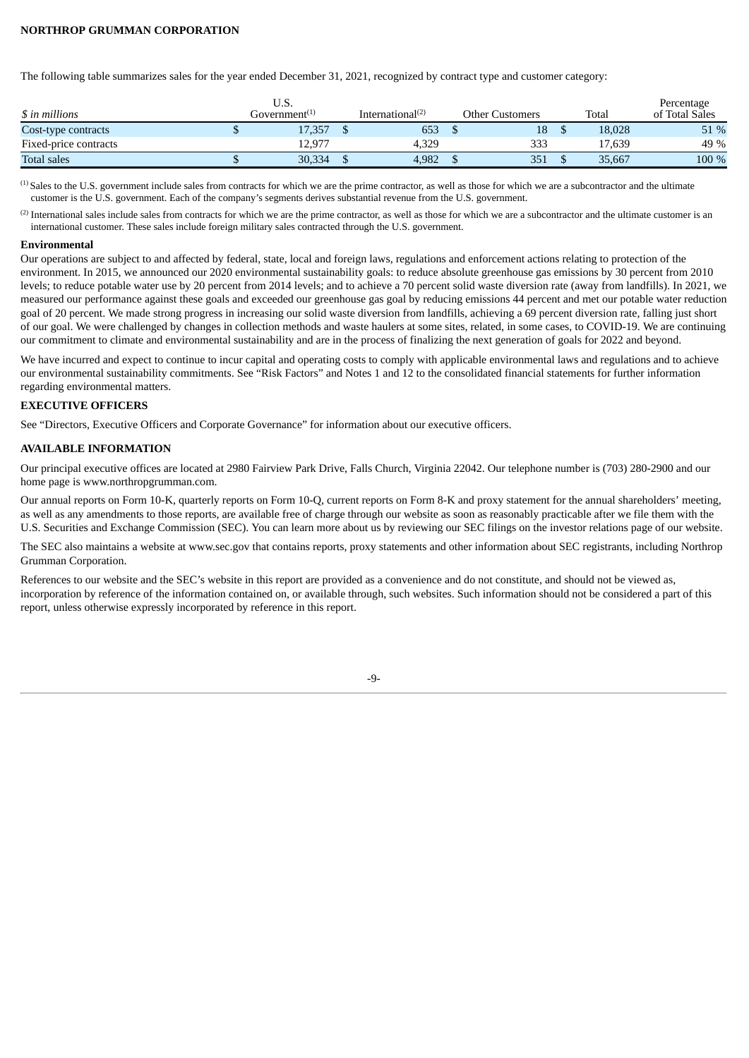The following table summarizes sales for the year ended December 31, 2021, recognized by contract type and customer category:

| \$ in millions        | ∪.э.<br>$\mathrm{Govermm}$ ent $^{(1)}$ |        | International $(2)$ |       |  | Other Customers | Total  | Percentage<br>of Total Sales |  |
|-----------------------|-----------------------------------------|--------|---------------------|-------|--|-----------------|--------|------------------------------|--|
| Cost-type contracts   |                                         | 17,357 |                     | 653   |  | 18              | 18.028 | 51 %                         |  |
| Fixed-price contracts |                                         | 12,977 |                     | 4.329 |  | 333             | 17.639 | 49 %                         |  |
| <b>Total sales</b>    |                                         | 30,334 |                     | 4.982 |  | 351             | 35.667 | 100 %                        |  |

 $^{(1)}$  Sales to the U.S. government include sales from contracts for which we are the prime contractor, as well as those for which we are a subcontractor and the ultimate customer is the U.S. government. Each of the company's segments derives substantial revenue from the U.S. government.

 $^{(2)}$  International sales include sales from contracts for which we are the prime contractor, as well as those for which we are a subcontractor and the ultimate customer is an international customer. These sales include foreign military sales contracted through the U.S. government.

#### **Environmental**

Our operations are subject to and affected by federal, state, local and foreign laws, regulations and enforcement actions relating to protection of the environment. In 2015, we announced our 2020 environmental sustainability goals: to reduce absolute greenhouse gas emissions by 30 percent from 2010 levels; to reduce potable water use by 20 percent from 2014 levels; and to achieve a 70 percent solid waste diversion rate (away from landfills). In 2021, we measured our performance against these goals and exceeded our greenhouse gas goal by reducing emissions 44 percent and met our potable water reduction goal of 20 percent. We made strong progress in increasing our solid waste diversion from landfills, achieving a 69 percent diversion rate, falling just short of our goal. We were challenged by changes in collection methods and waste haulers at some sites, related, in some cases, to COVID-19. We are continuing our commitment to climate and environmental sustainability and are in the process of finalizing the next generation of goals for 2022 and beyond.

We have incurred and expect to continue to incur capital and operating costs to comply with applicable environmental laws and regulations and to achieve our environmental sustainability commitments. See "Risk Factors" and Notes 1 and 12 to the consolidated financial statements for further information regarding environmental matters.

### **EXECUTIVE OFFICERS**

See "Directors, Executive Officers and Corporate Governance" for information about our executive officers.

#### **AVAILABLE INFORMATION**

Our principal executive offices are located at 2980 Fairview Park Drive, Falls Church, Virginia 22042. Our telephone number is (703) 280-2900 and our home page is www.northropgrumman.com.

Our annual reports on Form 10-K, quarterly reports on Form 10-Q, current reports on Form 8-K and proxy statement for the annual shareholders' meeting, as well as any amendments to those reports, are available free of charge through our website as soon as reasonably practicable after we file them with the U.S. Securities and Exchange Commission (SEC). You can learn more about us by reviewing our SEC filings on the investor relations page of our website.

The SEC also maintains a website at www.sec.gov that contains reports, proxy statements and other information about SEC registrants, including Northrop Grumman Corporation.

<span id="page-11-0"></span>References to our website and the SEC's website in this report are provided as a convenience and do not constitute, and should not be viewed as, incorporation by reference of the information contained on, or available through, such websites. Such information should not be considered a part of this report, unless otherwise expressly incorporated by reference in this report.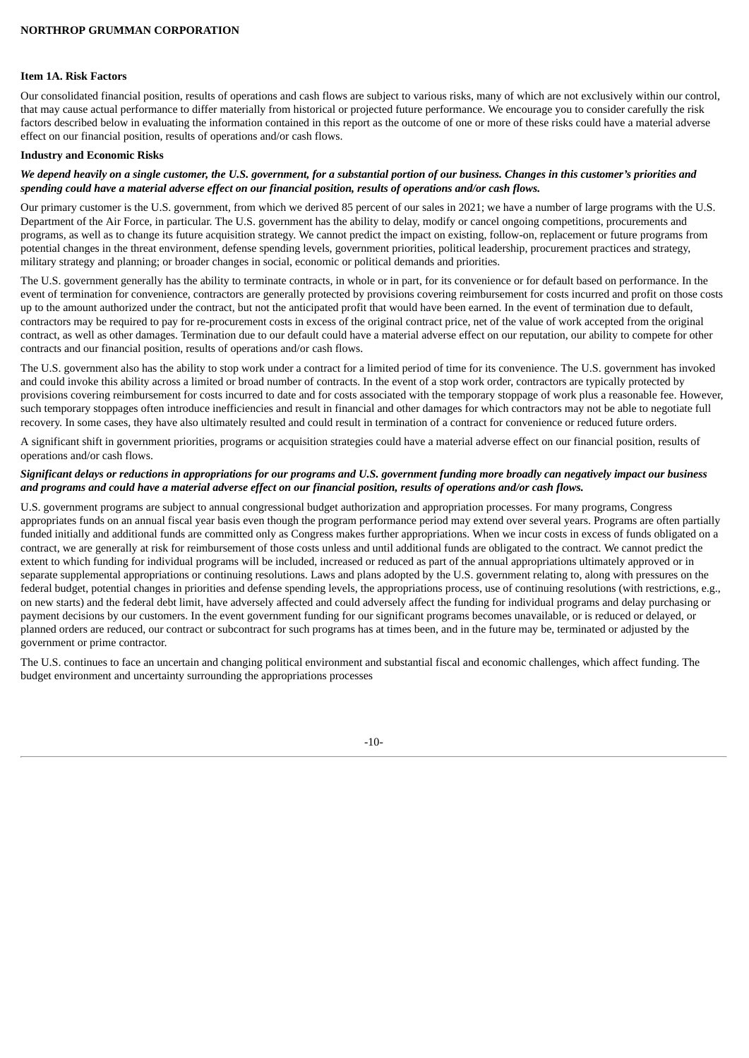# **Item 1A. Risk Factors**

Our consolidated financial position, results of operations and cash flows are subject to various risks, many of which are not exclusively within our control, that may cause actual performance to differ materially from historical or projected future performance. We encourage you to consider carefully the risk factors described below in evaluating the information contained in this report as the outcome of one or more of these risks could have a material adverse effect on our financial position, results of operations and/or cash flows.

### **Industry and Economic Risks**

# We depend heavily on a single customer, the U.S. government, for a substantial portion of our business. Changes in this customer's priorities and spending could have a material adverse effect on our financial position, results of operations and/or cash flows.

Our primary customer is the U.S. government, from which we derived 85 percent of our sales in 2021; we have a number of large programs with the U.S. Department of the Air Force, in particular. The U.S. government has the ability to delay, modify or cancel ongoing competitions, procurements and programs, as well as to change its future acquisition strategy. We cannot predict the impact on existing, follow-on, replacement or future programs from potential changes in the threat environment, defense spending levels, government priorities, political leadership, procurement practices and strategy, military strategy and planning; or broader changes in social, economic or political demands and priorities.

The U.S. government generally has the ability to terminate contracts, in whole or in part, for its convenience or for default based on performance. In the event of termination for convenience, contractors are generally protected by provisions covering reimbursement for costs incurred and profit on those costs up to the amount authorized under the contract, but not the anticipated profit that would have been earned. In the event of termination due to default, contractors may be required to pay for re-procurement costs in excess of the original contract price, net of the value of work accepted from the original contract, as well as other damages. Termination due to our default could have a material adverse effect on our reputation, our ability to compete for other contracts and our financial position, results of operations and/or cash flows.

The U.S. government also has the ability to stop work under a contract for a limited period of time for its convenience. The U.S. government has invoked and could invoke this ability across a limited or broad number of contracts. In the event of a stop work order, contractors are typically protected by provisions covering reimbursement for costs incurred to date and for costs associated with the temporary stoppage of work plus a reasonable fee. However, such temporary stoppages often introduce inefficiencies and result in financial and other damages for which contractors may not be able to negotiate full recovery. In some cases, they have also ultimately resulted and could result in termination of a contract for convenience or reduced future orders.

A significant shift in government priorities, programs or acquisition strategies could have a material adverse effect on our financial position, results of operations and/or cash flows.

## Significant delays or reductions in appropriations for our programs and U.S. government funding more broadly can negatively impact our business and programs and could have a material adverse effect on our financial position, results of operations and/or cash flows.

U.S. government programs are subject to annual congressional budget authorization and appropriation processes. For many programs, Congress appropriates funds on an annual fiscal year basis even though the program performance period may extend over several years. Programs are often partially funded initially and additional funds are committed only as Congress makes further appropriations. When we incur costs in excess of funds obligated on a contract, we are generally at risk for reimbursement of those costs unless and until additional funds are obligated to the contract. We cannot predict the extent to which funding for individual programs will be included, increased or reduced as part of the annual appropriations ultimately approved or in separate supplemental appropriations or continuing resolutions. Laws and plans adopted by the U.S. government relating to, along with pressures on the federal budget, potential changes in priorities and defense spending levels, the appropriations process, use of continuing resolutions (with restrictions, e.g., on new starts) and the federal debt limit, have adversely affected and could adversely affect the funding for individual programs and delay purchasing or payment decisions by our customers. In the event government funding for our significant programs becomes unavailable, or is reduced or delayed, or planned orders are reduced, our contract or subcontract for such programs has at times been, and in the future may be, terminated or adjusted by the government or prime contractor.

The U.S. continues to face an uncertain and changing political environment and substantial fiscal and economic challenges, which affect funding. The budget environment and uncertainty surrounding the appropriations processes

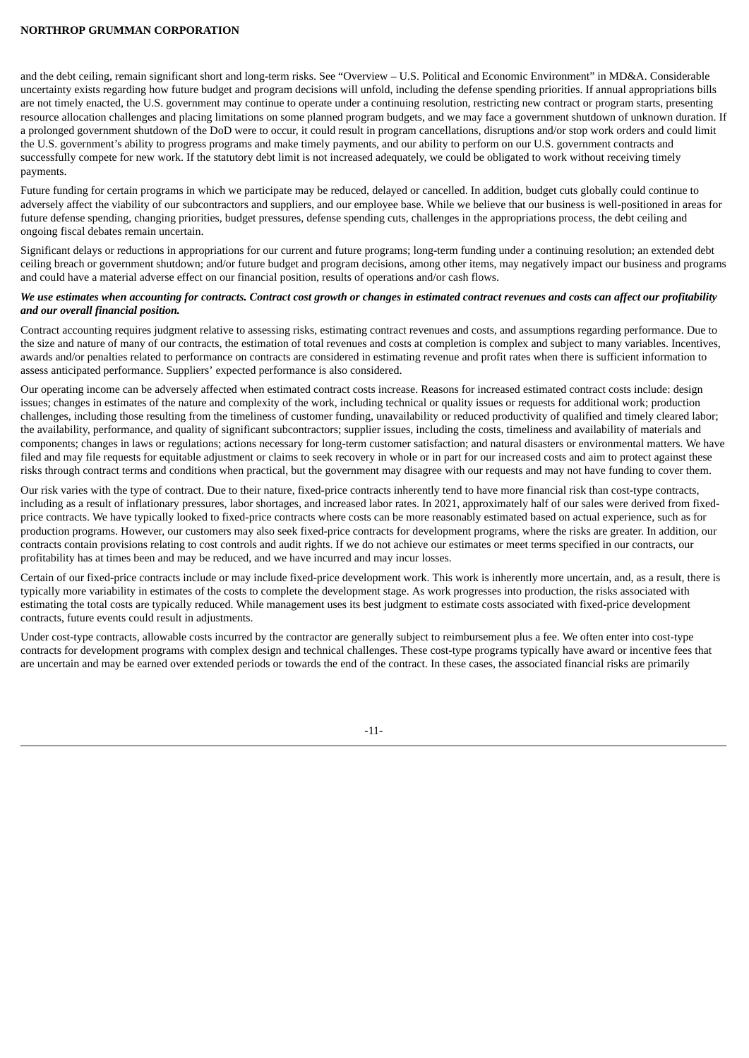and the debt ceiling, remain significant short and long-term risks. See "Overview – U.S. Political and Economic Environment" in MD&A. Considerable uncertainty exists regarding how future budget and program decisions will unfold, including the defense spending priorities. If annual appropriations bills are not timely enacted, the U.S. government may continue to operate under a continuing resolution, restricting new contract or program starts, presenting resource allocation challenges and placing limitations on some planned program budgets, and we may face a government shutdown of unknown duration. If a prolonged government shutdown of the DoD were to occur, it could result in program cancellations, disruptions and/or stop work orders and could limit the U.S. government's ability to progress programs and make timely payments, and our ability to perform on our U.S. government contracts and successfully compete for new work. If the statutory debt limit is not increased adequately, we could be obligated to work without receiving timely payments.

Future funding for certain programs in which we participate may be reduced, delayed or cancelled. In addition, budget cuts globally could continue to adversely affect the viability of our subcontractors and suppliers, and our employee base. While we believe that our business is well-positioned in areas for future defense spending, changing priorities, budget pressures, defense spending cuts, challenges in the appropriations process, the debt ceiling and ongoing fiscal debates remain uncertain.

Significant delays or reductions in appropriations for our current and future programs; long-term funding under a continuing resolution; an extended debt ceiling breach or government shutdown; and/or future budget and program decisions, among other items, may negatively impact our business and programs and could have a material adverse effect on our financial position, results of operations and/or cash flows.

### We use estimates when accounting for contracts. Contract cost growth or changes in estimated contract revenues and costs can affect our profitability *and our overall financial position.*

Contract accounting requires judgment relative to assessing risks, estimating contract revenues and costs, and assumptions regarding performance. Due to the size and nature of many of our contracts, the estimation of total revenues and costs at completion is complex and subject to many variables. Incentives, awards and/or penalties related to performance on contracts are considered in estimating revenue and profit rates when there is sufficient information to assess anticipated performance. Suppliers' expected performance is also considered.

Our operating income can be adversely affected when estimated contract costs increase. Reasons for increased estimated contract costs include: design issues; changes in estimates of the nature and complexity of the work, including technical or quality issues or requests for additional work; production challenges, including those resulting from the timeliness of customer funding, unavailability or reduced productivity of qualified and timely cleared labor; the availability, performance, and quality of significant subcontractors; supplier issues, including the costs, timeliness and availability of materials and components; changes in laws or regulations; actions necessary for long-term customer satisfaction; and natural disasters or environmental matters. We have filed and may file requests for equitable adjustment or claims to seek recovery in whole or in part for our increased costs and aim to protect against these risks through contract terms and conditions when practical, but the government may disagree with our requests and may not have funding to cover them.

Our risk varies with the type of contract. Due to their nature, fixed-price contracts inherently tend to have more financial risk than cost-type contracts, including as a result of inflationary pressures, labor shortages, and increased labor rates. In 2021, approximately half of our sales were derived from fixedprice contracts. We have typically looked to fixed-price contracts where costs can be more reasonably estimated based on actual experience, such as for production programs. However, our customers may also seek fixed-price contracts for development programs, where the risks are greater. In addition, our contracts contain provisions relating to cost controls and audit rights. If we do not achieve our estimates or meet terms specified in our contracts, our profitability has at times been and may be reduced, and we have incurred and may incur losses.

Certain of our fixed-price contracts include or may include fixed-price development work. This work is inherently more uncertain, and, as a result, there is typically more variability in estimates of the costs to complete the development stage. As work progresses into production, the risks associated with estimating the total costs are typically reduced. While management uses its best judgment to estimate costs associated with fixed-price development contracts, future events could result in adjustments.

Under cost-type contracts, allowable costs incurred by the contractor are generally subject to reimbursement plus a fee. We often enter into cost-type contracts for development programs with complex design and technical challenges. These cost-type programs typically have award or incentive fees that are uncertain and may be earned over extended periods or towards the end of the contract. In these cases, the associated financial risks are primarily

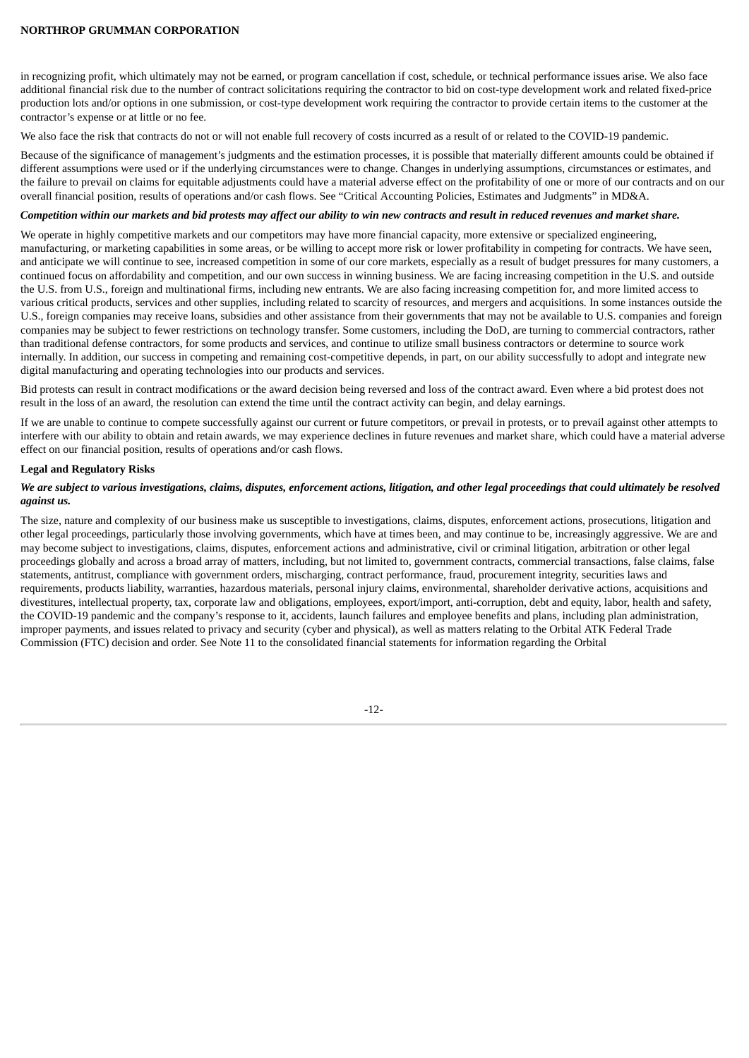in recognizing profit, which ultimately may not be earned, or program cancellation if cost, schedule, or technical performance issues arise. We also face additional financial risk due to the number of contract solicitations requiring the contractor to bid on cost-type development work and related fixed-price production lots and/or options in one submission, or cost-type development work requiring the contractor to provide certain items to the customer at the contractor's expense or at little or no fee.

We also face the risk that contracts do not or will not enable full recovery of costs incurred as a result of or related to the COVID-19 pandemic.

Because of the significance of management's judgments and the estimation processes, it is possible that materially different amounts could be obtained if different assumptions were used or if the underlying circumstances were to change. Changes in underlying assumptions, circumstances or estimates, and the failure to prevail on claims for equitable adjustments could have a material adverse effect on the profitability of one or more of our contracts and on our overall financial position, results of operations and/or cash flows. See "Critical Accounting Policies, Estimates and Judgments" in MD&A.

## Competition within our markets and bid protests may affect our ability to win new contracts and result in reduced revenues and market share.

We operate in highly competitive markets and our competitors may have more financial capacity, more extensive or specialized engineering, manufacturing, or marketing capabilities in some areas, or be willing to accept more risk or lower profitability in competing for contracts. We have seen, and anticipate we will continue to see, increased competition in some of our core markets, especially as a result of budget pressures for many customers, a continued focus on affordability and competition, and our own success in winning business. We are facing increasing competition in the U.S. and outside the U.S. from U.S., foreign and multinational firms, including new entrants. We are also facing increasing competition for, and more limited access to various critical products, services and other supplies, including related to scarcity of resources, and mergers and acquisitions. In some instances outside the U.S., foreign companies may receive loans, subsidies and other assistance from their governments that may not be available to U.S. companies and foreign companies may be subject to fewer restrictions on technology transfer. Some customers, including the DoD, are turning to commercial contractors, rather than traditional defense contractors, for some products and services, and continue to utilize small business contractors or determine to source work internally. In addition, our success in competing and remaining cost-competitive depends, in part, on our ability successfully to adopt and integrate new digital manufacturing and operating technologies into our products and services.

Bid protests can result in contract modifications or the award decision being reversed and loss of the contract award. Even where a bid protest does not result in the loss of an award, the resolution can extend the time until the contract activity can begin, and delay earnings.

If we are unable to continue to compete successfully against our current or future competitors, or prevail in protests, or to prevail against other attempts to interfere with our ability to obtain and retain awards, we may experience declines in future revenues and market share, which could have a material adverse effect on our financial position, results of operations and/or cash flows.

### **Legal and Regulatory Risks**

### We are subject to various investigations, claims, disputes, enforcement actions, litigation, and other legal proceedings that could ultimately be resolved *against us.*

The size, nature and complexity of our business make us susceptible to investigations, claims, disputes, enforcement actions, prosecutions, litigation and other legal proceedings, particularly those involving governments, which have at times been, and may continue to be, increasingly aggressive. We are and may become subject to investigations, claims, disputes, enforcement actions and administrative, civil or criminal litigation, arbitration or other legal proceedings globally and across a broad array of matters, including, but not limited to, government contracts, commercial transactions, false claims, false statements, antitrust, compliance with government orders, mischarging, contract performance, fraud, procurement integrity, securities laws and requirements, products liability, warranties, hazardous materials, personal injury claims, environmental, shareholder derivative actions, acquisitions and divestitures, intellectual property, tax, corporate law and obligations, employees, export/import, anti-corruption, debt and equity, labor, health and safety, the COVID-19 pandemic and the company's response to it, accidents, launch failures and employee benefits and plans, including plan administration, improper payments, and issues related to privacy and security (cyber and physical), as well as matters relating to the Orbital ATK Federal Trade Commission (FTC) decision and order. See Note 11 to the consolidated financial statements for information regarding the Orbital

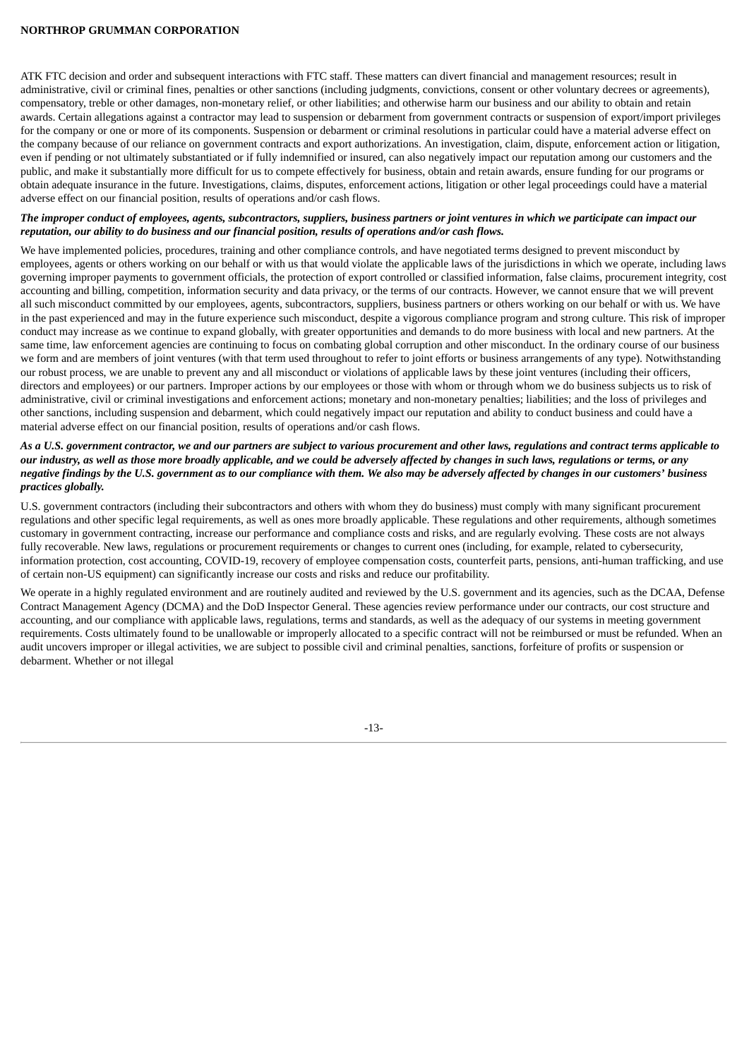ATK FTC decision and order and subsequent interactions with FTC staff. These matters can divert financial and management resources; result in administrative, civil or criminal fines, penalties or other sanctions (including judgments, convictions, consent or other voluntary decrees or agreements), compensatory, treble or other damages, non-monetary relief, or other liabilities; and otherwise harm our business and our ability to obtain and retain awards. Certain allegations against a contractor may lead to suspension or debarment from government contracts or suspension of export/import privileges for the company or one or more of its components. Suspension or debarment or criminal resolutions in particular could have a material adverse effect on the company because of our reliance on government contracts and export authorizations. An investigation, claim, dispute, enforcement action or litigation, even if pending or not ultimately substantiated or if fully indemnified or insured, can also negatively impact our reputation among our customers and the public, and make it substantially more difficult for us to compete effectively for business, obtain and retain awards, ensure funding for our programs or obtain adequate insurance in the future. Investigations, claims, disputes, enforcement actions, litigation or other legal proceedings could have a material adverse effect on our financial position, results of operations and/or cash flows.

### The improper conduct of emplovees, agents, subcontractors, suppliers, business partners or joint ventures in which we participate can impact our *reputation, our ability to do business and our financial position, results of operations and/or cash flows.*

We have implemented policies, procedures, training and other compliance controls, and have negotiated terms designed to prevent misconduct by employees, agents or others working on our behalf or with us that would violate the applicable laws of the jurisdictions in which we operate, including laws governing improper payments to government officials, the protection of export controlled or classified information, false claims, procurement integrity, cost accounting and billing, competition, information security and data privacy, or the terms of our contracts. However, we cannot ensure that we will prevent all such misconduct committed by our employees, agents, subcontractors, suppliers, business partners or others working on our behalf or with us. We have in the past experienced and may in the future experience such misconduct, despite a vigorous compliance program and strong culture. This risk of improper conduct may increase as we continue to expand globally, with greater opportunities and demands to do more business with local and new partners. At the same time, law enforcement agencies are continuing to focus on combating global corruption and other misconduct. In the ordinary course of our business we form and are members of joint ventures (with that term used throughout to refer to joint efforts or business arrangements of any type). Notwithstanding our robust process, we are unable to prevent any and all misconduct or violations of applicable laws by these joint ventures (including their officers, directors and employees) or our partners. Improper actions by our employees or those with whom or through whom we do business subjects us to risk of administrative, civil or criminal investigations and enforcement actions; monetary and non-monetary penalties; liabilities; and the loss of privileges and other sanctions, including suspension and debarment, which could negatively impact our reputation and ability to conduct business and could have a material adverse effect on our financial position, results of operations and/or cash flows.

### As a U.S. government contractor, we and our partners are subject to various procurement and other laws, regulations and contract terms applicable to our industry, as well as those more broadly applicable, and we could be adversely affected by changes in such laws, regulations or terms, or any negative findings by the U.S. government as to our compliance with them. We also may be adversely affected by changes in our customers' business *practices globally.*

U.S. government contractors (including their subcontractors and others with whom they do business) must comply with many significant procurement regulations and other specific legal requirements, as well as ones more broadly applicable. These regulations and other requirements, although sometimes customary in government contracting, increase our performance and compliance costs and risks, and are regularly evolving. These costs are not always fully recoverable. New laws, regulations or procurement requirements or changes to current ones (including, for example, related to cybersecurity, information protection, cost accounting, COVID-19, recovery of employee compensation costs, counterfeit parts, pensions, anti-human trafficking, and use of certain non-US equipment) can significantly increase our costs and risks and reduce our profitability.

We operate in a highly regulated environment and are routinely audited and reviewed by the U.S. government and its agencies, such as the DCAA, Defense Contract Management Agency (DCMA) and the DoD Inspector General. These agencies review performance under our contracts, our cost structure and accounting, and our compliance with applicable laws, regulations, terms and standards, as well as the adequacy of our systems in meeting government requirements. Costs ultimately found to be unallowable or improperly allocated to a specific contract will not be reimbursed or must be refunded. When an audit uncovers improper or illegal activities, we are subject to possible civil and criminal penalties, sanctions, forfeiture of profits or suspension or debarment. Whether or not illegal

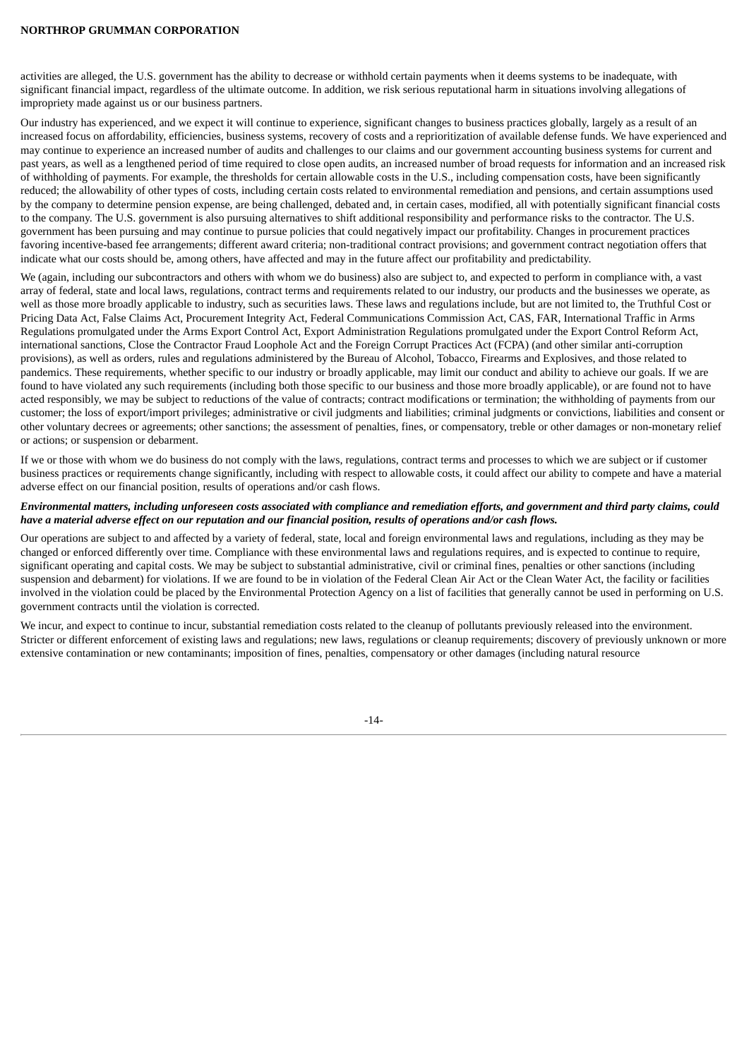activities are alleged, the U.S. government has the ability to decrease or withhold certain payments when it deems systems to be inadequate, with significant financial impact, regardless of the ultimate outcome. In addition, we risk serious reputational harm in situations involving allegations of impropriety made against us or our business partners.

Our industry has experienced, and we expect it will continue to experience, significant changes to business practices globally, largely as a result of an increased focus on affordability, efficiencies, business systems, recovery of costs and a reprioritization of available defense funds. We have experienced and may continue to experience an increased number of audits and challenges to our claims and our government accounting business systems for current and past years, as well as a lengthened period of time required to close open audits, an increased number of broad requests for information and an increased risk of withholding of payments. For example, the thresholds for certain allowable costs in the U.S., including compensation costs, have been significantly reduced; the allowability of other types of costs, including certain costs related to environmental remediation and pensions, and certain assumptions used by the company to determine pension expense, are being challenged, debated and, in certain cases, modified, all with potentially significant financial costs to the company. The U.S. government is also pursuing alternatives to shift additional responsibility and performance risks to the contractor. The U.S. government has been pursuing and may continue to pursue policies that could negatively impact our profitability. Changes in procurement practices favoring incentive-based fee arrangements; different award criteria; non-traditional contract provisions; and government contract negotiation offers that indicate what our costs should be, among others, have affected and may in the future affect our profitability and predictability.

We (again, including our subcontractors and others with whom we do business) also are subject to, and expected to perform in compliance with, a vast array of federal, state and local laws, regulations, contract terms and requirements related to our industry, our products and the businesses we operate, as well as those more broadly applicable to industry, such as securities laws. These laws and regulations include, but are not limited to, the Truthful Cost or Pricing Data Act, False Claims Act, Procurement Integrity Act, Federal Communications Commission Act, CAS, FAR, International Traffic in Arms Regulations promulgated under the Arms Export Control Act, Export Administration Regulations promulgated under the Export Control Reform Act, international sanctions, Close the Contractor Fraud Loophole Act and the Foreign Corrupt Practices Act (FCPA) (and other similar anti-corruption provisions), as well as orders, rules and regulations administered by the Bureau of Alcohol, Tobacco, Firearms and Explosives, and those related to pandemics. These requirements, whether specific to our industry or broadly applicable, may limit our conduct and ability to achieve our goals. If we are found to have violated any such requirements (including both those specific to our business and those more broadly applicable), or are found not to have acted responsibly, we may be subject to reductions of the value of contracts; contract modifications or termination; the withholding of payments from our customer; the loss of export/import privileges; administrative or civil judgments and liabilities; criminal judgments or convictions, liabilities and consent or other voluntary decrees or agreements; other sanctions; the assessment of penalties, fines, or compensatory, treble or other damages or non-monetary relief or actions; or suspension or debarment.

If we or those with whom we do business do not comply with the laws, regulations, contract terms and processes to which we are subject or if customer business practices or requirements change significantly, including with respect to allowable costs, it could affect our ability to compete and have a material adverse effect on our financial position, results of operations and/or cash flows.

### Environmental matters, including unforeseen costs associated with compliance and remediation efforts, and government and third party claims, could have a material adverse effect on our reputation and our financial position, results of operations and/or cash flows.

Our operations are subject to and affected by a variety of federal, state, local and foreign environmental laws and regulations, including as they may be changed or enforced differently over time. Compliance with these environmental laws and regulations requires, and is expected to continue to require, significant operating and capital costs. We may be subject to substantial administrative, civil or criminal fines, penalties or other sanctions (including suspension and debarment) for violations. If we are found to be in violation of the Federal Clean Air Act or the Clean Water Act, the facility or facilities involved in the violation could be placed by the Environmental Protection Agency on a list of facilities that generally cannot be used in performing on U.S. government contracts until the violation is corrected.

We incur, and expect to continue to incur, substantial remediation costs related to the cleanup of pollutants previously released into the environment. Stricter or different enforcement of existing laws and regulations; new laws, regulations or cleanup requirements; discovery of previously unknown or more extensive contamination or new contaminants; imposition of fines, penalties, compensatory or other damages (including natural resource

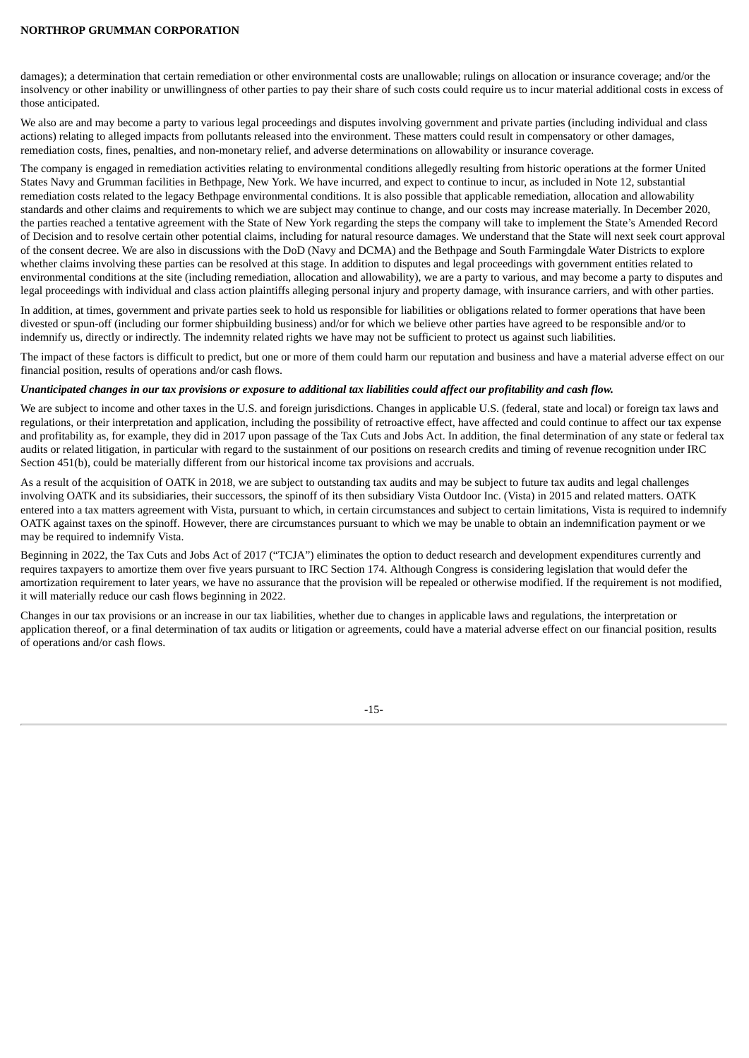damages); a determination that certain remediation or other environmental costs are unallowable; rulings on allocation or insurance coverage; and/or the insolvency or other inability or unwillingness of other parties to pay their share of such costs could require us to incur material additional costs in excess of those anticipated.

We also are and may become a party to various legal proceedings and disputes involving government and private parties (including individual and class actions) relating to alleged impacts from pollutants released into the environment. These matters could result in compensatory or other damages, remediation costs, fines, penalties, and non-monetary relief, and adverse determinations on allowability or insurance coverage.

The company is engaged in remediation activities relating to environmental conditions allegedly resulting from historic operations at the former United States Navy and Grumman facilities in Bethpage, New York. We have incurred, and expect to continue to incur, as included in Note 12, substantial remediation costs related to the legacy Bethpage environmental conditions. It is also possible that applicable remediation, allocation and allowability standards and other claims and requirements to which we are subject may continue to change, and our costs may increase materially. In December 2020, the parties reached a tentative agreement with the State of New York regarding the steps the company will take to implement the State's Amended Record of Decision and to resolve certain other potential claims, including for natural resource damages. We understand that the State will next seek court approval of the consent decree. We are also in discussions with the DoD (Navy and DCMA) and the Bethpage and South Farmingdale Water Districts to explore whether claims involving these parties can be resolved at this stage. In addition to disputes and legal proceedings with government entities related to environmental conditions at the site (including remediation, allocation and allowability), we are a party to various, and may become a party to disputes and legal proceedings with individual and class action plaintiffs alleging personal injury and property damage, with insurance carriers, and with other parties.

In addition, at times, government and private parties seek to hold us responsible for liabilities or obligations related to former operations that have been divested or spun-off (including our former shipbuilding business) and/or for which we believe other parties have agreed to be responsible and/or to indemnify us, directly or indirectly. The indemnity related rights we have may not be sufficient to protect us against such liabilities.

The impact of these factors is difficult to predict, but one or more of them could harm our reputation and business and have a material adverse effect on our financial position, results of operations and/or cash flows.

#### Unanticipated changes in our tax provisions or exposure to additional tax liabilities could affect our profitability and cash flow.

We are subject to income and other taxes in the U.S. and foreign jurisdictions. Changes in applicable U.S. (federal, state and local) or foreign tax laws and regulations, or their interpretation and application, including the possibility of retroactive effect, have affected and could continue to affect our tax expense and profitability as, for example, they did in 2017 upon passage of the Tax Cuts and Jobs Act. In addition, the final determination of any state or federal tax audits or related litigation, in particular with regard to the sustainment of our positions on research credits and timing of revenue recognition under IRC Section 451(b), could be materially different from our historical income tax provisions and accruals.

As a result of the acquisition of OATK in 2018, we are subject to outstanding tax audits and may be subject to future tax audits and legal challenges involving OATK and its subsidiaries, their successors, the spinoff of its then subsidiary Vista Outdoor Inc. (Vista) in 2015 and related matters. OATK entered into a tax matters agreement with Vista, pursuant to which, in certain circumstances and subject to certain limitations, Vista is required to indemnify OATK against taxes on the spinoff. However, there are circumstances pursuant to which we may be unable to obtain an indemnification payment or we may be required to indemnify Vista.

Beginning in 2022, the Tax Cuts and Jobs Act of 2017 ("TCJA") eliminates the option to deduct research and development expenditures currently and requires taxpayers to amortize them over five years pursuant to IRC Section 174. Although Congress is considering legislation that would defer the amortization requirement to later years, we have no assurance that the provision will be repealed or otherwise modified. If the requirement is not modified, it will materially reduce our cash flows beginning in 2022.

Changes in our tax provisions or an increase in our tax liabilities, whether due to changes in applicable laws and regulations, the interpretation or application thereof, or a final determination of tax audits or litigation or agreements, could have a material adverse effect on our financial position, results of operations and/or cash flows.

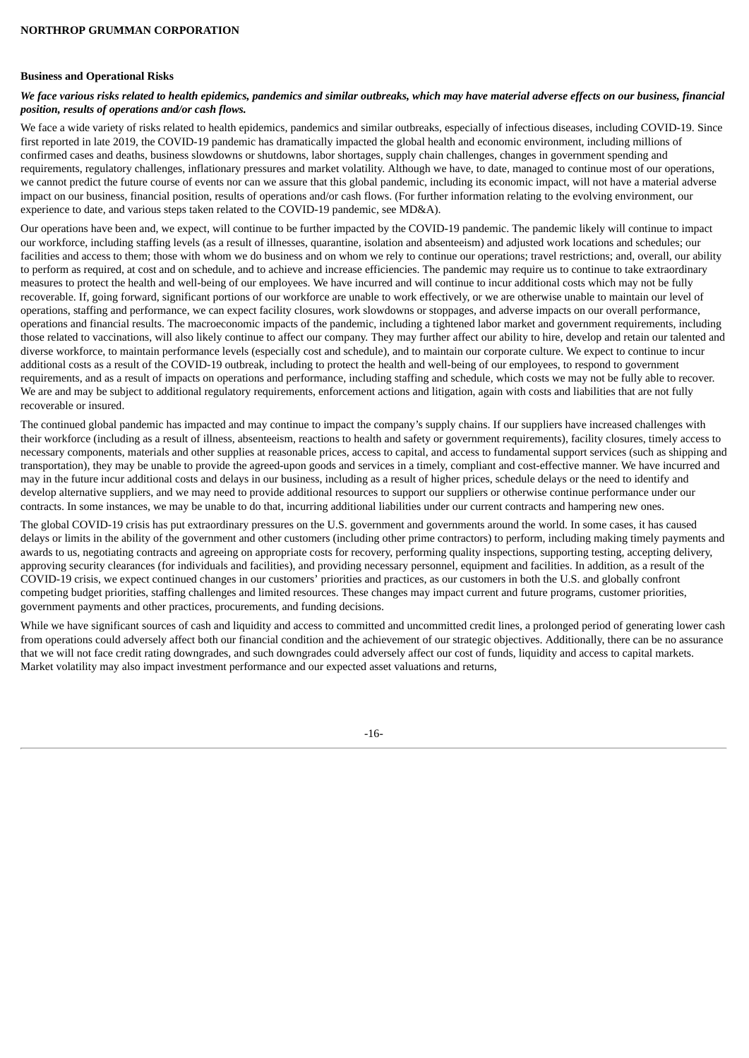#### **Business and Operational Risks**

### We face various risks related to health epidemics, pandemics and similar outbreaks, which may have material adverse effects on our business, financial *position, results of operations and/or cash flows.*

We face a wide variety of risks related to health epidemics, pandemics and similar outbreaks, especially of infectious diseases, including COVID-19. Since first reported in late 2019, the COVID-19 pandemic has dramatically impacted the global health and economic environment, including millions of confirmed cases and deaths, business slowdowns or shutdowns, labor shortages, supply chain challenges, changes in government spending and requirements, regulatory challenges, inflationary pressures and market volatility. Although we have, to date, managed to continue most of our operations, we cannot predict the future course of events nor can we assure that this global pandemic, including its economic impact, will not have a material adverse impact on our business, financial position, results of operations and/or cash flows. (For further information relating to the evolving environment, our experience to date, and various steps taken related to the COVID-19 pandemic, see MD&A).

Our operations have been and, we expect, will continue to be further impacted by the COVID-19 pandemic. The pandemic likely will continue to impact our workforce, including staffing levels (as a result of illnesses, quarantine, isolation and absenteeism) and adjusted work locations and schedules; our facilities and access to them; those with whom we do business and on whom we rely to continue our operations; travel restrictions; and, overall, our ability to perform as required, at cost and on schedule, and to achieve and increase efficiencies. The pandemic may require us to continue to take extraordinary measures to protect the health and well-being of our employees. We have incurred and will continue to incur additional costs which may not be fully recoverable. If, going forward, significant portions of our workforce are unable to work effectively, or we are otherwise unable to maintain our level of operations, staffing and performance, we can expect facility closures, work slowdowns or stoppages, and adverse impacts on our overall performance, operations and financial results. The macroeconomic impacts of the pandemic, including a tightened labor market and government requirements, including those related to vaccinations, will also likely continue to affect our company. They may further affect our ability to hire, develop and retain our talented and diverse workforce, to maintain performance levels (especially cost and schedule), and to maintain our corporate culture. We expect to continue to incur additional costs as a result of the COVID-19 outbreak, including to protect the health and well-being of our employees, to respond to government requirements, and as a result of impacts on operations and performance, including staffing and schedule, which costs we may not be fully able to recover. We are and may be subject to additional regulatory requirements, enforcement actions and litigation, again with costs and liabilities that are not fully recoverable or insured.

The continued global pandemic has impacted and may continue to impact the company's supply chains. If our suppliers have increased challenges with their workforce (including as a result of illness, absenteeism, reactions to health and safety or government requirements), facility closures, timely access to necessary components, materials and other supplies at reasonable prices, access to capital, and access to fundamental support services (such as shipping and transportation), they may be unable to provide the agreed-upon goods and services in a timely, compliant and cost-effective manner. We have incurred and may in the future incur additional costs and delays in our business, including as a result of higher prices, schedule delays or the need to identify and develop alternative suppliers, and we may need to provide additional resources to support our suppliers or otherwise continue performance under our contracts. In some instances, we may be unable to do that, incurring additional liabilities under our current contracts and hampering new ones.

The global COVID-19 crisis has put extraordinary pressures on the U.S. government and governments around the world. In some cases, it has caused delays or limits in the ability of the government and other customers (including other prime contractors) to perform, including making timely payments and awards to us, negotiating contracts and agreeing on appropriate costs for recovery, performing quality inspections, supporting testing, accepting delivery, approving security clearances (for individuals and facilities), and providing necessary personnel, equipment and facilities. In addition, as a result of the COVID-19 crisis, we expect continued changes in our customers' priorities and practices, as our customers in both the U.S. and globally confront competing budget priorities, staffing challenges and limited resources. These changes may impact current and future programs, customer priorities, government payments and other practices, procurements, and funding decisions.

While we have significant sources of cash and liquidity and access to committed and uncommitted credit lines, a prolonged period of generating lower cash from operations could adversely affect both our financial condition and the achievement of our strategic objectives. Additionally, there can be no assurance that we will not face credit rating downgrades, and such downgrades could adversely affect our cost of funds, liquidity and access to capital markets. Market volatility may also impact investment performance and our expected asset valuations and returns,

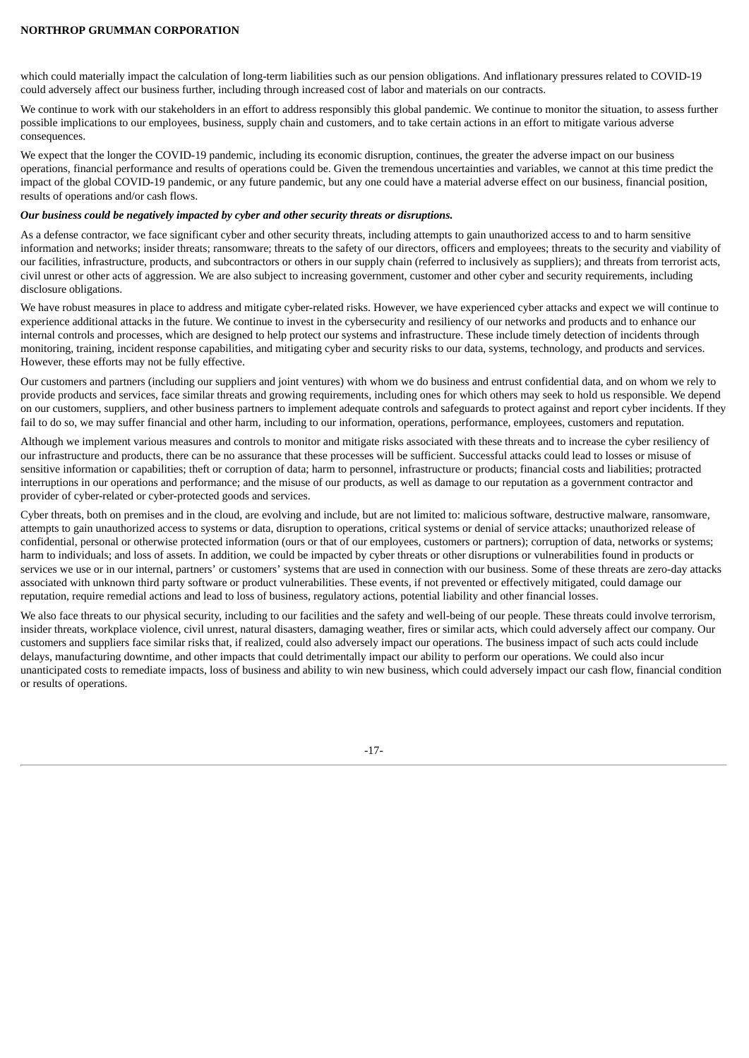which could materially impact the calculation of long-term liabilities such as our pension obligations. And inflationary pressures related to COVID-19 could adversely affect our business further, including through increased cost of labor and materials on our contracts.

We continue to work with our stakeholders in an effort to address responsibly this global pandemic. We continue to monitor the situation, to assess further possible implications to our employees, business, supply chain and customers, and to take certain actions in an effort to mitigate various adverse consequences.

We expect that the longer the COVID-19 pandemic, including its economic disruption, continues, the greater the adverse impact on our business operations, financial performance and results of operations could be. Given the tremendous uncertainties and variables, we cannot at this time predict the impact of the global COVID-19 pandemic, or any future pandemic, but any one could have a material adverse effect on our business, financial position, results of operations and/or cash flows.

### *Our business could be negatively impacted by cyber and other security threats or disruptions.*

As a defense contractor, we face significant cyber and other security threats, including attempts to gain unauthorized access to and to harm sensitive information and networks; insider threats; ransomware; threats to the safety of our directors, officers and employees; threats to the security and viability of our facilities, infrastructure, products, and subcontractors or others in our supply chain (referred to inclusively as suppliers); and threats from terrorist acts, civil unrest or other acts of aggression. We are also subject to increasing government, customer and other cyber and security requirements, including disclosure obligations.

We have robust measures in place to address and mitigate cyber-related risks. However, we have experienced cyber attacks and expect we will continue to experience additional attacks in the future. We continue to invest in the cybersecurity and resiliency of our networks and products and to enhance our internal controls and processes, which are designed to help protect our systems and infrastructure. These include timely detection of incidents through monitoring, training, incident response capabilities, and mitigating cyber and security risks to our data, systems, technology, and products and services. However, these efforts may not be fully effective.

Our customers and partners (including our suppliers and joint ventures) with whom we do business and entrust confidential data, and on whom we rely to provide products and services, face similar threats and growing requirements, including ones for which others may seek to hold us responsible. We depend on our customers, suppliers, and other business partners to implement adequate controls and safeguards to protect against and report cyber incidents. If they fail to do so, we may suffer financial and other harm, including to our information, operations, performance, employees, customers and reputation.

Although we implement various measures and controls to monitor and mitigate risks associated with these threats and to increase the cyber resiliency of our infrastructure and products, there can be no assurance that these processes will be sufficient. Successful attacks could lead to losses or misuse of sensitive information or capabilities; theft or corruption of data; harm to personnel, infrastructure or products; financial costs and liabilities; protracted interruptions in our operations and performance; and the misuse of our products, as well as damage to our reputation as a government contractor and provider of cyber-related or cyber-protected goods and services.

Cyber threats, both on premises and in the cloud, are evolving and include, but are not limited to: malicious software, destructive malware, ransomware, attempts to gain unauthorized access to systems or data, disruption to operations, critical systems or denial of service attacks; unauthorized release of confidential, personal or otherwise protected information (ours or that of our employees, customers or partners); corruption of data, networks or systems; harm to individuals; and loss of assets. In addition, we could be impacted by cyber threats or other disruptions or vulnerabilities found in products or services we use or in our internal, partners' or customers' systems that are used in connection with our business. Some of these threats are zero-day attacks associated with unknown third party software or product vulnerabilities. These events, if not prevented or effectively mitigated, could damage our reputation, require remedial actions and lead to loss of business, regulatory actions, potential liability and other financial losses.

We also face threats to our physical security, including to our facilities and the safety and well-being of our people. These threats could involve terrorism, insider threats, workplace violence, civil unrest, natural disasters, damaging weather, fires or similar acts, which could adversely affect our company. Our customers and suppliers face similar risks that, if realized, could also adversely impact our operations. The business impact of such acts could include delays, manufacturing downtime, and other impacts that could detrimentally impact our ability to perform our operations. We could also incur unanticipated costs to remediate impacts, loss of business and ability to win new business, which could adversely impact our cash flow, financial condition or results of operations.

-17-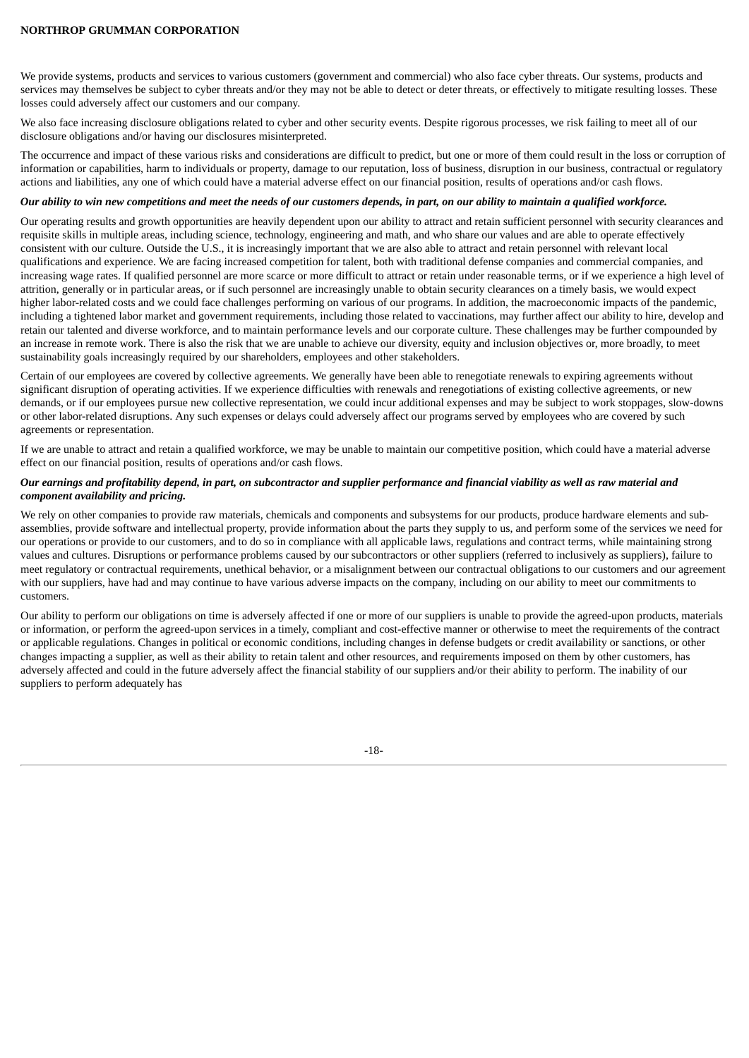We provide systems, products and services to various customers (government and commercial) who also face cyber threats. Our systems, products and services may themselves be subject to cyber threats and/or they may not be able to detect or deter threats, or effectively to mitigate resulting losses. These losses could adversely affect our customers and our company.

We also face increasing disclosure obligations related to cyber and other security events. Despite rigorous processes, we risk failing to meet all of our disclosure obligations and/or having our disclosures misinterpreted.

The occurrence and impact of these various risks and considerations are difficult to predict, but one or more of them could result in the loss or corruption of information or capabilities, harm to individuals or property, damage to our reputation, loss of business, disruption in our business, contractual or regulatory actions and liabilities, any one of which could have a material adverse effect on our financial position, results of operations and/or cash flows.

# Our ability to win new competitions and meet the needs of our customers depends, in part, on our ability to maintain a qualified workforce.

Our operating results and growth opportunities are heavily dependent upon our ability to attract and retain sufficient personnel with security clearances and requisite skills in multiple areas, including science, technology, engineering and math, and who share our values and are able to operate effectively consistent with our culture. Outside the U.S., it is increasingly important that we are also able to attract and retain personnel with relevant local qualifications and experience. We are facing increased competition for talent, both with traditional defense companies and commercial companies, and increasing wage rates. If qualified personnel are more scarce or more difficult to attract or retain under reasonable terms, or if we experience a high level of attrition, generally or in particular areas, or if such personnel are increasingly unable to obtain security clearances on a timely basis, we would expect higher labor-related costs and we could face challenges performing on various of our programs. In addition, the macroeconomic impacts of the pandemic, including a tightened labor market and government requirements, including those related to vaccinations, may further affect our ability to hire, develop and retain our talented and diverse workforce, and to maintain performance levels and our corporate culture. These challenges may be further compounded by an increase in remote work. There is also the risk that we are unable to achieve our diversity, equity and inclusion objectives or, more broadly, to meet sustainability goals increasingly required by our shareholders, employees and other stakeholders.

Certain of our employees are covered by collective agreements. We generally have been able to renegotiate renewals to expiring agreements without significant disruption of operating activities. If we experience difficulties with renewals and renegotiations of existing collective agreements, or new demands, or if our employees pursue new collective representation, we could incur additional expenses and may be subject to work stoppages, slow-downs or other labor-related disruptions. Any such expenses or delays could adversely affect our programs served by employees who are covered by such agreements or representation.

If we are unable to attract and retain a qualified workforce, we may be unable to maintain our competitive position, which could have a material adverse effect on our financial position, results of operations and/or cash flows.

### Our earnings and profitability depend, in part, on subcontractor and supplier performance and financial viability as well as raw material and *component availability and pricing.*

We rely on other companies to provide raw materials, chemicals and components and subsystems for our products, produce hardware elements and subassemblies, provide software and intellectual property, provide information about the parts they supply to us, and perform some of the services we need for our operations or provide to our customers, and to do so in compliance with all applicable laws, regulations and contract terms, while maintaining strong values and cultures. Disruptions or performance problems caused by our subcontractors or other suppliers (referred to inclusively as suppliers), failure to meet regulatory or contractual requirements, unethical behavior, or a misalignment between our contractual obligations to our customers and our agreement with our suppliers, have had and may continue to have various adverse impacts on the company, including on our ability to meet our commitments to customers.

Our ability to perform our obligations on time is adversely affected if one or more of our suppliers is unable to provide the agreed-upon products, materials or information, or perform the agreed-upon services in a timely, compliant and cost-effective manner or otherwise to meet the requirements of the contract or applicable regulations. Changes in political or economic conditions, including changes in defense budgets or credit availability or sanctions, or other changes impacting a supplier, as well as their ability to retain talent and other resources, and requirements imposed on them by other customers, has adversely affected and could in the future adversely affect the financial stability of our suppliers and/or their ability to perform. The inability of our suppliers to perform adequately has

-18-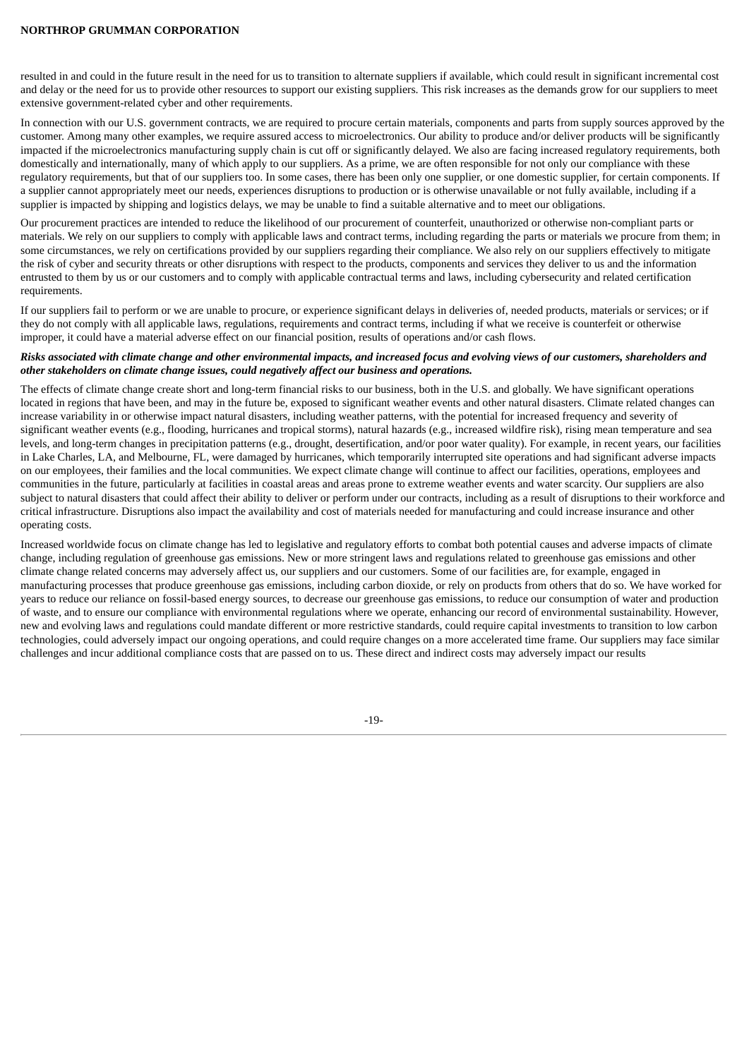resulted in and could in the future result in the need for us to transition to alternate suppliers if available, which could result in significant incremental cost and delay or the need for us to provide other resources to support our existing suppliers. This risk increases as the demands grow for our suppliers to meet extensive government-related cyber and other requirements.

In connection with our U.S. government contracts, we are required to procure certain materials, components and parts from supply sources approved by the customer. Among many other examples, we require assured access to microelectronics. Our ability to produce and/or deliver products will be significantly impacted if the microelectronics manufacturing supply chain is cut off or significantly delayed. We also are facing increased regulatory requirements, both domestically and internationally, many of which apply to our suppliers. As a prime, we are often responsible for not only our compliance with these regulatory requirements, but that of our suppliers too. In some cases, there has been only one supplier, or one domestic supplier, for certain components. If a supplier cannot appropriately meet our needs, experiences disruptions to production or is otherwise unavailable or not fully available, including if a supplier is impacted by shipping and logistics delays, we may be unable to find a suitable alternative and to meet our obligations.

Our procurement practices are intended to reduce the likelihood of our procurement of counterfeit, unauthorized or otherwise non-compliant parts or materials. We rely on our suppliers to comply with applicable laws and contract terms, including regarding the parts or materials we procure from them; in some circumstances, we rely on certifications provided by our suppliers regarding their compliance. We also rely on our suppliers effectively to mitigate the risk of cyber and security threats or other disruptions with respect to the products, components and services they deliver to us and the information entrusted to them by us or our customers and to comply with applicable contractual terms and laws, including cybersecurity and related certification requirements.

If our suppliers fail to perform or we are unable to procure, or experience significant delays in deliveries of, needed products, materials or services; or if they do not comply with all applicable laws, regulations, requirements and contract terms, including if what we receive is counterfeit or otherwise improper, it could have a material adverse effect on our financial position, results of operations and/or cash flows.

### Risks associated with climate change and other environmental impacts, and increased focus and evolving views of our customers, shareholders and *other stakeholders on climate change issues, could negatively affect our business and operations.*

The effects of climate change create short and long-term financial risks to our business, both in the U.S. and globally. We have significant operations located in regions that have been, and may in the future be, exposed to significant weather events and other natural disasters. Climate related changes can increase variability in or otherwise impact natural disasters, including weather patterns, with the potential for increased frequency and severity of significant weather events (e.g., flooding, hurricanes and tropical storms), natural hazards (e.g., increased wildfire risk), rising mean temperature and sea levels, and long-term changes in precipitation patterns (e.g., drought, desertification, and/or poor water quality). For example, in recent years, our facilities in Lake Charles, LA, and Melbourne, FL, were damaged by hurricanes, which temporarily interrupted site operations and had significant adverse impacts on our employees, their families and the local communities. We expect climate change will continue to affect our facilities, operations, employees and communities in the future, particularly at facilities in coastal areas and areas prone to extreme weather events and water scarcity. Our suppliers are also subject to natural disasters that could affect their ability to deliver or perform under our contracts, including as a result of disruptions to their workforce and critical infrastructure. Disruptions also impact the availability and cost of materials needed for manufacturing and could increase insurance and other operating costs.

Increased worldwide focus on climate change has led to legislative and regulatory efforts to combat both potential causes and adverse impacts of climate change, including regulation of greenhouse gas emissions. New or more stringent laws and regulations related to greenhouse gas emissions and other climate change related concerns may adversely affect us, our suppliers and our customers. Some of our facilities are, for example, engaged in manufacturing processes that produce greenhouse gas emissions, including carbon dioxide, or rely on products from others that do so. We have worked for years to reduce our reliance on fossil-based energy sources, to decrease our greenhouse gas emissions, to reduce our consumption of water and production of waste, and to ensure our compliance with environmental regulations where we operate, enhancing our record of environmental sustainability. However, new and evolving laws and regulations could mandate different or more restrictive standards, could require capital investments to transition to low carbon technologies, could adversely impact our ongoing operations, and could require changes on a more accelerated time frame. Our suppliers may face similar challenges and incur additional compliance costs that are passed on to us. These direct and indirect costs may adversely impact our results

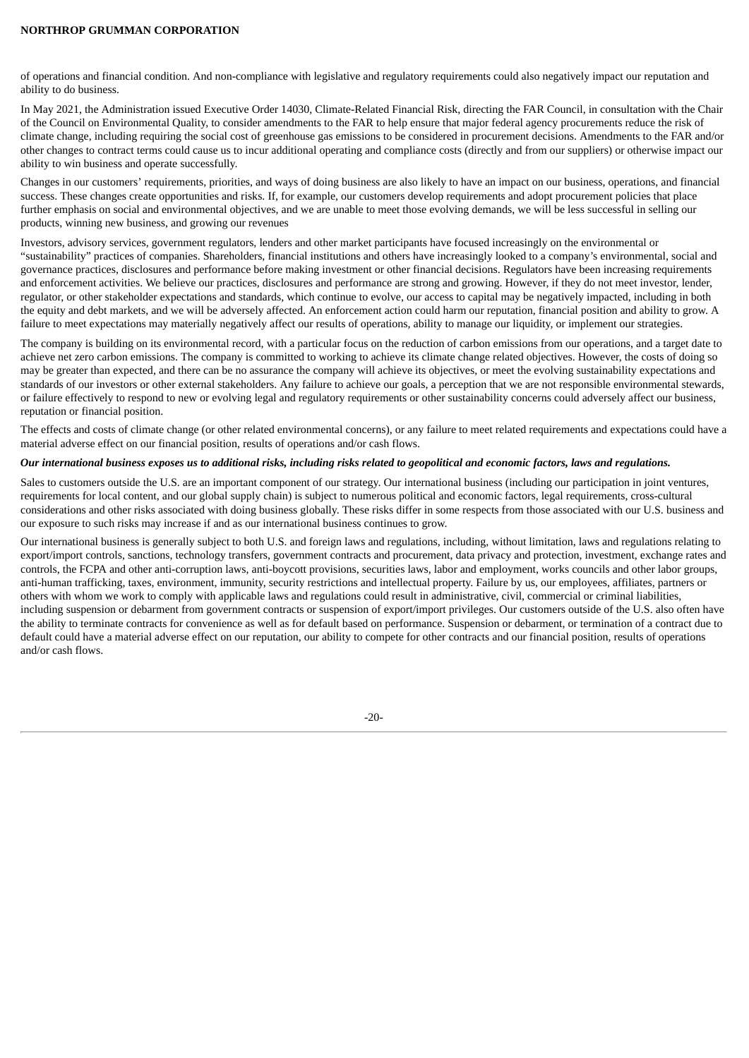of operations and financial condition. And non-compliance with legislative and regulatory requirements could also negatively impact our reputation and ability to do business.

In May 2021, the Administration issued Executive Order 14030, Climate-Related Financial Risk, directing the FAR Council, in consultation with the Chair of the Council on Environmental Quality, to consider amendments to the FAR to help ensure that major federal agency procurements reduce the risk of climate change, including requiring the social cost of greenhouse gas emissions to be considered in procurement decisions. Amendments to the FAR and/or other changes to contract terms could cause us to incur additional operating and compliance costs (directly and from our suppliers) or otherwise impact our ability to win business and operate successfully.

Changes in our customers' requirements, priorities, and ways of doing business are also likely to have an impact on our business, operations, and financial success. These changes create opportunities and risks. If, for example, our customers develop requirements and adopt procurement policies that place further emphasis on social and environmental objectives, and we are unable to meet those evolving demands, we will be less successful in selling our products, winning new business, and growing our revenues

Investors, advisory services, government regulators, lenders and other market participants have focused increasingly on the environmental or "sustainability" practices of companies. Shareholders, financial institutions and others have increasingly looked to a company's environmental, social and governance practices, disclosures and performance before making investment or other financial decisions. Regulators have been increasing requirements and enforcement activities. We believe our practices, disclosures and performance are strong and growing. However, if they do not meet investor, lender, regulator, or other stakeholder expectations and standards, which continue to evolve, our access to capital may be negatively impacted, including in both the equity and debt markets, and we will be adversely affected. An enforcement action could harm our reputation, financial position and ability to grow. A failure to meet expectations may materially negatively affect our results of operations, ability to manage our liquidity, or implement our strategies.

The company is building on its environmental record, with a particular focus on the reduction of carbon emissions from our operations, and a target date to achieve net zero carbon emissions. The company is committed to working to achieve its climate change related objectives. However, the costs of doing so may be greater than expected, and there can be no assurance the company will achieve its objectives, or meet the evolving sustainability expectations and standards of our investors or other external stakeholders. Any failure to achieve our goals, a perception that we are not responsible environmental stewards, or failure effectively to respond to new or evolving legal and regulatory requirements or other sustainability concerns could adversely affect our business, reputation or financial position.

The effects and costs of climate change (or other related environmental concerns), or any failure to meet related requirements and expectations could have a material adverse effect on our financial position, results of operations and/or cash flows.

### Our international business exposes us to additional risks, including risks related to geopolitical and economic factors, laws and regulations.

Sales to customers outside the U.S. are an important component of our strategy. Our international business (including our participation in joint ventures, requirements for local content, and our global supply chain) is subject to numerous political and economic factors, legal requirements, cross-cultural considerations and other risks associated with doing business globally. These risks differ in some respects from those associated with our U.S. business and our exposure to such risks may increase if and as our international business continues to grow.

Our international business is generally subject to both U.S. and foreign laws and regulations, including, without limitation, laws and regulations relating to export/import controls, sanctions, technology transfers, government contracts and procurement, data privacy and protection, investment, exchange rates and controls, the FCPA and other anti-corruption laws, anti-boycott provisions, securities laws, labor and employment, works councils and other labor groups, anti-human trafficking, taxes, environment, immunity, security restrictions and intellectual property. Failure by us, our employees, affiliates, partners or others with whom we work to comply with applicable laws and regulations could result in administrative, civil, commercial or criminal liabilities, including suspension or debarment from government contracts or suspension of export/import privileges. Our customers outside of the U.S. also often have the ability to terminate contracts for convenience as well as for default based on performance. Suspension or debarment, or termination of a contract due to default could have a material adverse effect on our reputation, our ability to compete for other contracts and our financial position, results of operations and/or cash flows.

-20-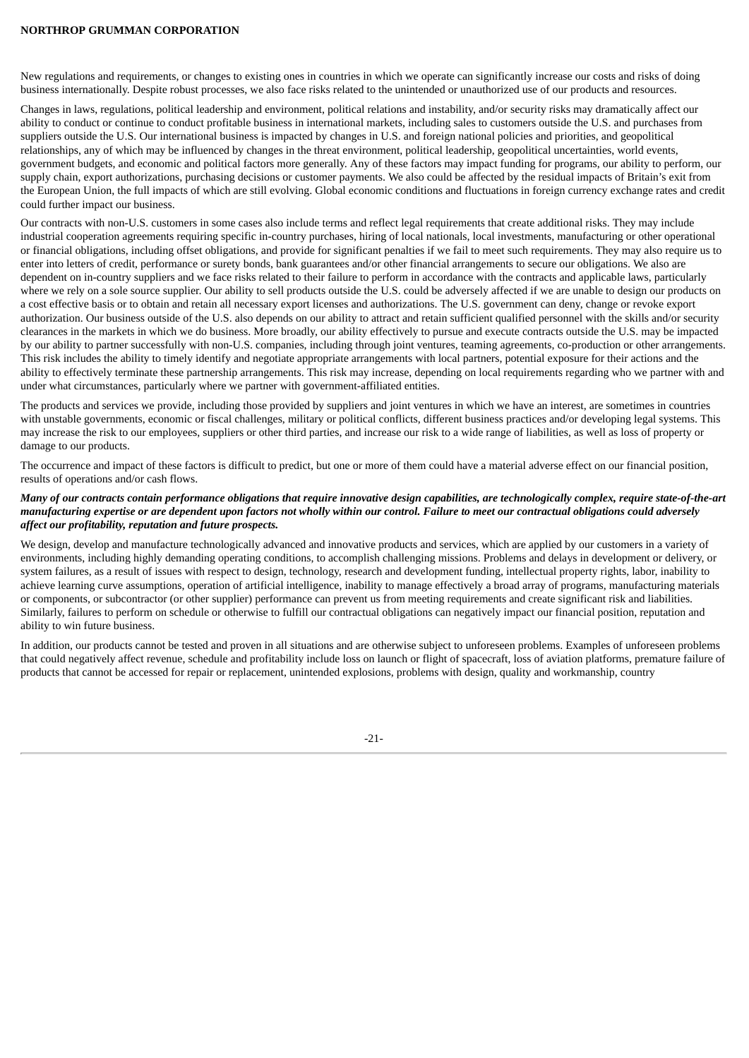New regulations and requirements, or changes to existing ones in countries in which we operate can significantly increase our costs and risks of doing business internationally. Despite robust processes, we also face risks related to the unintended or unauthorized use of our products and resources.

Changes in laws, regulations, political leadership and environment, political relations and instability, and/or security risks may dramatically affect our ability to conduct or continue to conduct profitable business in international markets, including sales to customers outside the U.S. and purchases from suppliers outside the U.S. Our international business is impacted by changes in U.S. and foreign national policies and priorities, and geopolitical relationships, any of which may be influenced by changes in the threat environment, political leadership, geopolitical uncertainties, world events, government budgets, and economic and political factors more generally. Any of these factors may impact funding for programs, our ability to perform, our supply chain, export authorizations, purchasing decisions or customer payments. We also could be affected by the residual impacts of Britain's exit from the European Union, the full impacts of which are still evolving. Global economic conditions and fluctuations in foreign currency exchange rates and credit could further impact our business.

Our contracts with non-U.S. customers in some cases also include terms and reflect legal requirements that create additional risks. They may include industrial cooperation agreements requiring specific in-country purchases, hiring of local nationals, local investments, manufacturing or other operational or financial obligations, including offset obligations, and provide for significant penalties if we fail to meet such requirements. They may also require us to enter into letters of credit, performance or surety bonds, bank guarantees and/or other financial arrangements to secure our obligations. We also are dependent on in-country suppliers and we face risks related to their failure to perform in accordance with the contracts and applicable laws, particularly where we rely on a sole source supplier. Our ability to sell products outside the U.S. could be adversely affected if we are unable to design our products on a cost effective basis or to obtain and retain all necessary export licenses and authorizations. The U.S. government can deny, change or revoke export authorization. Our business outside of the U.S. also depends on our ability to attract and retain sufficient qualified personnel with the skills and/or security clearances in the markets in which we do business. More broadly, our ability effectively to pursue and execute contracts outside the U.S. may be impacted by our ability to partner successfully with non-U.S. companies, including through joint ventures, teaming agreements, co-production or other arrangements. This risk includes the ability to timely identify and negotiate appropriate arrangements with local partners, potential exposure for their actions and the ability to effectively terminate these partnership arrangements. This risk may increase, depending on local requirements regarding who we partner with and under what circumstances, particularly where we partner with government-affiliated entities.

The products and services we provide, including those provided by suppliers and joint ventures in which we have an interest, are sometimes in countries with unstable governments, economic or fiscal challenges, military or political conflicts, different business practices and/or developing legal systems. This may increase the risk to our employees, suppliers or other third parties, and increase our risk to a wide range of liabilities, as well as loss of property or damage to our products.

The occurrence and impact of these factors is difficult to predict, but one or more of them could have a material adverse effect on our financial position, results of operations and/or cash flows.

### Many of our contracts contain performance obliaations that require innovative design capabilities, are technologically complex, require state-of-the-art manufacturing expertise or are dependent upon factors not wholly within our control. Failure to meet our contractual obligations could adversely *affect our profitability, reputation and future prospects.*

We design, develop and manufacture technologically advanced and innovative products and services, which are applied by our customers in a variety of environments, including highly demanding operating conditions, to accomplish challenging missions. Problems and delays in development or delivery, or system failures, as a result of issues with respect to design, technology, research and development funding, intellectual property rights, labor, inability to achieve learning curve assumptions, operation of artificial intelligence, inability to manage effectively a broad array of programs, manufacturing materials or components, or subcontractor (or other supplier) performance can prevent us from meeting requirements and create significant risk and liabilities. Similarly, failures to perform on schedule or otherwise to fulfill our contractual obligations can negatively impact our financial position, reputation and ability to win future business.

In addition, our products cannot be tested and proven in all situations and are otherwise subject to unforeseen problems. Examples of unforeseen problems that could negatively affect revenue, schedule and profitability include loss on launch or flight of spacecraft, loss of aviation platforms, premature failure of products that cannot be accessed for repair or replacement, unintended explosions, problems with design, quality and workmanship, country

-21-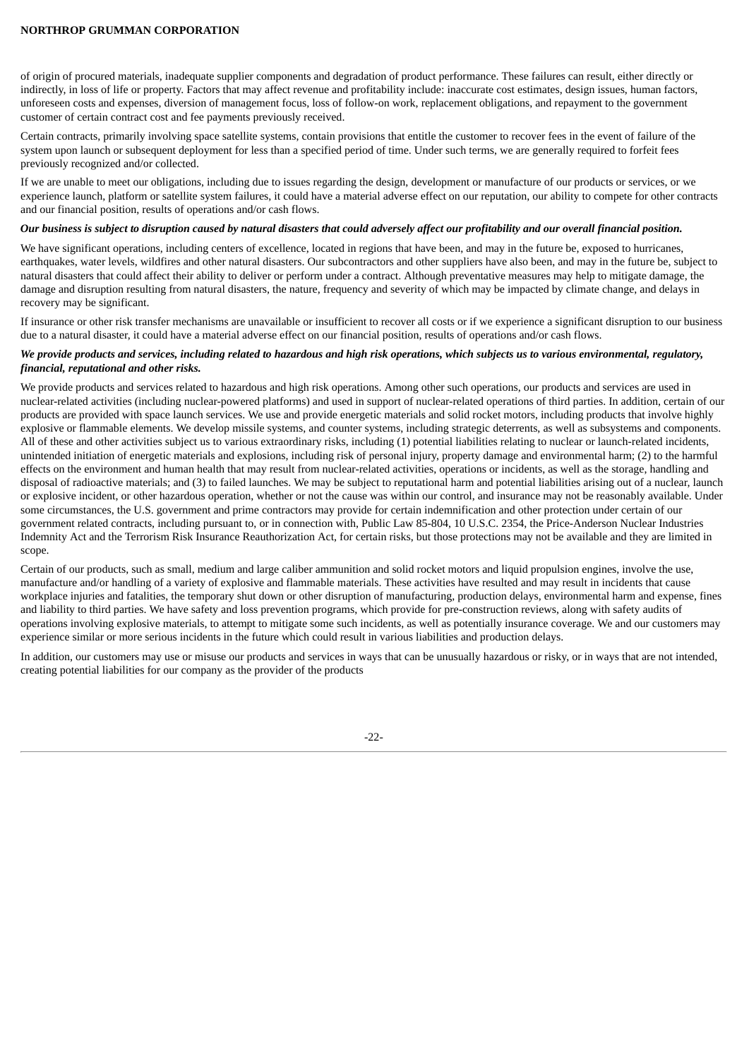of origin of procured materials, inadequate supplier components and degradation of product performance. These failures can result, either directly or indirectly, in loss of life or property. Factors that may affect revenue and profitability include: inaccurate cost estimates, design issues, human factors, unforeseen costs and expenses, diversion of management focus, loss of follow-on work, replacement obligations, and repayment to the government customer of certain contract cost and fee payments previously received.

Certain contracts, primarily involving space satellite systems, contain provisions that entitle the customer to recover fees in the event of failure of the system upon launch or subsequent deployment for less than a specified period of time. Under such terms, we are generally required to forfeit fees previously recognized and/or collected.

If we are unable to meet our obligations, including due to issues regarding the design, development or manufacture of our products or services, or we experience launch, platform or satellite system failures, it could have a material adverse effect on our reputation, our ability to compete for other contracts and our financial position, results of operations and/or cash flows.

#### Our business is subject to disruption caused by natural disasters that could adversely affect our profitability and our overall financial position.

We have significant operations, including centers of excellence, located in regions that have been, and may in the future be, exposed to hurricanes, earthquakes, water levels, wildfires and other natural disasters. Our subcontractors and other suppliers have also been, and may in the future be, subject to natural disasters that could affect their ability to deliver or perform under a contract. Although preventative measures may help to mitigate damage, the damage and disruption resulting from natural disasters, the nature, frequency and severity of which may be impacted by climate change, and delays in recovery may be significant.

If insurance or other risk transfer mechanisms are unavailable or insufficient to recover all costs or if we experience a significant disruption to our business due to a natural disaster, it could have a material adverse effect on our financial position, results of operations and/or cash flows.

# We provide products and services, includina related to hazardous and high risk operations, which subjects us to various environmental, reaulatory, *financial, reputational and other risks.*

We provide products and services related to hazardous and high risk operations. Among other such operations, our products and services are used in nuclear-related activities (including nuclear-powered platforms) and used in support of nuclear-related operations of third parties. In addition, certain of our products are provided with space launch services. We use and provide energetic materials and solid rocket motors, including products that involve highly explosive or flammable elements. We develop missile systems, and counter systems, including strategic deterrents, as well as subsystems and components. All of these and other activities subject us to various extraordinary risks, including (1) potential liabilities relating to nuclear or launch-related incidents, unintended initiation of energetic materials and explosions, including risk of personal injury, property damage and environmental harm; (2) to the harmful effects on the environment and human health that may result from nuclear-related activities, operations or incidents, as well as the storage, handling and disposal of radioactive materials; and (3) to failed launches. We may be subject to reputational harm and potential liabilities arising out of a nuclear, launch or explosive incident, or other hazardous operation, whether or not the cause was within our control, and insurance may not be reasonably available. Under some circumstances, the U.S. government and prime contractors may provide for certain indemnification and other protection under certain of our government related contracts, including pursuant to, or in connection with, Public Law 85-804, 10 U.S.C. 2354, the Price-Anderson Nuclear Industries Indemnity Act and the Terrorism Risk Insurance Reauthorization Act, for certain risks, but those protections may not be available and they are limited in scope.

Certain of our products, such as small, medium and large caliber ammunition and solid rocket motors and liquid propulsion engines, involve the use, manufacture and/or handling of a variety of explosive and flammable materials. These activities have resulted and may result in incidents that cause workplace injuries and fatalities, the temporary shut down or other disruption of manufacturing, production delays, environmental harm and expense, fines and liability to third parties. We have safety and loss prevention programs, which provide for pre-construction reviews, along with safety audits of operations involving explosive materials, to attempt to mitigate some such incidents, as well as potentially insurance coverage. We and our customers may experience similar or more serious incidents in the future which could result in various liabilities and production delays.

In addition, our customers may use or misuse our products and services in ways that can be unusually hazardous or risky, or in ways that are not intended, creating potential liabilities for our company as the provider of the products

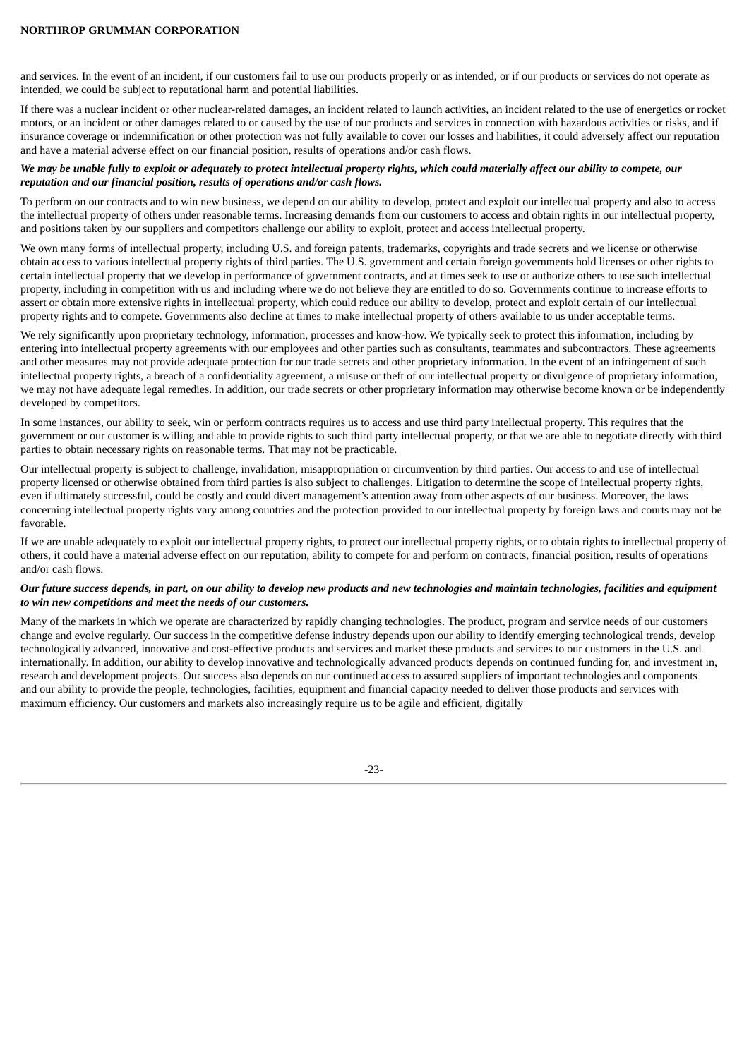and services. In the event of an incident, if our customers fail to use our products properly or as intended, or if our products or services do not operate as intended, we could be subject to reputational harm and potential liabilities.

If there was a nuclear incident or other nuclear-related damages, an incident related to launch activities, an incident related to the use of energetics or rocket motors, or an incident or other damages related to or caused by the use of our products and services in connection with hazardous activities or risks, and if insurance coverage or indemnification or other protection was not fully available to cover our losses and liabilities, it could adversely affect our reputation and have a material adverse effect on our financial position, results of operations and/or cash flows.

#### We may be unable fully to exploit or adequately to protect intellectual property rights, which could materially affect our ability to compete, our *reputation and our financial position, results of operations and/or cash flows.*

To perform on our contracts and to win new business, we depend on our ability to develop, protect and exploit our intellectual property and also to access the intellectual property of others under reasonable terms. Increasing demands from our customers to access and obtain rights in our intellectual property, and positions taken by our suppliers and competitors challenge our ability to exploit, protect and access intellectual property.

We own many forms of intellectual property, including U.S. and foreign patents, trademarks, copyrights and trade secrets and we license or otherwise obtain access to various intellectual property rights of third parties. The U.S. government and certain foreign governments hold licenses or other rights to certain intellectual property that we develop in performance of government contracts, and at times seek to use or authorize others to use such intellectual property, including in competition with us and including where we do not believe they are entitled to do so. Governments continue to increase efforts to assert or obtain more extensive rights in intellectual property, which could reduce our ability to develop, protect and exploit certain of our intellectual property rights and to compete. Governments also decline at times to make intellectual property of others available to us under acceptable terms.

We rely significantly upon proprietary technology, information, processes and know-how. We typically seek to protect this information, including by entering into intellectual property agreements with our employees and other parties such as consultants, teammates and subcontractors. These agreements and other measures may not provide adequate protection for our trade secrets and other proprietary information. In the event of an infringement of such intellectual property rights, a breach of a confidentiality agreement, a misuse or theft of our intellectual property or divulgence of proprietary information, we may not have adequate legal remedies. In addition, our trade secrets or other proprietary information may otherwise become known or be independently developed by competitors.

In some instances, our ability to seek, win or perform contracts requires us to access and use third party intellectual property. This requires that the government or our customer is willing and able to provide rights to such third party intellectual property, or that we are able to negotiate directly with third parties to obtain necessary rights on reasonable terms. That may not be practicable.

Our intellectual property is subject to challenge, invalidation, misappropriation or circumvention by third parties. Our access to and use of intellectual property licensed or otherwise obtained from third parties is also subject to challenges. Litigation to determine the scope of intellectual property rights, even if ultimately successful, could be costly and could divert management's attention away from other aspects of our business. Moreover, the laws concerning intellectual property rights vary among countries and the protection provided to our intellectual property by foreign laws and courts may not be favorable.

If we are unable adequately to exploit our intellectual property rights, to protect our intellectual property rights, or to obtain rights to intellectual property of others, it could have a material adverse effect on our reputation, ability to compete for and perform on contracts, financial position, results of operations and/or cash flows.

### Our future success depends, in part, on our ability to develop new products and new technologies and maintain technologies, facilities and equipment *to win new competitions and meet the needs of our customers.*

Many of the markets in which we operate are characterized by rapidly changing technologies. The product, program and service needs of our customers change and evolve regularly. Our success in the competitive defense industry depends upon our ability to identify emerging technological trends, develop technologically advanced, innovative and cost-effective products and services and market these products and services to our customers in the U.S. and internationally. In addition, our ability to develop innovative and technologically advanced products depends on continued funding for, and investment in, research and development projects. Our success also depends on our continued access to assured suppliers of important technologies and components and our ability to provide the people, technologies, facilities, equipment and financial capacity needed to deliver those products and services with maximum efficiency. Our customers and markets also increasingly require us to be agile and efficient, digitally

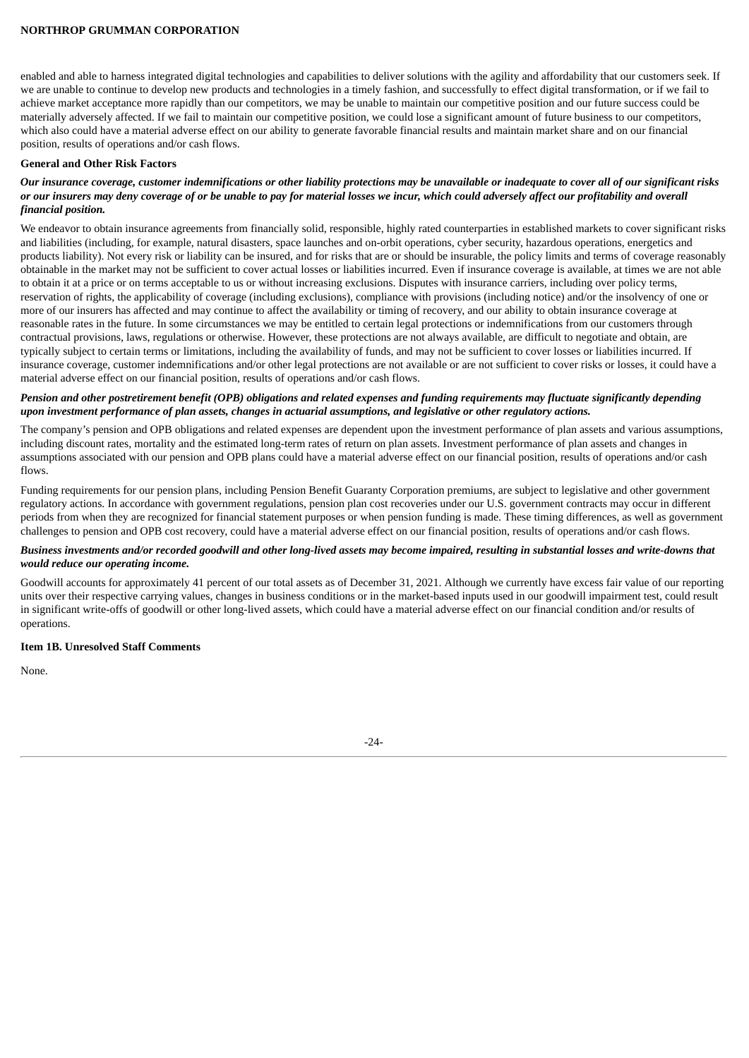enabled and able to harness integrated digital technologies and capabilities to deliver solutions with the agility and affordability that our customers seek. If we are unable to continue to develop new products and technologies in a timely fashion, and successfully to effect digital transformation, or if we fail to achieve market acceptance more rapidly than our competitors, we may be unable to maintain our competitive position and our future success could be materially adversely affected. If we fail to maintain our competitive position, we could lose a significant amount of future business to our competitors, which also could have a material adverse effect on our ability to generate favorable financial results and maintain market share and on our financial position, results of operations and/or cash flows.

#### **General and Other Risk Factors**

### Our insurance coverage, customer indemnifications or other liability protections may be unavailable or inadequate to cover all of our significant risks or our insurers may deny coverage of or be unable to pay for material losses we incur, which could adversely affect our profitability and overall *financial position.*

We endeavor to obtain insurance agreements from financially solid, responsible, highly rated counterparties in established markets to cover significant risks and liabilities (including, for example, natural disasters, space launches and on-orbit operations, cyber security, hazardous operations, energetics and products liability). Not every risk or liability can be insured, and for risks that are or should be insurable, the policy limits and terms of coverage reasonably obtainable in the market may not be sufficient to cover actual losses or liabilities incurred. Even if insurance coverage is available, at times we are not able to obtain it at a price or on terms acceptable to us or without increasing exclusions. Disputes with insurance carriers, including over policy terms, reservation of rights, the applicability of coverage (including exclusions), compliance with provisions (including notice) and/or the insolvency of one or more of our insurers has affected and may continue to affect the availability or timing of recovery, and our ability to obtain insurance coverage at reasonable rates in the future. In some circumstances we may be entitled to certain legal protections or indemnifications from our customers through contractual provisions, laws, regulations or otherwise. However, these protections are not always available, are difficult to negotiate and obtain, are typically subject to certain terms or limitations, including the availability of funds, and may not be sufficient to cover losses or liabilities incurred. If insurance coverage, customer indemnifications and/or other legal protections are not available or are not sufficient to cover risks or losses, it could have a material adverse effect on our financial position, results of operations and/or cash flows.

### Pension and other postretirement benefit (OPB) obligations and related expenses and funding requirements may fluctuate significantly depending upon investment performance of plan assets, changes in actuarial assumptions, and legislative or other regulatory actions.

The company's pension and OPB obligations and related expenses are dependent upon the investment performance of plan assets and various assumptions, including discount rates, mortality and the estimated long-term rates of return on plan assets. Investment performance of plan assets and changes in assumptions associated with our pension and OPB plans could have a material adverse effect on our financial position, results of operations and/or cash flows.

Funding requirements for our pension plans, including Pension Benefit Guaranty Corporation premiums, are subject to legislative and other government regulatory actions. In accordance with government regulations, pension plan cost recoveries under our U.S. government contracts may occur in different periods from when they are recognized for financial statement purposes or when pension funding is made. These timing differences, as well as government challenges to pension and OPB cost recovery, could have a material adverse effect on our financial position, results of operations and/or cash flows.

#### Business investments and/or recorded aoodwill and other lona-lived assets may become impaired, resulting in substantial losses and write-downs that *would reduce our operating income.*

Goodwill accounts for approximately 41 percent of our total assets as of December 31, 2021. Although we currently have excess fair value of our reporting units over their respective carrying values, changes in business conditions or in the market-based inputs used in our goodwill impairment test, could result in significant write-offs of goodwill or other long-lived assets, which could have a material adverse effect on our financial condition and/or results of operations.

### <span id="page-26-0"></span>**Item 1B. Unresolved Staff Comments**

None.

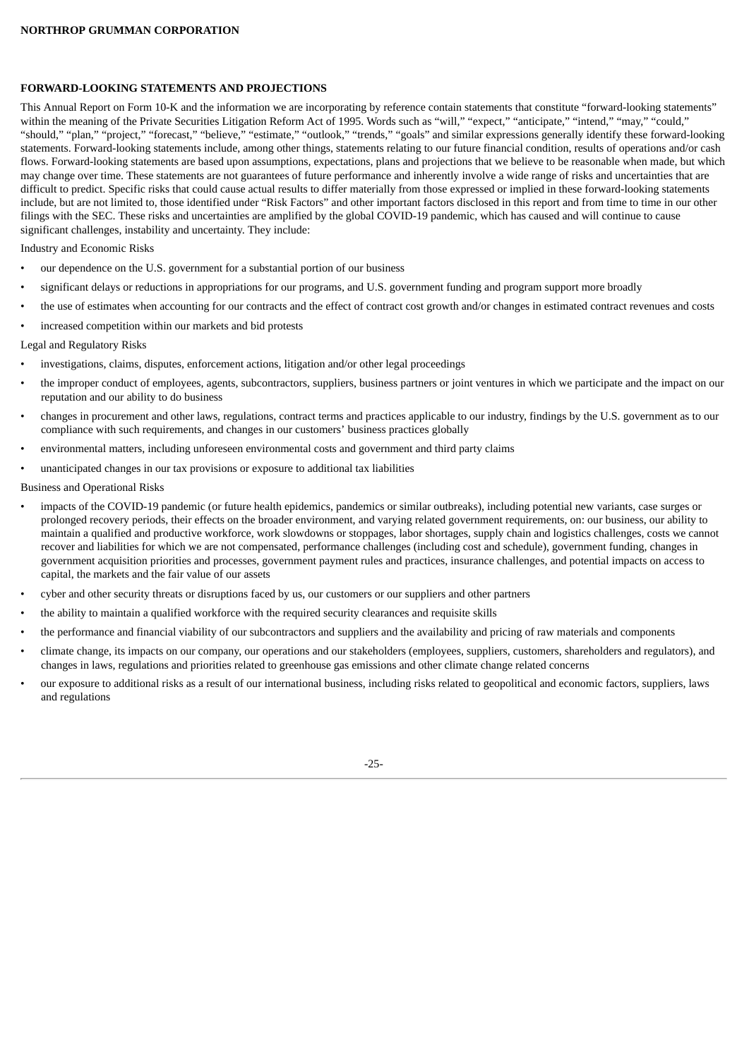### **FORWARD-LOOKING STATEMENTS AND PROJECTIONS**

This Annual Report on Form 10-K and the information we are incorporating by reference contain statements that constitute "forward-looking statements" within the meaning of the Private Securities Litigation Reform Act of 1995. Words such as "will," "expect," "anticipate," "intend," "may," "could," "should," "plan," "project," "forecast," "believe," "estimate," "outlook," "trends," "goals" and similar expressions generally identify these forward-looking statements. Forward-looking statements include, among other things, statements relating to our future financial condition, results of operations and/or cash flows. Forward-looking statements are based upon assumptions, expectations, plans and projections that we believe to be reasonable when made, but which may change over time. These statements are not guarantees of future performance and inherently involve a wide range of risks and uncertainties that are difficult to predict. Specific risks that could cause actual results to differ materially from those expressed or implied in these forward-looking statements include, but are not limited to, those identified under "Risk Factors" and other important factors disclosed in this report and from time to time in our other filings with the SEC. These risks and uncertainties are amplified by the global COVID-19 pandemic, which has caused and will continue to cause significant challenges, instability and uncertainty. They include:

Industry and Economic Risks

- our dependence on the U.S. government for a substantial portion of our business
- significant delays or reductions in appropriations for our programs, and U.S. government funding and program support more broadly
- the use of estimates when accounting for our contracts and the effect of contract cost growth and/or changes in estimated contract revenues and costs
- increased competition within our markets and bid protests

Legal and Regulatory Risks

- investigations, claims, disputes, enforcement actions, litigation and/or other legal proceedings
- the improper conduct of employees, agents, subcontractors, suppliers, business partners or joint ventures in which we participate and the impact on our reputation and our ability to do business
- changes in procurement and other laws, regulations, contract terms and practices applicable to our industry, findings by the U.S. government as to our compliance with such requirements, and changes in our customers' business practices globally
- environmental matters, including unforeseen environmental costs and government and third party claims
- unanticipated changes in our tax provisions or exposure to additional tax liabilities

Business and Operational Risks

- impacts of the COVID-19 pandemic (or future health epidemics, pandemics or similar outbreaks), including potential new variants, case surges or prolonged recovery periods, their effects on the broader environment, and varying related government requirements, on: our business, our ability to maintain a qualified and productive workforce, work slowdowns or stoppages, labor shortages, supply chain and logistics challenges, costs we cannot recover and liabilities for which we are not compensated, performance challenges (including cost and schedule), government funding, changes in government acquisition priorities and processes, government payment rules and practices, insurance challenges, and potential impacts on access to capital, the markets and the fair value of our assets
- cyber and other security threats or disruptions faced by us, our customers or our suppliers and other partners
- the ability to maintain a qualified workforce with the required security clearances and requisite skills
- the performance and financial viability of our subcontractors and suppliers and the availability and pricing of raw materials and components
- climate change, its impacts on our company, our operations and our stakeholders (employees, suppliers, customers, shareholders and regulators), and changes in laws, regulations and priorities related to greenhouse gas emissions and other climate change related concerns
- our exposure to additional risks as a result of our international business, including risks related to geopolitical and economic factors, suppliers, laws and regulations

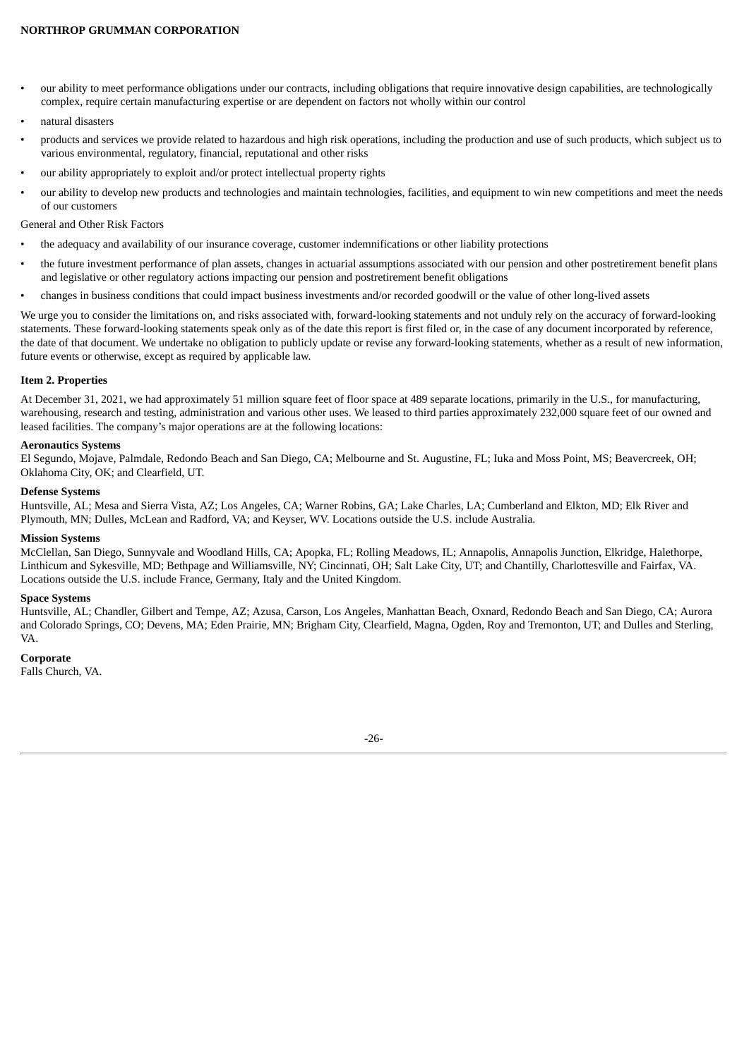- our ability to meet performance obligations under our contracts, including obligations that require innovative design capabilities, are technologically complex, require certain manufacturing expertise or are dependent on factors not wholly within our control
- natural disasters
- products and services we provide related to hazardous and high risk operations, including the production and use of such products, which subject us to various environmental, regulatory, financial, reputational and other risks
- our ability appropriately to exploit and/or protect intellectual property rights
- our ability to develop new products and technologies and maintain technologies, facilities, and equipment to win new competitions and meet the needs of our customers

General and Other Risk Factors

- the adequacy and availability of our insurance coverage, customer indemnifications or other liability protections
- the future investment performance of plan assets, changes in actuarial assumptions associated with our pension and other postretirement benefit plans and legislative or other regulatory actions impacting our pension and postretirement benefit obligations
- changes in business conditions that could impact business investments and/or recorded goodwill or the value of other long-lived assets

We urge you to consider the limitations on, and risks associated with, forward-looking statements and not unduly rely on the accuracy of forward-looking statements. These forward-looking statements speak only as of the date this report is first filed or, in the case of any document incorporated by reference, the date of that document. We undertake no obligation to publicly update or revise any forward-looking statements, whether as a result of new information, future events or otherwise, except as required by applicable law.

#### <span id="page-28-0"></span>**Item 2. Properties**

At December 31, 2021, we had approximately 51 million square feet of floor space at 489 separate locations, primarily in the U.S., for manufacturing, warehousing, research and testing, administration and various other uses. We leased to third parties approximately 232,000 square feet of our owned and leased facilities. The company's major operations are at the following locations:

#### **Aeronautics Systems**

El Segundo, Mojave, Palmdale, Redondo Beach and San Diego, CA; Melbourne and St. Augustine, FL; Iuka and Moss Point, MS; Beavercreek, OH; Oklahoma City, OK; and Clearfield, UT.

#### **Defense Systems**

Huntsville, AL; Mesa and Sierra Vista, AZ; Los Angeles, CA; Warner Robins, GA; Lake Charles, LA; Cumberland and Elkton, MD; Elk River and Plymouth, MN; Dulles, McLean and Radford, VA; and Keyser, WV. Locations outside the U.S. include Australia.

#### **Mission Systems**

McClellan, San Diego, Sunnyvale and Woodland Hills, CA; Apopka, FL; Rolling Meadows, IL; Annapolis, Annapolis Junction, Elkridge, Halethorpe, Linthicum and Sykesville, MD; Bethpage and Williamsville, NY; Cincinnati, OH; Salt Lake City, UT; and Chantilly, Charlottesville and Fairfax, VA. Locations outside the U.S. include France, Germany, Italy and the United Kingdom.

### **Space Systems**

Huntsville, AL; Chandler, Gilbert and Tempe, AZ; Azusa, Carson, Los Angeles, Manhattan Beach, Oxnard, Redondo Beach and San Diego, CA; Aurora and Colorado Springs, CO; Devens, MA; Eden Prairie, MN; Brigham City, Clearfield, Magna, Ogden, Roy and Tremonton, UT; and Dulles and Sterling, VA.

### **Corporate**

Falls Church, VA.

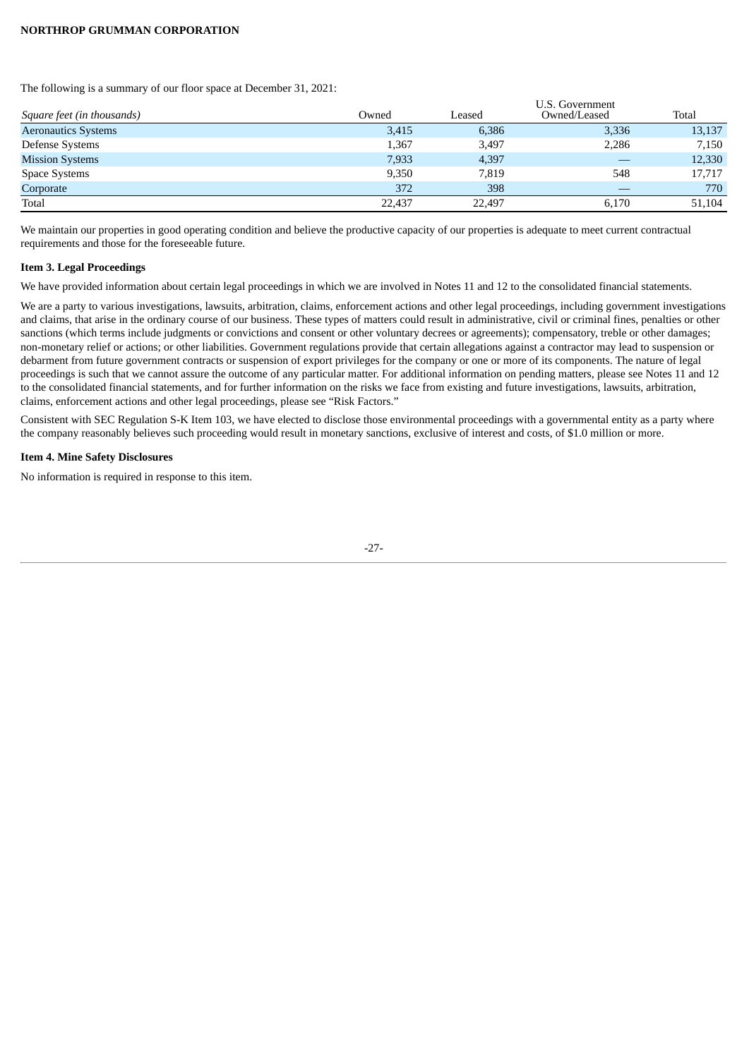The following is a summary of our floor space at December 31, 2021:

|                            |        |        | U.S. Government |        |  |
|----------------------------|--------|--------|-----------------|--------|--|
| Square feet (in thousands) | Owned  | Leased | Owned/Leased    | Total  |  |
| <b>Aeronautics Systems</b> | 3,415  | 6,386  | 3,336           | 13,137 |  |
| Defense Systems            | 1,367  | 3,497  | 2,286           | 7,150  |  |
| <b>Mission Systems</b>     | 7,933  | 4,397  |                 | 12,330 |  |
| Space Systems              | 9,350  | 7,819  | 548             | 17,717 |  |
| Corporate                  | 372    | 398    |                 | 770    |  |
| Total                      | 22,437 | 22,497 | 6,170           | 51,104 |  |

We maintain our properties in good operating condition and believe the productive capacity of our properties is adequate to meet current contractual requirements and those for the foreseeable future.

#### <span id="page-29-0"></span>**Item 3. Legal Proceedings**

We have provided information about certain legal proceedings in which we are involved in Notes 11 and 12 to the consolidated financial statements.

We are a party to various investigations, lawsuits, arbitration, claims, enforcement actions and other legal proceedings, including government investigations and claims, that arise in the ordinary course of our business. These types of matters could result in administrative, civil or criminal fines, penalties or other sanctions (which terms include judgments or convictions and consent or other voluntary decrees or agreements); compensatory, treble or other damages; non-monetary relief or actions; or other liabilities. Government regulations provide that certain allegations against a contractor may lead to suspension or debarment from future government contracts or suspension of export privileges for the company or one or more of its components. The nature of legal proceedings is such that we cannot assure the outcome of any particular matter. For additional information on pending matters, please see Notes 11 and 12 to the consolidated financial statements, and for further information on the risks we face from existing and future investigations, lawsuits, arbitration, claims, enforcement actions and other legal proceedings, please see "Risk Factors."

Consistent with SEC Regulation S-K Item 103, we have elected to disclose those environmental proceedings with a governmental entity as a party where the company reasonably believes such proceeding would result in monetary sanctions, exclusive of interest and costs, of \$1.0 million or more.

#### <span id="page-29-1"></span>**Item 4. Mine Safety Disclosures**

<span id="page-29-2"></span>No information is required in response to this item.

-27-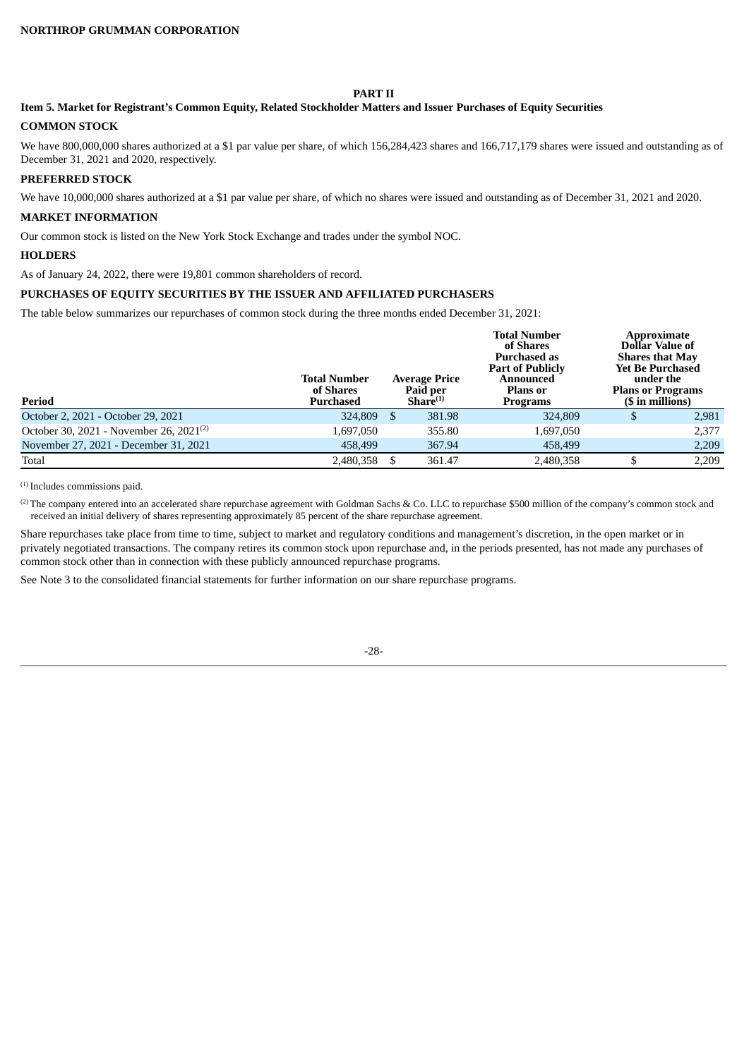### **PART II**

# <span id="page-30-0"></span>Item 5. Market for Registrant's Common Equity, Related Stockholder Matters and Issuer Purchases of Equity Securities **COMMON STOCK**

We have 800,000,000 shares authorized at a \$1 par value per share, of which 156,284,423 shares and 166,717,179 shares were issued and outstanding as of December 31, 2021 and 2020, respectively.

#### **PREFERRED STOCK**

We have 10,000,000 shares authorized at a \$1 par value per share, of which no shares were issued and outstanding as of December 31, 2021 and 2020.

## **MARKET INFORMATION**

Our common stock is listed on the New York Stock Exchange and trades under the symbol NOC.

#### **HOLDERS**

As of January 24, 2022, there were 19,801 common shareholders of record.

### **PURCHASES OF EQUITY SECURITIES BY THE ISSUER AND AFFILIATED PURCHASERS**

The table below summarizes our repurchases of common stock during the three months ended December 31, 2021:

| Period                                              | <b>Total Number</b><br>of Shares<br>Purchased |      | <b>Average Price</b><br>Paid per<br>Share <sup>(1)</sup> | <b>Total Number</b><br>of Shares<br>Purchased as<br><b>Part of Publicly</b><br>Announced<br><b>Plans or</b><br>Programs |  | Approximate<br><b>Dollar Value of</b><br><b>Shares that May</b><br><b>Yet Be Purchased</b><br>under the<br><b>Plans or Programs</b><br>(\$ in millions) |  |
|-----------------------------------------------------|-----------------------------------------------|------|----------------------------------------------------------|-------------------------------------------------------------------------------------------------------------------------|--|---------------------------------------------------------------------------------------------------------------------------------------------------------|--|
| October 2, 2021 - October 29, 2021                  | 324,809                                       | - \$ | 381.98                                                   | 324,809                                                                                                                 |  | 2,981                                                                                                                                                   |  |
| October 30, 2021 - November 26, 2021 <sup>(2)</sup> | 1,697,050                                     |      | 355.80                                                   | 1,697,050                                                                                                               |  | 2,377                                                                                                                                                   |  |
| November 27, 2021 - December 31, 2021               | 458,499                                       |      | 367.94                                                   | 458,499                                                                                                                 |  | 2,209                                                                                                                                                   |  |
| Total                                               | 2,480,358                                     |      | 361.47                                                   | 2,480,358                                                                                                               |  | 2,209                                                                                                                                                   |  |

 $<sup>(1)</sup>$  Includes commissions paid.</sup>

 $^{(2)}$  The company entered into an accelerated share repurchase agreement with Goldman Sachs & Co. LLC to repurchase \$500 million of the company's common stock and received an initial delivery of shares representing approximately 85 percent of the share repurchase agreement.

Share repurchases take place from time to time, subject to market and regulatory conditions and management's discretion, in the open market or in privately negotiated transactions. The company retires its common stock upon repurchase and, in the periods presented, has not made any purchases of common stock other than in connection with these publicly announced repurchase programs.

See Note 3 to the consolidated financial statements for further information on our share repurchase programs.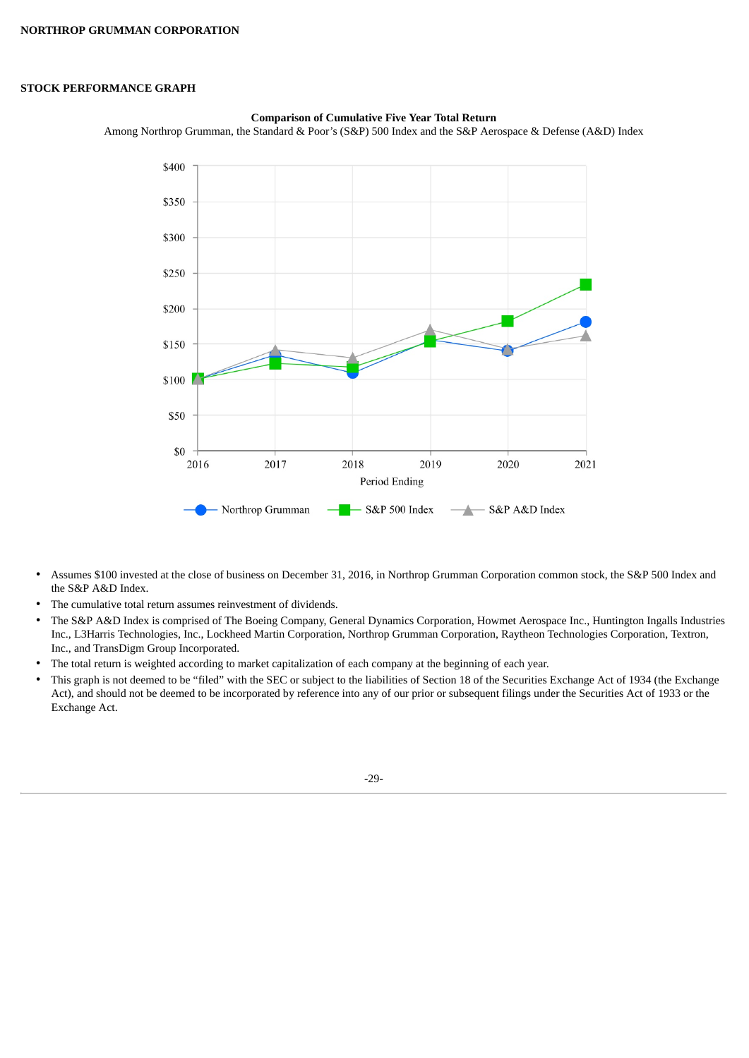### **STOCK PERFORMANCE GRAPH**

### **Comparison of Cumulative Five Year Total Return**

Among Northrop Grumman, the Standard & Poor's (S&P) 500 Index and the S&P Aerospace & Defense (A&D) Index



- Assumes \$100 invested at the close of business on December 31, 2016, in Northrop Grumman Corporation common stock, the S&P 500 Index and the S&P A&D Index.
- The cumulative total return assumes reinvestment of dividends.
- The S&P A&D Index is comprised of The Boeing Company, General Dynamics Corporation, Howmet Aerospace Inc., Huntington Ingalls Industries Inc., L3Harris Technologies, Inc., Lockheed Martin Corporation, Northrop Grumman Corporation, Raytheon Technologies Corporation, Textron, Inc., and TransDigm Group Incorporated.
- The total return is weighted according to market capitalization of each company at the beginning of each year.
- <span id="page-31-0"></span>• This graph is not deemed to be "filed" with the SEC or subject to the liabilities of Section 18 of the Securities Exchange Act of 1934 (the Exchange Act), and should not be deemed to be incorporated by reference into any of our prior or subsequent filings under the Securities Act of 1933 or the Exchange Act.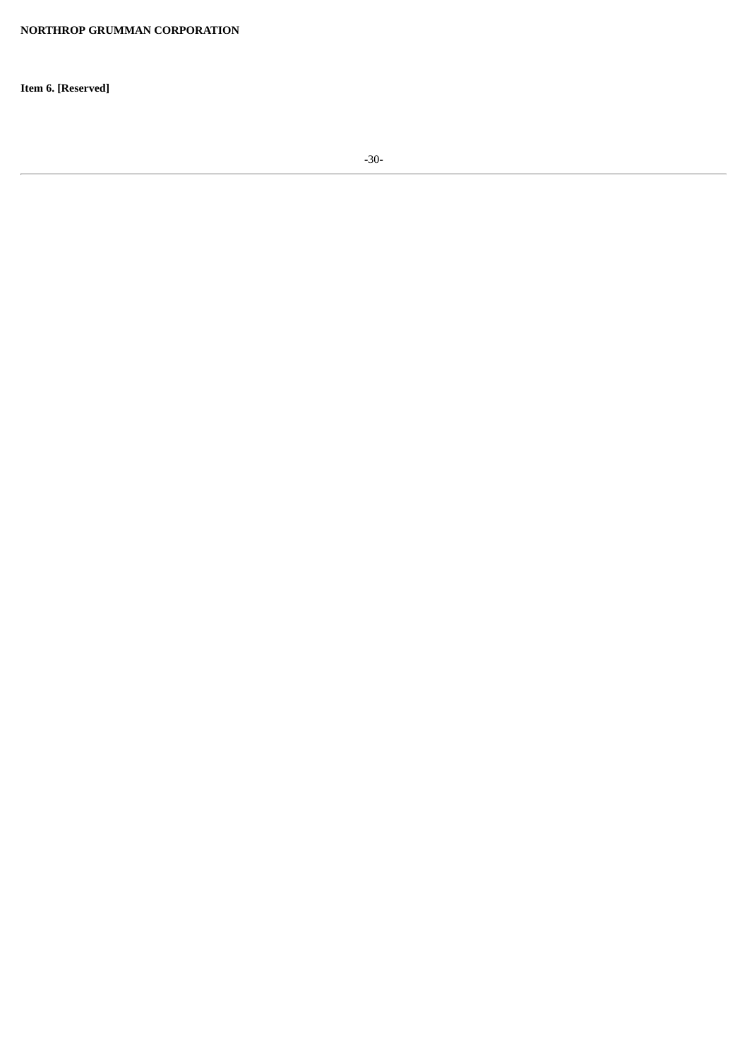<span id="page-32-0"></span>**Item 6. [Reserved]**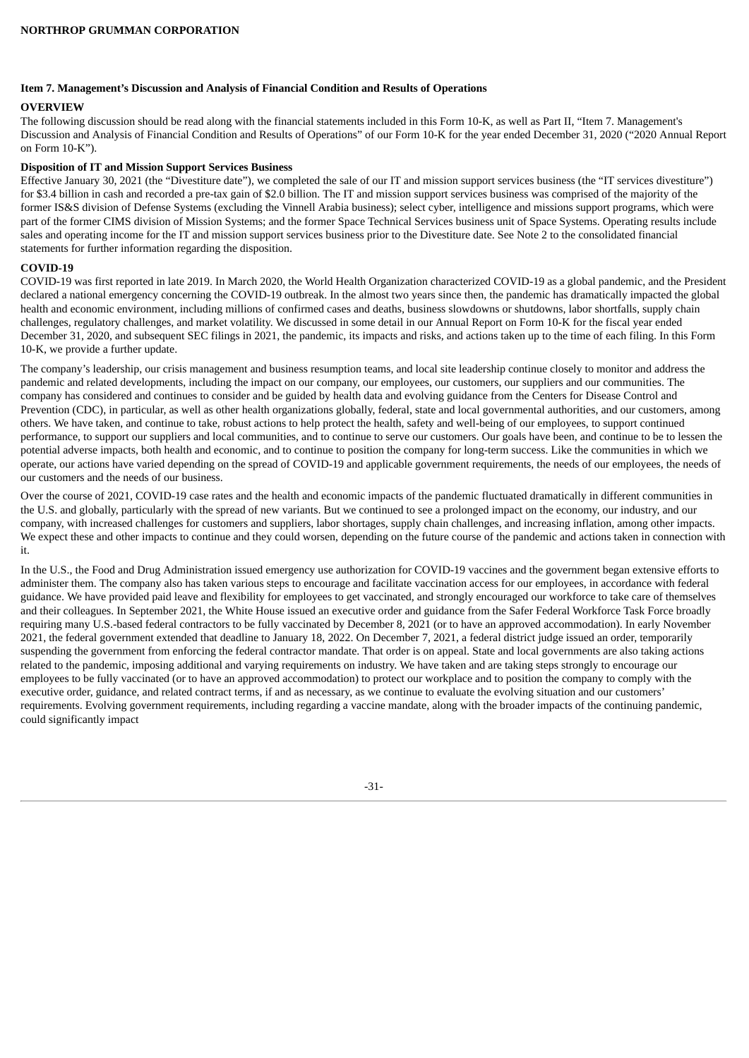#### **Item 7. Management's Discussion and Analysis of Financial Condition and Results of Operations**

### <span id="page-33-0"></span>**OVERVIEW**

The following discussion should be read along with the financial statements included in this Form 10-K, as well as Part II, "Item 7. Management's Discussion and Analysis of Financial Condition and Results of Operations" of our Form 10-K for the year ended December 31, 2020 ("2020 Annual Report on Form 10-K").

#### **Disposition of IT and Mission Support Services Business**

Effective January 30, 2021 (the "Divestiture date"), we completed the sale of our IT and mission support services business (the "IT services divestiture") for \$3.4 billion in cash and recorded a pre-tax gain of \$2.0 billion. The IT and mission support services business was comprised of the majority of the former IS&S division of Defense Systems (excluding the Vinnell Arabia business); select cyber, intelligence and missions support programs, which were part of the former CIMS division of Mission Systems; and the former Space Technical Services business unit of Space Systems. Operating results include sales and operating income for the IT and mission support services business prior to the Divestiture date. See Note 2 to the consolidated financial statements for further information regarding the disposition.

#### **COVID-19**

COVID-19 was first reported in late 2019. In March 2020, the World Health Organization characterized COVID-19 as a global pandemic, and the President declared a national emergency concerning the COVID-19 outbreak. In the almost two years since then, the pandemic has dramatically impacted the global health and economic environment, including millions of confirmed cases and deaths, business slowdowns or shutdowns, labor shortfalls, supply chain challenges, regulatory challenges, and market volatility. We discussed in some detail in our Annual Report on Form 10-K for the fiscal year ended December 31, 2020, and subsequent SEC filings in 2021, the pandemic, its impacts and risks, and actions taken up to the time of each filing. In this Form 10-K, we provide a further update.

The company's leadership, our crisis management and business resumption teams, and local site leadership continue closely to monitor and address the pandemic and related developments, including the impact on our company, our employees, our customers, our suppliers and our communities. The company has considered and continues to consider and be guided by health data and evolving guidance from the Centers for Disease Control and Prevention (CDC), in particular, as well as other health organizations globally, federal, state and local governmental authorities, and our customers, among others. We have taken, and continue to take, robust actions to help protect the health, safety and well-being of our employees, to support continued performance, to support our suppliers and local communities, and to continue to serve our customers. Our goals have been, and continue to be to lessen the potential adverse impacts, both health and economic, and to continue to position the company for long-term success. Like the communities in which we operate, our actions have varied depending on the spread of COVID-19 and applicable government requirements, the needs of our employees, the needs of our customers and the needs of our business.

Over the course of 2021, COVID-19 case rates and the health and economic impacts of the pandemic fluctuated dramatically in different communities in the U.S. and globally, particularly with the spread of new variants. But we continued to see a prolonged impact on the economy, our industry, and our company, with increased challenges for customers and suppliers, labor shortages, supply chain challenges, and increasing inflation, among other impacts. We expect these and other impacts to continue and they could worsen, depending on the future course of the pandemic and actions taken in connection with it.

In the U.S., the Food and Drug Administration issued emergency use authorization for COVID-19 vaccines and the government began extensive efforts to administer them. The company also has taken various steps to encourage and facilitate vaccination access for our employees, in accordance with federal guidance. We have provided paid leave and flexibility for employees to get vaccinated, and strongly encouraged our workforce to take care of themselves and their colleagues. In September 2021, the White House issued an executive order and guidance from the Safer Federal Workforce Task Force broadly requiring many U.S.-based federal contractors to be fully vaccinated by December 8, 2021 (or to have an approved accommodation). In early November 2021, the federal government extended that deadline to January 18, 2022. On December 7, 2021, a federal district judge issued an order, temporarily suspending the government from enforcing the federal contractor mandate. That order is on appeal. State and local governments are also taking actions related to the pandemic, imposing additional and varying requirements on industry. We have taken and are taking steps strongly to encourage our employees to be fully vaccinated (or to have an approved accommodation) to protect our workplace and to position the company to comply with the executive order, guidance, and related contract terms, if and as necessary, as we continue to evaluate the evolving situation and our customers' requirements. Evolving government requirements, including regarding a vaccine mandate, along with the broader impacts of the continuing pandemic, could significantly impact

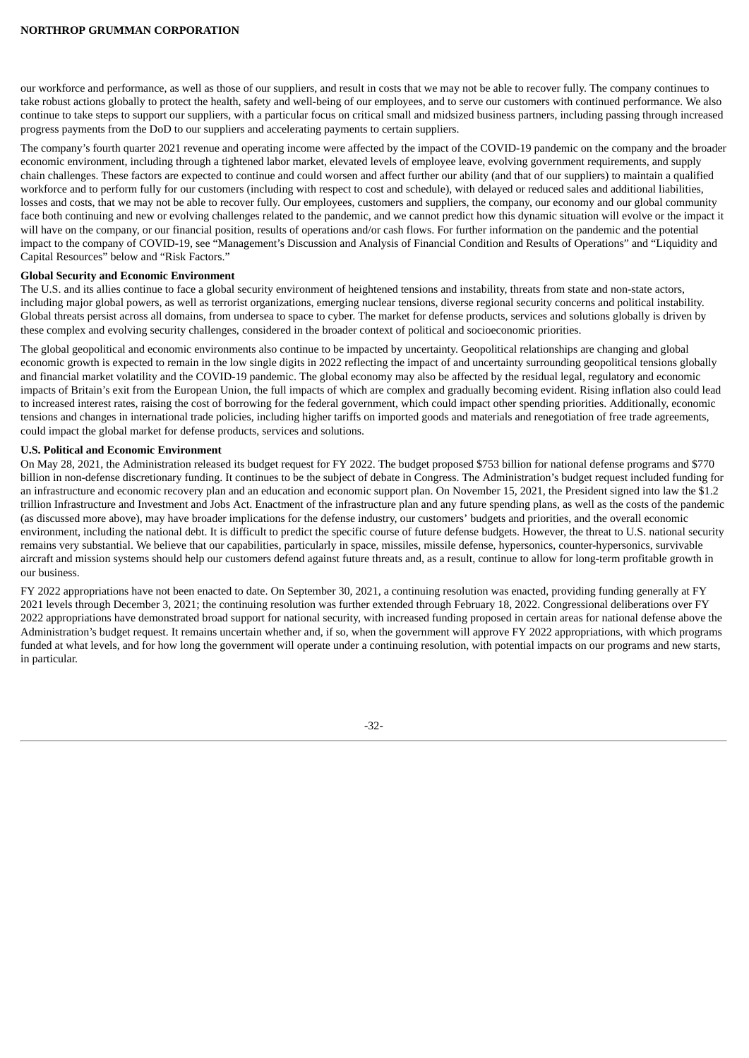our workforce and performance, as well as those of our suppliers, and result in costs that we may not be able to recover fully. The company continues to take robust actions globally to protect the health, safety and well-being of our employees, and to serve our customers with continued performance. We also continue to take steps to support our suppliers, with a particular focus on critical small and midsized business partners, including passing through increased progress payments from the DoD to our suppliers and accelerating payments to certain suppliers.

The company's fourth quarter 2021 revenue and operating income were affected by the impact of the COVID-19 pandemic on the company and the broader economic environment, including through a tightened labor market, elevated levels of employee leave, evolving government requirements, and supply chain challenges. These factors are expected to continue and could worsen and affect further our ability (and that of our suppliers) to maintain a qualified workforce and to perform fully for our customers (including with respect to cost and schedule), with delayed or reduced sales and additional liabilities, losses and costs, that we may not be able to recover fully. Our employees, customers and suppliers, the company, our economy and our global community face both continuing and new or evolving challenges related to the pandemic, and we cannot predict how this dynamic situation will evolve or the impact it will have on the company, or our financial position, results of operations and/or cash flows. For further information on the pandemic and the potential impact to the company of COVID-19, see "Management's Discussion and Analysis of Financial Condition and Results of Operations" and "Liquidity and Capital Resources" below and "Risk Factors."

#### **Global Security and Economic Environment**

The U.S. and its allies continue to face a global security environment of heightened tensions and instability, threats from state and non-state actors, including major global powers, as well as terrorist organizations, emerging nuclear tensions, diverse regional security concerns and political instability. Global threats persist across all domains, from undersea to space to cyber. The market for defense products, services and solutions globally is driven by these complex and evolving security challenges, considered in the broader context of political and socioeconomic priorities.

The global geopolitical and economic environments also continue to be impacted by uncertainty. Geopolitical relationships are changing and global economic growth is expected to remain in the low single digits in 2022 reflecting the impact of and uncertainty surrounding geopolitical tensions globally and financial market volatility and the COVID-19 pandemic. The global economy may also be affected by the residual legal, regulatory and economic impacts of Britain's exit from the European Union, the full impacts of which are complex and gradually becoming evident. Rising inflation also could lead to increased interest rates, raising the cost of borrowing for the federal government, which could impact other spending priorities. Additionally, economic tensions and changes in international trade policies, including higher tariffs on imported goods and materials and renegotiation of free trade agreements, could impact the global market for defense products, services and solutions.

### **U.S. Political and Economic Environment**

On May 28, 2021, the Administration released its budget request for FY 2022. The budget proposed \$753 billion for national defense programs and \$770 billion in non-defense discretionary funding. It continues to be the subject of debate in Congress. The Administration's budget request included funding for an infrastructure and economic recovery plan and an education and economic support plan. On November 15, 2021, the President signed into law the \$1.2 trillion Infrastructure and Investment and Jobs Act. Enactment of the infrastructure plan and any future spending plans, as well as the costs of the pandemic (as discussed more above), may have broader implications for the defense industry, our customers' budgets and priorities, and the overall economic environment, including the national debt. It is difficult to predict the specific course of future defense budgets. However, the threat to U.S. national security remains very substantial. We believe that our capabilities, particularly in space, missiles, missile defense, hypersonics, counter-hypersonics, survivable aircraft and mission systems should help our customers defend against future threats and, as a result, continue to allow for long-term profitable growth in our business.

FY 2022 appropriations have not been enacted to date. On September 30, 2021, a continuing resolution was enacted, providing funding generally at FY 2021 levels through December 3, 2021; the continuing resolution was further extended through February 18, 2022. Congressional deliberations over FY 2022 appropriations have demonstrated broad support for national security, with increased funding proposed in certain areas for national defense above the Administration's budget request. It remains uncertain whether and, if so, when the government will approve FY 2022 appropriations, with which programs funded at what levels, and for how long the government will operate under a continuing resolution, with potential impacts on our programs and new starts, in particular.

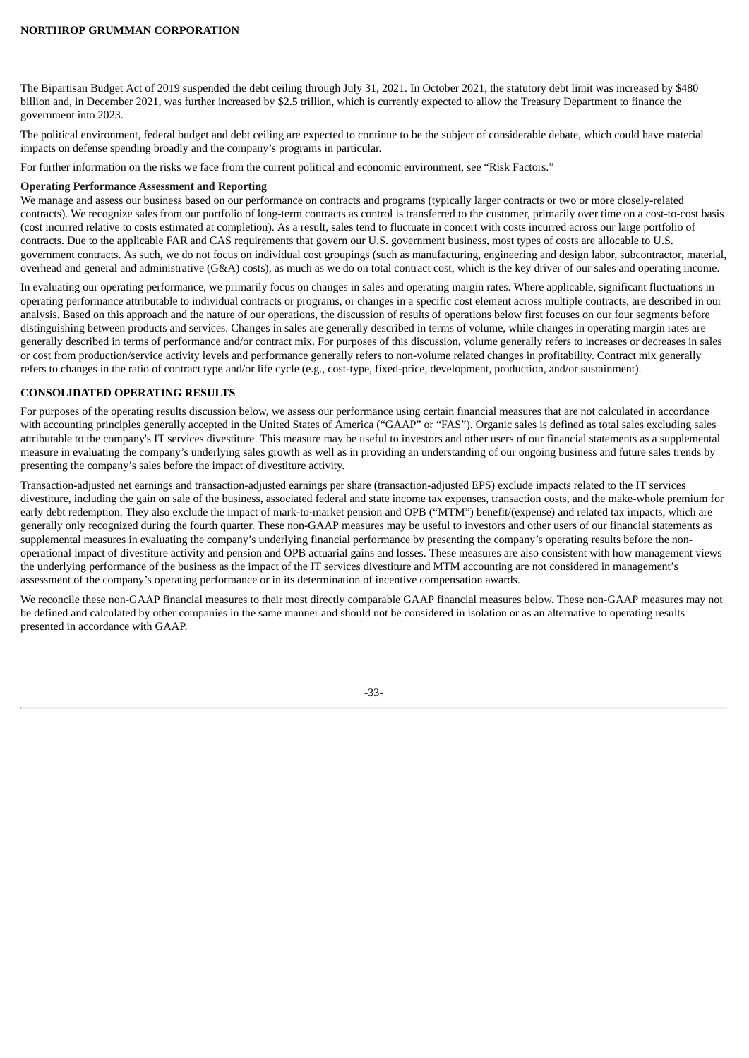The Bipartisan Budget Act of 2019 suspended the debt ceiling through July 31, 2021. In October 2021, the statutory debt limit was increased by \$480 billion and, in December 2021, was further increased by \$2.5 trillion, which is currently expected to allow the Treasury Department to finance the government into 2023.

The political environment, federal budget and debt ceiling are expected to continue to be the subject of considerable debate, which could have material impacts on defense spending broadly and the company's programs in particular.

For further information on the risks we face from the current political and economic environment, see "Risk Factors."

#### **Operating Performance Assessment and Reporting**

We manage and assess our business based on our performance on contracts and programs (typically larger contracts or two or more closely-related contracts). We recognize sales from our portfolio of long-term contracts as control is transferred to the customer, primarily over time on a cost-to-cost basis (cost incurred relative to costs estimated at completion). As a result, sales tend to fluctuate in concert with costs incurred across our large portfolio of contracts. Due to the applicable FAR and CAS requirements that govern our U.S. government business, most types of costs are allocable to U.S. government contracts. As such, we do not focus on individual cost groupings (such as manufacturing, engineering and design labor, subcontractor, material, overhead and general and administrative (G&A) costs), as much as we do on total contract cost, which is the key driver of our sales and operating income.

In evaluating our operating performance, we primarily focus on changes in sales and operating margin rates. Where applicable, significant fluctuations in operating performance attributable to individual contracts or programs, or changes in a specific cost element across multiple contracts, are described in our analysis. Based on this approach and the nature of our operations, the discussion of results of operations below first focuses on our four segments before distinguishing between products and services. Changes in sales are generally described in terms of volume, while changes in operating margin rates are generally described in terms of performance and/or contract mix. For purposes of this discussion, volume generally refers to increases or decreases in sales or cost from production/service activity levels and performance generally refers to non-volume related changes in profitability. Contract mix generally refers to changes in the ratio of contract type and/or life cycle (e.g., cost-type, fixed-price, development, production, and/or sustainment).

#### <span id="page-35-0"></span>**CONSOLIDATED OPERATING RESULTS**

For purposes of the operating results discussion below, we assess our performance using certain financial measures that are not calculated in accordance with accounting principles generally accepted in the United States of America ("GAAP" or "FAS"). Organic sales is defined as total sales excluding sales attributable to the company's IT services divestiture. This measure may be useful to investors and other users of our financial statements as a supplemental measure in evaluating the company's underlying sales growth as well as in providing an understanding of our ongoing business and future sales trends by presenting the company's sales before the impact of divestiture activity.

Transaction-adjusted net earnings and transaction-adjusted earnings per share (transaction-adjusted EPS) exclude impacts related to the IT services divestiture, including the gain on sale of the business, associated federal and state income tax expenses, transaction costs, and the make-whole premium for early debt redemption. They also exclude the impact of mark-to-market pension and OPB ("MTM") benefit/(expense) and related tax impacts, which are generally only recognized during the fourth quarter. These non-GAAP measures may be useful to investors and other users of our financial statements as supplemental measures in evaluating the company's underlying financial performance by presenting the company's operating results before the nonoperational impact of divestiture activity and pension and OPB actuarial gains and losses. These measures are also consistent with how management views the underlying performance of the business as the impact of the IT services divestiture and MTM accounting are not considered in management's assessment of the company's operating performance or in its determination of incentive compensation awards.

We reconcile these non-GAAP financial measures to their most directly comparable GAAP financial measures below. These non-GAAP measures may not be defined and calculated by other companies in the same manner and should not be considered in isolation or as an alternative to operating results presented in accordance with GAAP.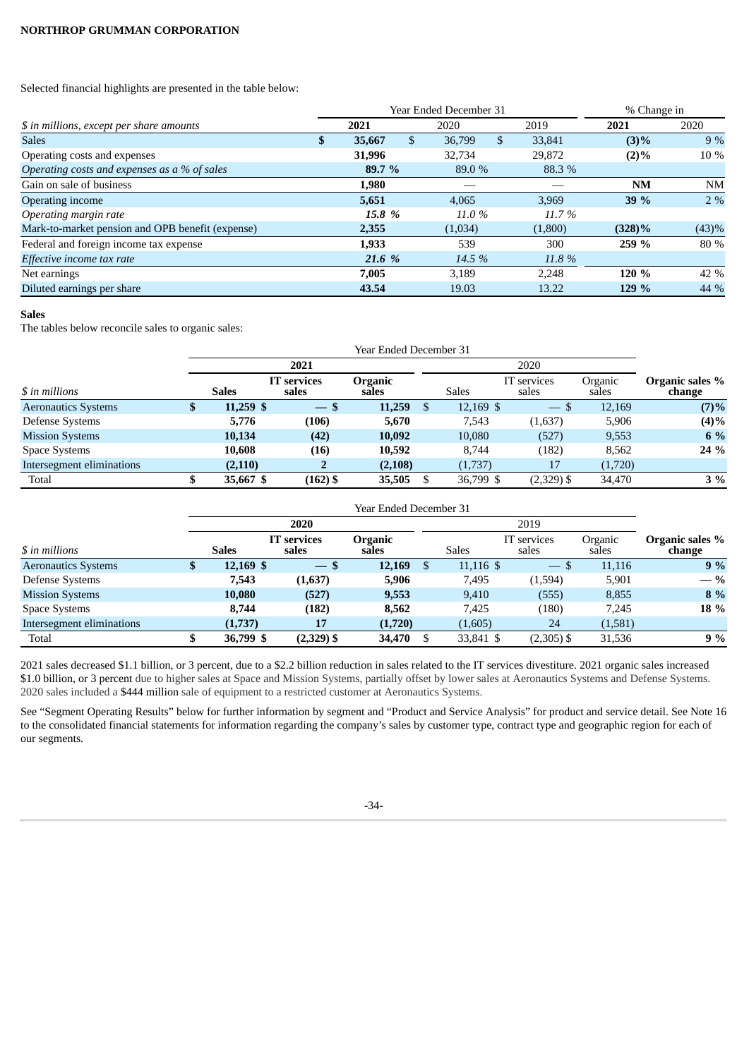Selected financial highlights are presented in the table below:

|                                                  |    | Year Ended December 31 | % Change in  |     |         |             |       |
|--------------------------------------------------|----|------------------------|--------------|-----|---------|-------------|-------|
| \$ in millions, except per share amounts         |    | 2021                   | 2020         |     | 2019    | 2021        | 2020  |
| <b>Sales</b>                                     | \$ | 35,667                 | \$<br>36,799 | \$. | 33,841  | $(3)\%$     | 9%    |
| Operating costs and expenses                     |    | 31,996                 | 32,734       |     | 29,872  | $(2)\%$     | 10 %  |
| Operating costs and expenses as a % of sales     |    | 89.7 %                 | 89.0 %       |     | 88.3 %  |             |       |
| Gain on sale of business                         |    | 1,980                  |              |     |         | NM          | NM    |
| <b>Operating income</b>                          |    | 5,651                  | 4.065        |     | 3.969   | <b>39 %</b> | $2\%$ |
| Operating margin rate                            |    | 15.8 %                 | 11.0 %       |     | 11.7 %  |             |       |
| Mark-to-market pension and OPB benefit (expense) |    | 2,355                  | (1,034)      |     | (1,800) | $(328)\%$   | (43)% |
| Federal and foreign income tax expense           |    | 1,933                  | 539          |     | 300     | 259 %       | 80 %  |
| Effective income tax rate                        |    | 21.6 %                 | 14.5 %       |     | 11.8 %  |             |       |
| Net earnings                                     |    | 7,005                  | 3,189        |     | 2,248   | 120 %       | 42 %  |
| Diluted earnings per share                       |    | 43.54                  | 19.03        |     | 13.22   | 129 %       | 44 %  |

## **Sales**

The tables below reconcile sales to organic sales:

| Year Ended December 31     |  |              |                             |                  |      |              |                      |                  |                           |  |
|----------------------------|--|--------------|-----------------------------|------------------|------|--------------|----------------------|------------------|---------------------------|--|
| 2021                       |  |              |                             |                  |      |              |                      |                  |                           |  |
| \$ in millions             |  | <b>Sales</b> | <b>IT</b> services<br>sales | Organic<br>sales |      | <b>Sales</b> | IT services<br>sales | Organic<br>sales | Organic sales %<br>change |  |
| <b>Aeronautics Systems</b> |  | $11,259$ \$  | $-$ \$                      | 11,259           | - \$ | 12,169 \$    | $-$ \$               | 12,169           | (7)%                      |  |
| Defense Systems            |  | 5,776        | (106)                       | 5,670            |      | 7,543        | (1,637)              | 5,906            | $(4)\%$                   |  |
| <b>Mission Systems</b>     |  | 10,134       | (42)                        | 10,092           |      | 10,080       | (527)                | 9,553            | 6 %                       |  |
| Space Systems              |  | 10,608       | (16)                        | 10,592           |      | 8,744        | (182)                | 8,562            | 24 %                      |  |
| Intersegment eliminations  |  | (2,110)      |                             | (2,108)          |      | (1,737)      | 17                   | (1,720)          |                           |  |
| Total                      |  | 35,667 \$    | $(162)$ \$                  | 35,505           |      | 36,799 \$    | $(2,329)$ \$         | 34,470           | $3\%$                     |  |

|                            |              |                             | Year Ended December 31 |     |              |                      |                  |                           |
|----------------------------|--------------|-----------------------------|------------------------|-----|--------------|----------------------|------------------|---------------------------|
|                            |              | 2020                        |                        |     |              |                      |                  |                           |
| \$ in millions             | <b>Sales</b> | <b>IT</b> services<br>sales | Organic<br>sales       |     | <b>Sales</b> | IT services<br>sales | Organic<br>sales | Organic sales %<br>change |
| <b>Aeronautics Systems</b> | $12,169$ \$  | $-5$                        | 12,169                 | - S | $11,116$ \$  | $-$ \$               | 11,116           | 9%                        |
| Defense Systems            | 7,543        | (1,637)                     | 5,906                  |     | 7,495        | (1,594)              | 5,901            | $-$ %                     |
| <b>Mission Systems</b>     | 10,080       | (527)                       | 9,553                  |     | 9,410        | (555)                | 8,855            | 8 %                       |
| <b>Space Systems</b>       | 8.744        | (182)                       | 8,562                  |     | 7.425        | (180)                | 7,245            | 18 %                      |
| Intersegment eliminations  | (1,737)      | 17                          | (1,720)                |     | (1,605)      | 24                   | (1,581)          |                           |
| Total                      | 36,799 \$    | $(2,329)$ \$                | 34,470                 |     | 33,841 \$    | $(2,305)$ \$         | 31,536           | 9%                        |

2021 sales decreased \$1.1 billion, or 3 percent, due to a \$2.2 billion reduction in sales related to the IT services divestiture. 2021 organic sales increased \$1.0 billion, or 3 percent due to higher sales at Space and Mission Systems, partially offset by lower sales at Aeronautics Systems and Defense Systems. 2020 sales included a \$444 million sale of equipment to a restricted customer at Aeronautics Systems.

See "Segment Operating Results" below for further information by segment and "Product and Service Analysis" for product and service detail. See Note 16 to the consolidated financial statements for information regarding the company's sales by customer type, contract type and geographic region for each of our segments.

-34-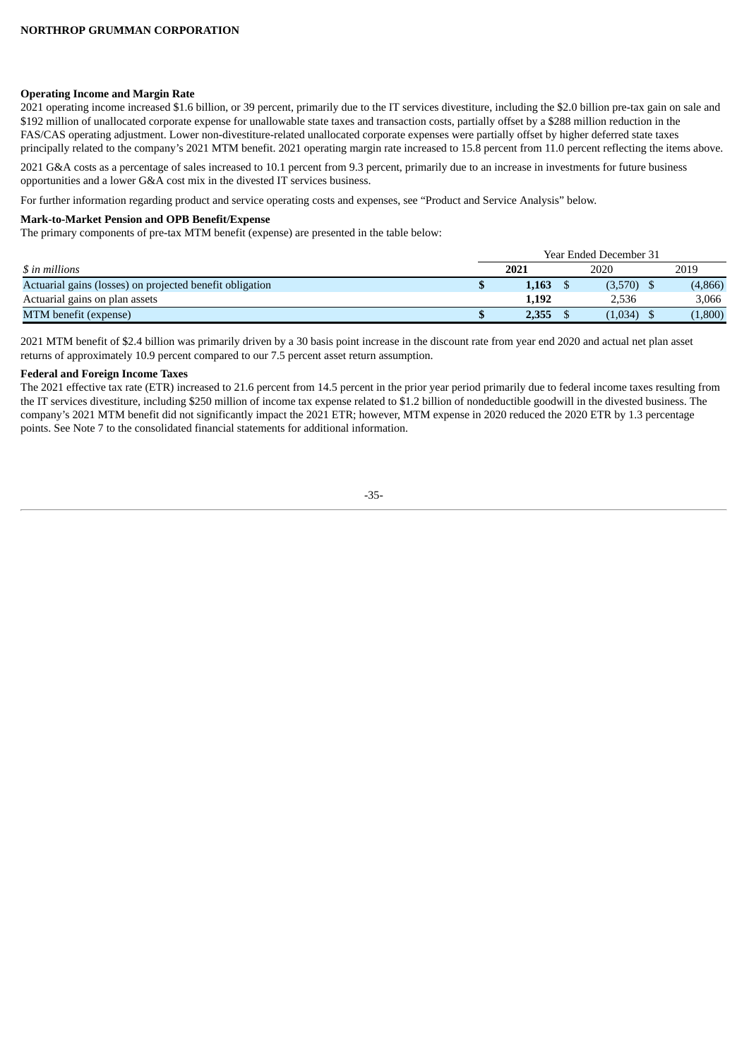#### **Operating Income and Margin Rate**

2021 operating income increased \$1.6 billion, or 39 percent, primarily due to the IT services divestiture, including the \$2.0 billion pre-tax gain on sale and \$192 million of unallocated corporate expense for unallowable state taxes and transaction costs, partially offset by a \$288 million reduction in the FAS/CAS operating adjustment. Lower non-divestiture-related unallocated corporate expenses were partially offset by higher deferred state taxes principally related to the company's 2021 MTM benefit. 2021 operating margin rate increased to 15.8 percent from 11.0 percent reflecting the items above.

2021 G&A costs as a percentage of sales increased to 10.1 percent from 9.3 percent, primarily due to an increase in investments for future business opportunities and a lower G&A cost mix in the divested IT services business.

For further information regarding product and service operating costs and expenses, see "Product and Service Analysis" below.

#### **Mark-to-Market Pension and OPB Benefit/Expense**

The primary components of pre-tax MTM benefit (expense) are presented in the table below:

|                                                          | Year Ended December 31 |  |              |  |         |  |  |  |
|----------------------------------------------------------|------------------------|--|--------------|--|---------|--|--|--|
| \$ in millions                                           | 2021                   |  | 2020         |  | 2019    |  |  |  |
| Actuarial gains (losses) on projected benefit obligation | 1,163                  |  | $(3,570)$ \$ |  | (4,866) |  |  |  |
| Actuarial gains on plan assets                           | 1,192                  |  | 2.536        |  | 3,066   |  |  |  |
| MTM benefit (expense)                                    | 2,355                  |  | (1,034)      |  | (1,800) |  |  |  |

2021 MTM benefit of \$2.4 billion was primarily driven by a 30 basis point increase in the discount rate from year end 2020 and actual net plan asset returns of approximately 10.9 percent compared to our 7.5 percent asset return assumption.

#### **Federal and Foreign Income Taxes**

The 2021 effective tax rate (ETR) increased to 21.6 percent from 14.5 percent in the prior year period primarily due to federal income taxes resulting from the IT services divestiture, including \$250 million of income tax expense related to \$1.2 billion of nondeductible goodwill in the divested business. The company's 2021 MTM benefit did not significantly impact the 2021 ETR; however, MTM expense in 2020 reduced the 2020 ETR by 1.3 percentage points. See Note 7 to the consolidated financial statements for additional information.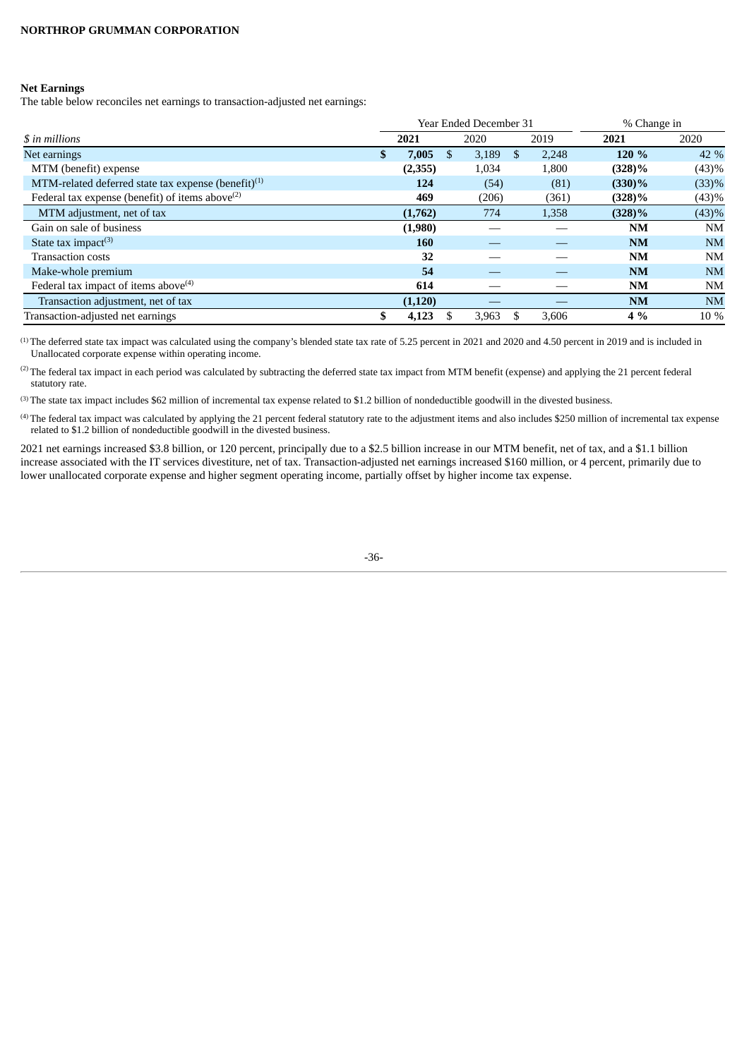# **Net Earnings**

The table below reconciles net earnings to transaction-adjusted net earnings:

|                                                        |             |     | Year Ended December 31 |     | % Change in |           |           |
|--------------------------------------------------------|-------------|-----|------------------------|-----|-------------|-----------|-----------|
| \$ in millions                                         | 2021        |     | 2020                   |     | 2019        | 2021      | 2020      |
| Net earnings                                           | \$<br>7,005 | \$. | 3,189                  | \$. | 2,248       | 120 %     | 42 %      |
| MTM (benefit) expense                                  | (2,355)     |     | 1,034                  |     | 1,800       | $(328)\%$ | (43)%     |
| MTM-related deferred state tax expense (benefit) $(1)$ | 124         |     | (54)                   |     | (81)        | $(330)\%$ | (33)%     |
| Federal tax expense (benefit) of items above $(2)$     | 469         |     | (206)                  |     | (361)       | $(328)\%$ | (43)%     |
| MTM adjustment, net of tax                             | (1,762)     |     | 774                    |     | 1,358       | $(328)\%$ | (43)%     |
| Gain on sale of business                               | (1,980)     |     |                        |     |             | NM        | <b>NM</b> |
| State tax impact <sup>(3)</sup>                        | 160         |     |                        |     |             | <b>NM</b> | <b>NM</b> |
| <b>Transaction costs</b>                               | 32          |     |                        |     |             | NM        | <b>NM</b> |
| Make-whole premium                                     | 54          |     |                        |     |             | <b>NM</b> | <b>NM</b> |
| Federal tax impact of items above $(4)$                | 614         |     |                        |     |             | NM        | NM        |
| Transaction adjustment, net of tax                     | (1,120)     |     |                        |     |             | <b>NM</b> | <b>NM</b> |
| Transaction-adjusted net earnings                      | \$<br>4,123 |     | 3,963                  |     | 3,606       | $4\%$     | 10 %      |

 $^{(1)}$  The deferred state tax impact was calculated using the company's blended state tax rate of 5.25 percent in 2021 and 2020 and 4.50 percent in 2019 and is included in Unallocated corporate expense within operating income.

 $^{(2)}$  The federal tax impact in each period was calculated by subtracting the deferred state tax impact from MTM benefit (expense) and applying the 21 percent federal statutory rate.

 $(3)$  The state tax impact includes \$62 million of incremental tax expense related to \$1.2 billion of nondeductible goodwill in the divested business.

 $(4)$  The federal tax impact was calculated by applying the 21 percent federal statutory rate to the adjustment items and also includes \$250 million of incremental tax expense related to \$1.2 billion of nondeductible goodwill in the divested business.

2021 net earnings increased \$3.8 billion, or 120 percent, principally due to a \$2.5 billion increase in our MTM benefit, net of tax, and a \$1.1 billion increase associated with the IT services divestiture, net of tax. Transaction-adjusted net earnings increased \$160 million, or 4 percent, primarily due to lower unallocated corporate expense and higher segment operating income, partially offset by higher income tax expense.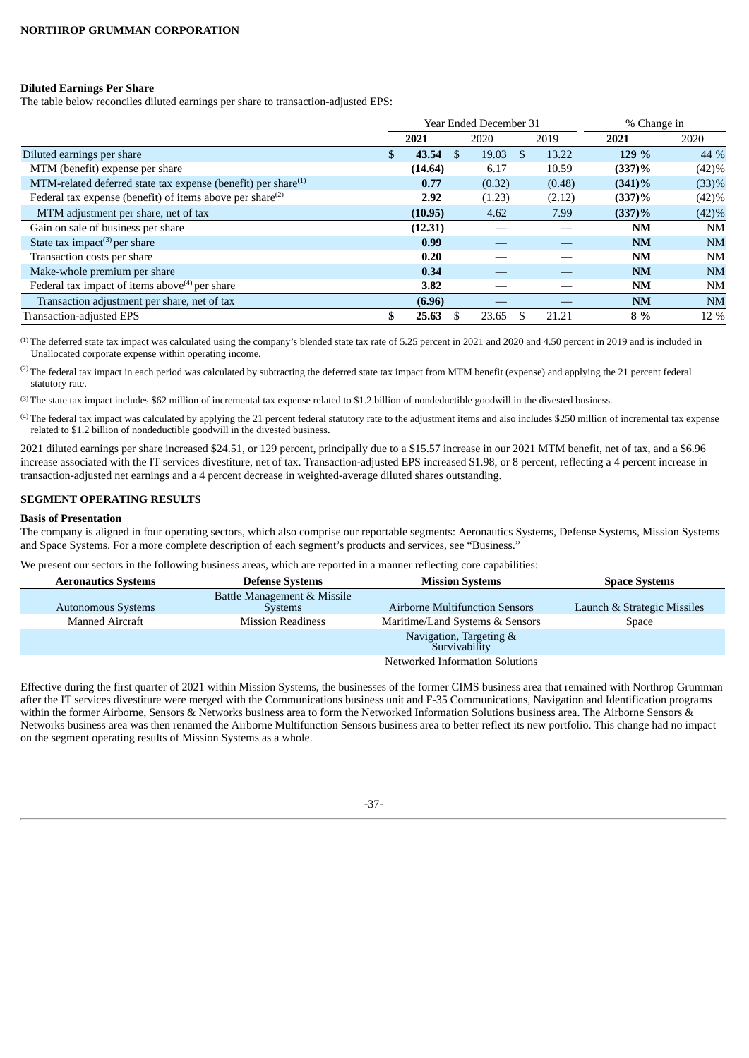#### **Diluted Earnings Per Share**

The table below reconciles diluted earnings per share to transaction-adjusted EPS:

|                                                                           |         | Year Ended December 31 | % Change in |        |           |           |
|---------------------------------------------------------------------------|---------|------------------------|-------------|--------|-----------|-----------|
|                                                                           | 2021    | 2020                   |             | 2019   | 2021      | 2020      |
| Diluted earnings per share                                                | 43.54   | 19.03                  | -S          | 13.22  | 129 %     | 44 %      |
| MTM (benefit) expense per share                                           | (14.64) | 6.17                   |             | 10.59  | $(337)$ % | (42)%     |
| MTM-related deferred state tax expense (benefit) per share <sup>(1)</sup> | 0.77    | (0.32)                 |             | (0.48) | $(341)\%$ | (33)%     |
| Federal tax expense (benefit) of items above per share $(2)$              | 2.92    | (1.23)                 |             | (2.12) | $(337)\%$ | (42)%     |
| MTM adjustment per share, net of tax                                      | (10.95) | 4.62                   |             | 7.99   | $(337)\%$ | (42)%     |
| Gain on sale of business per share                                        | (12.31) |                        |             |        | NM        | <b>NM</b> |
| State tax impact <sup>(3)</sup> per share                                 | 0.99    |                        |             |        | <b>NM</b> | <b>NM</b> |
| Transaction costs per share                                               | 0.20    |                        |             |        | NM        | <b>NM</b> |
| Make-whole premium per share                                              | 0.34    |                        |             |        | <b>NM</b> | <b>NM</b> |
| Federal tax impact of items above $(4)$ per share                         | 3.82    |                        |             |        | NM        | NM        |
| Transaction adjustment per share, net of tax                              | (6.96)  |                        |             |        | <b>NM</b> | <b>NM</b> |
| Transaction-adjusted EPS                                                  | 25.63   | 23.65                  |             | 21.21  | $8\%$     | 12 %      |

 $^{(1)}$  The deferred state tax impact was calculated using the company's blended state tax rate of 5.25 percent in 2021 and 2020 and 4.50 percent in 2019 and is included in Unallocated corporate expense within operating income.

 $^{(2)}$  The federal tax impact in each period was calculated by subtracting the deferred state tax impact from MTM benefit (expense) and applying the 21 percent federal statutory rate.

 $(3)$  The state tax impact includes \$62 million of incremental tax expense related to \$1.2 billion of nondeductible goodwill in the divested business.

 $(4)$  The federal tax impact was calculated by applying the 21 percent federal statutory rate to the adjustment items and also includes \$250 million of incremental tax expense related to \$1.2 billion of nondeductible goodwill in the divested business.

2021 diluted earnings per share increased \$24.51, or 129 percent, principally due to a \$15.57 increase in our 2021 MTM benefit, net of tax, and a \$6.96 increase associated with the IT services divestiture, net of tax. Transaction-adjusted EPS increased \$1.98, or 8 percent, reflecting a 4 percent increase in transaction-adjusted net earnings and a 4 percent decrease in weighted-average diluted shares outstanding.

#### **SEGMENT OPERATING RESULTS**

#### **Basis of Presentation**

The company is aligned in four operating sectors, which also comprise our reportable segments: Aeronautics Systems, Defense Systems, Mission Systems and Space Systems. For a more complete description of each segment's products and services, see "Business."

We present our sectors in the following business areas, which are reported in a manner reflecting core capabilities:

| <b>Aeronautics Systems</b> | <b>Defense Systems</b>                 | <b>Mission Systems</b>                   | <b>Space Systems</b>        |
|----------------------------|----------------------------------------|------------------------------------------|-----------------------------|
| <b>Autonomous Systems</b>  | Battle Management & Missile<br>Systems | <b>Airborne Multifunction Sensors</b>    | Launch & Strategic Missiles |
| <b>Manned Aircraft</b>     | <b>Mission Readiness</b>               | Maritime/Land Systems & Sensors          | <b>Space</b>                |
|                            |                                        | Navigation, Targeting &<br>Survivability |                             |
|                            |                                        | Networked Information Solutions          |                             |

Effective during the first quarter of 2021 within Mission Systems, the businesses of the former CIMS business area that remained with Northrop Grumman after the IT services divestiture were merged with the Communications business unit and F-35 Communications, Navigation and Identification programs within the former Airborne, Sensors & Networks business area to form the Networked Information Solutions business area. The Airborne Sensors & Networks business area was then renamed the Airborne Multifunction Sensors business area to better reflect its new portfolio. This change had no impact on the segment operating results of Mission Systems as a whole.

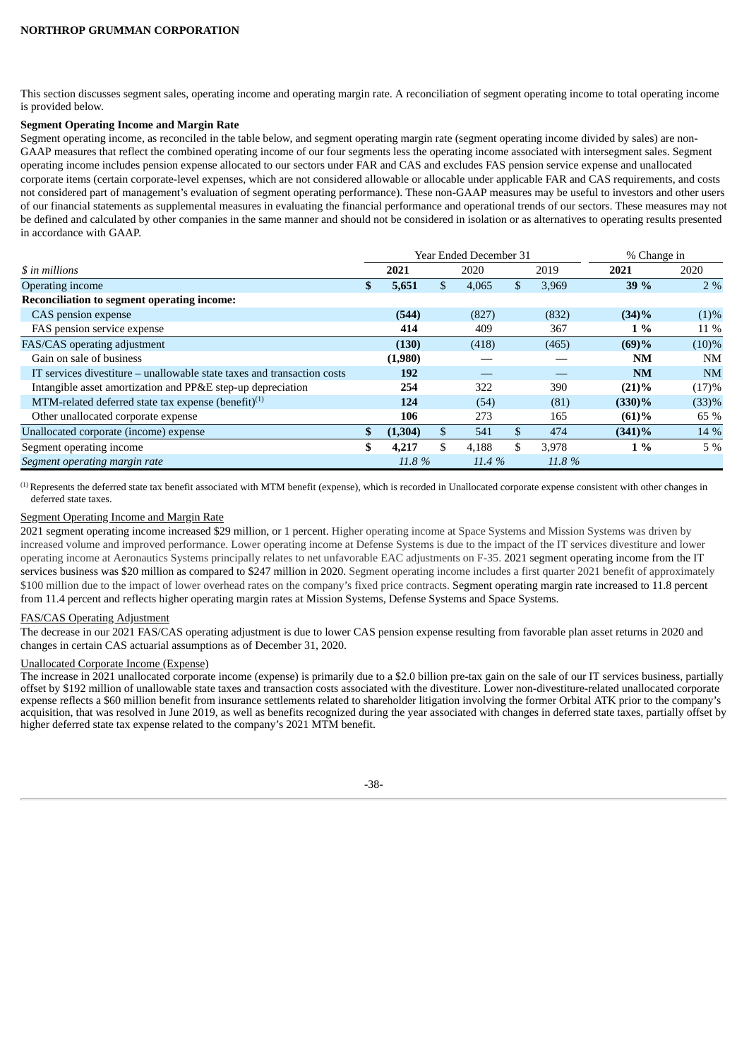This section discusses segment sales, operating income and operating margin rate. A reconciliation of segment operating income to total operating income is provided below.

#### **Segment Operating Income and Margin Rate**

Segment operating income, as reconciled in the table below, and segment operating margin rate (segment operating income divided by sales) are non-GAAP measures that reflect the combined operating income of our four segments less the operating income associated with intersegment sales. Segment operating income includes pension expense allocated to our sectors under FAR and CAS and excludes FAS pension service expense and unallocated corporate items (certain corporate-level expenses, which are not considered allowable or allocable under applicable FAR and CAS requirements, and costs not considered part of management's evaluation of segment operating performance). These non-GAAP measures may be useful to investors and other users of our financial statements as supplemental measures in evaluating the financial performance and operational trends of our sectors. These measures may not be defined and calculated by other companies in the same manner and should not be considered in isolation or as alternatives to operating results presented in accordance with GAAP.

|                                                                         |    |         |     | Year Ended December 31 |    |        | % Change in |           |  |
|-------------------------------------------------------------------------|----|---------|-----|------------------------|----|--------|-------------|-----------|--|
| \$ in millions                                                          |    | 2021    |     | 2020                   |    | 2019   | 2021        | 2020      |  |
| Operating income                                                        | S. | 5,651   | \$  | 4,065                  | \$ | 3,969  | 39 %        | 2%        |  |
| Reconciliation to segment operating income:                             |    |         |     |                        |    |        |             |           |  |
| CAS pension expense                                                     |    | (544)   |     | (827)                  |    | (832)  | $(34)\%$    | (1)%      |  |
| FAS pension service expense                                             |    | 414     |     | 409                    |    | 367    | 1 %         | 11 %      |  |
| FAS/CAS operating adjustment                                            |    | (130)   |     | (418)                  |    | (465)  | $(69)$ %    | $(10)\%$  |  |
| Gain on sale of business                                                |    | (1,980) |     |                        |    |        | <b>NM</b>   | <b>NM</b> |  |
| IT services divestiture – unallowable state taxes and transaction costs |    | 192     |     |                        |    |        | <b>NM</b>   | <b>NM</b> |  |
| Intangible asset amortization and PP&E step-up depreciation             |    | 254     |     | 322                    |    | 390    | $(21)\%$    | (17)%     |  |
| MTM-related deferred state tax expense (benefit) $(1)$                  |    | 124     |     | (54)                   |    | (81)   | $(330)\%$   | (33)%     |  |
| Other unallocated corporate expense                                     |    | 106     |     | 273                    |    | 165    | $(61)$ %    | 65 %      |  |
| Unallocated corporate (income) expense                                  | \$ | (1,304) |     | 541                    | \$ | 474    | $(341)\%$   | 14 %      |  |
| Segment operating income                                                | \$ | 4,217   | \$. | 4,188                  | \$ | 3,978  | $1\%$       | $5\%$     |  |
| Segment operating margin rate                                           |    | 11.8%   |     | 11.4%                  |    | 11.8 % |             |           |  |

 $^{(1)}$  Represents the deferred state tax benefit associated with MTM benefit (expense), which is recorded in Unallocated corporate expense consistent with other changes in deferred state taxes.

#### Segment Operating Income and Margin Rate

2021 segment operating income increased \$29 million, or 1 percent. Higher operating income at Space Systems and Mission Systems was driven by increased volume and improved performance. Lower operating income at Defense Systems is due to the impact of the IT services divestiture and lower operating income at Aeronautics Systems principally relates to net unfavorable EAC adjustments on F-35. 2021 segment operating income from the IT services business was \$20 million as compared to \$247 million in 2020. Segment operating income includes a first quarter 2021 benefit of approximately \$100 million due to the impact of lower overhead rates on the company's fixed price contracts. Segment operating margin rate increased to 11.8 percent from 11.4 percent and reflects higher operating margin rates at Mission Systems, Defense Systems and Space Systems.

#### FAS/CAS Operating Adjustment

The decrease in our 2021 FAS/CAS operating adjustment is due to lower CAS pension expense resulting from favorable plan asset returns in 2020 and changes in certain CAS actuarial assumptions as of December 31, 2020.

#### Unallocated Corporate Income (Expense)

The increase in 2021 unallocated corporate income (expense) is primarily due to a \$2.0 billion pre-tax gain on the sale of our IT services business, partially offset by \$192 million of unallowable state taxes and transaction costs associated with the divestiture. Lower non-divestiture-related unallocated corporate expense reflects a \$60 million benefit from insurance settlements related to shareholder litigation involving the former Orbital ATK prior to the company's acquisition, that was resolved in June 2019, as well as benefits recognized during the year associated with changes in deferred state taxes, partially offset by higher deferred state tax expense related to the company's 2021 MTM benefit.

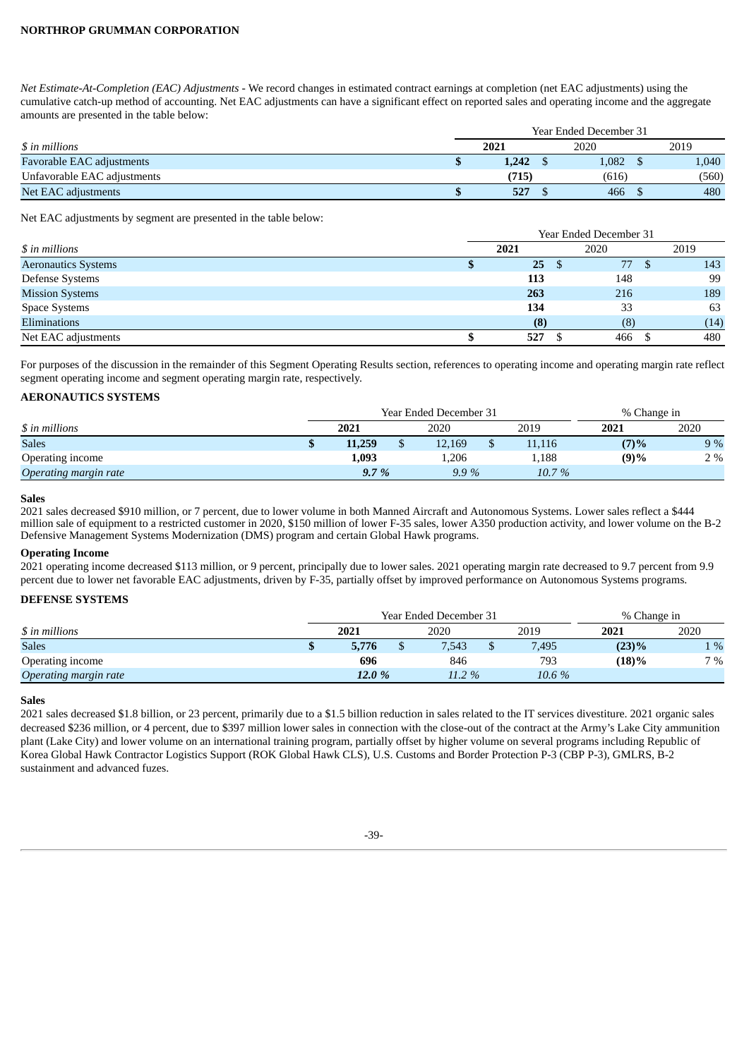#### **NORTHROP GRUMMAN CORPORATION**

*Net Estimate-At-Completion (EAC) Adjustments -* We record changes in estimated contract earnings at completion (net EAC adjustments) using the cumulative catch-up method of accounting. Net EAC adjustments can have a significant effect on reported sales and operating income and the aggregate amounts are presented in the table below:

|                             |      | Year Ended December 31 |  |       |  |       |  |  |  |  |  |  |
|-----------------------------|------|------------------------|--|-------|--|-------|--|--|--|--|--|--|
| \$ in millions              | 2021 |                        |  | 2020  |  | 2019  |  |  |  |  |  |  |
| Favorable EAC adjustments   |      | 1.242                  |  | 1,082 |  | 040.  |  |  |  |  |  |  |
| Unfavorable EAC adjustments |      | (715)                  |  | (616) |  | (560) |  |  |  |  |  |  |
| Net EAC adjustments         |      | 527                    |  | 466   |  | 480   |  |  |  |  |  |  |

Net EAC adjustments by segment are presented in the table below:

|                            |     |                 | Year Ended December 31 |      |
|----------------------------|-----|-----------------|------------------------|------|
| \$ in millions             |     | 2021            | 2020                   | 2019 |
| <b>Aeronautics Systems</b> | JD. | 25 <sub>2</sub> | 77                     | 143  |
| Defense Systems            |     | 113             | 148                    | 99   |
| <b>Mission Systems</b>     |     | 263             | 216                    | 189  |
| Space Systems              |     | 134             | 33                     | 63   |
| Eliminations               |     | (8)             | (8)                    | (14) |
| Net EAC adjustments        |     | 527             | 466                    | 480  |

For purposes of the discussion in the remainder of this Segment Operating Results section, references to operating income and operating margin rate reflect segment operating income and segment operating margin rate, respectively.

# **AERONAUTICS SYSTEMS**

|                       |        | Year Ended December 31 | % Change in |        |          |       |
|-----------------------|--------|------------------------|-------------|--------|----------|-------|
| \$ in millions        | 2021   |                        | 2020        | 2019   | 2021     | 2020  |
| <b>Sales</b>          | 11,259 |                        | 12,169      | 11,116 | $(7) \%$ | 9%    |
| Operating income      | 1,093  |                        | 1,206       | 1,188  | $(9)$ %  | $2\%$ |
| Operating margin rate | 9.7%   |                        | 9.9%        | 10.7%  |          |       |

#### **Sales**

2021 sales decreased \$910 million, or 7 percent, due to lower volume in both Manned Aircraft and Autonomous Systems. Lower sales reflect a \$444 million sale of equipment to a restricted customer in 2020, \$150 million of lower F-35 sales, lower A350 production activity, and lower volume on the B-2 Defensive Management Systems Modernization (DMS) program and certain Global Hawk programs.

#### **Operating Income**

2021 operating income decreased \$113 million, or 9 percent, principally due to lower sales. 2021 operating margin rate decreased to 9.7 percent from 9.9 percent due to lower net favorable EAC adjustments, driven by F-35, partially offset by improved performance on Autonomous Systems programs.

#### **DEFENSE SYSTEMS**

|                       | Year Ended December 31 |        | % Change in |        |          |               |
|-----------------------|------------------------|--------|-------------|--------|----------|---------------|
| \$ in millions        | 2021                   | 2020   |             | 2019   | 2021     | 2020          |
| <b>Sales</b>          | 5,776                  | 7.543  |             | 7,495  | $(23)$ % | $\frac{0}{6}$ |
| Operating income      | 696                    | 846    |             | 793    | $(18)\%$ | 7 %           |
| Operating margin rate | 12.0 %                 | 11.2 % |             | 10.6 % |          |               |

#### **Sales**

2021 sales decreased \$1.8 billion, or 23 percent, primarily due to a \$1.5 billion reduction in sales related to the IT services divestiture. 2021 organic sales decreased \$236 million, or 4 percent, due to \$397 million lower sales in connection with the close-out of the contract at the Army's Lake City ammunition plant (Lake City) and lower volume on an international training program, partially offset by higher volume on several programs including Republic of Korea Global Hawk Contractor Logistics Support (ROK Global Hawk CLS), U.S. Customs and Border Protection P-3 (CBP P-3), GMLRS, B-2 sustainment and advanced fuzes.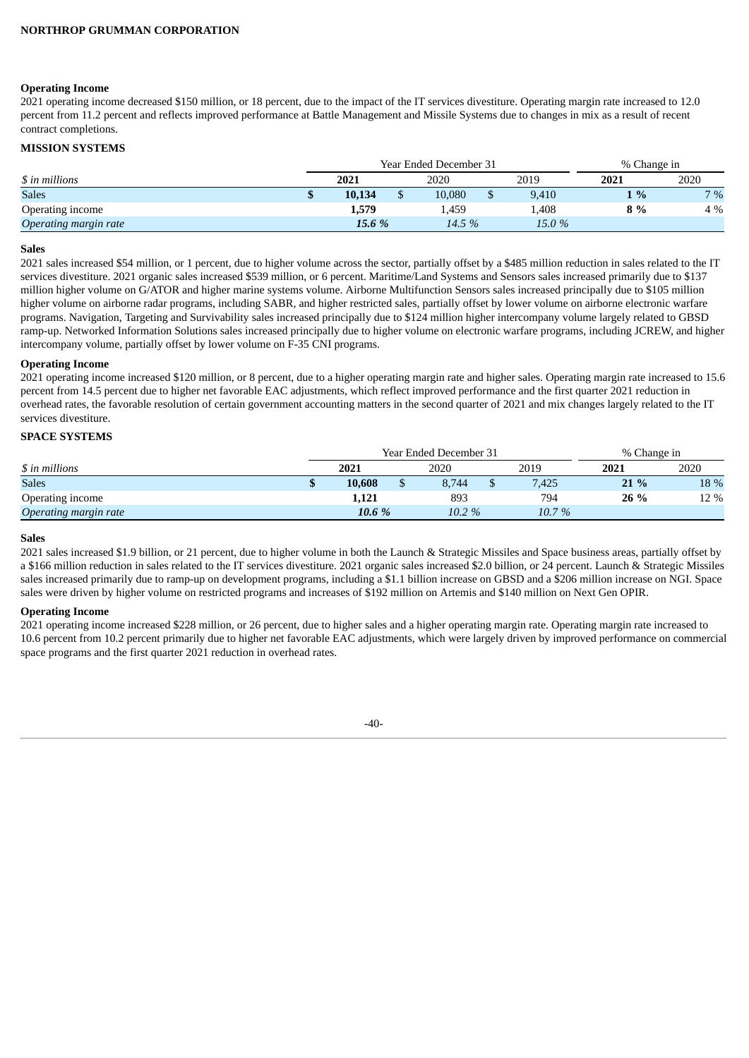#### **Operating Income**

2021 operating income decreased \$150 million, or 18 percent, due to the impact of the IT services divestiture. Operating margin rate increased to 12.0 percent from 11.2 percent and reflects improved performance at Battle Management and Missile Systems due to changes in mix as a result of recent contract completions.

#### **MISSION SYSTEMS**

|                       | Year Ended December 31 | % Change in |             |               |       |
|-----------------------|------------------------|-------------|-------------|---------------|-------|
| \$ in millions        | 2021                   | 2020        | 2019        | 2021          | 2020  |
| <b>Sales</b>          | 10.134                 | 10,080      | \$<br>9,410 | $\frac{0}{0}$ | $7\%$ |
| Operating income      | 1,579                  | 1,459       | 1,408       | 8 %           | 4 %   |
| Operating margin rate | 15.6 %                 | 14.5 %      | 15.0 %      |               |       |

#### **Sales**

2021 sales increased \$54 million, or 1 percent, due to higher volume across the sector, partially offset by a \$485 million reduction in sales related to the IT services divestiture. 2021 organic sales increased \$539 million, or 6 percent. Maritime/Land Systems and Sensors sales increased primarily due to \$137 million higher volume on G/ATOR and higher marine systems volume. Airborne Multifunction Sensors sales increased principally due to \$105 million higher volume on airborne radar programs, including SABR, and higher restricted sales, partially offset by lower volume on airborne electronic warfare programs. Navigation, Targeting and Survivability sales increased principally due to \$124 million higher intercompany volume largely related to GBSD ramp-up. Networked Information Solutions sales increased principally due to higher volume on electronic warfare programs, including JCREW, and higher intercompany volume, partially offset by lower volume on F-35 CNI programs.

#### **Operating Income**

2021 operating income increased \$120 million, or 8 percent, due to a higher operating margin rate and higher sales. Operating margin rate increased to 15.6 percent from 14.5 percent due to higher net favorable EAC adjustments, which reflect improved performance and the first quarter 2021 reduction in overhead rates, the favorable resolution of certain government accounting matters in the second quarter of 2021 and mix changes largely related to the IT services divestiture.

#### **SPACE SYSTEMS**

|                       |  |        | Year Ended December 31 |           | % Change in |       |      |      |
|-----------------------|--|--------|------------------------|-----------|-------------|-------|------|------|
| \$ in millions        |  | 2021   |                        |           |             | 2019  | 2021 | 2020 |
| <b>Sales</b>          |  | 10.608 |                        | 8.744     |             | 7,425 | 21 % | 18 % |
| Operating income      |  | 1,121  |                        | 893       |             | 794   | 26 % | 12 % |
| Operating margin rate |  | 10.6 % |                        | $10.2 \%$ |             | 10.7% |      |      |

#### **Sales**

2021 sales increased \$1.9 billion, or 21 percent, due to higher volume in both the Launch & Strategic Missiles and Space business areas, partially offset by a \$166 million reduction in sales related to the IT services divestiture. 2021 organic sales increased \$2.0 billion, or 24 percent. Launch & Strategic Missiles sales increased primarily due to ramp-up on development programs, including a \$1.1 billion increase on GBSD and a \$206 million increase on NGI. Space sales were driven by higher volume on restricted programs and increases of \$192 million on Artemis and \$140 million on Next Gen OPIR.

#### **Operating Income**

2021 operating income increased \$228 million, or 26 percent, due to higher sales and a higher operating margin rate. Operating margin rate increased to 10.6 percent from 10.2 percent primarily due to higher net favorable EAC adjustments, which were largely driven by improved performance on commercial space programs and the first quarter 2021 reduction in overhead rates.

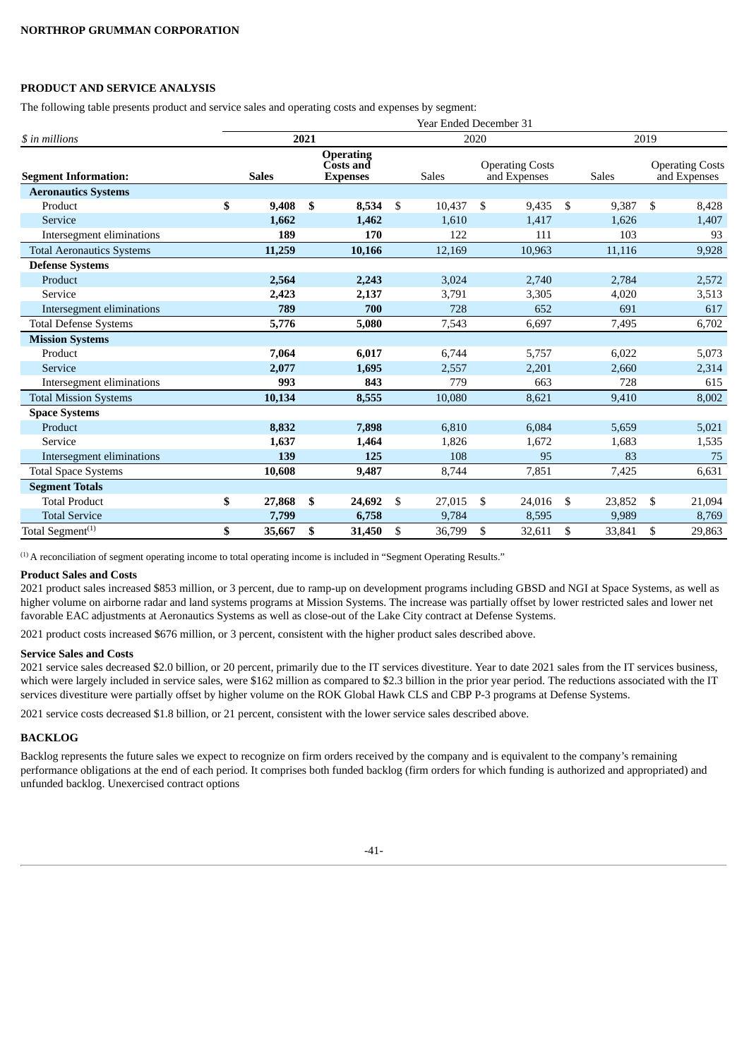# **PRODUCT AND SERVICE ANALYSIS**

The following table presents product and service sales and operating costs and expenses by segment:

|                                  | Year Ended December 31 |              |      |                                                         |    |              |                                        |        |    |              |    |                                        |  |  |
|----------------------------------|------------------------|--------------|------|---------------------------------------------------------|----|--------------|----------------------------------------|--------|----|--------------|----|----------------------------------------|--|--|
| \$ in millions                   |                        |              | 2021 |                                                         |    |              | 2020                                   |        |    | 2019         |    |                                        |  |  |
| <b>Segment Information:</b>      |                        | <b>Sales</b> |      | <b>Operating</b><br><b>Costs and</b><br><b>Expenses</b> |    | <b>Sales</b> | <b>Operating Costs</b><br>and Expenses |        |    | <b>Sales</b> |    | <b>Operating Costs</b><br>and Expenses |  |  |
| <b>Aeronautics Systems</b>       |                        |              |      |                                                         |    |              |                                        |        |    |              |    |                                        |  |  |
| Product                          | \$                     | 9,408        | \$   | 8,534                                                   | \$ | 10,437       | \$                                     | 9,435  | \$ | 9,387        | \$ | 8,428                                  |  |  |
| <b>Service</b>                   |                        | 1,662        |      | 1,462                                                   |    | 1.610        |                                        | 1,417  |    | 1,626        |    | 1,407                                  |  |  |
| Intersegment eliminations        |                        | 189          |      | 170                                                     |    | 122          |                                        | 111    |    | 103          |    | 93                                     |  |  |
| <b>Total Aeronautics Systems</b> |                        | 11,259       |      | 10,166                                                  |    | 12,169       |                                        | 10,963 |    | 11,116       |    | 9,928                                  |  |  |
| <b>Defense Systems</b>           |                        |              |      |                                                         |    |              |                                        |        |    |              |    |                                        |  |  |
| Product                          |                        | 2,564        |      | 2,243                                                   |    | 3,024        |                                        | 2,740  |    | 2,784        |    | 2,572                                  |  |  |
| Service                          |                        | 2,423        |      | 2,137                                                   |    | 3.791        |                                        | 3,305  |    | 4.020        |    | 3,513                                  |  |  |
| Intersegment eliminations        |                        | 789          |      | 700                                                     |    | 728          |                                        | 652    |    | 691          |    | 617                                    |  |  |
| <b>Total Defense Systems</b>     |                        | 5,776        |      | 5,080                                                   |    | 7,543        |                                        | 6,697  |    | 7,495        |    | 6,702                                  |  |  |
| <b>Mission Systems</b>           |                        |              |      |                                                         |    |              |                                        |        |    |              |    |                                        |  |  |
| Product                          |                        | 7,064        |      | 6,017                                                   |    | 6,744        |                                        | 5,757  |    | 6,022        |    | 5,073                                  |  |  |
| <b>Service</b>                   |                        | 2,077        |      | 1,695                                                   |    | 2,557        |                                        | 2,201  |    | 2,660        |    | 2,314                                  |  |  |
| Intersegment eliminations        |                        | 993          |      | 843                                                     |    | 779          |                                        | 663    |    | 728          |    | 615                                    |  |  |
| <b>Total Mission Systems</b>     |                        | 10,134       |      | 8,555                                                   |    | 10,080       |                                        | 8,621  |    | 9,410        |    | 8,002                                  |  |  |
| <b>Space Systems</b>             |                        |              |      |                                                         |    |              |                                        |        |    |              |    |                                        |  |  |
| Product                          |                        | 8,832        |      | 7,898                                                   |    | 6,810        |                                        | 6,084  |    | 5,659        |    | 5,021                                  |  |  |
| Service                          |                        | 1,637        |      | 1,464                                                   |    | 1,826        |                                        | 1,672  |    | 1,683        |    | 1,535                                  |  |  |
| Intersegment eliminations        |                        | 139          |      | 125                                                     |    | 108          |                                        | 95     |    | 83           |    | 75                                     |  |  |
| <b>Total Space Systems</b>       |                        | 10.608       |      | 9,487                                                   |    | 8.744        |                                        | 7,851  |    | 7,425        |    | 6,631                                  |  |  |
| <b>Segment Totals</b>            |                        |              |      |                                                         |    |              |                                        |        |    |              |    |                                        |  |  |
| <b>Total Product</b>             | \$                     | 27,868       | \$   | 24,692                                                  | \$ | 27,015       | \$                                     | 24,016 | \$ | 23,852       | \$ | 21,094                                 |  |  |
| <b>Total Service</b>             |                        | 7,799        |      | 6,758                                                   |    | 9,784        |                                        | 8,595  |    | 9,989        |    | 8,769                                  |  |  |
| Total Segment <sup>(1)</sup>     | \$                     | 35,667       | \$   | 31,450                                                  | \$ | 36,799       | \$                                     | 32,611 | \$ | 33,841       | \$ | 29,863                                 |  |  |

 $(1)$  A reconciliation of segment operating income to total operating income is included in "Segment Operating Results."

#### **Product Sales and Costs**

2021 product sales increased \$853 million, or 3 percent, due to ramp-up on development programs including GBSD and NGI at Space Systems, as well as higher volume on airborne radar and land systems programs at Mission Systems. The increase was partially offset by lower restricted sales and lower net favorable EAC adjustments at Aeronautics Systems as well as close-out of the Lake City contract at Defense Systems.

2021 product costs increased \$676 million, or 3 percent, consistent with the higher product sales described above.

#### **Service Sales and Costs**

2021 service sales decreased \$2.0 billion, or 20 percent, primarily due to the IT services divestiture. Year to date 2021 sales from the IT services business, which were largely included in service sales, were \$162 million as compared to \$2.3 billion in the prior year period. The reductions associated with the IT services divestiture were partially offset by higher volume on the ROK Global Hawk CLS and CBP P-3 programs at Defense Systems.

2021 service costs decreased \$1.8 billion, or 21 percent, consistent with the lower service sales described above.

# **BACKLOG**

Backlog represents the future sales we expect to recognize on firm orders received by the company and is equivalent to the company's remaining performance obligations at the end of each period. It comprises both funded backlog (firm orders for which funding is authorized and appropriated) and unfunded backlog. Unexercised contract options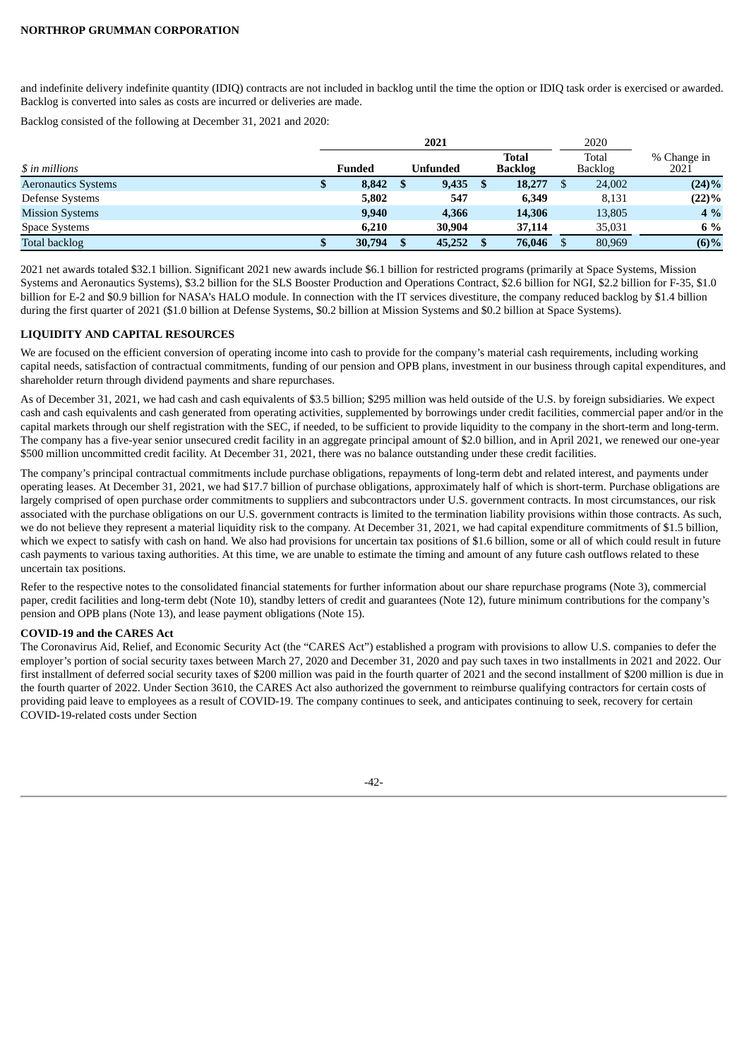and indefinite delivery indefinite quantity (IDIQ) contracts are not included in backlog until the time the option or IDIQ task order is exercised or awarded. Backlog is converted into sales as costs are incurred or deliveries are made.

Backlog consisted of the following at December 31, 2021 and 2020:

|                            |               | 2021            | 2020                           |                  |                     |
|----------------------------|---------------|-----------------|--------------------------------|------------------|---------------------|
| \$ in millions             | <b>Funded</b> | <b>Unfunded</b> | <b>Total</b><br><b>Backlog</b> | Total<br>Backlog | % Change in<br>2021 |
| <b>Aeronautics Systems</b> | 8,842         | 9,435           | 18,277                         | 24,002           | $(24)\%$            |
| Defense Systems            | 5,802         | 547             | 6,349                          | 8,131            | (22)%               |
| <b>Mission Systems</b>     | 9,940         | 4.366           | 14,306                         | 13,805           | $4\%$               |
| Space Systems              | 6.210         | 30.904          | 37,114                         | 35,031           | 6 %                 |
| Total backlog              | 30,794        | 45,252          | 76,046                         | 80,969           | $(6)\%$             |

2021 net awards totaled \$32.1 billion. Significant 2021 new awards include \$6.1 billion for restricted programs (primarily at Space Systems, Mission Systems and Aeronautics Systems), \$3.2 billion for the SLS Booster Production and Operations Contract, \$2.6 billion for NGI, \$2.2 billion for F-35, \$1.0 billion for E-2 and \$0.9 billion for NASA's HALO module. In connection with the IT services divestiture, the company reduced backlog by \$1.4 billion during the first quarter of 2021 (\$1.0 billion at Defense Systems, \$0.2 billion at Mission Systems and \$0.2 billion at Space Systems).

# **LIQUIDITY AND CAPITAL RESOURCES**

We are focused on the efficient conversion of operating income into cash to provide for the company's material cash requirements, including working capital needs, satisfaction of contractual commitments, funding of our pension and OPB plans, investment in our business through capital expenditures, and shareholder return through dividend payments and share repurchases.

As of December 31, 2021, we had cash and cash equivalents of \$3.5 billion; \$295 million was held outside of the U.S. by foreign subsidiaries. We expect cash and cash equivalents and cash generated from operating activities, supplemented by borrowings under credit facilities, commercial paper and/or in the capital markets through our shelf registration with the SEC, if needed, to be sufficient to provide liquidity to the company in the short-term and long-term. The company has a five-year senior unsecured credit facility in an aggregate principal amount of \$2.0 billion, and in April 2021, we renewed our one-year \$500 million uncommitted credit facility. At December 31, 2021, there was no balance outstanding under these credit facilities.

The company's principal contractual commitments include purchase obligations, repayments of long-term debt and related interest, and payments under operating leases. At December 31, 2021, we had \$17.7 billion of purchase obligations, approximately half of which is short-term. Purchase obligations are largely comprised of open purchase order commitments to suppliers and subcontractors under U.S. government contracts. In most circumstances, our risk associated with the purchase obligations on our U.S. government contracts is limited to the termination liability provisions within those contracts. As such, we do not believe they represent a material liquidity risk to the company. At December 31, 2021, we had capital expenditure commitments of \$1.5 billion, which we expect to satisfy with cash on hand. We also had provisions for uncertain tax positions of \$1.6 billion, some or all of which could result in future cash payments to various taxing authorities. At this time, we are unable to estimate the timing and amount of any future cash outflows related to these uncertain tax positions.

Refer to the respective notes to the consolidated financial statements for further information about our share repurchase programs (Note 3), commercial paper, credit facilities and long-term debt (Note 10), standby letters of credit and guarantees (Note 12), future minimum contributions for the company's pension and OPB plans (Note 13), and lease payment obligations (Note 15).

#### **COVID-19 and the CARES Act**

The Coronavirus Aid, Relief, and Economic Security Act (the "CARES Act") established a program with provisions to allow U.S. companies to defer the employer's portion of social security taxes between March 27, 2020 and December 31, 2020 and pay such taxes in two installments in 2021 and 2022. Our first installment of deferred social security taxes of \$200 million was paid in the fourth quarter of 2021 and the second installment of \$200 million is due in the fourth quarter of 2022. Under Section 3610, the CARES Act also authorized the government to reimburse qualifying contractors for certain costs of providing paid leave to employees as a result of COVID-19. The company continues to seek, and anticipates continuing to seek, recovery for certain COVID-19-related costs under Section

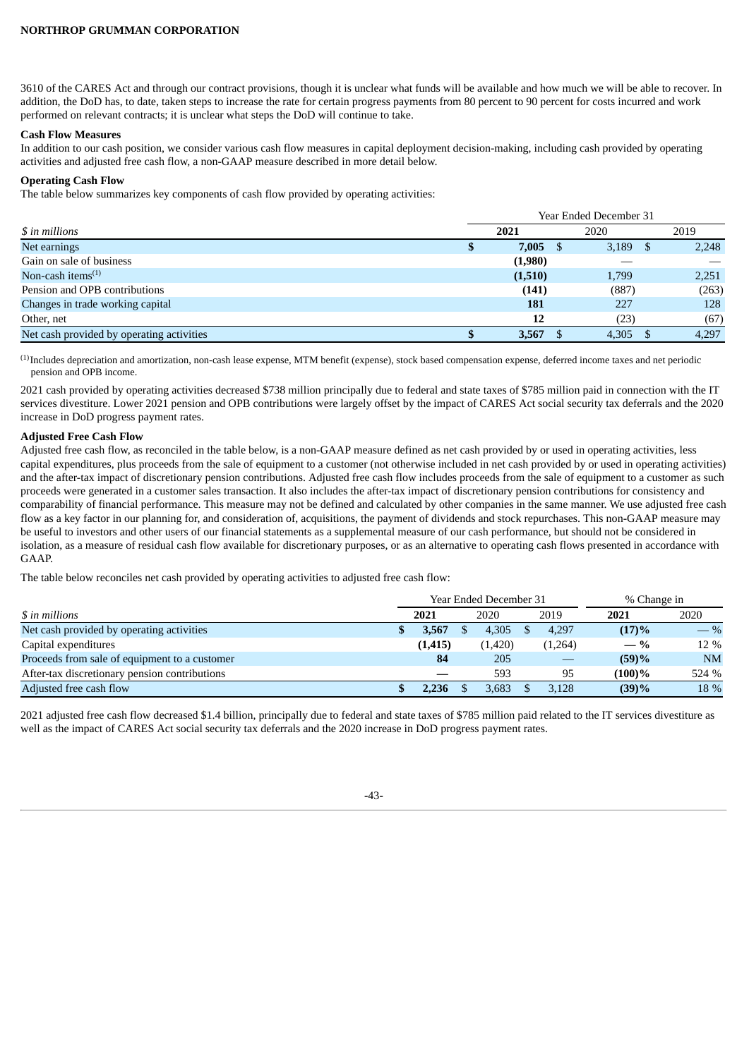3610 of the CARES Act and through our contract provisions, though it is unclear what funds will be available and how much we will be able to recover. In addition, the DoD has, to date, taken steps to increase the rate for certain progress payments from 80 percent to 90 percent for costs incurred and work performed on relevant contracts; it is unclear what steps the DoD will continue to take.

#### **Cash Flow Measures**

In addition to our cash position, we consider various cash flow measures in capital deployment decision-making, including cash provided by operating activities and adjusted free cash flow, a non-GAAP measure described in more detail below.

# **Operating Cash Flow**

The table below summarizes key components of cash flow provided by operating activities:

|                                           |      | Year Ended December 31 |       |  |       |  |  |  |  |  |  |
|-------------------------------------------|------|------------------------|-------|--|-------|--|--|--|--|--|--|
| \$ in millions                            | 2021 |                        | 2020  |  | 2019  |  |  |  |  |  |  |
| Net earnings                              |      | 7,005                  | 3,189 |  | 2,248 |  |  |  |  |  |  |
| Gain on sale of business                  |      | (1,980)                |       |  |       |  |  |  |  |  |  |
| Non-cash items $^{(1)}$                   |      | (1,510)                | 1,799 |  | 2,251 |  |  |  |  |  |  |
| Pension and OPB contributions             |      | (141)                  | (887) |  | (263) |  |  |  |  |  |  |
| Changes in trade working capital          |      | 181                    | 227   |  | 128   |  |  |  |  |  |  |
| Other, net                                |      | 12                     | (23)  |  | (67)  |  |  |  |  |  |  |
| Net cash provided by operating activities |      | 3,567                  | 4,305 |  | 4.297 |  |  |  |  |  |  |

 $<sup>(1)</sup>$  Includes depreciation and amortization, non-cash lease expense, MTM benefit (expense), stock based compensation expense, deferred income taxes and net periodic</sup> pension and OPB income.

2021 cash provided by operating activities decreased \$738 million principally due to federal and state taxes of \$785 million paid in connection with the IT services divestiture. Lower 2021 pension and OPB contributions were largely offset by the impact of CARES Act social security tax deferrals and the 2020 increase in DoD progress payment rates.

#### **Adjusted Free Cash Flow**

Adjusted free cash flow, as reconciled in the table below, is a non-GAAP measure defined as net cash provided by or used in operating activities, less capital expenditures, plus proceeds from the sale of equipment to a customer (not otherwise included in net cash provided by or used in operating activities) and the after-tax impact of discretionary pension contributions. Adjusted free cash flow includes proceeds from the sale of equipment to a customer as such proceeds were generated in a customer sales transaction. It also includes the after-tax impact of discretionary pension contributions for consistency and comparability of financial performance. This measure may not be defined and calculated by other companies in the same manner. We use adjusted free cash flow as a key factor in our planning for, and consideration of, acquisitions, the payment of dividends and stock repurchases. This non-GAAP measure may be useful to investors and other users of our financial statements as a supplemental measure of our cash performance, but should not be considered in isolation, as a measure of residual cash flow available for discretionary purposes, or as an alternative to operating cash flows presented in accordance with GAAP.

The table below reconciles net cash provided by operating activities to adjusted free cash flow:

|                                               | Year Ended December 31 |          |  |         |  |         | % Change in |                 |  |
|-----------------------------------------------|------------------------|----------|--|---------|--|---------|-------------|-----------------|--|
| \$ in millions                                |                        | 2021     |  | 2020    |  | 2019    | 2021        | 2020            |  |
| Net cash provided by operating activities     |                        | 3,567    |  | 4.305   |  | 4.297   | (17)%       | $- \frac{9}{6}$ |  |
| Capital expenditures                          |                        | (1, 415) |  | (1,420) |  | (1,264) | $-$ %       | 12 %            |  |
| Proceeds from sale of equipment to a customer |                        | 84       |  | 205     |  |         | (59)%       | <b>NM</b>       |  |
| After-tax discretionary pension contributions |                        |          |  | 593     |  | 95      | $(100)\%$   | 524 %           |  |
| Adjusted free cash flow                       |                        | 2.236    |  | 3.683   |  | 3.128   | (39)%       | 18 %            |  |

2021 adjusted free cash flow decreased \$1.4 billion, principally due to federal and state taxes of \$785 million paid related to the IT services divestiture as well as the impact of CARES Act social security tax deferrals and the 2020 increase in DoD progress payment rates.

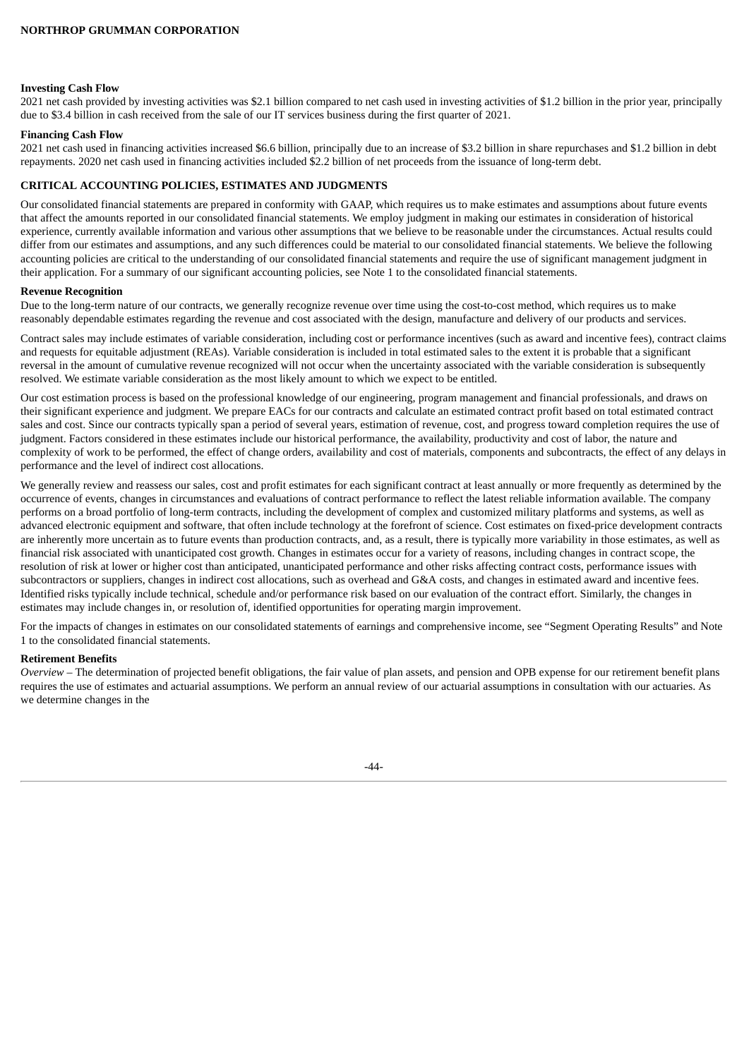#### **Investing Cash Flow**

2021 net cash provided by investing activities was \$2.1 billion compared to net cash used in investing activities of \$1.2 billion in the prior year, principally due to \$3.4 billion in cash received from the sale of our IT services business during the first quarter of 2021.

#### **Financing Cash Flow**

2021 net cash used in financing activities increased \$6.6 billion, principally due to an increase of \$3.2 billion in share repurchases and \$1.2 billion in debt repayments. 2020 net cash used in financing activities included \$2.2 billion of net proceeds from the issuance of long-term debt.

#### **CRITICAL ACCOUNTING POLICIES, ESTIMATES AND JUDGMENTS**

Our consolidated financial statements are prepared in conformity with GAAP, which requires us to make estimates and assumptions about future events that affect the amounts reported in our consolidated financial statements. We employ judgment in making our estimates in consideration of historical experience, currently available information and various other assumptions that we believe to be reasonable under the circumstances. Actual results could differ from our estimates and assumptions, and any such differences could be material to our consolidated financial statements. We believe the following accounting policies are critical to the understanding of our consolidated financial statements and require the use of significant management judgment in their application. For a summary of our significant accounting policies, see Note 1 to the consolidated financial statements.

#### **Revenue Recognition**

Due to the long-term nature of our contracts, we generally recognize revenue over time using the cost-to-cost method, which requires us to make reasonably dependable estimates regarding the revenue and cost associated with the design, manufacture and delivery of our products and services.

Contract sales may include estimates of variable consideration, including cost or performance incentives (such as award and incentive fees), contract claims and requests for equitable adjustment (REAs). Variable consideration is included in total estimated sales to the extent it is probable that a significant reversal in the amount of cumulative revenue recognized will not occur when the uncertainty associated with the variable consideration is subsequently resolved. We estimate variable consideration as the most likely amount to which we expect to be entitled.

Our cost estimation process is based on the professional knowledge of our engineering, program management and financial professionals, and draws on their significant experience and judgment. We prepare EACs for our contracts and calculate an estimated contract profit based on total estimated contract sales and cost. Since our contracts typically span a period of several years, estimation of revenue, cost, and progress toward completion requires the use of judgment. Factors considered in these estimates include our historical performance, the availability, productivity and cost of labor, the nature and complexity of work to be performed, the effect of change orders, availability and cost of materials, components and subcontracts, the effect of any delays in performance and the level of indirect cost allocations.

We generally review and reassess our sales, cost and profit estimates for each significant contract at least annually or more frequently as determined by the occurrence of events, changes in circumstances and evaluations of contract performance to reflect the latest reliable information available. The company performs on a broad portfolio of long-term contracts, including the development of complex and customized military platforms and systems, as well as advanced electronic equipment and software, that often include technology at the forefront of science. Cost estimates on fixed-price development contracts are inherently more uncertain as to future events than production contracts, and, as a result, there is typically more variability in those estimates, as well as financial risk associated with unanticipated cost growth. Changes in estimates occur for a variety of reasons, including changes in contract scope, the resolution of risk at lower or higher cost than anticipated, unanticipated performance and other risks affecting contract costs, performance issues with subcontractors or suppliers, changes in indirect cost allocations, such as overhead and G&A costs, and changes in estimated award and incentive fees. Identified risks typically include technical, schedule and/or performance risk based on our evaluation of the contract effort. Similarly, the changes in estimates may include changes in, or resolution of, identified opportunities for operating margin improvement.

For the impacts of changes in estimates on our consolidated statements of earnings and comprehensive income, see "Segment Operating Results" and Note 1 to the consolidated financial statements.

#### **Retirement Benefits**

*Overview* – The determination of projected benefit obligations, the fair value of plan assets, and pension and OPB expense for our retirement benefit plans requires the use of estimates and actuarial assumptions. We perform an annual review of our actuarial assumptions in consultation with our actuaries. As we determine changes in the

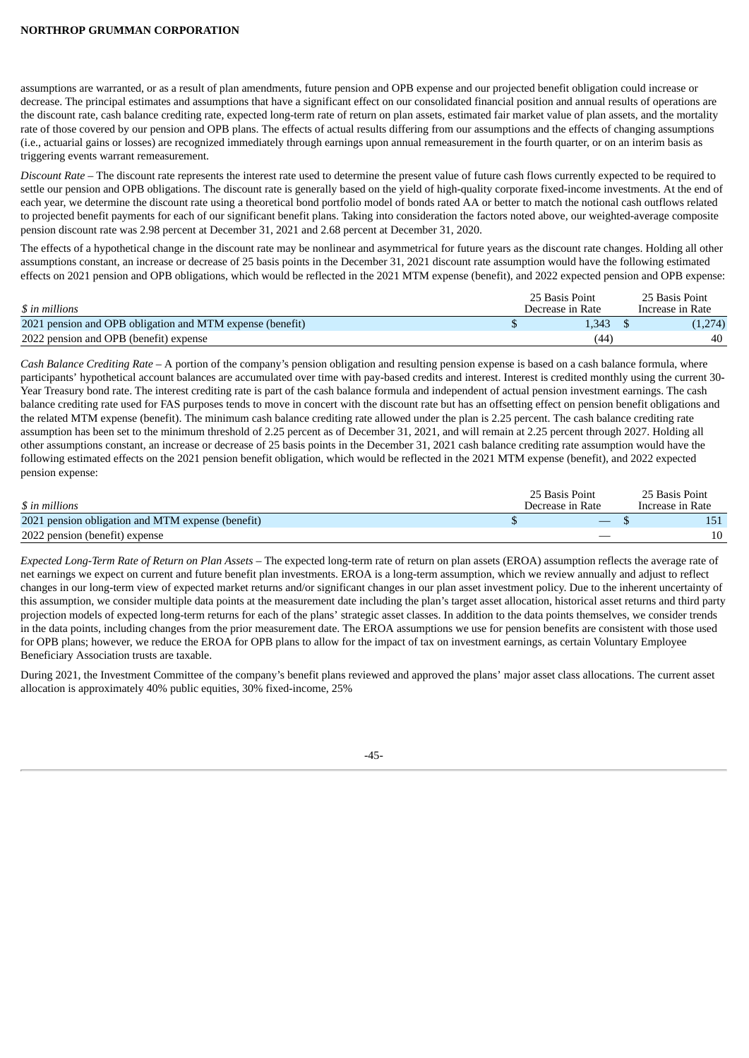assumptions are warranted, or as a result of plan amendments, future pension and OPB expense and our projected benefit obligation could increase or decrease. The principal estimates and assumptions that have a significant effect on our consolidated financial position and annual results of operations are the discount rate, cash balance crediting rate, expected long-term rate of return on plan assets, estimated fair market value of plan assets, and the mortality rate of those covered by our pension and OPB plans. The effects of actual results differing from our assumptions and the effects of changing assumptions (i.e., actuarial gains or losses) are recognized immediately through earnings upon annual remeasurement in the fourth quarter, or on an interim basis as triggering events warrant remeasurement.

*Discount Rate* – The discount rate represents the interest rate used to determine the present value of future cash flows currently expected to be required to settle our pension and OPB obligations. The discount rate is generally based on the yield of high-quality corporate fixed-income investments. At the end of each year, we determine the discount rate using a theoretical bond portfolio model of bonds rated AA or better to match the notional cash outflows related to projected benefit payments for each of our significant benefit plans. Taking into consideration the factors noted above, our weighted-average composite pension discount rate was 2.98 percent at December 31, 2021 and 2.68 percent at December 31, 2020.

The effects of a hypothetical change in the discount rate may be nonlinear and asymmetrical for future years as the discount rate changes. Holding all other assumptions constant, an increase or decrease of 25 basis points in the December 31, 2021 discount rate assumption would have the following estimated effects on 2021 pension and OPB obligations, which would be reflected in the 2021 MTM expense (benefit), and 2022 expected pension and OPB expense:

| \$ in millions                                            | 25 Basis Point<br>Decrease in Rate | 25 Basis Point<br>Increase in Rate |  |  |
|-----------------------------------------------------------|------------------------------------|------------------------------------|--|--|
| 2021 pension and OPB obligation and MTM expense (benefit) | 1.343                              | (1,274)                            |  |  |
| 2022 pension and OPB (benefit) expense                    | (44)                               | 40                                 |  |  |

*Cash Balance Crediting Rate* – A portion of the company's pension obligation and resulting pension expense is based on a cash balance formula, where participants' hypothetical account balances are accumulated over time with pay-based credits and interest. Interest is credited monthly using the current 30- Year Treasury bond rate. The interest crediting rate is part of the cash balance formula and independent of actual pension investment earnings. The cash balance crediting rate used for FAS purposes tends to move in concert with the discount rate but has an offsetting effect on pension benefit obligations and the related MTM expense (benefit). The minimum cash balance crediting rate allowed under the plan is 2.25 percent. The cash balance crediting rate assumption has been set to the minimum threshold of 2.25 percent as of December 31, 2021, and will remain at 2.25 percent through 2027. Holding all other assumptions constant, an increase or decrease of 25 basis points in the December 31, 2021 cash balance crediting rate assumption would have the following estimated effects on the 2021 pension benefit obligation, which would be reflected in the 2021 MTM expense (benefit), and 2022 expected pension expense:

| \$ in millions                                    | 25 Basis Point<br>Decrease in Rate | 25 Basis Point<br>Increase in Rate |
|---------------------------------------------------|------------------------------------|------------------------------------|
| 2021 pension obligation and MTM expense (benefit) | $\hspace{0.1mm}-\hspace{0.1mm}$    |                                    |
| 2022 pension (benefit) expense                    |                                    |                                    |

*Expected Long-Term Rate of Return on Plan Assets –* The expected long-term rate of return on plan assets (EROA) assumption reflects the average rate of net earnings we expect on current and future benefit plan investments. EROA is a long-term assumption, which we review annually and adjust to reflect changes in our long-term view of expected market returns and/or significant changes in our plan asset investment policy. Due to the inherent uncertainty of this assumption, we consider multiple data points at the measurement date including the plan's target asset allocation, historical asset returns and third party projection models of expected long-term returns for each of the plans' strategic asset classes. In addition to the data points themselves, we consider trends in the data points, including changes from the prior measurement date. The EROA assumptions we use for pension benefits are consistent with those used for OPB plans; however, we reduce the EROA for OPB plans to allow for the impact of tax on investment earnings, as certain Voluntary Employee Beneficiary Association trusts are taxable.

During 2021, the Investment Committee of the company's benefit plans reviewed and approved the plans' major asset class allocations. The current asset allocation is approximately 40% public equities, 30% fixed-income, 25%

-45-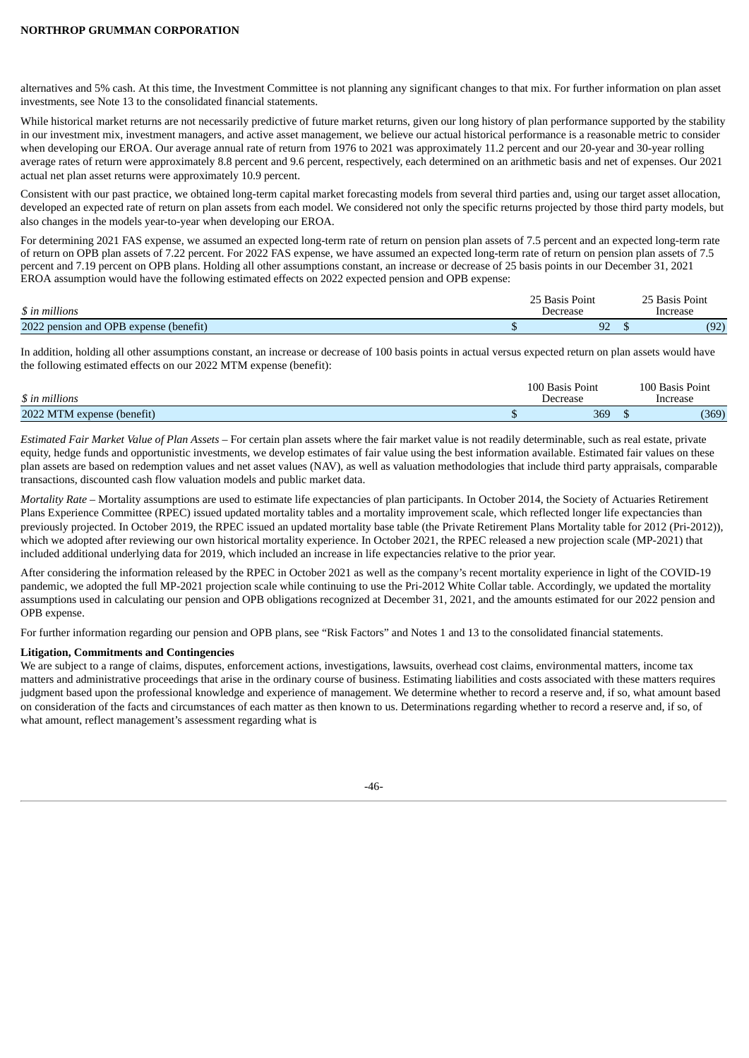alternatives and 5% cash. At this time, the Investment Committee is not planning any significant changes to that mix. For further information on plan asset investments, see Note 13 to the consolidated financial statements.

While historical market returns are not necessarily predictive of future market returns, given our long history of plan performance supported by the stability in our investment mix, investment managers, and active asset management, we believe our actual historical performance is a reasonable metric to consider when developing our EROA. Our average annual rate of return from 1976 to 2021 was approximately 11.2 percent and our 20-year and 30-year rolling average rates of return were approximately 8.8 percent and 9.6 percent, respectively, each determined on an arithmetic basis and net of expenses. Our 2021 actual net plan asset returns were approximately 10.9 percent.

Consistent with our past practice, we obtained long-term capital market forecasting models from several third parties and, using our target asset allocation, developed an expected rate of return on plan assets from each model. We considered not only the specific returns projected by those third party models, but also changes in the models year-to-year when developing our EROA.

For determining 2021 FAS expense, we assumed an expected long-term rate of return on pension plan assets of 7.5 percent and an expected long-term rate of return on OPB plan assets of 7.22 percent. For 2022 FAS expense, we have assumed an expected long-term rate of return on pension plan assets of 7.5 percent and 7.19 percent on OPB plans. Holding all other assumptions constant, an increase or decrease of 25 basis points in our December 31, 2021 EROA assumption would have the following estimated effects on 2022 expected pension and OPB expense:

| \$ in millions                         | <sup>25</sup> Basis Point<br>Decrease | 25<br>Point<br><b>Basis</b><br>Increase |
|----------------------------------------|---------------------------------------|-----------------------------------------|
| 2022 pension and OPB expense (benefit) | רם<br>ےر                              | (92)                                    |

In addition, holding all other assumptions constant, an increase or decrease of 100 basis points in actual versus expected return on plan assets would have the following estimated effects on our 2022 MTM expense (benefit):

| \$ in millions             | 100 Basis Point<br><b>Decrease</b> | 100<br><b>Basis Point</b><br>Increase |
|----------------------------|------------------------------------|---------------------------------------|
| 2022 MTM expense (benefit) | 369                                | (369)                                 |

*Estimated Fair Market Value of Plan Assets* – For certain plan assets where the fair market value is not readily determinable, such as real estate, private equity, hedge funds and opportunistic investments, we develop estimates of fair value using the best information available. Estimated fair values on these plan assets are based on redemption values and net asset values (NAV), as well as valuation methodologies that include third party appraisals, comparable transactions, discounted cash flow valuation models and public market data.

*Mortality Rate* – Mortality assumptions are used to estimate life expectancies of plan participants. In October 2014, the Society of Actuaries Retirement Plans Experience Committee (RPEC) issued updated mortality tables and a mortality improvement scale, which reflected longer life expectancies than previously projected. In October 2019, the RPEC issued an updated mortality base table (the Private Retirement Plans Mortality table for 2012 (Pri-2012)), which we adopted after reviewing our own historical mortality experience. In October 2021, the RPEC released a new projection scale (MP-2021) that included additional underlying data for 2019, which included an increase in life expectancies relative to the prior year.

After considering the information released by the RPEC in October 2021 as well as the company's recent mortality experience in light of the COVID-19 pandemic, we adopted the full MP-2021 projection scale while continuing to use the Pri-2012 White Collar table. Accordingly, we updated the mortality assumptions used in calculating our pension and OPB obligations recognized at December 31, 2021, and the amounts estimated for our 2022 pension and OPB expense.

For further information regarding our pension and OPB plans, see "Risk Factors" and Notes 1 and 13 to the consolidated financial statements.

#### **Litigation, Commitments and Contingencies**

We are subject to a range of claims, disputes, enforcement actions, investigations, lawsuits, overhead cost claims, environmental matters, income tax matters and administrative proceedings that arise in the ordinary course of business. Estimating liabilities and costs associated with these matters requires judgment based upon the professional knowledge and experience of management. We determine whether to record a reserve and, if so, what amount based on consideration of the facts and circumstances of each matter as then known to us. Determinations regarding whether to record a reserve and, if so, of what amount, reflect management's assessment regarding what is

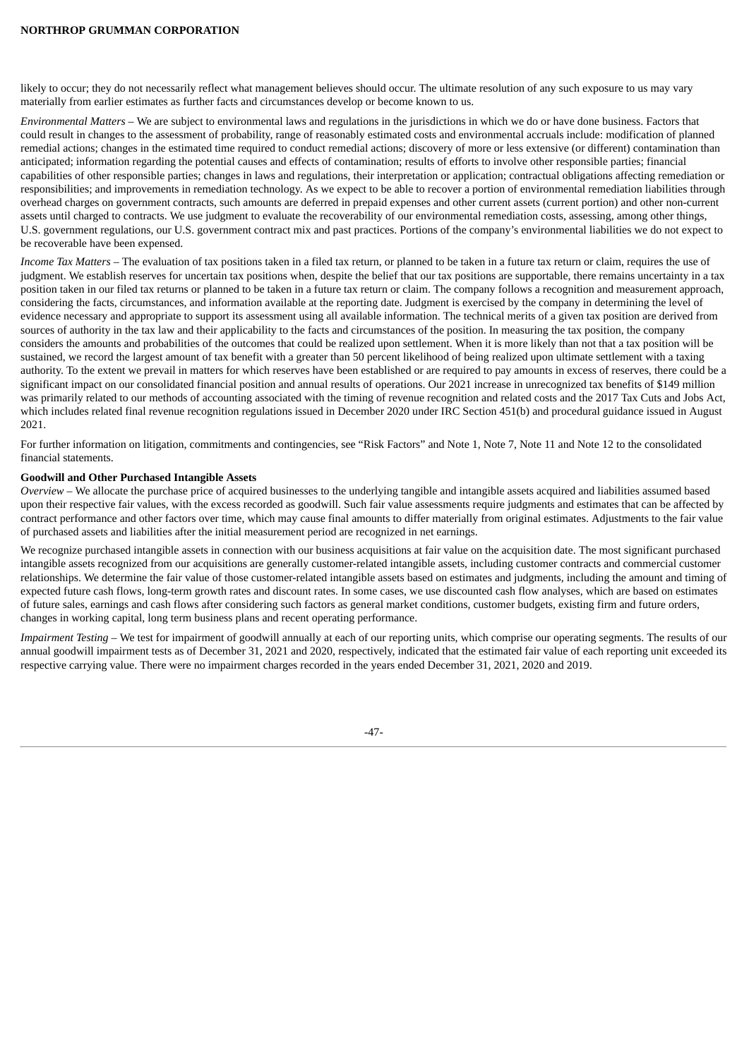likely to occur; they do not necessarily reflect what management believes should occur. The ultimate resolution of any such exposure to us may vary materially from earlier estimates as further facts and circumstances develop or become known to us.

*Environmental Matters* – We are subject to environmental laws and regulations in the jurisdictions in which we do or have done business. Factors that could result in changes to the assessment of probability, range of reasonably estimated costs and environmental accruals include: modification of planned remedial actions; changes in the estimated time required to conduct remedial actions; discovery of more or less extensive (or different) contamination than anticipated; information regarding the potential causes and effects of contamination; results of efforts to involve other responsible parties; financial capabilities of other responsible parties; changes in laws and regulations, their interpretation or application; contractual obligations affecting remediation or responsibilities; and improvements in remediation technology. As we expect to be able to recover a portion of environmental remediation liabilities through overhead charges on government contracts, such amounts are deferred in prepaid expenses and other current assets (current portion) and other non-current assets until charged to contracts. We use judgment to evaluate the recoverability of our environmental remediation costs, assessing, among other things, U.S. government regulations, our U.S. government contract mix and past practices. Portions of the company's environmental liabilities we do not expect to be recoverable have been expensed.

*Income Tax Matters* – The evaluation of tax positions taken in a filed tax return, or planned to be taken in a future tax return or claim, requires the use of judgment. We establish reserves for uncertain tax positions when, despite the belief that our tax positions are supportable, there remains uncertainty in a tax position taken in our filed tax returns or planned to be taken in a future tax return or claim. The company follows a recognition and measurement approach, considering the facts, circumstances, and information available at the reporting date. Judgment is exercised by the company in determining the level of evidence necessary and appropriate to support its assessment using all available information. The technical merits of a given tax position are derived from sources of authority in the tax law and their applicability to the facts and circumstances of the position. In measuring the tax position, the company considers the amounts and probabilities of the outcomes that could be realized upon settlement. When it is more likely than not that a tax position will be sustained, we record the largest amount of tax benefit with a greater than 50 percent likelihood of being realized upon ultimate settlement with a taxing authority. To the extent we prevail in matters for which reserves have been established or are required to pay amounts in excess of reserves, there could be a significant impact on our consolidated financial position and annual results of operations. Our 2021 increase in unrecognized tax benefits of \$149 million was primarily related to our methods of accounting associated with the timing of revenue recognition and related costs and the 2017 Tax Cuts and Jobs Act, which includes related final revenue recognition regulations issued in December 2020 under IRC Section 451(b) and procedural guidance issued in August 2021.

For further information on litigation, commitments and contingencies, see "Risk Factors" and Note 1, Note 7, Note 11 and Note 12 to the consolidated financial statements.

#### **Goodwill and Other Purchased Intangible Assets**

*Overview* – We allocate the purchase price of acquired businesses to the underlying tangible and intangible assets acquired and liabilities assumed based upon their respective fair values, with the excess recorded as goodwill. Such fair value assessments require judgments and estimates that can be affected by contract performance and other factors over time, which may cause final amounts to differ materially from original estimates. Adjustments to the fair value of purchased assets and liabilities after the initial measurement period are recognized in net earnings.

We recognize purchased intangible assets in connection with our business acquisitions at fair value on the acquisition date. The most significant purchased intangible assets recognized from our acquisitions are generally customer-related intangible assets, including customer contracts and commercial customer relationships. We determine the fair value of those customer-related intangible assets based on estimates and judgments, including the amount and timing of expected future cash flows, long-term growth rates and discount rates. In some cases, we use discounted cash flow analyses, which are based on estimates of future sales, earnings and cash flows after considering such factors as general market conditions, customer budgets, existing firm and future orders, changes in working capital, long term business plans and recent operating performance.

*Impairment Testing* – We test for impairment of goodwill annually at each of our reporting units, which comprise our operating segments. The results of our annual goodwill impairment tests as of December 31, 2021 and 2020, respectively, indicated that the estimated fair value of each reporting unit exceeded its respective carrying value. There were no impairment charges recorded in the years ended December 31, 2021, 2020 and 2019.

-47-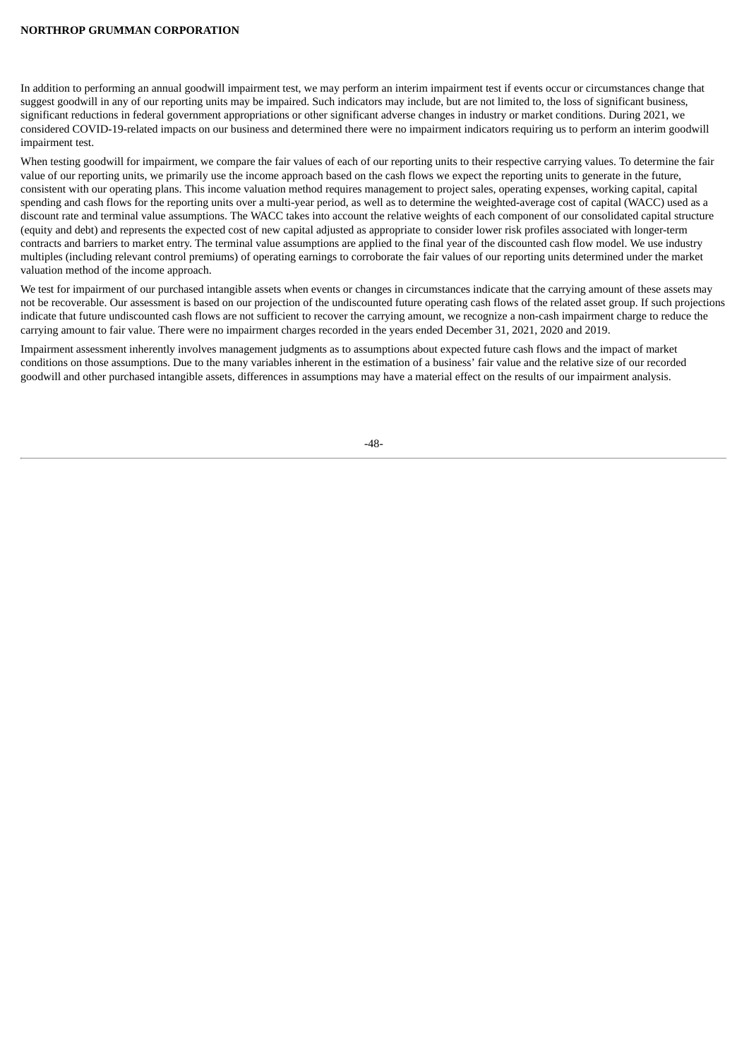#### **NORTHROP GRUMMAN CORPORATION**

In addition to performing an annual goodwill impairment test, we may perform an interim impairment test if events occur or circumstances change that suggest goodwill in any of our reporting units may be impaired. Such indicators may include, but are not limited to, the loss of significant business, significant reductions in federal government appropriations or other significant adverse changes in industry or market conditions. During 2021, we considered COVID-19-related impacts on our business and determined there were no impairment indicators requiring us to perform an interim goodwill impairment test.

When testing goodwill for impairment, we compare the fair values of each of our reporting units to their respective carrying values. To determine the fair value of our reporting units, we primarily use the income approach based on the cash flows we expect the reporting units to generate in the future, consistent with our operating plans. This income valuation method requires management to project sales, operating expenses, working capital, capital spending and cash flows for the reporting units over a multi-year period, as well as to determine the weighted-average cost of capital (WACC) used as a discount rate and terminal value assumptions. The WACC takes into account the relative weights of each component of our consolidated capital structure (equity and debt) and represents the expected cost of new capital adjusted as appropriate to consider lower risk profiles associated with longer-term contracts and barriers to market entry. The terminal value assumptions are applied to the final year of the discounted cash flow model. We use industry multiples (including relevant control premiums) of operating earnings to corroborate the fair values of our reporting units determined under the market valuation method of the income approach.

We test for impairment of our purchased intangible assets when events or changes in circumstances indicate that the carrying amount of these assets may not be recoverable. Our assessment is based on our projection of the undiscounted future operating cash flows of the related asset group. If such projections indicate that future undiscounted cash flows are not sufficient to recover the carrying amount, we recognize a non-cash impairment charge to reduce the carrying amount to fair value. There were no impairment charges recorded in the years ended December 31, 2021, 2020 and 2019.

Impairment assessment inherently involves management judgments as to assumptions about expected future cash flows and the impact of market conditions on those assumptions. Due to the many variables inherent in the estimation of a business' fair value and the relative size of our recorded goodwill and other purchased intangible assets, differences in assumptions may have a material effect on the results of our impairment analysis.

-48-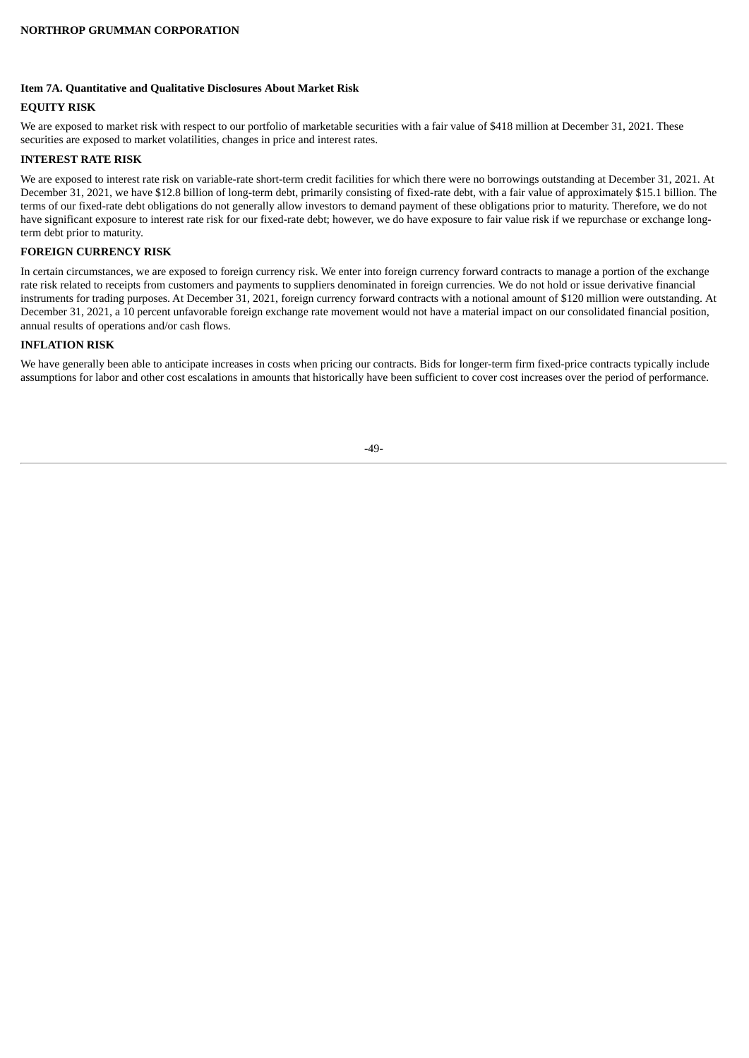#### **Item 7A. Quantitative and Qualitative Disclosures About Market Risk**

# **EQUITY RISK**

We are exposed to market risk with respect to our portfolio of marketable securities with a fair value of \$418 million at December 31, 2021. These securities are exposed to market volatilities, changes in price and interest rates.

# **INTEREST RATE RISK**

We are exposed to interest rate risk on variable-rate short-term credit facilities for which there were no borrowings outstanding at December 31, 2021. At December 31, 2021, we have \$12.8 billion of long-term debt, primarily consisting of fixed-rate debt, with a fair value of approximately \$15.1 billion. The terms of our fixed-rate debt obligations do not generally allow investors to demand payment of these obligations prior to maturity. Therefore, we do not have significant exposure to interest rate risk for our fixed-rate debt; however, we do have exposure to fair value risk if we repurchase or exchange longterm debt prior to maturity.

# **FOREIGN CURRENCY RISK**

In certain circumstances, we are exposed to foreign currency risk. We enter into foreign currency forward contracts to manage a portion of the exchange rate risk related to receipts from customers and payments to suppliers denominated in foreign currencies. We do not hold or issue derivative financial instruments for trading purposes. At December 31, 2021, foreign currency forward contracts with a notional amount of \$120 million were outstanding. At December 31, 2021, a 10 percent unfavorable foreign exchange rate movement would not have a material impact on our consolidated financial position, annual results of operations and/or cash flows.

#### **INFLATION RISK**

We have generally been able to anticipate increases in costs when pricing our contracts. Bids for longer-term firm fixed-price contracts typically include assumptions for labor and other cost escalations in amounts that historically have been sufficient to cover cost increases over the period of performance.

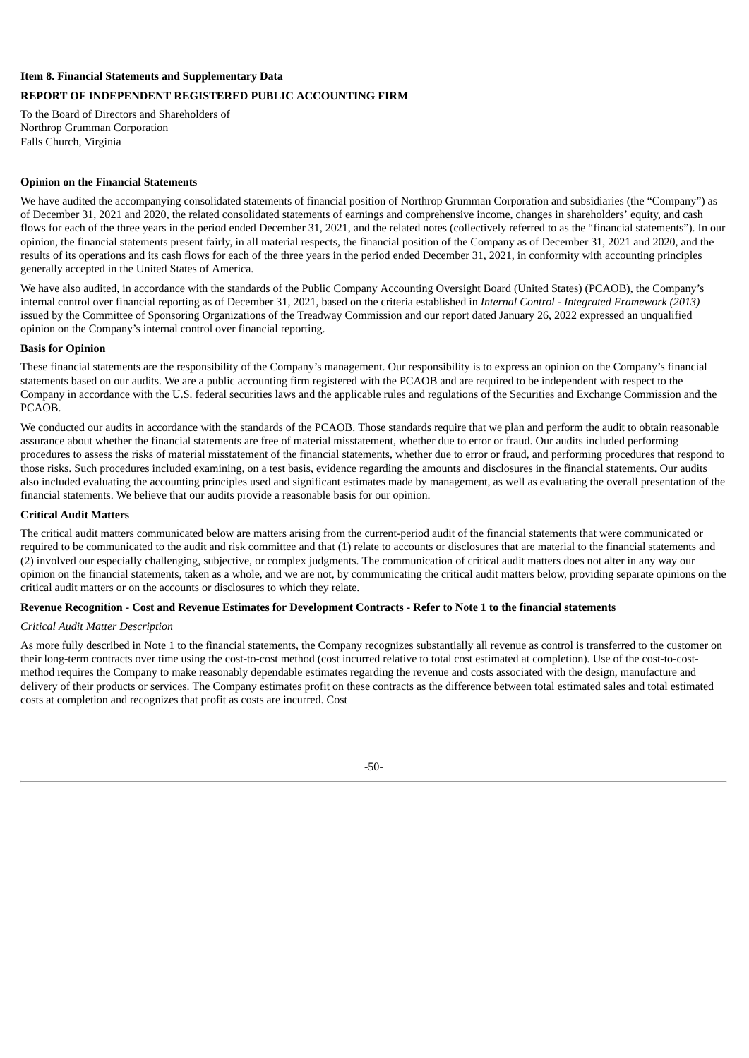#### **Item 8. Financial Statements and Supplementary Data**

## **REPORT OF INDEPENDENT REGISTERED PUBLIC ACCOUNTING FIRM**

To the Board of Directors and Shareholders of Northrop Grumman Corporation Falls Church, Virginia

#### **Opinion on the Financial Statements**

We have audited the accompanying consolidated statements of financial position of Northrop Grumman Corporation and subsidiaries (the "Company") as of December 31, 2021 and 2020, the related consolidated statements of earnings and comprehensive income, changes in shareholders' equity, and cash flows for each of the three years in the period ended December 31, 2021, and the related notes (collectively referred to as the "financial statements"). In our opinion, the financial statements present fairly, in all material respects, the financial position of the Company as of December 31, 2021 and 2020, and the results of its operations and its cash flows for each of the three years in the period ended December 31, 2021, in conformity with accounting principles generally accepted in the United States of America.

We have also audited, in accordance with the standards of the Public Company Accounting Oversight Board (United States) (PCAOB), the Company's internal control over financial reporting as of December 31, 2021, based on the criteria established in *Internal Control - Integrated Framework (2013)* issued by the Committee of Sponsoring Organizations of the Treadway Commission and our report dated January 26, 2022 expressed an unqualified opinion on the Company's internal control over financial reporting.

#### **Basis for Opinion**

These financial statements are the responsibility of the Company's management. Our responsibility is to express an opinion on the Company's financial statements based on our audits. We are a public accounting firm registered with the PCAOB and are required to be independent with respect to the Company in accordance with the U.S. federal securities laws and the applicable rules and regulations of the Securities and Exchange Commission and the PCAOB.

We conducted our audits in accordance with the standards of the PCAOB. Those standards require that we plan and perform the audit to obtain reasonable assurance about whether the financial statements are free of material misstatement, whether due to error or fraud. Our audits included performing procedures to assess the risks of material misstatement of the financial statements, whether due to error or fraud, and performing procedures that respond to those risks. Such procedures included examining, on a test basis, evidence regarding the amounts and disclosures in the financial statements. Our audits also included evaluating the accounting principles used and significant estimates made by management, as well as evaluating the overall presentation of the financial statements. We believe that our audits provide a reasonable basis for our opinion.

#### **Critical Audit Matters**

The critical audit matters communicated below are matters arising from the current-period audit of the financial statements that were communicated or required to be communicated to the audit and risk committee and that (1) relate to accounts or disclosures that are material to the financial statements and (2) involved our especially challenging, subjective, or complex judgments. The communication of critical audit matters does not alter in any way our opinion on the financial statements, taken as a whole, and we are not, by communicating the critical audit matters below, providing separate opinions on the critical audit matters or on the accounts or disclosures to which they relate.

#### Revenue Recognition - Cost and Revenue Estimates for Development Contracts - Refer to Note 1 to the financial statements

#### *Critical Audit Matter Description*

As more fully described in Note 1 to the financial statements, the Company recognizes substantially all revenue as control is transferred to the customer on their long-term contracts over time using the cost-to-cost method (cost incurred relative to total cost estimated at completion). Use of the cost-to-costmethod requires the Company to make reasonably dependable estimates regarding the revenue and costs associated with the design, manufacture and delivery of their products or services. The Company estimates profit on these contracts as the difference between total estimated sales and total estimated costs at completion and recognizes that profit as costs are incurred. Cost

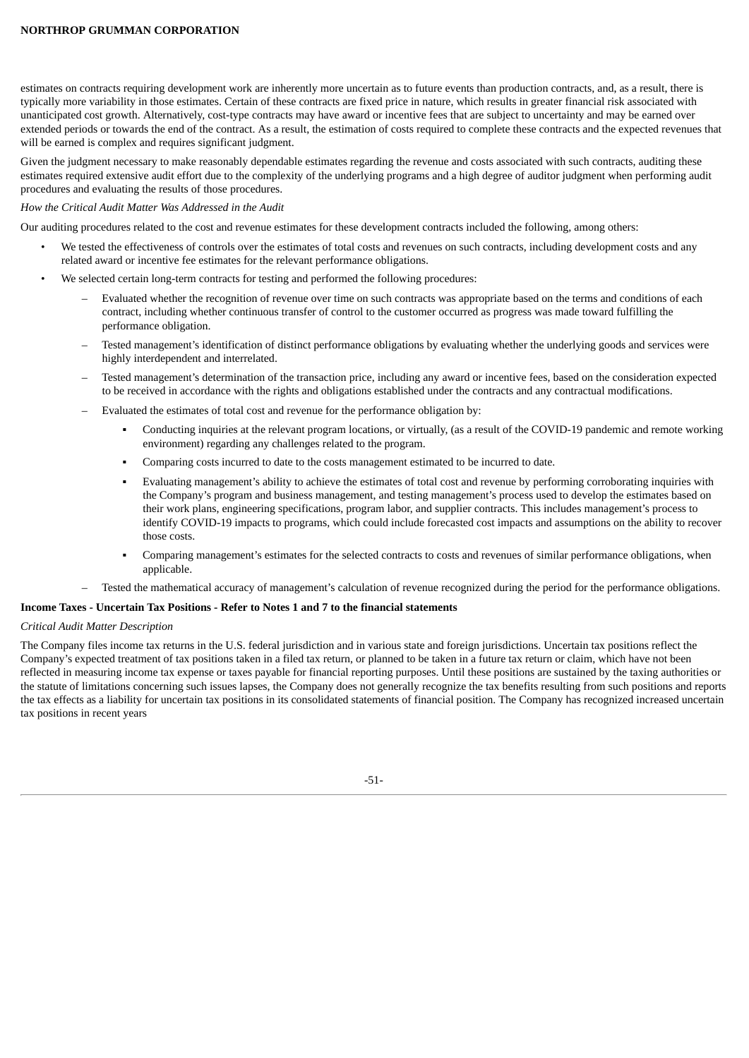#### **NORTHROP GRUMMAN CORPORATION**

estimates on contracts requiring development work are inherently more uncertain as to future events than production contracts, and, as a result, there is typically more variability in those estimates. Certain of these contracts are fixed price in nature, which results in greater financial risk associated with unanticipated cost growth. Alternatively, cost-type contracts may have award or incentive fees that are subject to uncertainty and may be earned over extended periods or towards the end of the contract. As a result, the estimation of costs required to complete these contracts and the expected revenues that will be earned is complex and requires significant judgment.

Given the judgment necessary to make reasonably dependable estimates regarding the revenue and costs associated with such contracts, auditing these estimates required extensive audit effort due to the complexity of the underlying programs and a high degree of auditor judgment when performing audit procedures and evaluating the results of those procedures.

#### *How the Critical Audit Matter Was Addressed in the Audit*

Our auditing procedures related to the cost and revenue estimates for these development contracts included the following, among others:

- We tested the effectiveness of controls over the estimates of total costs and revenues on such contracts, including development costs and any related award or incentive fee estimates for the relevant performance obligations.
- We selected certain long-term contracts for testing and performed the following procedures:
	- Evaluated whether the recognition of revenue over time on such contracts was appropriate based on the terms and conditions of each contract, including whether continuous transfer of control to the customer occurred as progress was made toward fulfilling the performance obligation.
	- Tested management's identification of distinct performance obligations by evaluating whether the underlying goods and services were highly interdependent and interrelated.
	- Tested management's determination of the transaction price, including any award or incentive fees, based on the consideration expected to be received in accordance with the rights and obligations established under the contracts and any contractual modifications.
	- Evaluated the estimates of total cost and revenue for the performance obligation by:
		- Conducting inquiries at the relevant program locations, or virtually, (as a result of the COVID-19 pandemic and remote working environment) regarding any challenges related to the program.
		- Comparing costs incurred to date to the costs management estimated to be incurred to date.
		- Evaluating management's ability to achieve the estimates of total cost and revenue by performing corroborating inquiries with the Company's program and business management, and testing management's process used to develop the estimates based on their work plans, engineering specifications, program labor, and supplier contracts. This includes management's process to identify COVID-19 impacts to programs, which could include forecasted cost impacts and assumptions on the ability to recover those costs.
		- Comparing management's estimates for the selected contracts to costs and revenues of similar performance obligations, when applicable.
	- Tested the mathematical accuracy of management's calculation of revenue recognized during the period for the performance obligations.

# **Income Taxes - Uncertain Tax Positions - Refer to Notes 1 and 7 to the financial statements**

#### *Critical Audit Matter Description*

The Company files income tax returns in the U.S. federal jurisdiction and in various state and foreign jurisdictions. Uncertain tax positions reflect the Company's expected treatment of tax positions taken in a filed tax return, or planned to be taken in a future tax return or claim, which have not been reflected in measuring income tax expense or taxes payable for financial reporting purposes. Until these positions are sustained by the taxing authorities or the statute of limitations concerning such issues lapses, the Company does not generally recognize the tax benefits resulting from such positions and reports the tax effects as a liability for uncertain tax positions in its consolidated statements of financial position. The Company has recognized increased uncertain tax positions in recent years

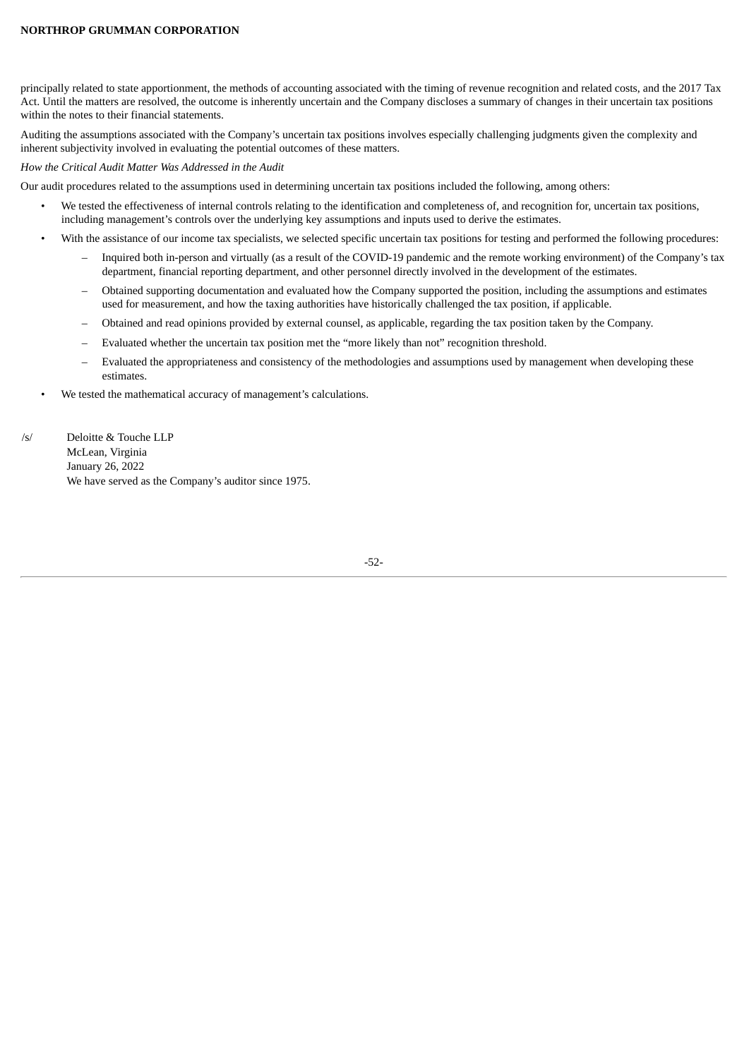#### **NORTHROP GRUMMAN CORPORATION**

principally related to state apportionment, the methods of accounting associated with the timing of revenue recognition and related costs, and the 2017 Tax Act. Until the matters are resolved, the outcome is inherently uncertain and the Company discloses a summary of changes in their uncertain tax positions within the notes to their financial statements.

Auditing the assumptions associated with the Company's uncertain tax positions involves especially challenging judgments given the complexity and inherent subjectivity involved in evaluating the potential outcomes of these matters.

*How the Critical Audit Matter Was Addressed in the Audit*

Our audit procedures related to the assumptions used in determining uncertain tax positions included the following, among others:

- We tested the effectiveness of internal controls relating to the identification and completeness of, and recognition for, uncertain tax positions, including management's controls over the underlying key assumptions and inputs used to derive the estimates.
- With the assistance of our income tax specialists, we selected specific uncertain tax positions for testing and performed the following procedures:
	- Inquired both in-person and virtually (as a result of the COVID-19 pandemic and the remote working environment) of the Company's tax department, financial reporting department, and other personnel directly involved in the development of the estimates.
	- Obtained supporting documentation and evaluated how the Company supported the position, including the assumptions and estimates used for measurement, and how the taxing authorities have historically challenged the tax position, if applicable.
	- Obtained and read opinions provided by external counsel, as applicable, regarding the tax position taken by the Company.
	- Evaluated whether the uncertain tax position met the "more likely than not" recognition threshold.
	- Evaluated the appropriateness and consistency of the methodologies and assumptions used by management when developing these estimates.
- We tested the mathematical accuracy of management's calculations.
- /s/ Deloitte & Touche LLP McLean, Virginia January 26, 2022 We have served as the Company's auditor since 1975.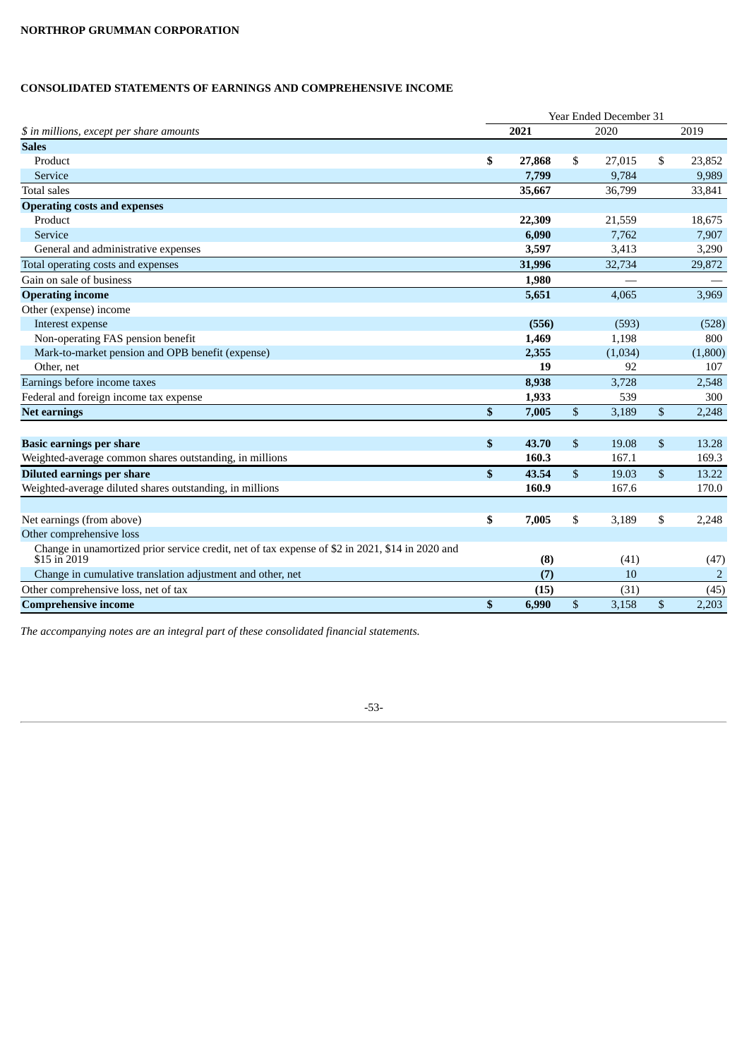# **CONSOLIDATED STATEMENTS OF EARNINGS AND COMPREHENSIVE INCOME**

|                                                                                                                           | Year Ended December 31 |        |                |         |                           |                |  |
|---------------------------------------------------------------------------------------------------------------------------|------------------------|--------|----------------|---------|---------------------------|----------------|--|
| \$ in millions, except per share amounts                                                                                  |                        | 2021   |                | 2020    |                           | 2019           |  |
| <b>Sales</b>                                                                                                              |                        |        |                |         |                           |                |  |
| Product                                                                                                                   | \$                     | 27,868 | \$             | 27,015  | \$                        | 23,852         |  |
| <b>Service</b>                                                                                                            |                        | 7,799  |                | 9,784   |                           | 9,989          |  |
| <b>Total sales</b>                                                                                                        |                        | 35,667 |                | 36,799  |                           | 33,841         |  |
| <b>Operating costs and expenses</b>                                                                                       |                        |        |                |         |                           |                |  |
| Product                                                                                                                   |                        | 22,309 |                | 21,559  |                           | 18,675         |  |
| Service                                                                                                                   |                        | 6,090  |                | 7,762   |                           | 7,907          |  |
| General and administrative expenses                                                                                       |                        | 3,597  |                | 3,413   |                           | 3,290          |  |
| Total operating costs and expenses                                                                                        |                        | 31,996 |                | 32,734  |                           | 29,872         |  |
| Gain on sale of business                                                                                                  |                        | 1,980  |                |         |                           |                |  |
| <b>Operating income</b>                                                                                                   |                        | 5,651  |                | 4.065   |                           | 3,969          |  |
| Other (expense) income                                                                                                    |                        |        |                |         |                           |                |  |
| Interest expense                                                                                                          |                        | (556)  |                | (593)   |                           | (528)          |  |
| Non-operating FAS pension benefit                                                                                         |                        | 1,469  |                | 1,198   |                           | 800            |  |
| Mark-to-market pension and OPB benefit (expense)                                                                          |                        | 2,355  |                | (1,034) |                           | (1,800)        |  |
| Other, net                                                                                                                |                        | 19     |                | 92      |                           | 107            |  |
| Earnings before income taxes                                                                                              |                        | 8,938  |                | 3,728   |                           | 2,548          |  |
| Federal and foreign income tax expense                                                                                    |                        | 1,933  |                | 539     |                           | 300            |  |
| <b>Net earnings</b>                                                                                                       | \$                     | 7,005  | \$             | 3,189   | $\boldsymbol{\mathsf{S}}$ | 2,248          |  |
| <b>Basic earnings per share</b>                                                                                           | \$                     | 43.70  | \$             | 19.08   | $\mathbb{S}$              | 13.28          |  |
| Weighted-average common shares outstanding, in millions                                                                   |                        | 160.3  |                | 167.1   |                           | 169.3          |  |
| <b>Diluted earnings per share</b>                                                                                         | $\mathbf{s}$           | 43.54  | $\mathfrak{S}$ | 19.03   | $\mathbb{S}$              | 13.22          |  |
| Weighted-average diluted shares outstanding, in millions                                                                  |                        | 160.9  |                | 167.6   |                           | 170.0          |  |
|                                                                                                                           |                        |        |                |         |                           |                |  |
| Net earnings (from above)                                                                                                 | \$                     | 7,005  | \$             | 3,189   | \$                        | 2,248          |  |
| Other comprehensive loss                                                                                                  |                        |        |                |         |                           |                |  |
| Change in unamortized prior service credit, net of tax expense of \$2 in 2021, \$14 in 2020 and<br>$$15 \text{ in } 2019$ |                        | (8)    |                | (41)    |                           | (47)           |  |
| Change in cumulative translation adjustment and other, net                                                                |                        | (7)    |                | 10      |                           | $\overline{2}$ |  |
| Other comprehensive loss, net of tax                                                                                      |                        | (15)   |                | (31)    |                           | (45)           |  |
| <b>Comprehensive income</b>                                                                                               | \$                     | 6,990  | \$             | 3,158   | $\boldsymbol{\mathsf{S}}$ | 2,203          |  |

*The accompanying notes are an integral part of these consolidated financial statements.*

-53-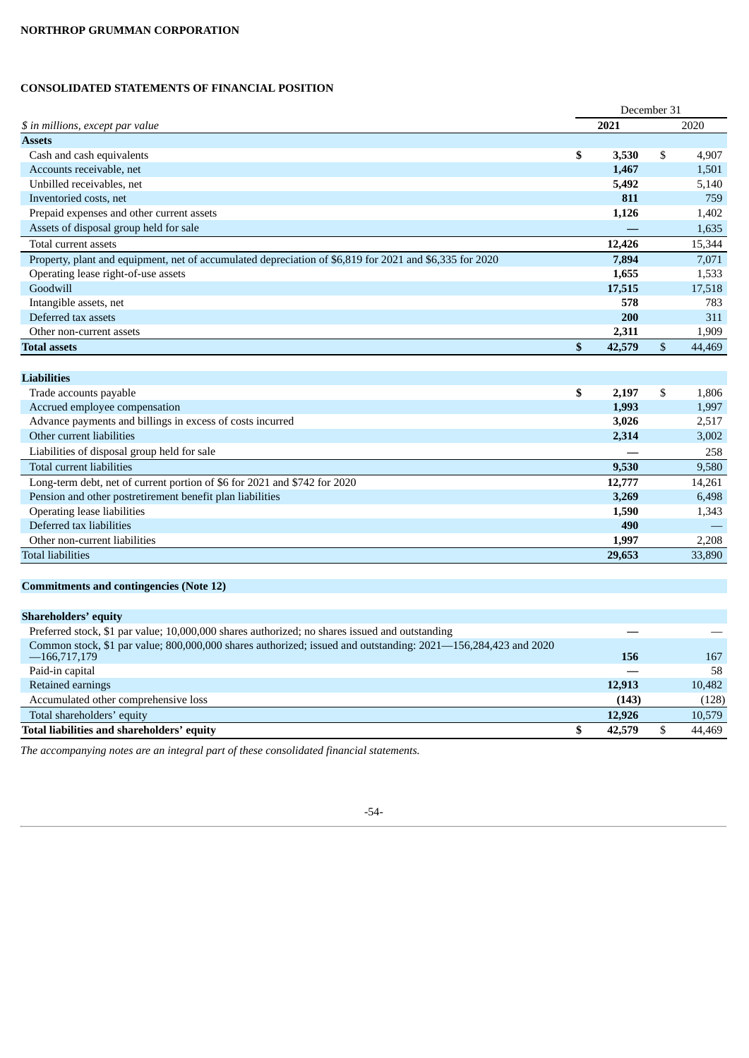# **CONSOLIDATED STATEMENTS OF FINANCIAL POSITION**

|                                                                                                         |              | December 31 |        |
|---------------------------------------------------------------------------------------------------------|--------------|-------------|--------|
| \$ in millions, except par value                                                                        | 2021         |             | 2020   |
| <b>Assets</b>                                                                                           |              |             |        |
| Cash and cash equivalents                                                                               | \$<br>3,530  | \$          | 4,907  |
| Accounts receivable, net                                                                                | 1,467        |             | 1,501  |
| Unbilled receivables, net                                                                               | 5,492        |             | 5,140  |
| Inventoried costs, net                                                                                  | 811          |             | 759    |
| Prepaid expenses and other current assets                                                               | 1,126        |             | 1,402  |
| Assets of disposal group held for sale                                                                  |              |             | 1,635  |
| Total current assets                                                                                    | 12,426       |             | 15,344 |
| Property, plant and equipment, net of accumulated depreciation of \$6,819 for 2021 and \$6,335 for 2020 | 7,894        |             | 7,071  |
| Operating lease right-of-use assets                                                                     | 1,655        |             | 1,533  |
| Goodwill                                                                                                | 17,515       |             | 17,518 |
| Intangible assets, net                                                                                  | 578          |             | 783    |
| Deferred tax assets                                                                                     | <b>200</b>   |             | 311    |
| Other non-current assets                                                                                | 2,311        |             | 1,909  |
| <b>Total assets</b>                                                                                     | \$<br>42,579 | \$          | 44,469 |

| <b>Liabilities</b>                                                        |             |             |
|---------------------------------------------------------------------------|-------------|-------------|
| Trade accounts payable                                                    | \$<br>2.197 | \$<br>1,806 |
| Accrued employee compensation                                             | 1.993       | 1,997       |
| Advance payments and billings in excess of costs incurred                 | 3,026       | 2,517       |
| Other current liabilities                                                 | 2,314       | 3,002       |
| Liabilities of disposal group held for sale                               |             | 258         |
| Total current liabilities                                                 | 9,530       | 9,580       |
| Long-term debt, net of current portion of \$6 for 2021 and \$742 for 2020 | 12,777      | 14,261      |
| Pension and other postretirement benefit plan liabilities                 | 3,269       | 6,498       |
| Operating lease liabilities                                               | 1,590       | 1,343       |
| Deferred tax liabilities                                                  | 490         |             |
| Other non-current liabilities                                             | 1,997       | 2,208       |
| <b>Total liabilities</b>                                                  | 29,653      | 33,890      |
|                                                                           |             |             |

# **Commitments and contingencies (Note 12)**

| 167    |
|--------|
| 58     |
| 10,482 |
| (128)  |
| 10,579 |
| 44,469 |
|        |

*The accompanying notes are an integral part of these consolidated financial statements.*

-54-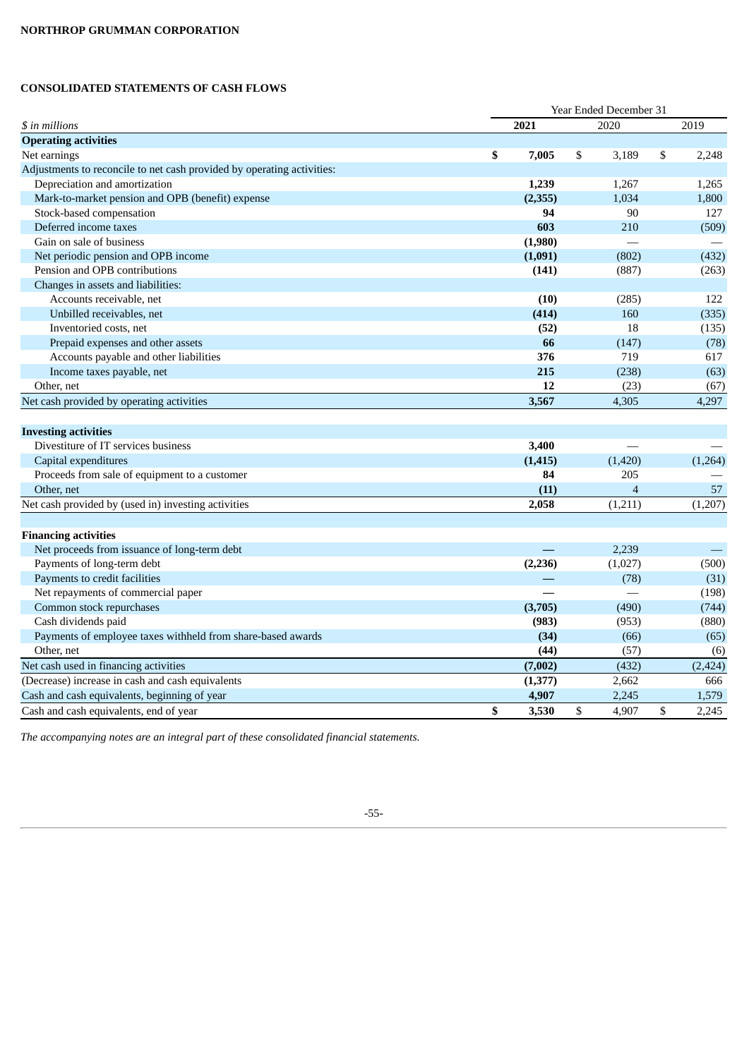# **CONSOLIDATED STATEMENTS OF CASH FLOWS**

|                                                                                                                                                           | Year Ended December 31 |                                 |      |                                  |    |               |  |
|-----------------------------------------------------------------------------------------------------------------------------------------------------------|------------------------|---------------------------------|------|----------------------------------|----|---------------|--|
| \$ in millions                                                                                                                                            |                        | 2021                            | 2020 |                                  |    | 2019          |  |
| <b>Operating activities</b>                                                                                                                               |                        |                                 |      |                                  |    |               |  |
| Net earnings                                                                                                                                              | \$                     | 7,005                           | \$   | 3,189                            | \$ | 2,248         |  |
| Adjustments to reconcile to net cash provided by operating activities:                                                                                    |                        |                                 |      |                                  |    |               |  |
| Depreciation and amortization                                                                                                                             |                        | 1,239                           |      | 1,267                            |    | 1,265         |  |
| Mark-to-market pension and OPB (benefit) expense                                                                                                          |                        | (2, 355)                        |      | 1,034                            |    | 1,800         |  |
| Stock-based compensation                                                                                                                                  |                        | 94                              |      | 90                               |    | 127           |  |
| Deferred income taxes                                                                                                                                     |                        | 603                             |      | 210                              |    | (509)         |  |
| Gain on sale of business                                                                                                                                  |                        | (1,980)                         |      |                                  |    |               |  |
| Net periodic pension and OPB income                                                                                                                       |                        | (1,091)                         |      | (802)                            |    | (432)         |  |
| Pension and OPB contributions                                                                                                                             |                        | (141)                           |      | (887)                            |    | (263)         |  |
| Changes in assets and liabilities:                                                                                                                        |                        |                                 |      |                                  |    |               |  |
| Accounts receivable, net                                                                                                                                  |                        | (10)                            |      | (285)                            |    | 122           |  |
| Unbilled receivables, net                                                                                                                                 |                        | (414)                           |      | 160                              |    | (335)         |  |
| Inventoried costs, net                                                                                                                                    |                        | (52)                            |      | 18                               |    | (135)         |  |
| Prepaid expenses and other assets                                                                                                                         |                        | 66                              |      | (147)                            |    | (78)          |  |
| Accounts payable and other liabilities                                                                                                                    |                        | 376                             |      | 719                              |    | 617           |  |
| Income taxes payable, net                                                                                                                                 |                        | 215                             |      | (238)                            |    | (63)          |  |
| Other, net                                                                                                                                                |                        | 12                              |      | (23)                             |    | (67)          |  |
| Net cash provided by operating activities                                                                                                                 |                        | 3,567                           |      | 4,305                            |    | 4,297         |  |
| <b>Investing activities</b><br>Divestiture of IT services business<br>Capital expenditures<br>Proceeds from sale of equipment to a customer<br>Other, net |                        | 3,400<br>(1, 415)<br>84<br>(11) |      | (1,420)<br>205<br>$\overline{4}$ |    | (1,264)<br>57 |  |
| Net cash provided by (used in) investing activities                                                                                                       |                        | 2,058                           |      | (1,211)                          |    | (1,207)       |  |
|                                                                                                                                                           |                        |                                 |      |                                  |    |               |  |
| <b>Financing activities</b>                                                                                                                               |                        |                                 |      |                                  |    |               |  |
| Net proceeds from issuance of long-term debt                                                                                                              |                        |                                 |      | 2.239                            |    |               |  |
| Payments of long-term debt                                                                                                                                |                        | (2, 236)                        |      | (1,027)                          |    | (500)         |  |
| Payments to credit facilities                                                                                                                             |                        |                                 |      | (78)                             |    | (31)          |  |
| Net repayments of commercial paper                                                                                                                        |                        |                                 |      |                                  |    | (198)         |  |
| Common stock repurchases                                                                                                                                  |                        | (3,705)                         |      | (490)                            |    | (744)         |  |
| Cash dividends paid                                                                                                                                       |                        | (983)                           |      | (953)                            |    | (880)         |  |
| Payments of employee taxes withheld from share-based awards                                                                                               |                        | (34)                            |      | (66)                             |    | (65)          |  |
| Other, net                                                                                                                                                |                        | (44)                            |      | (57)                             |    | (6)           |  |
| Net cash used in financing activities                                                                                                                     |                        | (7,002)                         |      | (432)                            |    | (2, 424)      |  |
| (Decrease) increase in cash and cash equivalents                                                                                                          |                        | (1, 377)                        |      | 2,662                            |    | 666           |  |
| Cash and cash equivalents, beginning of year                                                                                                              |                        | 4,907                           |      | 2,245                            |    | 1,579         |  |
| Cash and cash equivalents, end of year                                                                                                                    | \$                     | 3,530                           | \$   | 4.907                            | \$ | 2.245         |  |

*The accompanying notes are an integral part of these consolidated financial statements.*

-55-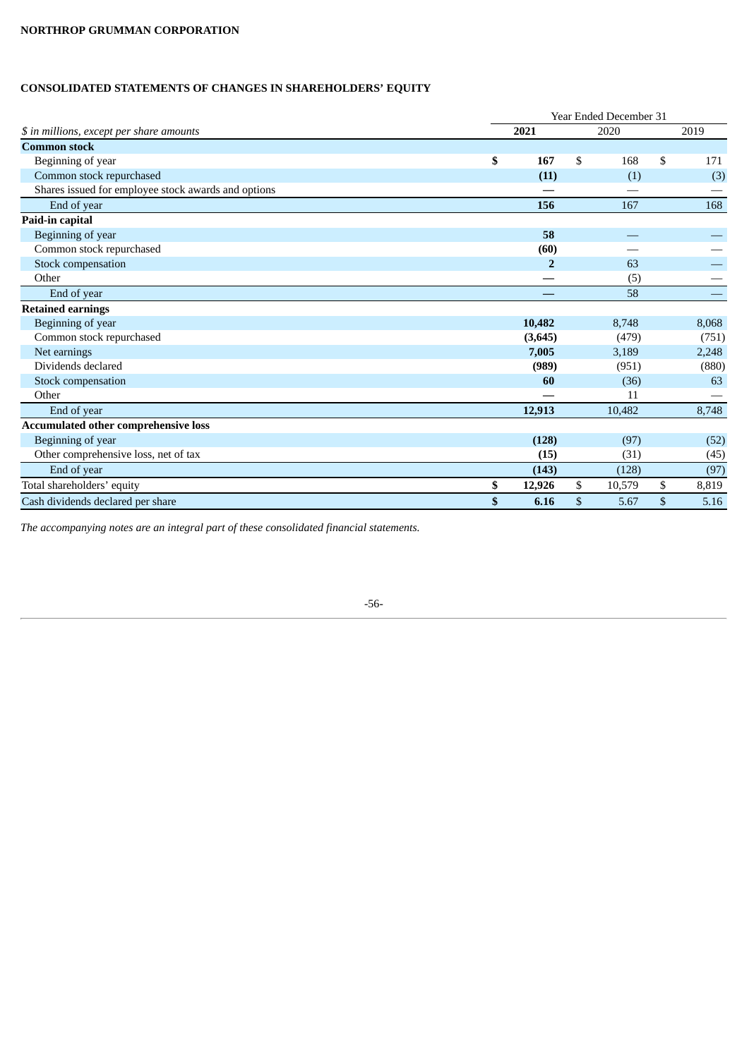# **CONSOLIDATED STATEMENTS OF CHANGES IN SHAREHOLDERS' EQUITY**

|                                                     | Year Ended December 31 |                |      |        |    |       |  |
|-----------------------------------------------------|------------------------|----------------|------|--------|----|-------|--|
| \$ in millions, except per share amounts            |                        |                | 2020 |        |    | 2019  |  |
| <b>Common stock</b>                                 |                        |                |      |        |    |       |  |
| Beginning of year                                   | \$                     | 167            | \$   | 168    | \$ | 171   |  |
| Common stock repurchased                            |                        | (11)           |      | (1)    |    | (3)   |  |
| Shares issued for employee stock awards and options |                        |                |      |        |    |       |  |
| End of year                                         |                        | 156            |      | 167    |    | 168   |  |
| Paid-in capital                                     |                        |                |      |        |    |       |  |
| Beginning of year                                   |                        | 58             |      |        |    |       |  |
| Common stock repurchased                            |                        | (60)           |      |        |    |       |  |
| Stock compensation                                  |                        | $\overline{2}$ |      | 63     |    |       |  |
| Other                                               |                        |                |      | (5)    |    |       |  |
| End of year                                         |                        |                |      | 58     |    |       |  |
| <b>Retained earnings</b>                            |                        |                |      |        |    |       |  |
| Beginning of year                                   |                        | 10,482         |      | 8,748  |    | 8,068 |  |
| Common stock repurchased                            |                        | (3,645)        |      | (479)  |    | (751) |  |
| Net earnings                                        |                        | 7,005          |      | 3,189  |    | 2,248 |  |
| Dividends declared                                  |                        | (989)          |      | (951)  |    | (880) |  |
| Stock compensation                                  |                        | 60             |      | (36)   |    | 63    |  |
| Other                                               |                        |                |      | 11     |    |       |  |
| End of year                                         |                        | 12,913         |      | 10,482 |    | 8,748 |  |
| Accumulated other comprehensive loss                |                        |                |      |        |    |       |  |
| Beginning of year                                   |                        | (128)          |      | (97)   |    | (52)  |  |
| Other comprehensive loss, net of tax                |                        | (15)           |      | (31)   |    | (45)  |  |
| End of year                                         |                        | (143)          |      | (128)  |    | (97)  |  |
| Total shareholders' equity                          | \$                     | 12,926         | \$   | 10,579 | \$ | 8,819 |  |
| Cash dividends declared per share                   | \$                     | 6.16           | \$   | 5.67   | \$ | 5.16  |  |

*The accompanying notes are an integral part of these consolidated financial statements.*

-56-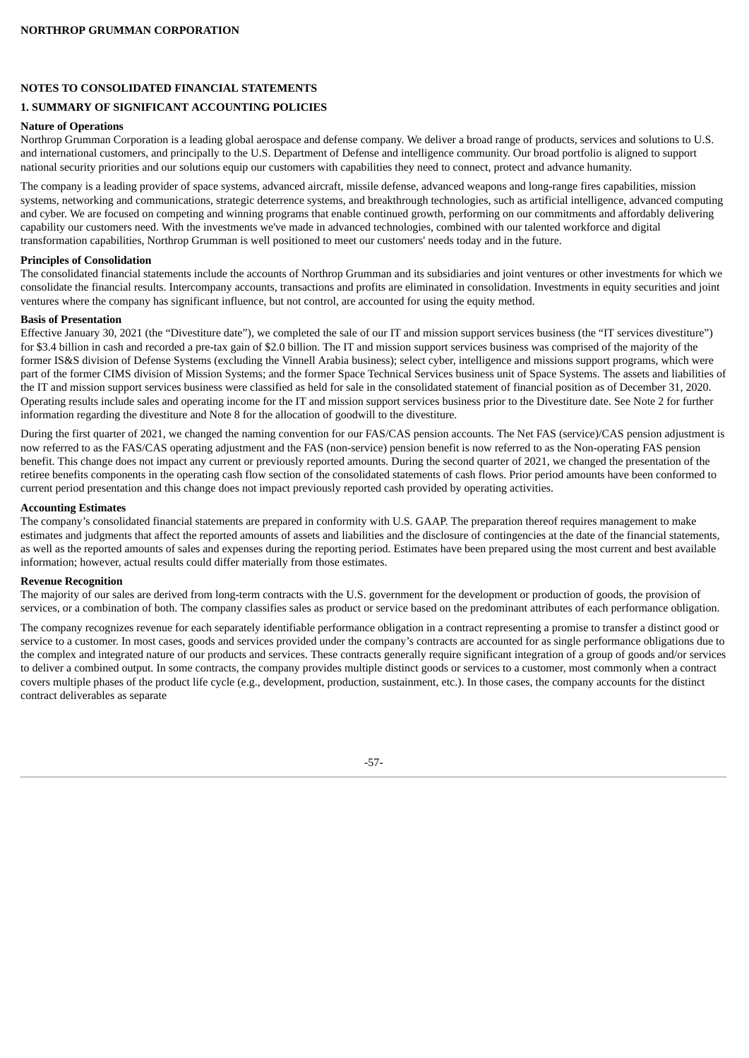# **NOTES TO CONSOLIDATED FINANCIAL STATEMENTS**

# **1. SUMMARY OF SIGNIFICANT ACCOUNTING POLICIES**

#### **Nature of Operations**

Northrop Grumman Corporation is a leading global aerospace and defense company. We deliver a broad range of products, services and solutions to U.S. and international customers, and principally to the U.S. Department of Defense and intelligence community. Our broad portfolio is aligned to support national security priorities and our solutions equip our customers with capabilities they need to connect, protect and advance humanity.

The company is a leading provider of space systems, advanced aircraft, missile defense, advanced weapons and long-range fires capabilities, mission systems, networking and communications, strategic deterrence systems, and breakthrough technologies, such as artificial intelligence, advanced computing and cyber. We are focused on competing and winning programs that enable continued growth, performing on our commitments and affordably delivering capability our customers need. With the investments we've made in advanced technologies, combined with our talented workforce and digital transformation capabilities, Northrop Grumman is well positioned to meet our customers' needs today and in the future.

#### **Principles of Consolidation**

The consolidated financial statements include the accounts of Northrop Grumman and its subsidiaries and joint ventures or other investments for which we consolidate the financial results. Intercompany accounts, transactions and profits are eliminated in consolidation. Investments in equity securities and joint ventures where the company has significant influence, but not control, are accounted for using the equity method.

#### **Basis of Presentation**

Effective January 30, 2021 (the "Divestiture date"), we completed the sale of our IT and mission support services business (the "IT services divestiture") for \$3.4 billion in cash and recorded a pre-tax gain of \$2.0 billion. The IT and mission support services business was comprised of the majority of the former IS&S division of Defense Systems (excluding the Vinnell Arabia business); select cyber, intelligence and missions support programs, which were part of the former CIMS division of Mission Systems; and the former Space Technical Services business unit of Space Systems. The assets and liabilities of the IT and mission support services business were classified as held for sale in the consolidated statement of financial position as of December 31, 2020. Operating results include sales and operating income for the IT and mission support services business prior to the Divestiture date. See Note 2 for further information regarding the divestiture and Note 8 for the allocation of goodwill to the divestiture.

During the first quarter of 2021, we changed the naming convention for our FAS/CAS pension accounts. The Net FAS (service)/CAS pension adjustment is now referred to as the FAS/CAS operating adjustment and the FAS (non-service) pension benefit is now referred to as the Non-operating FAS pension benefit. This change does not impact any current or previously reported amounts. During the second quarter of 2021, we changed the presentation of the retiree benefits components in the operating cash flow section of the consolidated statements of cash flows. Prior period amounts have been conformed to current period presentation and this change does not impact previously reported cash provided by operating activities.

#### **Accounting Estimates**

The company's consolidated financial statements are prepared in conformity with U.S. GAAP. The preparation thereof requires management to make estimates and judgments that affect the reported amounts of assets and liabilities and the disclosure of contingencies at the date of the financial statements, as well as the reported amounts of sales and expenses during the reporting period. Estimates have been prepared using the most current and best available information; however, actual results could differ materially from those estimates.

#### **Revenue Recognition**

The majority of our sales are derived from long-term contracts with the U.S. government for the development or production of goods, the provision of services, or a combination of both. The company classifies sales as product or service based on the predominant attributes of each performance obligation.

The company recognizes revenue for each separately identifiable performance obligation in a contract representing a promise to transfer a distinct good or service to a customer. In most cases, goods and services provided under the company's contracts are accounted for as single performance obligations due to the complex and integrated nature of our products and services. These contracts generally require significant integration of a group of goods and/or services to deliver a combined output. In some contracts, the company provides multiple distinct goods or services to a customer, most commonly when a contract covers multiple phases of the product life cycle (e.g., development, production, sustainment, etc.). In those cases, the company accounts for the distinct contract deliverables as separate

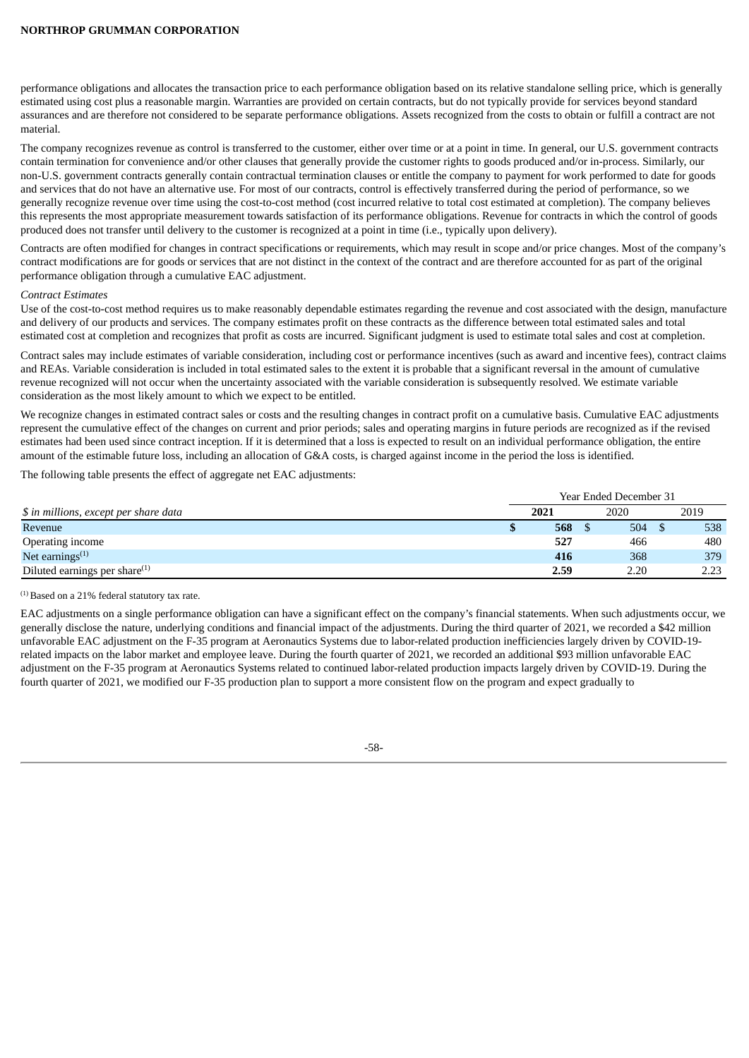performance obligations and allocates the transaction price to each performance obligation based on its relative standalone selling price, which is generally estimated using cost plus a reasonable margin. Warranties are provided on certain contracts, but do not typically provide for services beyond standard assurances and are therefore not considered to be separate performance obligations. Assets recognized from the costs to obtain or fulfill a contract are not material.

The company recognizes revenue as control is transferred to the customer, either over time or at a point in time. In general, our U.S. government contracts contain termination for convenience and/or other clauses that generally provide the customer rights to goods produced and/or in-process. Similarly, our non-U.S. government contracts generally contain contractual termination clauses or entitle the company to payment for work performed to date for goods and services that do not have an alternative use. For most of our contracts, control is effectively transferred during the period of performance, so we generally recognize revenue over time using the cost-to-cost method (cost incurred relative to total cost estimated at completion). The company believes this represents the most appropriate measurement towards satisfaction of its performance obligations. Revenue for contracts in which the control of goods produced does not transfer until delivery to the customer is recognized at a point in time (i.e., typically upon delivery).

Contracts are often modified for changes in contract specifications or requirements, which may result in scope and/or price changes. Most of the company's contract modifications are for goods or services that are not distinct in the context of the contract and are therefore accounted for as part of the original performance obligation through a cumulative EAC adjustment.

#### *Contract Estimates*

Use of the cost-to-cost method requires us to make reasonably dependable estimates regarding the revenue and cost associated with the design, manufacture and delivery of our products and services. The company estimates profit on these contracts as the difference between total estimated sales and total estimated cost at completion and recognizes that profit as costs are incurred. Significant judgment is used to estimate total sales and cost at completion.

Contract sales may include estimates of variable consideration, including cost or performance incentives (such as award and incentive fees), contract claims and REAs. Variable consideration is included in total estimated sales to the extent it is probable that a significant reversal in the amount of cumulative revenue recognized will not occur when the uncertainty associated with the variable consideration is subsequently resolved. We estimate variable consideration as the most likely amount to which we expect to be entitled.

We recognize changes in estimated contract sales or costs and the resulting changes in contract profit on a cumulative basis. Cumulative EAC adjustments represent the cumulative effect of the changes on current and prior periods; sales and operating margins in future periods are recognized as if the revised estimates had been used since contract inception. If it is determined that a loss is expected to result on an individual performance obligation, the entire amount of the estimable future loss, including an allocation of G&A costs, is charged against income in the period the loss is identified.

The following table presents the effect of aggregate net EAC adjustments:

|                                       | Year Ended December 31 |      |  |      |  |      |  |
|---------------------------------------|------------------------|------|--|------|--|------|--|
| \$ in millions, except per share data |                        | 2021 |  | 2020 |  | 2019 |  |
| Revenue                               |                        | 568  |  | 504  |  | 538  |  |
| Operating income                      |                        | 527  |  | 466  |  | 480  |  |
| Net earnings $(1)$                    |                        | 416  |  | 368  |  | 379  |  |
| Diluted earnings per share $(1)$      |                        | 2.59 |  | 2.20 |  | 2.23 |  |

 $^{(1)}$  Based on a 21% federal statutory tax rate.

EAC adjustments on a single performance obligation can have a significant effect on the company's financial statements. When such adjustments occur, we generally disclose the nature, underlying conditions and financial impact of the adjustments. During the third quarter of 2021, we recorded a \$42 million unfavorable EAC adjustment on the F-35 program at Aeronautics Systems due to labor-related production inefficiencies largely driven by COVID-19 related impacts on the labor market and employee leave. During the fourth quarter of 2021, we recorded an additional \$93 million unfavorable EAC adjustment on the F-35 program at Aeronautics Systems related to continued labor-related production impacts largely driven by COVID-19. During the fourth quarter of 2021, we modified our F-35 production plan to support a more consistent flow on the program and expect gradually to

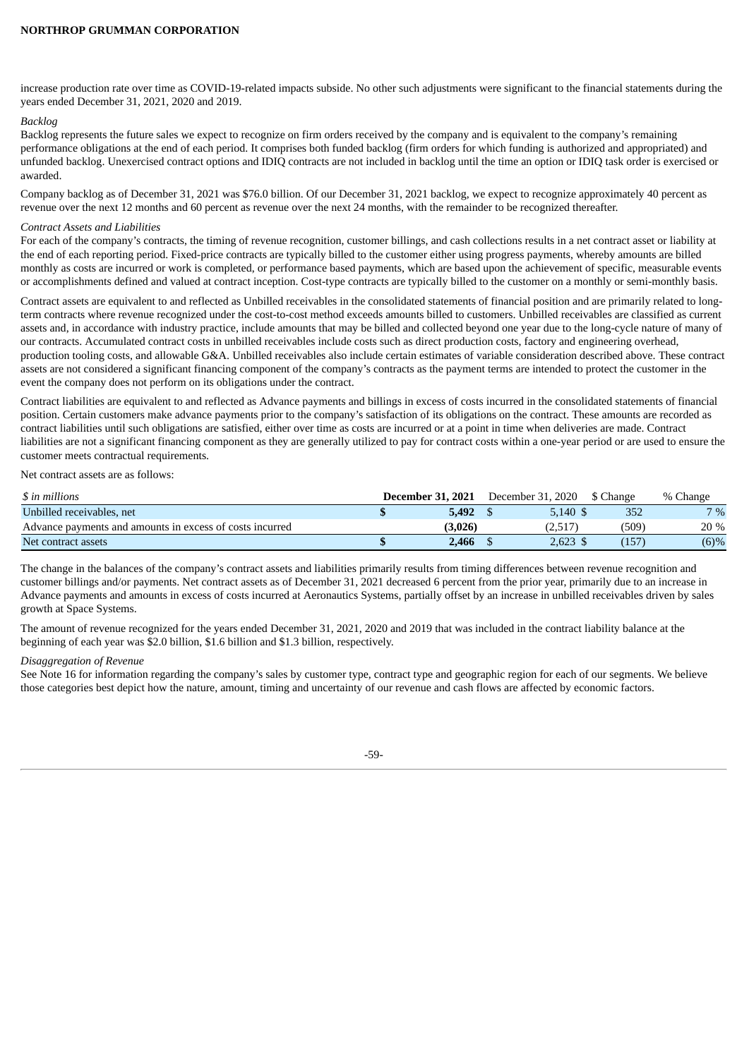#### **NORTHROP GRUMMAN CORPORATION**

increase production rate over time as COVID-19-related impacts subside. No other such adjustments were significant to the financial statements during the years ended December 31, 2021, 2020 and 2019.

#### *Backlog*

Backlog represents the future sales we expect to recognize on firm orders received by the company and is equivalent to the company's remaining performance obligations at the end of each period. It comprises both funded backlog (firm orders for which funding is authorized and appropriated) and unfunded backlog. Unexercised contract options and IDIQ contracts are not included in backlog until the time an option or IDIQ task order is exercised or awarded.

Company backlog as of December 31, 2021 was \$76.0 billion. Of our December 31, 2021 backlog, we expect to recognize approximately 40 percent as revenue over the next 12 months and 60 percent as revenue over the next 24 months, with the remainder to be recognized thereafter.

#### *Contract Assets and Liabilities*

For each of the company's contracts, the timing of revenue recognition, customer billings, and cash collections results in a net contract asset or liability at the end of each reporting period. Fixed-price contracts are typically billed to the customer either using progress payments, whereby amounts are billed monthly as costs are incurred or work is completed, or performance based payments, which are based upon the achievement of specific, measurable events or accomplishments defined and valued at contract inception. Cost-type contracts are typically billed to the customer on a monthly or semi-monthly basis.

Contract assets are equivalent to and reflected as Unbilled receivables in the consolidated statements of financial position and are primarily related to longterm contracts where revenue recognized under the cost-to-cost method exceeds amounts billed to customers. Unbilled receivables are classified as current assets and, in accordance with industry practice, include amounts that may be billed and collected beyond one year due to the long-cycle nature of many of our contracts. Accumulated contract costs in unbilled receivables include costs such as direct production costs, factory and engineering overhead, production tooling costs, and allowable G&A. Unbilled receivables also include certain estimates of variable consideration described above. These contract assets are not considered a significant financing component of the company's contracts as the payment terms are intended to protect the customer in the event the company does not perform on its obligations under the contract.

Contract liabilities are equivalent to and reflected as Advance payments and billings in excess of costs incurred in the consolidated statements of financial position. Certain customers make advance payments prior to the company's satisfaction of its obligations on the contract. These amounts are recorded as contract liabilities until such obligations are satisfied, either over time as costs are incurred or at a point in time when deliveries are made. Contract liabilities are not a significant financing component as they are generally utilized to pay for contract costs within a one-year period or are used to ensure the customer meets contractual requirements.

Net contract assets are as follows:

| \$ in millions                                           | <b>December 31, 2021</b> |         | December 31, 2020 | \$ Change | % Change |
|----------------------------------------------------------|--------------------------|---------|-------------------|-----------|----------|
| Unbilled receivables, net                                |                          | 5.492   | 5.140 \$          | 352       | $7\%$    |
| Advance payments and amounts in excess of costs incurred |                          | (3,026) | 2.517             | (509)     | 20 %     |
| Net contract assets                                      |                          | 2.466   | $2,623$ \$        | 157       | $(6)$ %  |

The change in the balances of the company's contract assets and liabilities primarily results from timing differences between revenue recognition and customer billings and/or payments. Net contract assets as of December 31, 2021 decreased 6 percent from the prior year, primarily due to an increase in Advance payments and amounts in excess of costs incurred at Aeronautics Systems, partially offset by an increase in unbilled receivables driven by sales growth at Space Systems.

The amount of revenue recognized for the years ended December 31, 2021, 2020 and 2019 that was included in the contract liability balance at the beginning of each year was \$2.0 billion, \$1.6 billion and \$1.3 billion, respectively.

#### *Disaggregation of Revenue*

See Note 16 for information regarding the company's sales by customer type, contract type and geographic region for each of our segments. We believe those categories best depict how the nature, amount, timing and uncertainty of our revenue and cash flows are affected by economic factors.

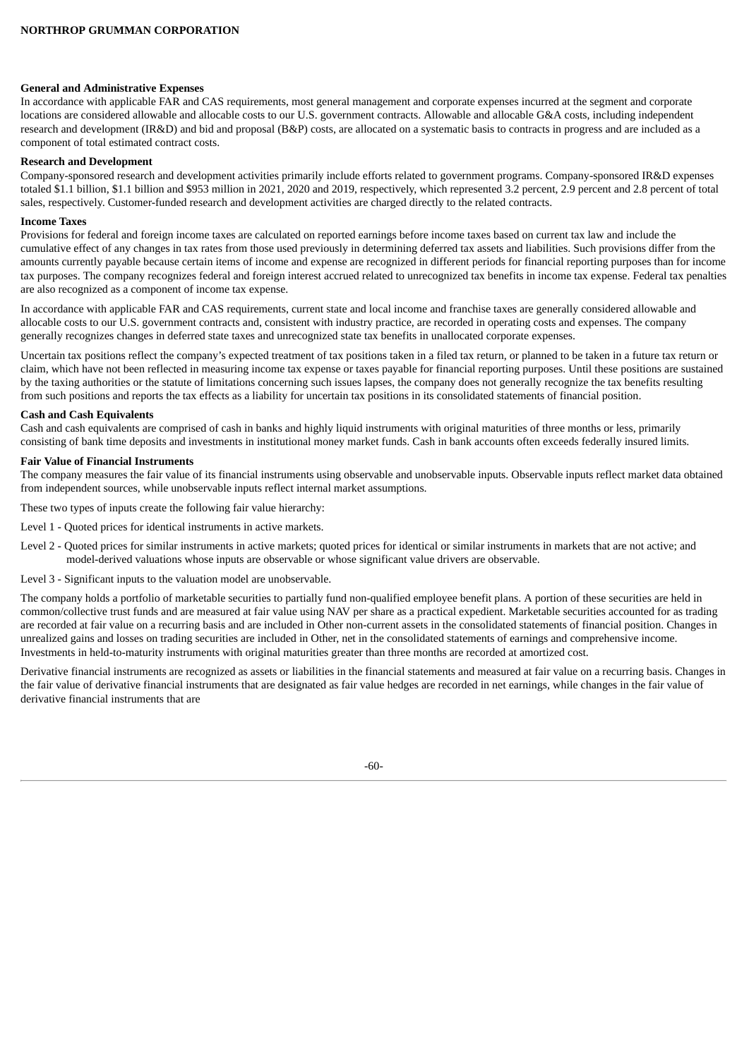#### **General and Administrative Expenses**

In accordance with applicable FAR and CAS requirements, most general management and corporate expenses incurred at the segment and corporate locations are considered allowable and allocable costs to our U.S. government contracts. Allowable and allocable G&A costs, including independent research and development (IR&D) and bid and proposal (B&P) costs, are allocated on a systematic basis to contracts in progress and are included as a component of total estimated contract costs.

#### **Research and Development**

Company-sponsored research and development activities primarily include efforts related to government programs. Company-sponsored IR&D expenses totaled \$1.1 billion, \$1.1 billion and \$953 million in 2021, 2020 and 2019, respectively, which represented 3.2 percent, 2.9 percent and 2.8 percent of total sales, respectively. Customer-funded research and development activities are charged directly to the related contracts.

#### **Income Taxes**

Provisions for federal and foreign income taxes are calculated on reported earnings before income taxes based on current tax law and include the cumulative effect of any changes in tax rates from those used previously in determining deferred tax assets and liabilities. Such provisions differ from the amounts currently payable because certain items of income and expense are recognized in different periods for financial reporting purposes than for income tax purposes. The company recognizes federal and foreign interest accrued related to unrecognized tax benefits in income tax expense. Federal tax penalties are also recognized as a component of income tax expense.

In accordance with applicable FAR and CAS requirements, current state and local income and franchise taxes are generally considered allowable and allocable costs to our U.S. government contracts and, consistent with industry practice, are recorded in operating costs and expenses. The company generally recognizes changes in deferred state taxes and unrecognized state tax benefits in unallocated corporate expenses.

Uncertain tax positions reflect the company's expected treatment of tax positions taken in a filed tax return, or planned to be taken in a future tax return or claim, which have not been reflected in measuring income tax expense or taxes payable for financial reporting purposes. Until these positions are sustained by the taxing authorities or the statute of limitations concerning such issues lapses, the company does not generally recognize the tax benefits resulting from such positions and reports the tax effects as a liability for uncertain tax positions in its consolidated statements of financial position.

#### **Cash and Cash Equivalents**

Cash and cash equivalents are comprised of cash in banks and highly liquid instruments with original maturities of three months or less, primarily consisting of bank time deposits and investments in institutional money market funds. Cash in bank accounts often exceeds federally insured limits.

#### **Fair Value of Financial Instruments**

The company measures the fair value of its financial instruments using observable and unobservable inputs. Observable inputs reflect market data obtained from independent sources, while unobservable inputs reflect internal market assumptions.

These two types of inputs create the following fair value hierarchy:

Level 1 - Quoted prices for identical instruments in active markets.

Level 2 - Quoted prices for similar instruments in active markets; quoted prices for identical or similar instruments in markets that are not active; and model-derived valuations whose inputs are observable or whose significant value drivers are observable.

Level 3 - Significant inputs to the valuation model are unobservable.

The company holds a portfolio of marketable securities to partially fund non-qualified employee benefit plans. A portion of these securities are held in common/collective trust funds and are measured at fair value using NAV per share as a practical expedient. Marketable securities accounted for as trading are recorded at fair value on a recurring basis and are included in Other non-current assets in the consolidated statements of financial position. Changes in unrealized gains and losses on trading securities are included in Other, net in the consolidated statements of earnings and comprehensive income. Investments in held-to-maturity instruments with original maturities greater than three months are recorded at amortized cost.

Derivative financial instruments are recognized as assets or liabilities in the financial statements and measured at fair value on a recurring basis. Changes in the fair value of derivative financial instruments that are designated as fair value hedges are recorded in net earnings, while changes in the fair value of derivative financial instruments that are

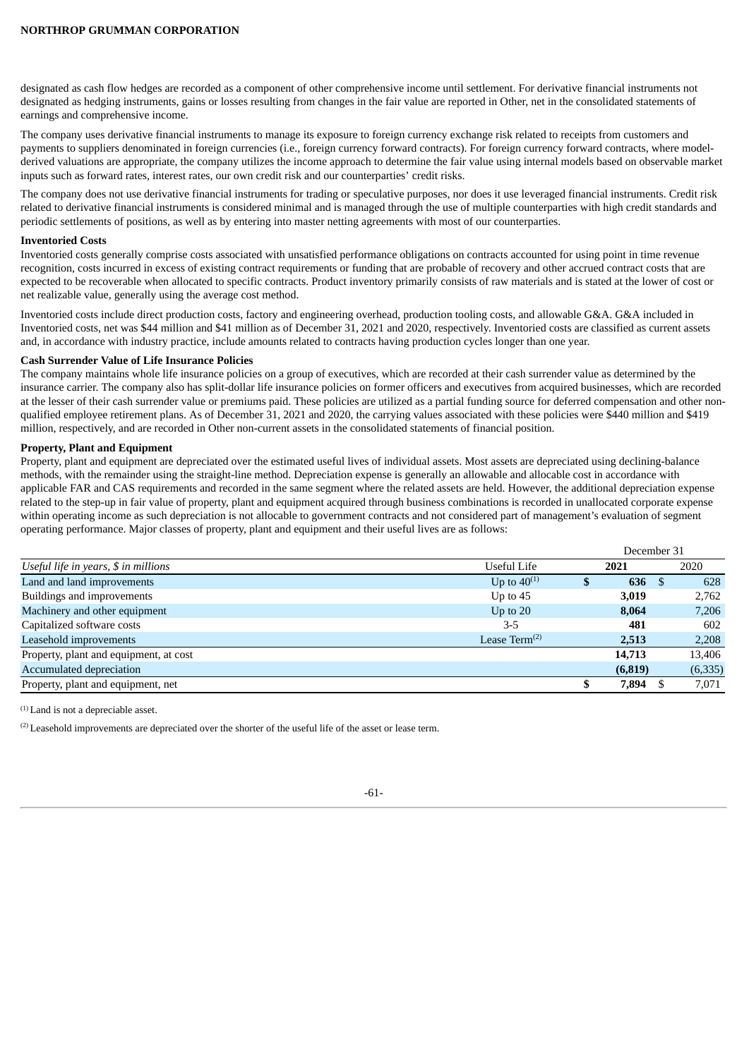designated as cash flow hedges are recorded as a component of other comprehensive income until settlement. For derivative financial instruments not designated as hedging instruments, gains or losses resulting from changes in the fair value are reported in Other, net in the consolidated statements of earnings and comprehensive income.

The company uses derivative financial instruments to manage its exposure to foreign currency exchange risk related to receipts from customers and payments to suppliers denominated in foreign currencies (i.e., foreign currency forward contracts). For foreign currency forward contracts, where modelderived valuations are appropriate, the company utilizes the income approach to determine the fair value using internal models based on observable market inputs such as forward rates, interest rates, our own credit risk and our counterparties' credit risks.

The company does not use derivative financial instruments for trading or speculative purposes, nor does it use leveraged financial instruments. Credit risk related to derivative financial instruments is considered minimal and is managed through the use of multiple counterparties with high credit standards and periodic settlements of positions, as well as by entering into master netting agreements with most of our counterparties.

# **Inventoried Costs**

Inventoried costs generally comprise costs associated with unsatisfied performance obligations on contracts accounted for using point in time revenue recognition, costs incurred in excess of existing contract requirements or funding that are probable of recovery and other accrued contract costs that are expected to be recoverable when allocated to specific contracts. Product inventory primarily consists of raw materials and is stated at the lower of cost or net realizable value, generally using the average cost method.

Inventoried costs include direct production costs, factory and engineering overhead, production tooling costs, and allowable G&A. G&A included in Inventoried costs, net was \$44 million and \$41 million as of December 31, 2021 and 2020, respectively. Inventoried costs are classified as current assets and, in accordance with industry practice, include amounts related to contracts having production cycles longer than one year.

#### **Cash Surrender Value of Life Insurance Policies**

The company maintains whole life insurance policies on a group of executives, which are recorded at their cash surrender value as determined by the insurance carrier. The company also has split-dollar life insurance policies on former officers and executives from acquired businesses, which are recorded at the lesser of their cash surrender value or premiums paid. These policies are utilized as a partial funding source for deferred compensation and other nonqualified employee retirement plans. As of December 31, 2021 and 2020, the carrying values associated with these policies were \$440 million and \$419 million, respectively, and are recorded in Other non-current assets in the consolidated statements of financial position.

## **Property, Plant and Equipment**

Property, plant and equipment are depreciated over the estimated useful lives of individual assets. Most assets are depreciated using declining-balance methods, with the remainder using the straight-line method. Depreciation expense is generally an allowable and allocable cost in accordance with applicable FAR and CAS requirements and recorded in the same segment where the related assets are held. However, the additional depreciation expense related to the step-up in fair value of property, plant and equipment acquired through business combinations is recorded in unallocated corporate expense within operating income as such depreciation is not allocable to government contracts and not considered part of management's evaluation of segment operating performance. Major classes of property, plant and equipment and their useful lives are as follows:

|                                        |                  | December 31 |      |          |
|----------------------------------------|------------------|-------------|------|----------|
| Useful life in years, \$ in millions   | Useful Life      | 2021        |      | 2020     |
| Land and land improvements             | Up to $40^{(1)}$ | 636         | - 30 | 628      |
| Buildings and improvements             | Up to $45$       | 3,019       |      | 2,762    |
| Machinery and other equipment          | Up to $20$       | 8,064       |      | 7,206    |
| Capitalized software costs             | $3 - 5$          | 481         |      | 602      |
| Leasehold improvements                 | Lease $Term(2)$  | 2,513       |      | 2,208    |
| Property, plant and equipment, at cost |                  | 14,713      |      | 13,406   |
| Accumulated depreciation               |                  | (6, 819)    |      | (6, 335) |
| Property, plant and equipment, net     |                  | 7,894       |      | 7,071    |

 $(1)$  Land is not a depreciable asset.

 $^{(2)}$  Leasehold improvements are depreciated over the shorter of the useful life of the asset or lease term.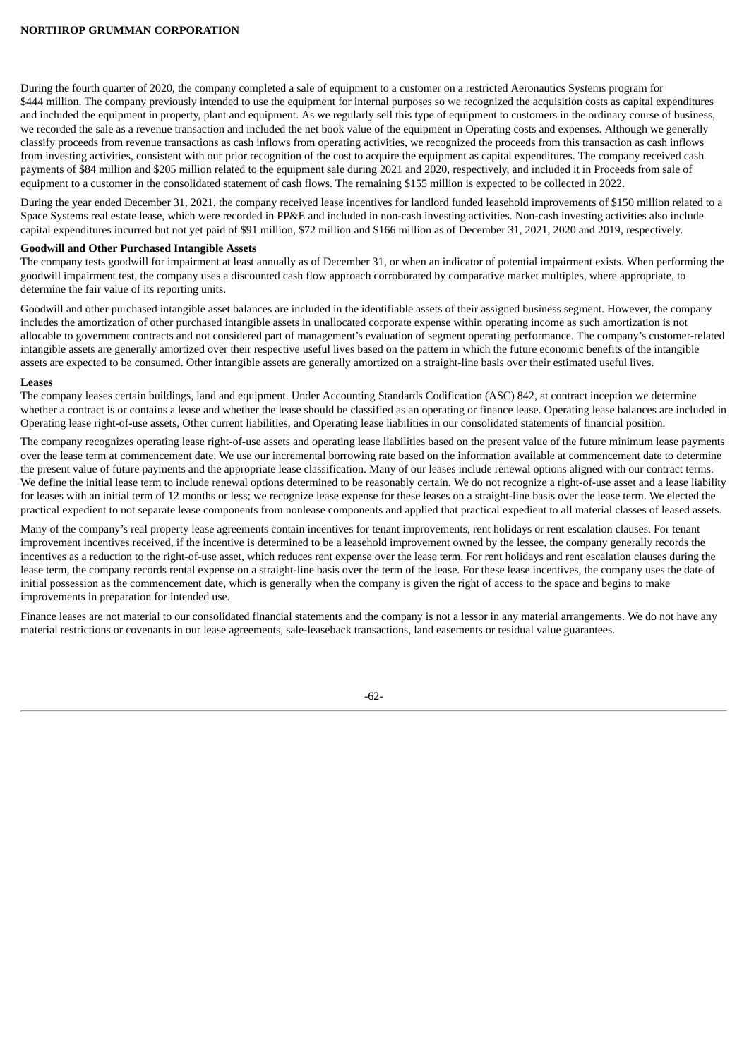During the fourth quarter of 2020, the company completed a sale of equipment to a customer on a restricted Aeronautics Systems program for \$444 million. The company previously intended to use the equipment for internal purposes so we recognized the acquisition costs as capital expenditures and included the equipment in property, plant and equipment. As we regularly sell this type of equipment to customers in the ordinary course of business, we recorded the sale as a revenue transaction and included the net book value of the equipment in Operating costs and expenses. Although we generally classify proceeds from revenue transactions as cash inflows from operating activities, we recognized the proceeds from this transaction as cash inflows from investing activities, consistent with our prior recognition of the cost to acquire the equipment as capital expenditures. The company received cash payments of \$84 million and \$205 million related to the equipment sale during 2021 and 2020, respectively, and included it in Proceeds from sale of equipment to a customer in the consolidated statement of cash flows. The remaining \$155 million is expected to be collected in 2022.

During the year ended December 31, 2021, the company received lease incentives for landlord funded leasehold improvements of \$150 million related to a Space Systems real estate lease, which were recorded in PP&E and included in non-cash investing activities. Non-cash investing activities also include capital expenditures incurred but not yet paid of \$91 million, \$72 million and \$166 million as of December 31, 2021, 2020 and 2019, respectively.

## **Goodwill and Other Purchased Intangible Assets**

The company tests goodwill for impairment at least annually as of December 31, or when an indicator of potential impairment exists. When performing the goodwill impairment test, the company uses a discounted cash flow approach corroborated by comparative market multiples, where appropriate, to determine the fair value of its reporting units.

Goodwill and other purchased intangible asset balances are included in the identifiable assets of their assigned business segment. However, the company includes the amortization of other purchased intangible assets in unallocated corporate expense within operating income as such amortization is not allocable to government contracts and not considered part of management's evaluation of segment operating performance. The company's customer-related intangible assets are generally amortized over their respective useful lives based on the pattern in which the future economic benefits of the intangible assets are expected to be consumed. Other intangible assets are generally amortized on a straight-line basis over their estimated useful lives.

#### **Leases**

The company leases certain buildings, land and equipment. Under Accounting Standards Codification (ASC) 842, at contract inception we determine whether a contract is or contains a lease and whether the lease should be classified as an operating or finance lease. Operating lease balances are included in Operating lease right-of-use assets, Other current liabilities, and Operating lease liabilities in our consolidated statements of financial position.

The company recognizes operating lease right-of-use assets and operating lease liabilities based on the present value of the future minimum lease payments over the lease term at commencement date. We use our incremental borrowing rate based on the information available at commencement date to determine the present value of future payments and the appropriate lease classification. Many of our leases include renewal options aligned with our contract terms. We define the initial lease term to include renewal options determined to be reasonably certain. We do not recognize a right-of-use asset and a lease liability for leases with an initial term of 12 months or less; we recognize lease expense for these leases on a straight-line basis over the lease term. We elected the practical expedient to not separate lease components from nonlease components and applied that practical expedient to all material classes of leased assets.

Many of the company's real property lease agreements contain incentives for tenant improvements, rent holidays or rent escalation clauses. For tenant improvement incentives received, if the incentive is determined to be a leasehold improvement owned by the lessee, the company generally records the incentives as a reduction to the right-of-use asset, which reduces rent expense over the lease term. For rent holidays and rent escalation clauses during the lease term, the company records rental expense on a straight-line basis over the term of the lease. For these lease incentives, the company uses the date of initial possession as the commencement date, which is generally when the company is given the right of access to the space and begins to make improvements in preparation for intended use.

Finance leases are not material to our consolidated financial statements and the company is not a lessor in any material arrangements. We do not have any material restrictions or covenants in our lease agreements, sale-leaseback transactions, land easements or residual value guarantees.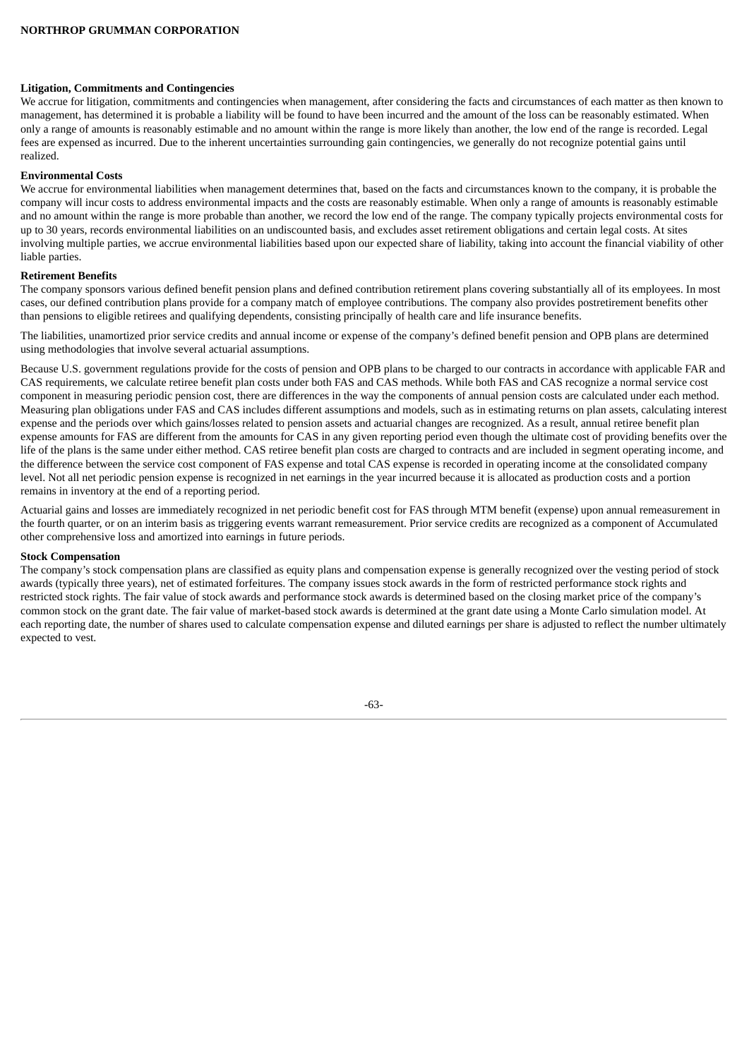#### **Litigation, Commitments and Contingencies**

We accrue for litigation, commitments and contingencies when management, after considering the facts and circumstances of each matter as then known to management, has determined it is probable a liability will be found to have been incurred and the amount of the loss can be reasonably estimated. When only a range of amounts is reasonably estimable and no amount within the range is more likely than another, the low end of the range is recorded. Legal fees are expensed as incurred. Due to the inherent uncertainties surrounding gain contingencies, we generally do not recognize potential gains until realized.

#### **Environmental Costs**

We accrue for environmental liabilities when management determines that, based on the facts and circumstances known to the company, it is probable the company will incur costs to address environmental impacts and the costs are reasonably estimable. When only a range of amounts is reasonably estimable and no amount within the range is more probable than another, we record the low end of the range. The company typically projects environmental costs for up to 30 years, records environmental liabilities on an undiscounted basis, and excludes asset retirement obligations and certain legal costs. At sites involving multiple parties, we accrue environmental liabilities based upon our expected share of liability, taking into account the financial viability of other liable parties.

#### **Retirement Benefits**

The company sponsors various defined benefit pension plans and defined contribution retirement plans covering substantially all of its employees. In most cases, our defined contribution plans provide for a company match of employee contributions. The company also provides postretirement benefits other than pensions to eligible retirees and qualifying dependents, consisting principally of health care and life insurance benefits.

The liabilities, unamortized prior service credits and annual income or expense of the company's defined benefit pension and OPB plans are determined using methodologies that involve several actuarial assumptions.

Because U.S. government regulations provide for the costs of pension and OPB plans to be charged to our contracts in accordance with applicable FAR and CAS requirements, we calculate retiree benefit plan costs under both FAS and CAS methods. While both FAS and CAS recognize a normal service cost component in measuring periodic pension cost, there are differences in the way the components of annual pension costs are calculated under each method. Measuring plan obligations under FAS and CAS includes different assumptions and models, such as in estimating returns on plan assets, calculating interest expense and the periods over which gains/losses related to pension assets and actuarial changes are recognized. As a result, annual retiree benefit plan expense amounts for FAS are different from the amounts for CAS in any given reporting period even though the ultimate cost of providing benefits over the life of the plans is the same under either method. CAS retiree benefit plan costs are charged to contracts and are included in segment operating income, and the difference between the service cost component of FAS expense and total CAS expense is recorded in operating income at the consolidated company level. Not all net periodic pension expense is recognized in net earnings in the year incurred because it is allocated as production costs and a portion remains in inventory at the end of a reporting period.

Actuarial gains and losses are immediately recognized in net periodic benefit cost for FAS through MTM benefit (expense) upon annual remeasurement in the fourth quarter, or on an interim basis as triggering events warrant remeasurement. Prior service credits are recognized as a component of Accumulated other comprehensive loss and amortized into earnings in future periods.

#### **Stock Compensation**

The company's stock compensation plans are classified as equity plans and compensation expense is generally recognized over the vesting period of stock awards (typically three years), net of estimated forfeitures. The company issues stock awards in the form of restricted performance stock rights and restricted stock rights. The fair value of stock awards and performance stock awards is determined based on the closing market price of the company's common stock on the grant date. The fair value of market-based stock awards is determined at the grant date using a Monte Carlo simulation model. At each reporting date, the number of shares used to calculate compensation expense and diluted earnings per share is adjusted to reflect the number ultimately expected to vest.

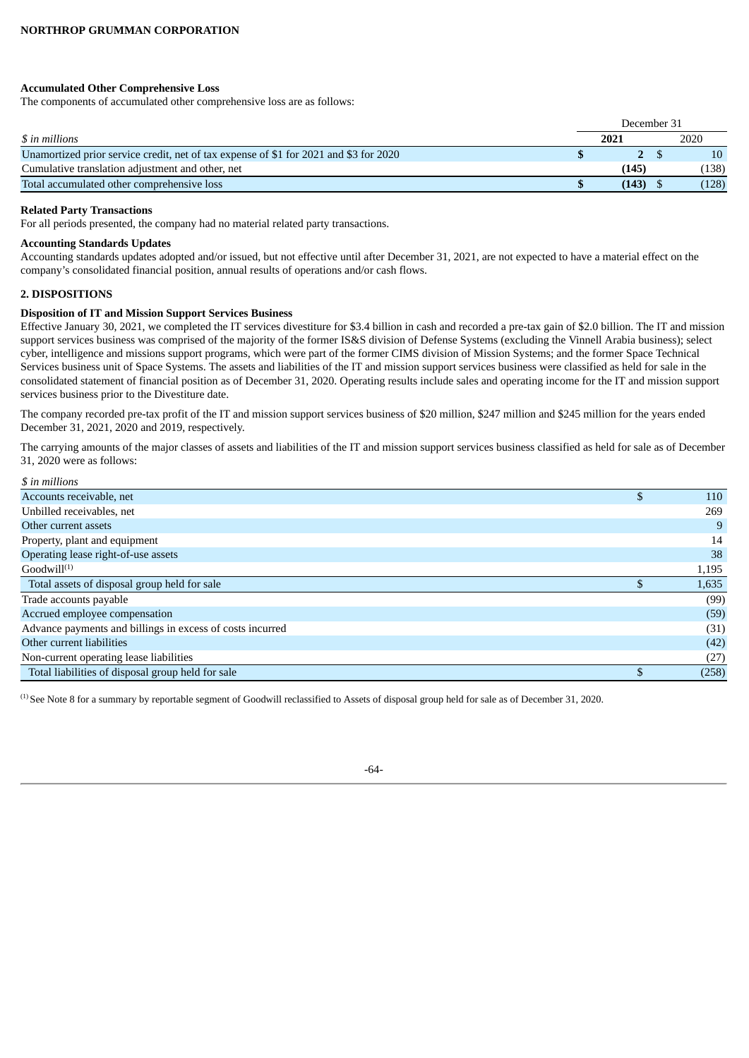## **Accumulated Other Comprehensive Loss**

The components of accumulated other comprehensive loss are as follows:

|                                                                                       | December 31 |       |  |       |  |
|---------------------------------------------------------------------------------------|-------------|-------|--|-------|--|
| \$ in millions                                                                        |             | 2021  |  | 2020  |  |
| Unamortized prior service credit, net of tax expense of \$1 for 2021 and \$3 for 2020 |             |       |  | 10    |  |
| Cumulative translation adjustment and other, net                                      |             | (145) |  | (138) |  |
| Total accumulated other comprehensive loss                                            |             | (143) |  | (128) |  |

#### **Related Party Transactions**

For all periods presented, the company had no material related party transactions.

# **Accounting Standards Updates**

Accounting standards updates adopted and/or issued, but not effective until after December 31, 2021, are not expected to have a material effect on the company's consolidated financial position, annual results of operations and/or cash flows.

#### **2. DISPOSITIONS**

*\$ in millions*

#### **Disposition of IT and Mission Support Services Business**

Effective January 30, 2021, we completed the IT services divestiture for \$3.4 billion in cash and recorded a pre-tax gain of \$2.0 billion. The IT and mission support services business was comprised of the majority of the former IS&S division of Defense Systems (excluding the Vinnell Arabia business); select cyber, intelligence and missions support programs, which were part of the former CIMS division of Mission Systems; and the former Space Technical Services business unit of Space Systems. The assets and liabilities of the IT and mission support services business were classified as held for sale in the consolidated statement of financial position as of December 31, 2020. Operating results include sales and operating income for the IT and mission support services business prior to the Divestiture date.

The company recorded pre-tax profit of the IT and mission support services business of \$20 million, \$247 million and \$245 million for the years ended December 31, 2021, 2020 and 2019, respectively.

The carrying amounts of the major classes of assets and liabilities of the IT and mission support services business classified as held for sale as of December 31, 2020 were as follows:

| <b>3</b> In millions                                      |           |
|-----------------------------------------------------------|-----------|
| Accounts receivable, net                                  | \$<br>110 |
| Unbilled receivables, net                                 | 269       |
| Other current assets                                      | 9         |
| Property, plant and equipment                             | 14        |
| Operating lease right-of-use assets                       | 38        |
| Goodwill <sup>(1)</sup>                                   | 1,195     |
| Total assets of disposal group held for sale              | 1,635     |
| Trade accounts payable                                    | (99)      |
| Accrued employee compensation                             | (59)      |
| Advance payments and billings in excess of costs incurred | (31)      |
| Other current liabilities                                 | (42)      |
| Non-current operating lease liabilities                   | (27)      |
| Total liabilities of disposal group held for sale         | (258)     |

 $(1)$  See Note 8 for a summary by reportable segment of Goodwill reclassified to Assets of disposal group held for sale as of December 31, 2020.

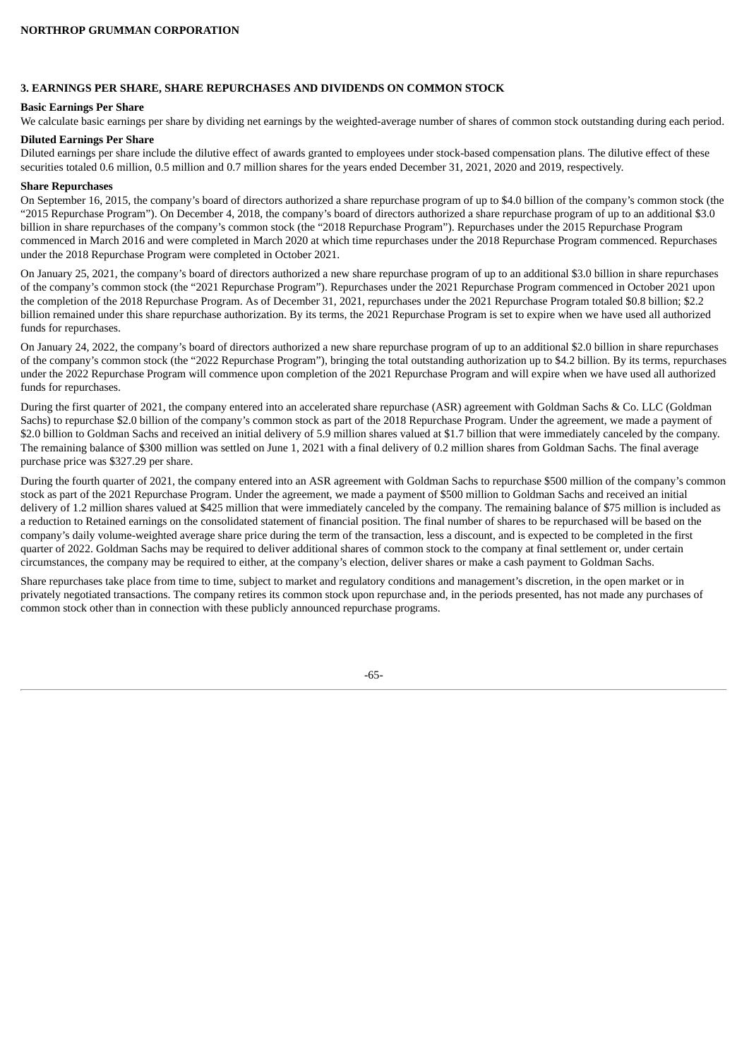# **3. EARNINGS PER SHARE, SHARE REPURCHASES AND DIVIDENDS ON COMMON STOCK**

#### **Basic Earnings Per Share**

We calculate basic earnings per share by dividing net earnings by the weighted-average number of shares of common stock outstanding during each period.

#### **Diluted Earnings Per Share**

Diluted earnings per share include the dilutive effect of awards granted to employees under stock-based compensation plans. The dilutive effect of these securities totaled 0.6 million, 0.5 million and 0.7 million shares for the years ended December 31, 2021, 2020 and 2019, respectively.

#### **Share Repurchases**

On September 16, 2015, the company's board of directors authorized a share repurchase program of up to \$4.0 billion of the company's common stock (the "2015 Repurchase Program"). On December 4, 2018, the company's board of directors authorized a share repurchase program of up to an additional \$3.0 billion in share repurchases of the company's common stock (the "2018 Repurchase Program"). Repurchases under the 2015 Repurchase Program commenced in March 2016 and were completed in March 2020 at which time repurchases under the 2018 Repurchase Program commenced. Repurchases under the 2018 Repurchase Program were completed in October 2021.

On January 25, 2021, the company's board of directors authorized a new share repurchase program of up to an additional \$3.0 billion in share repurchases of the company's common stock (the "2021 Repurchase Program"). Repurchases under the 2021 Repurchase Program commenced in October 2021 upon the completion of the 2018 Repurchase Program. As of December 31, 2021, repurchases under the 2021 Repurchase Program totaled \$0.8 billion; \$2.2 billion remained under this share repurchase authorization. By its terms, the 2021 Repurchase Program is set to expire when we have used all authorized funds for repurchases.

On January 24, 2022, the company's board of directors authorized a new share repurchase program of up to an additional \$2.0 billion in share repurchases of the company's common stock (the "2022 Repurchase Program"), bringing the total outstanding authorization up to \$4.2 billion. By its terms, repurchases under the 2022 Repurchase Program will commence upon completion of the 2021 Repurchase Program and will expire when we have used all authorized funds for repurchases.

During the first quarter of 2021, the company entered into an accelerated share repurchase (ASR) agreement with Goldman Sachs & Co. LLC (Goldman Sachs) to repurchase \$2.0 billion of the company's common stock as part of the 2018 Repurchase Program. Under the agreement, we made a payment of \$2.0 billion to Goldman Sachs and received an initial delivery of 5.9 million shares valued at \$1.7 billion that were immediately canceled by the company. The remaining balance of \$300 million was settled on June 1, 2021 with a final delivery of 0.2 million shares from Goldman Sachs. The final average purchase price was \$327.29 per share.

During the fourth quarter of 2021, the company entered into an ASR agreement with Goldman Sachs to repurchase \$500 million of the company's common stock as part of the 2021 Repurchase Program. Under the agreement, we made a payment of \$500 million to Goldman Sachs and received an initial delivery of 1.2 million shares valued at \$425 million that were immediately canceled by the company. The remaining balance of \$75 million is included as a reduction to Retained earnings on the consolidated statement of financial position. The final number of shares to be repurchased will be based on the company's daily volume-weighted average share price during the term of the transaction, less a discount, and is expected to be completed in the first quarter of 2022. Goldman Sachs may be required to deliver additional shares of common stock to the company at final settlement or, under certain circumstances, the company may be required to either, at the company's election, deliver shares or make a cash payment to Goldman Sachs.

Share repurchases take place from time to time, subject to market and regulatory conditions and management's discretion, in the open market or in privately negotiated transactions. The company retires its common stock upon repurchase and, in the periods presented, has not made any purchases of common stock other than in connection with these publicly announced repurchase programs.

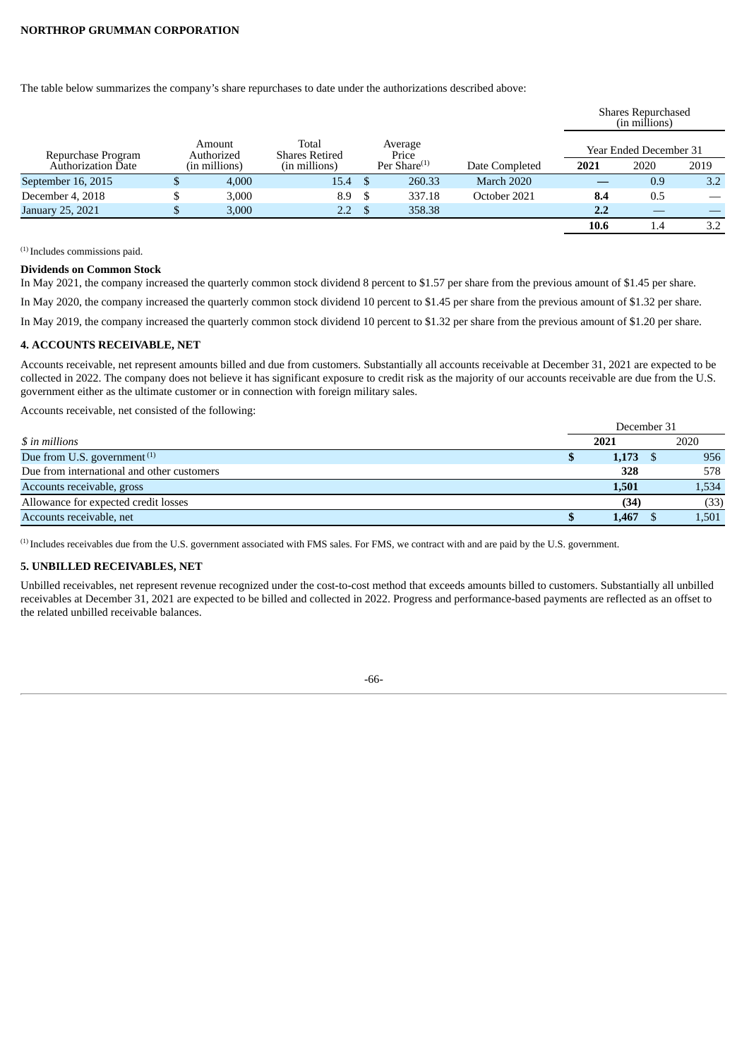The table below summarizes the company's share repurchases to date under the authorizations described above:

|                           |    |                      |                                |      |                  |                |      | <b>Shares Repurchased</b><br>(in millions) |      |
|---------------------------|----|----------------------|--------------------------------|------|------------------|----------------|------|--------------------------------------------|------|
| Repurchase Program        |    | Amount<br>Authorized | Total<br><b>Shares Retired</b> |      | Average<br>Price |                |      | Year Ended December 31                     |      |
| <b>Authorization Date</b> |    | (in millions)        | (in millions)                  |      | Per Share $(1)$  | Date Completed | 2021 | 2020                                       | 2019 |
| September 16, 2015        | ۵D | 4.000                | 15.4 <sup>5</sup>              |      | 260.33           | March 2020     |      | 0.9                                        | 3.2  |
| December 4, 2018          |    | 3.000                | 8.9                            | - \$ | 337.18           | October 2021   | 8.4  | 0.5                                        |      |
| January 25, 2021          |    | 3.000                | $2.2^{\circ}$                  | - \$ | 358.38           |                | 2.2  |                                            |      |
|                           |    |                      |                                |      |                  |                | 10.6 | 1.4                                        | 3.2  |

 $(1)$  Includes commissions paid.

#### **Dividends on Common Stock**

In May 2021, the company increased the quarterly common stock dividend 8 percent to \$1.57 per share from the previous amount of \$1.45 per share. In May 2020, the company increased the quarterly common stock dividend 10 percent to \$1.45 per share from the previous amount of \$1.32 per share. In May 2019, the company increased the quarterly common stock dividend 10 percent to \$1.32 per share from the previous amount of \$1.20 per share.

#### **4. ACCOUNTS RECEIVABLE, NET**

Accounts receivable, net represent amounts billed and due from customers. Substantially all accounts receivable at December 31, 2021 are expected to be collected in 2022. The company does not believe it has significant exposure to credit risk as the majority of our accounts receivable are due from the U.S. government either as the ultimate customer or in connection with foreign military sales.

Accounts receivable, net consisted of the following:

|                                            | December 31 |       |  |       |  |
|--------------------------------------------|-------------|-------|--|-------|--|
| \$ in millions                             |             | 2021  |  | 2020  |  |
| Due from U.S. government <sup>(1)</sup>    |             | 1,173 |  | 956   |  |
| Due from international and other customers |             | 328   |  | 578   |  |
| Accounts receivable, gross                 |             | 1,501 |  | 1,534 |  |
| Allowance for expected credit losses       |             | (34)  |  | (33)  |  |
| Accounts receivable, net                   |             | 1,467 |  | 1,501 |  |

 $<sup>(1)</sup>$  Includes receivables due from the U.S. government associated with FMS sales. For FMS, we contract with and are paid by the U.S. government.</sup>

#### **5. UNBILLED RECEIVABLES, NET**

Unbilled receivables, net represent revenue recognized under the cost-to-cost method that exceeds amounts billed to customers. Substantially all unbilled receivables at December 31, 2021 are expected to be billed and collected in 2022. Progress and performance-based payments are reflected as an offset to the related unbilled receivable balances.

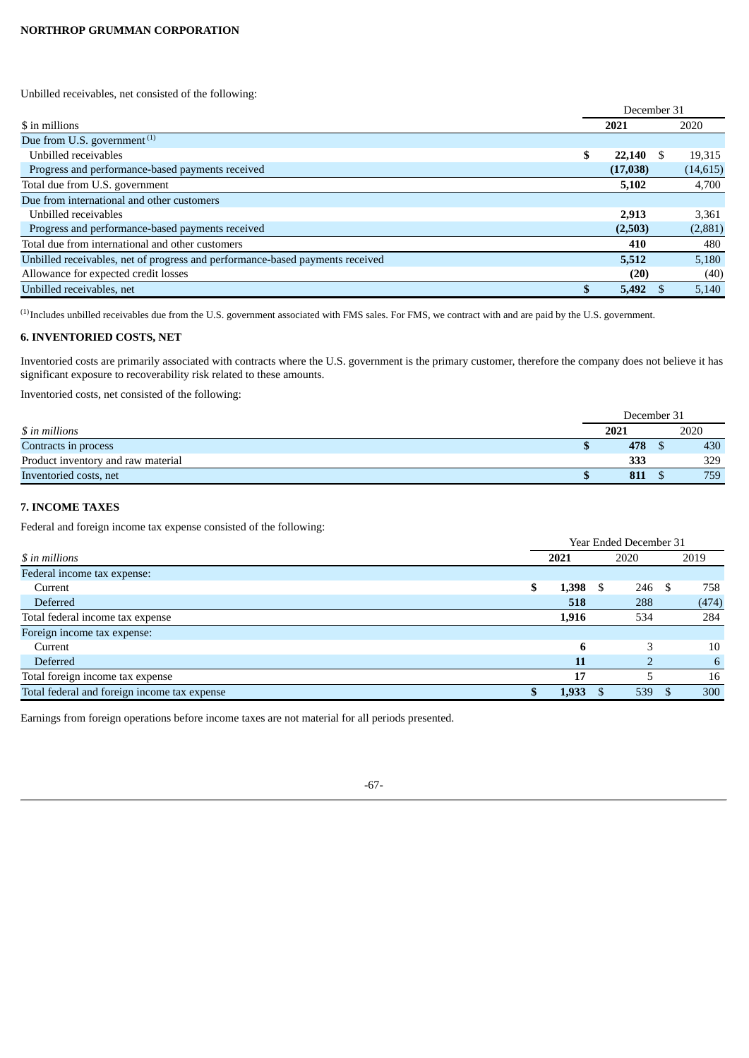Unbilled receivables, net consisted of the following:

|                                                                               | December 31       |  |           |
|-------------------------------------------------------------------------------|-------------------|--|-----------|
| \$ in millions                                                                | 2021              |  | 2020      |
| Due from U.S. government $(1)$                                                |                   |  |           |
| Unbilled receivables                                                          | \$<br>$22,140$ \$ |  | 19,315    |
| Progress and performance-based payments received                              | (17,038)          |  | (14, 615) |
| Total due from U.S. government                                                | 5,102             |  | 4,700     |
| Due from international and other customers                                    |                   |  |           |
| Unbilled receivables                                                          | 2.913             |  | 3,361     |
| Progress and performance-based payments received                              | (2,503)           |  | (2,881)   |
| Total due from international and other customers                              | 410               |  | 480       |
| Unbilled receivables, net of progress and performance-based payments received | 5,512             |  | 5,180     |
| Allowance for expected credit losses                                          | (20)              |  | (40)      |
| Unbilled receivables, net                                                     | 5,492<br>D        |  | 5,140     |

 $^{(1)}$ Includes unbilled receivables due from the U.S. government associated with FMS sales. For FMS, we contract with and are paid by the U.S. government.

# **6. INVENTORIED COSTS, NET**

Inventoried costs are primarily associated with contracts where the U.S. government is the primary customer, therefore the company does not believe it has significant exposure to recoverability risk related to these amounts.

Inventoried costs, net consisted of the following:

|                                    | December 31 |  |      |  |
|------------------------------------|-------------|--|------|--|
| \$ in millions                     | 2021        |  | 2020 |  |
| Contracts in process               | 478         |  | 430  |  |
| Product inventory and raw material | 333         |  | 329  |  |
| Inventoried costs, net             | 811         |  | 759  |  |

# **7. INCOME TAXES**

Federal and foreign income tax expense consisted of the following:

|                                              |    | Year Ended December 31 |      |      |      |       |
|----------------------------------------------|----|------------------------|------|------|------|-------|
| \$ in millions                               |    | 2021                   |      | 2020 |      | 2019  |
| Federal income tax expense:                  |    |                        |      |      |      |       |
| Current                                      | \$ | 1,398                  | - \$ | 246  | - \$ | 758   |
| Deferred                                     |    | 518                    |      | 288  |      | (474) |
| Total federal income tax expense             |    | 1,916                  |      | 534  |      | 284   |
| Foreign income tax expense:                  |    |                        |      |      |      |       |
| Current                                      |    | 6                      |      |      |      | 10    |
| <b>Deferred</b>                              |    | 11                     |      |      |      | 6     |
| Total foreign income tax expense             |    | 17                     |      |      |      | 16    |
| Total federal and foreign income tax expense |    | 1,933                  | Æ    | 539  |      | 300   |

Earnings from foreign operations before income taxes are not material for all periods presented.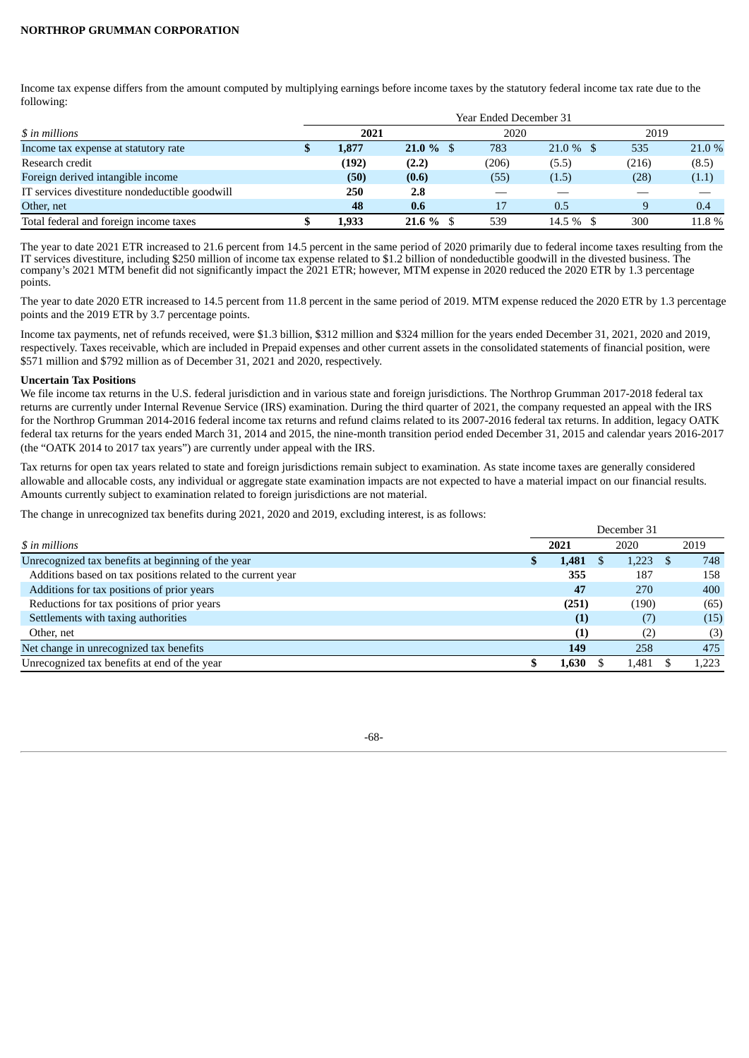#### **NORTHROP GRUMMAN CORPORATION**

Income tax expense differs from the amount computed by multiplying earnings before income taxes by the statutory federal income tax rate due to the following:

|                                                | Year Ended December 31 |       |              |       |             |       |        |  |
|------------------------------------------------|------------------------|-------|--------------|-------|-------------|-------|--------|--|
| \$ in millions                                 |                        | 2021  |              | 2020  |             | 2019  |        |  |
| Income tax expense at statutory rate           |                        | 1,877 | $21.0 \%$ \$ | 783   | $21.0\%$ \$ | 535   | 21.0 % |  |
| Research credit                                |                        | (192) | (2.2)        | (206) | (5.5)       | (216) | (8.5)  |  |
| Foreign derived intangible income              |                        | (50)  | (0.6)        | (55)  | (1.5)       | (28)  | (1.1)  |  |
| IT services divestiture nondeductible goodwill |                        | 250   | 2.8          |       |             |       |        |  |
| Other, net                                     |                        | 48    | 0.6          |       | 0.5         | 9     | 0.4    |  |
| Total federal and foreign income taxes         |                        | 1,933 | $21.6 \%$ \$ | 539   | $14.5\%$ \$ | 300   | 11.8 % |  |

The year to date 2021 ETR increased to 21.6 percent from 14.5 percent in the same period of 2020 primarily due to federal income taxes resulting from the IT services divestiture, including \$250 million of income tax expense related to \$1.2 billion of nondeductible goodwill in the divested business. The company's 2021 MTM benefit did not significantly impact the 2021 ETR; however, MTM expense in 2020 reduced the 2020 ETR by 1.3 percentage points.

The year to date 2020 ETR increased to 14.5 percent from 11.8 percent in the same period of 2019. MTM expense reduced the 2020 ETR by 1.3 percentage points and the 2019 ETR by 3.7 percentage points.

Income tax payments, net of refunds received, were \$1.3 billion, \$312 million and \$324 million for the years ended December 31, 2021, 2020 and 2019, respectively. Taxes receivable, which are included in Prepaid expenses and other current assets in the consolidated statements of financial position, were \$571 million and \$792 million as of December 31, 2021 and 2020, respectively.

#### **Uncertain Tax Positions**

We file income tax returns in the U.S. federal jurisdiction and in various state and foreign jurisdictions. The Northrop Grumman 2017-2018 federal tax returns are currently under Internal Revenue Service (IRS) examination. During the third quarter of 2021, the company requested an appeal with the IRS for the Northrop Grumman 2014-2016 federal income tax returns and refund claims related to its 2007-2016 federal tax returns. In addition, legacy OATK federal tax returns for the years ended March 31, 2014 and 2015, the nine-month transition period ended December 31, 2015 and calendar years 2016-2017 (the "OATK 2014 to 2017 tax years") are currently under appeal with the IRS.

Tax returns for open tax years related to state and foreign jurisdictions remain subject to examination. As state income taxes are generally considered allowable and allocable costs, any individual or aggregate state examination impacts are not expected to have a material impact on our financial results. Amounts currently subject to examination related to foreign jurisdictions are not material.

The change in unrecognized tax benefits during 2021, 2020 and 2019, excluding interest, is as follows:

|                                                              | December 31 |  |       |  |       |
|--------------------------------------------------------------|-------------|--|-------|--|-------|
| \$ in millions                                               | 2021        |  | 2020  |  | 2019  |
| Unrecognized tax benefits at beginning of the year           | 1,481       |  | 1,223 |  | 748   |
| Additions based on tax positions related to the current year | 355         |  | 187   |  | 158   |
| Additions for tax positions of prior years                   | 47          |  | 270   |  | 400   |
| Reductions for tax positions of prior years                  | (251)       |  | (190) |  | (65)  |
| Settlements with taxing authorities                          | (1)         |  | (7)   |  | (15)  |
| Other, net                                                   | (1)         |  | (2)   |  | (3)   |
| Net change in unrecognized tax benefits                      | 149         |  | 258   |  | 475   |
| Unrecognized tax benefits at end of the year                 | 1.630       |  | 1.481 |  | 1.223 |

-68-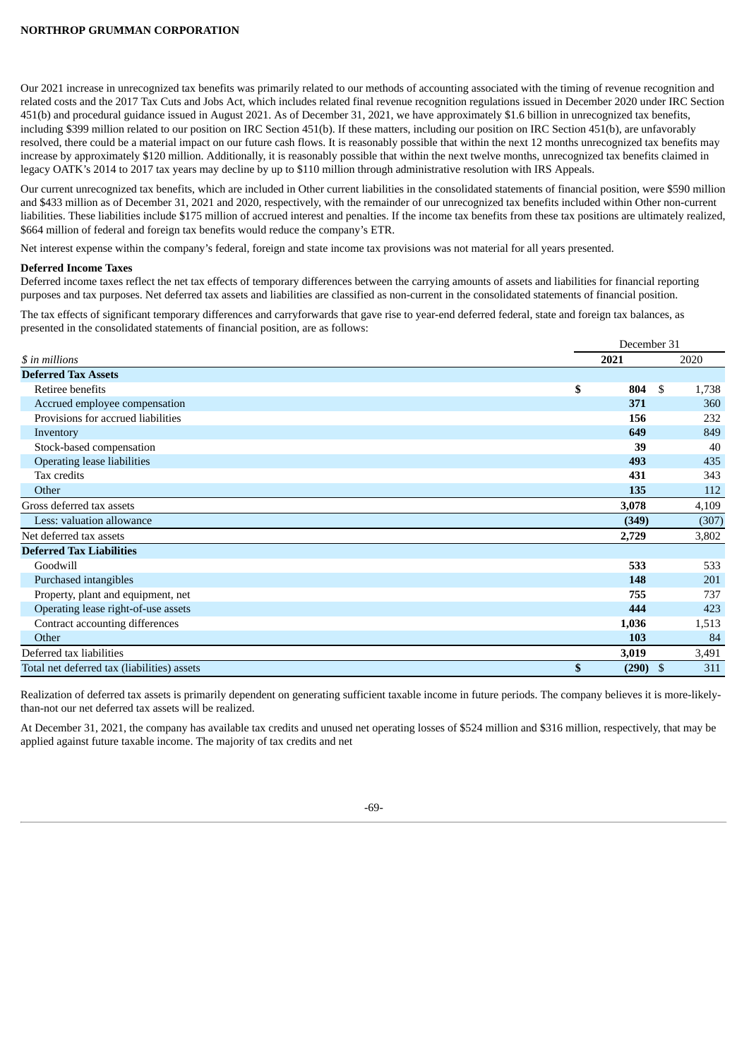Our 2021 increase in unrecognized tax benefits was primarily related to our methods of accounting associated with the timing of revenue recognition and related costs and the 2017 Tax Cuts and Jobs Act, which includes related final revenue recognition regulations issued in December 2020 under IRC Section 451(b) and procedural guidance issued in August 2021. As of December 31, 2021, we have approximately \$1.6 billion in unrecognized tax benefits, including \$399 million related to our position on IRC Section 451(b). If these matters, including our position on IRC Section 451(b), are unfavorably resolved, there could be a material impact on our future cash flows. It is reasonably possible that within the next 12 months unrecognized tax benefits may increase by approximately \$120 million. Additionally, it is reasonably possible that within the next twelve months, unrecognized tax benefits claimed in legacy OATK's 2014 to 2017 tax years may decline by up to \$110 million through administrative resolution with IRS Appeals.

Our current unrecognized tax benefits, which are included in Other current liabilities in the consolidated statements of financial position, were \$590 million and \$433 million as of December 31, 2021 and 2020, respectively, with the remainder of our unrecognized tax benefits included within Other non-current liabilities. These liabilities include \$175 million of accrued interest and penalties. If the income tax benefits from these tax positions are ultimately realized, \$664 million of federal and foreign tax benefits would reduce the company's ETR.

Net interest expense within the company's federal, foreign and state income tax provisions was not material for all years presented.

#### **Deferred Income Taxes**

Deferred income taxes reflect the net tax effects of temporary differences between the carrying amounts of assets and liabilities for financial reporting purposes and tax purposes. Net deferred tax assets and liabilities are classified as non-current in the consolidated statements of financial position.

The tax effects of significant temporary differences and carryforwards that gave rise to year-end deferred federal, state and foreign tax balances, as presented in the consolidated statements of financial position, are as follows:

|                                             | December 31 |       |       |       |
|---------------------------------------------|-------------|-------|-------|-------|
| \$ in millions                              |             | 2021  | 2020  |       |
| <b>Deferred Tax Assets</b>                  |             |       |       |       |
| <b>Retiree benefits</b>                     | \$          | 804   | \$    | 1,738 |
| Accrued employee compensation               |             | 371   |       | 360   |
| Provisions for accrued liabilities          |             | 156   |       | 232   |
| Inventory                                   |             | 649   |       | 849   |
| Stock-based compensation                    |             | 39    |       | 40    |
| <b>Operating lease liabilities</b>          |             | 493   |       | 435   |
| Tax credits                                 |             | 431   |       | 343   |
| Other                                       |             | 135   |       | 112   |
| Gross deferred tax assets                   |             | 3,078 |       | 4,109 |
| Less: valuation allowance                   |             | (349) |       | (307) |
| Net deferred tax assets                     |             | 2,729 |       | 3,802 |
| <b>Deferred Tax Liabilities</b>             |             |       |       |       |
| Goodwill                                    |             | 533   |       | 533   |
| Purchased intangibles                       |             | 148   |       | 201   |
| Property, plant and equipment, net          |             | 755   |       | 737   |
| Operating lease right-of-use assets         |             | 444   |       | 423   |
| Contract accounting differences             |             | 1,036 |       | 1,513 |
| Other                                       |             | 103   |       | 84    |
| Deferred tax liabilities                    |             | 3,019 | 3,491 |       |
| Total net deferred tax (liabilities) assets | \$          | (290) | \$    | 311   |

Realization of deferred tax assets is primarily dependent on generating sufficient taxable income in future periods. The company believes it is more-likelythan-not our net deferred tax assets will be realized.

At December 31, 2021, the company has available tax credits and unused net operating losses of \$524 million and \$316 million, respectively, that may be applied against future taxable income. The majority of tax credits and net

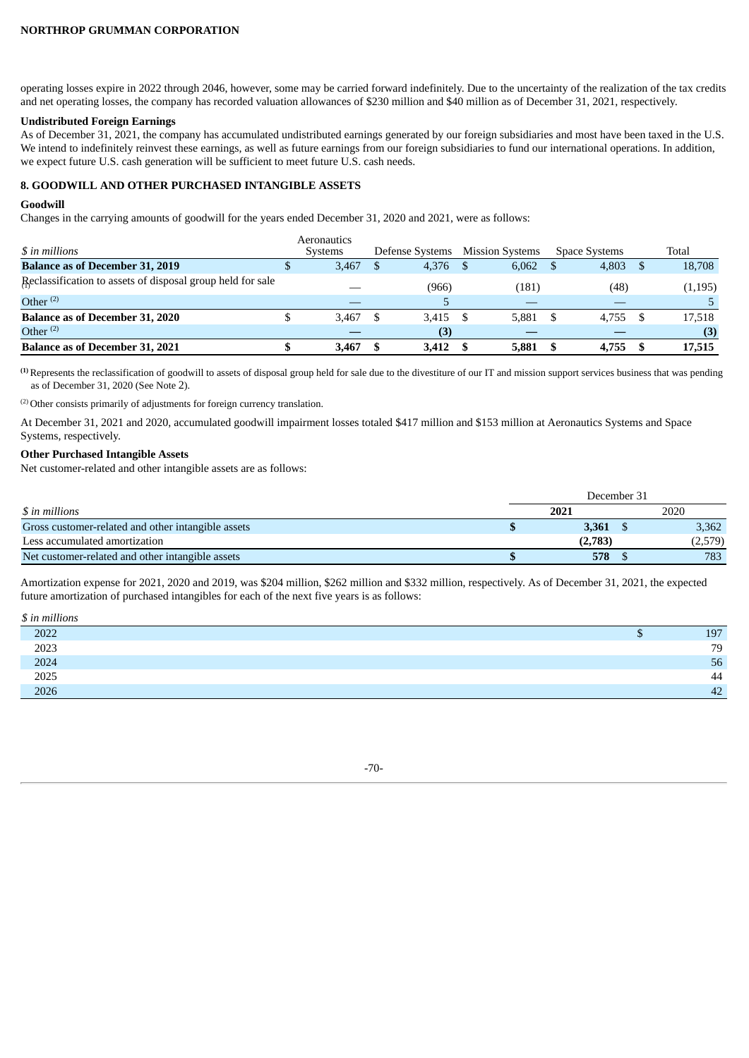# **NORTHROP GRUMMAN CORPORATION**

operating losses expire in 2022 through 2046, however, some may be carried forward indefinitely. Due to the uncertainty of the realization of the tax credits and net operating losses, the company has recorded valuation allowances of \$230 million and \$40 million as of December 31, 2021, respectively.

## **Undistributed Foreign Earnings**

As of December 31, 2021, the company has accumulated undistributed earnings generated by our foreign subsidiaries and most have been taxed in the U.S. We intend to indefinitely reinvest these earnings, as well as future earnings from our foreign subsidiaries to fund our international operations. In addition, we expect future U.S. cash generation will be sufficient to meet future U.S. cash needs.

## **8. GOODWILL AND OTHER PURCHASED INTANGIBLE ASSETS**

### **Goodwill**

Changes in the carrying amounts of goodwill for the years ended December 31, 2020 and 2021, were as follows:

|                                                            | Aeronautics |                 |                        |               |          |
|------------------------------------------------------------|-------------|-----------------|------------------------|---------------|----------|
| \$ in millions                                             | Systems     | Defense Systems | <b>Mission Systems</b> | Space Systems | Total    |
| <b>Balance as of December 31, 2019</b>                     | 3.467       | 4.376           | 6.062                  | 4.803         | 18,708   |
| Reclassification to assets of disposal group held for sale |             | (966)           | (181)                  | (48)          | (1, 195) |
| Other $(2)$                                                |             |                 |                        |               |          |
| <b>Balance as of December 31, 2020</b>                     | 3,467       | 3.415           | 5,881                  | 4.755         | 17.518   |
| Other $(2)$                                                |             | (3)             |                        |               | (3)      |
| <b>Balance as of December 31, 2021</b>                     | 3.467       | 3.412           | 5.881                  | 4.755         | 17,515   |

<sup>(1)</sup> Represents the reclassification of goodwill to assets of disposal group held for sale due to the divestiture of our IT and mission support services business that was pending as of December 31, 2020 (See Note 2).

 $(2)$  Other consists primarily of adjustments for foreign currency translation.

At December 31, 2021 and 2020, accumulated goodwill impairment losses totaled \$417 million and \$153 million at Aeronautics Systems and Space Systems, respectively.

### **Other Purchased Intangible Assets**

Net customer-related and other intangible assets are as follows:

|                                                    | December 31 |         |  |         |  |  |
|----------------------------------------------------|-------------|---------|--|---------|--|--|
| \$ in millions                                     |             | 2021    |  | 2020    |  |  |
| Gross customer-related and other intangible assets |             | 3.361   |  | 3,362   |  |  |
| Less accumulated amortization                      |             | (2,783) |  | (2,579) |  |  |
| Net customer-related and other intangible assets   |             | 578     |  | 783     |  |  |

Amortization expense for 2021, 2020 and 2019, was \$204 million, \$262 million and \$332 million, respectively. As of December 31, 2021, the expected future amortization of purchased intangibles for each of the next five years is as follows:

| \$ in millions |    |     |
|----------------|----|-----|
| 2022           | ۰U | 197 |
| 2023           |    | 79  |
| 2024           |    | 56  |
| 2025           |    | 44  |
| 2026           |    | 42  |

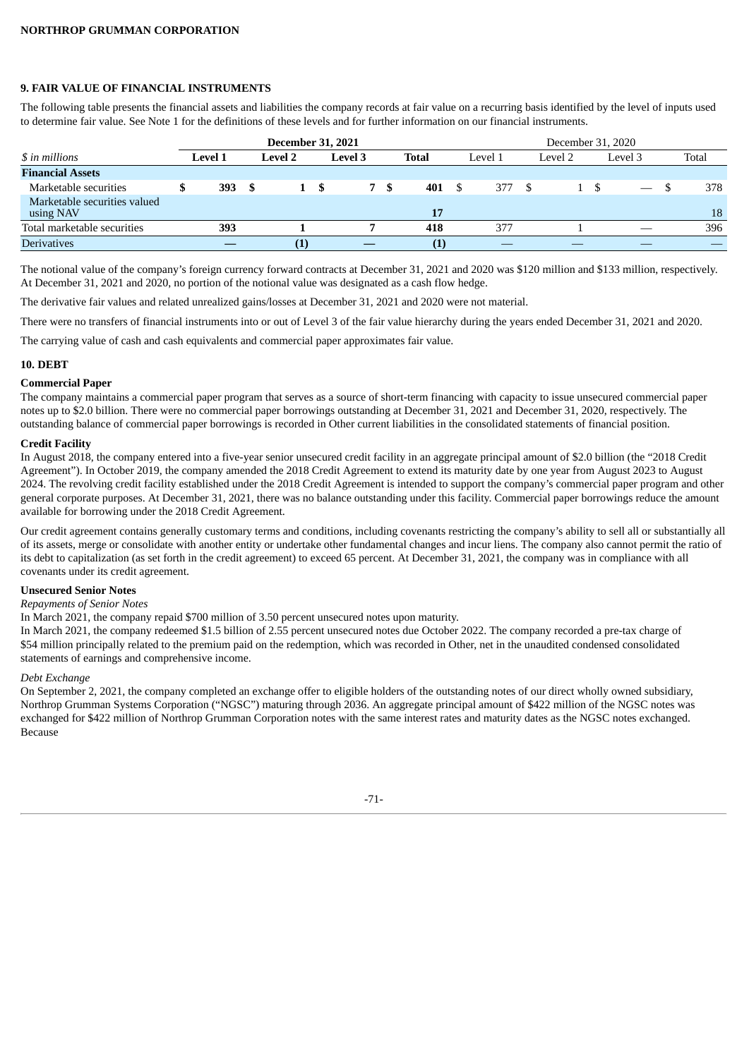# **9. FAIR VALUE OF FINANCIAL INSTRUMENTS**

The following table presents the financial assets and liabilities the company records at fair value on a recurring basis identified by the level of inputs used to determine fair value. See Note 1 for the definitions of these levels and for further information on our financial instruments.

|                                           |                | <b>December 31, 2021</b> |         |     |              | December 31, 2020 |         |  |         |  |                          |  |       |
|-------------------------------------------|----------------|--------------------------|---------|-----|--------------|-------------------|---------|--|---------|--|--------------------------|--|-------|
| \$ in millions                            | <b>Level 1</b> | <b>Level 2</b>           | Level 3 |     | <b>Total</b> |                   | Level 1 |  | Level 2 |  | Level 3                  |  | Total |
| <b>Financial Assets</b>                   |                |                          |         |     |              |                   |         |  |         |  |                          |  |       |
| Marketable securities                     | 393            |                          |         | 7 S | 401          |                   | 377     |  |         |  | $\overline{\phantom{m}}$ |  | 378   |
| Marketable securities valued<br>using NAV |                |                          |         |     | 17           |                   |         |  |         |  |                          |  | 18    |
| Total marketable securities               | 393            |                          |         |     | 418          |                   | 377     |  |         |  |                          |  | 396   |
| <b>Derivatives</b>                        |                |                          |         |     | (1)          |                   |         |  |         |  |                          |  |       |

The notional value of the company's foreign currency forward contracts at December 31, 2021 and 2020 was \$120 million and \$133 million, respectively. At December 31, 2021 and 2020, no portion of the notional value was designated as a cash flow hedge.

The derivative fair values and related unrealized gains/losses at December 31, 2021 and 2020 were not material.

There were no transfers of financial instruments into or out of Level 3 of the fair value hierarchy during the years ended December 31, 2021 and 2020.

The carrying value of cash and cash equivalents and commercial paper approximates fair value.

### **10. DEBT**

## **Commercial Paper**

The company maintains a commercial paper program that serves as a source of short-term financing with capacity to issue unsecured commercial paper notes up to \$2.0 billion. There were no commercial paper borrowings outstanding at December 31, 2021 and December 31, 2020, respectively. The outstanding balance of commercial paper borrowings is recorded in Other current liabilities in the consolidated statements of financial position.

### **Credit Facility**

In August 2018, the company entered into a five-year senior unsecured credit facility in an aggregate principal amount of \$2.0 billion (the "2018 Credit Agreement"). In October 2019, the company amended the 2018 Credit Agreement to extend its maturity date by one year from August 2023 to August 2024. The revolving credit facility established under the 2018 Credit Agreement is intended to support the company's commercial paper program and other general corporate purposes. At December 31, 2021, there was no balance outstanding under this facility. Commercial paper borrowings reduce the amount available for borrowing under the 2018 Credit Agreement.

Our credit agreement contains generally customary terms and conditions, including covenants restricting the company's ability to sell all or substantially all of its assets, merge or consolidate with another entity or undertake other fundamental changes and incur liens. The company also cannot permit the ratio of its debt to capitalization (as set forth in the credit agreement) to exceed 65 percent. At December 31, 2021, the company was in compliance with all covenants under its credit agreement.

### **Unsecured Senior Notes**

### *Repayments of Senior Notes*

In March 2021, the company repaid \$700 million of 3.50 percent unsecured notes upon maturity.

In March 2021, the company redeemed \$1.5 billion of 2.55 percent unsecured notes due October 2022. The company recorded a pre-tax charge of \$54 million principally related to the premium paid on the redemption, which was recorded in Other, net in the unaudited condensed consolidated statements of earnings and comprehensive income.

### *Debt Exchange*

On September 2, 2021, the company completed an exchange offer to eligible holders of the outstanding notes of our direct wholly owned subsidiary, Northrop Grumman Systems Corporation ("NGSC") maturing through 2036. An aggregate principal amount of \$422 million of the NGSC notes was exchanged for \$422 million of Northrop Grumman Corporation notes with the same interest rates and maturity dates as the NGSC notes exchanged. Because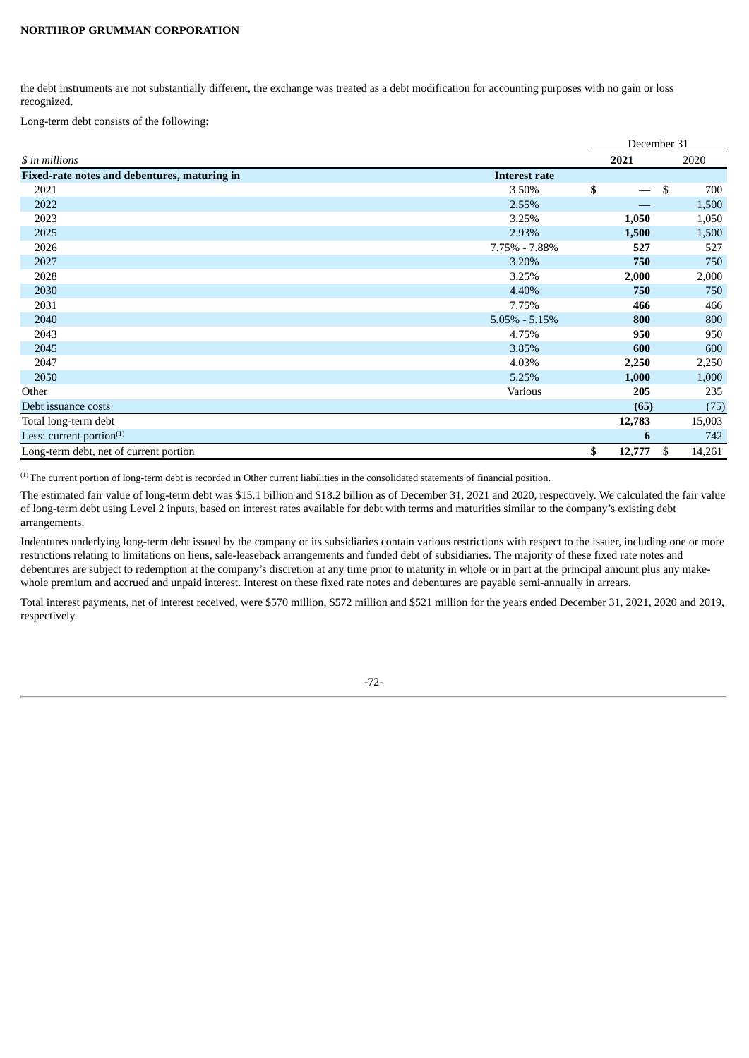the debt instruments are not substantially different, the exchange was treated as a debt modification for accounting purposes with no gain or loss recognized.

Long-term debt consists of the following:

|                                              |                   |              | December 31  |
|----------------------------------------------|-------------------|--------------|--------------|
| \$ in millions                               |                   | 2021         | 2020         |
| Fixed-rate notes and debentures, maturing in | Interest rate     |              |              |
| 2021                                         | 3.50%             | \$           | \$<br>700    |
| 2022                                         | 2.55%             |              | 1,500        |
| 2023                                         | 3.25%             | 1,050        | 1,050        |
| 2025                                         | 2.93%             | 1,500        | 1,500        |
| 2026                                         | 7.75% - 7.88%     | 527          | 527          |
| 2027                                         | 3.20%             | 750          | 750          |
| 2028                                         | 3.25%             | 2,000        | 2,000        |
| 2030                                         | 4.40%             | 750          | 750          |
| 2031                                         | 7.75%             | 466          | 466          |
| 2040                                         | $5.05\% - 5.15\%$ | 800          | 800          |
| 2043                                         | 4.75%             | 950          | 950          |
| 2045                                         | 3.85%             | 600          | 600          |
| 2047                                         | 4.03%             | 2,250        | 2,250        |
| 2050                                         | 5.25%             | 1,000        | 1,000        |
| Other                                        | Various           | 205          | 235          |
| Debt issuance costs                          |                   | (65)         | (75)         |
| Total long-term debt                         |                   | 12,783       | 15,003       |
| Less: current portion $(1)$                  |                   | 6            | 742          |
| Long-term debt, net of current portion       |                   | \$<br>12,777 | \$<br>14,261 |

 $<sup>(1)</sup>$  The current portion of long-term debt is recorded in Other current liabilities in the consolidated statements of financial position.</sup>

The estimated fair value of long-term debt was \$15.1 billion and \$18.2 billion as of December 31, 2021 and 2020, respectively. We calculated the fair value of long-term debt using Level 2 inputs, based on interest rates available for debt with terms and maturities similar to the company's existing debt arrangements.

Indentures underlying long-term debt issued by the company or its subsidiaries contain various restrictions with respect to the issuer, including one or more restrictions relating to limitations on liens, sale-leaseback arrangements and funded debt of subsidiaries. The majority of these fixed rate notes and debentures are subject to redemption at the company's discretion at any time prior to maturity in whole or in part at the principal amount plus any makewhole premium and accrued and unpaid interest. Interest on these fixed rate notes and debentures are payable semi-annually in arrears.

Total interest payments, net of interest received, were \$570 million, \$572 million and \$521 million for the years ended December 31, 2021, 2020 and 2019, respectively.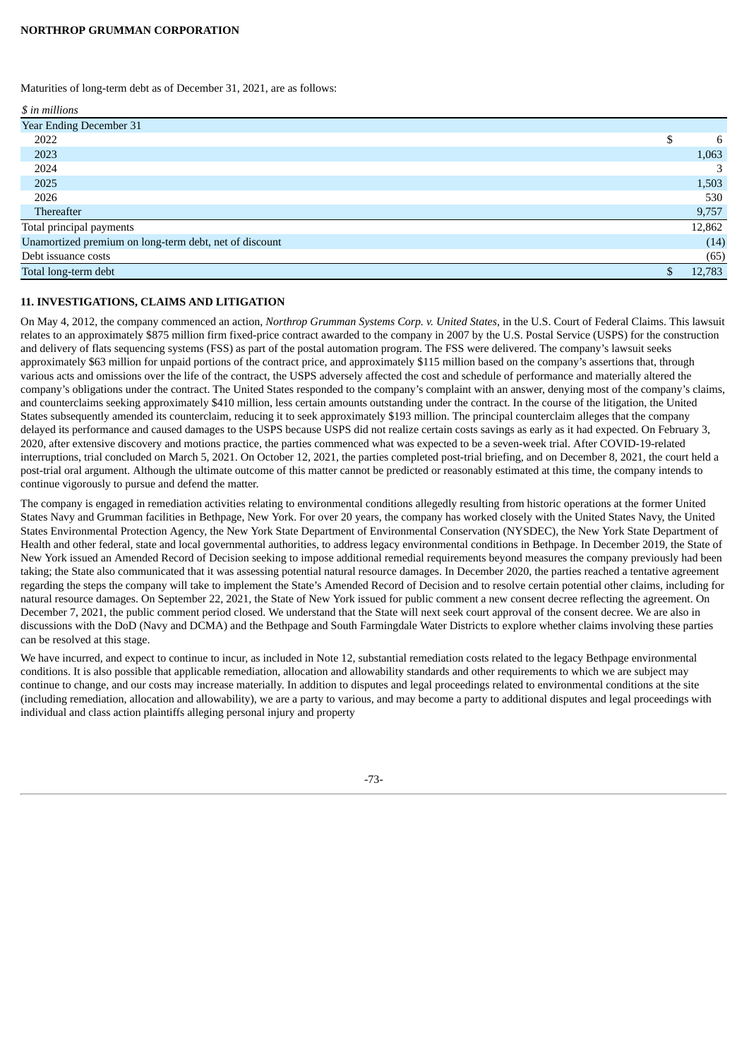Maturities of long-term debt as of December 31, 2021, are as follows:

| S | 6      |
|---|--------|
|   | 1,063  |
|   | 3      |
|   | 1,503  |
|   | 530    |
|   | 9,757  |
|   | 12,862 |
|   | (14)   |
|   | (65)   |
|   | 12,783 |
|   |        |

## **11. INVESTIGATIONS, CLAIMS AND LITIGATION**

On May 4, 2012, the company commenced an action, *Northrop Grumman Systems Corp. v. United States*, in the U.S. Court of Federal Claims. This lawsuit relates to an approximately \$875 million firm fixed-price contract awarded to the company in 2007 by the U.S. Postal Service (USPS) for the construction and delivery of flats sequencing systems (FSS) as part of the postal automation program. The FSS were delivered. The company's lawsuit seeks approximately \$63 million for unpaid portions of the contract price, and approximately \$115 million based on the company's assertions that, through various acts and omissions over the life of the contract, the USPS adversely affected the cost and schedule of performance and materially altered the company's obligations under the contract. The United States responded to the company's complaint with an answer, denying most of the company's claims, and counterclaims seeking approximately \$410 million, less certain amounts outstanding under the contract. In the course of the litigation, the United States subsequently amended its counterclaim, reducing it to seek approximately \$193 million. The principal counterclaim alleges that the company delayed its performance and caused damages to the USPS because USPS did not realize certain costs savings as early as it had expected. On February 3, 2020, after extensive discovery and motions practice, the parties commenced what was expected to be a seven-week trial. After COVID-19-related interruptions, trial concluded on March 5, 2021. On October 12, 2021, the parties completed post-trial briefing, and on December 8, 2021, the court held a post-trial oral argument. Although the ultimate outcome of this matter cannot be predicted or reasonably estimated at this time, the company intends to continue vigorously to pursue and defend the matter.

The company is engaged in remediation activities relating to environmental conditions allegedly resulting from historic operations at the former United States Navy and Grumman facilities in Bethpage, New York. For over 20 years, the company has worked closely with the United States Navy, the United States Environmental Protection Agency, the New York State Department of Environmental Conservation (NYSDEC), the New York State Department of Health and other federal, state and local governmental authorities, to address legacy environmental conditions in Bethpage. In December 2019, the State of New York issued an Amended Record of Decision seeking to impose additional remedial requirements beyond measures the company previously had been taking; the State also communicated that it was assessing potential natural resource damages. In December 2020, the parties reached a tentative agreement regarding the steps the company will take to implement the State's Amended Record of Decision and to resolve certain potential other claims, including for natural resource damages. On September 22, 2021, the State of New York issued for public comment a new consent decree reflecting the agreement. On December 7, 2021, the public comment period closed. We understand that the State will next seek court approval of the consent decree. We are also in discussions with the DoD (Navy and DCMA) and the Bethpage and South Farmingdale Water Districts to explore whether claims involving these parties can be resolved at this stage.

We have incurred, and expect to continue to incur, as included in Note 12, substantial remediation costs related to the legacy Bethpage environmental conditions. It is also possible that applicable remediation, allocation and allowability standards and other requirements to which we are subject may continue to change, and our costs may increase materially. In addition to disputes and legal proceedings related to environmental conditions at the site (including remediation, allocation and allowability), we are a party to various, and may become a party to additional disputes and legal proceedings with individual and class action plaintiffs alleging personal injury and property

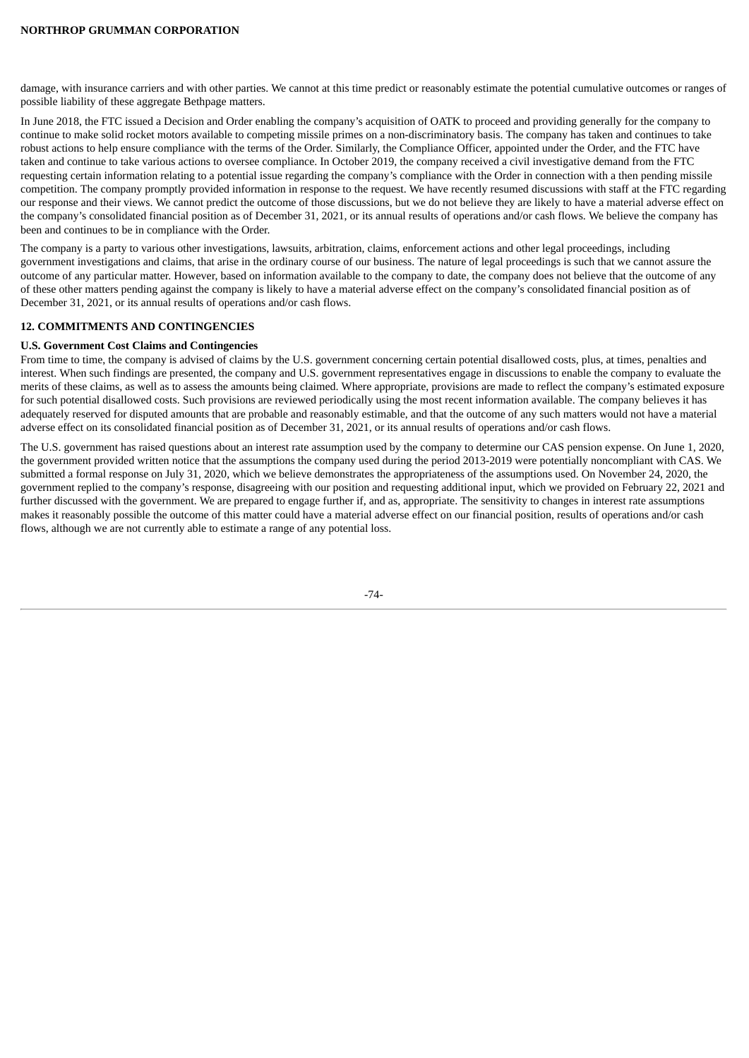damage, with insurance carriers and with other parties. We cannot at this time predict or reasonably estimate the potential cumulative outcomes or ranges of possible liability of these aggregate Bethpage matters.

In June 2018, the FTC issued a Decision and Order enabling the company's acquisition of OATK to proceed and providing generally for the company to continue to make solid rocket motors available to competing missile primes on a non-discriminatory basis. The company has taken and continues to take robust actions to help ensure compliance with the terms of the Order. Similarly, the Compliance Officer, appointed under the Order, and the FTC have taken and continue to take various actions to oversee compliance. In October 2019, the company received a civil investigative demand from the FTC requesting certain information relating to a potential issue regarding the company's compliance with the Order in connection with a then pending missile competition. The company promptly provided information in response to the request. We have recently resumed discussions with staff at the FTC regarding our response and their views. We cannot predict the outcome of those discussions, but we do not believe they are likely to have a material adverse effect on the company's consolidated financial position as of December 31, 2021, or its annual results of operations and/or cash flows. We believe the company has been and continues to be in compliance with the Order.

The company is a party to various other investigations, lawsuits, arbitration, claims, enforcement actions and other legal proceedings, including government investigations and claims, that arise in the ordinary course of our business. The nature of legal proceedings is such that we cannot assure the outcome of any particular matter. However, based on information available to the company to date, the company does not believe that the outcome of any of these other matters pending against the company is likely to have a material adverse effect on the company's consolidated financial position as of December 31, 2021, or its annual results of operations and/or cash flows.

## **12. COMMITMENTS AND CONTINGENCIES**

## **U.S. Government Cost Claims and Contingencies**

From time to time, the company is advised of claims by the U.S. government concerning certain potential disallowed costs, plus, at times, penalties and interest. When such findings are presented, the company and U.S. government representatives engage in discussions to enable the company to evaluate the merits of these claims, as well as to assess the amounts being claimed. Where appropriate, provisions are made to reflect the company's estimated exposure for such potential disallowed costs. Such provisions are reviewed periodically using the most recent information available. The company believes it has adequately reserved for disputed amounts that are probable and reasonably estimable, and that the outcome of any such matters would not have a material adverse effect on its consolidated financial position as of December 31, 2021, or its annual results of operations and/or cash flows.

The U.S. government has raised questions about an interest rate assumption used by the company to determine our CAS pension expense. On June 1, 2020, the government provided written notice that the assumptions the company used during the period 2013-2019 were potentially noncompliant with CAS. We submitted a formal response on July 31, 2020, which we believe demonstrates the appropriateness of the assumptions used. On November 24, 2020, the government replied to the company's response, disagreeing with our position and requesting additional input, which we provided on February 22, 2021 and further discussed with the government. We are prepared to engage further if, and as, appropriate. The sensitivity to changes in interest rate assumptions makes it reasonably possible the outcome of this matter could have a material adverse effect on our financial position, results of operations and/or cash flows, although we are not currently able to estimate a range of any potential loss.

-74-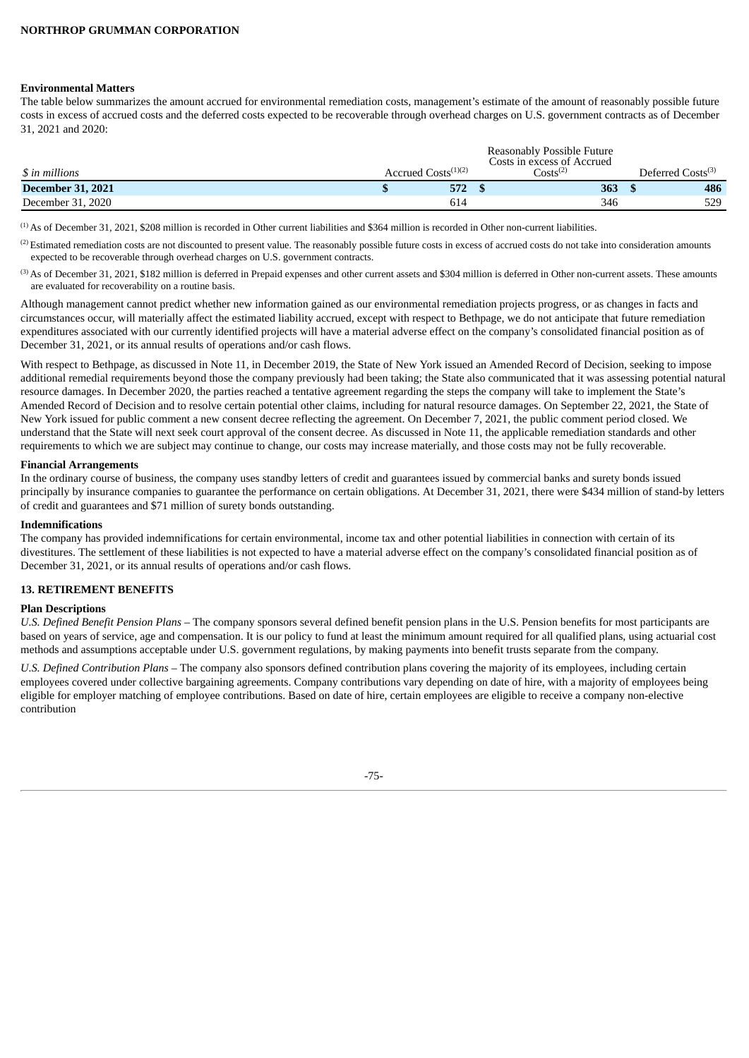### **Environmental Matters**

The table below summarizes the amount accrued for environmental remediation costs, management's estimate of the amount of reasonably possible future costs in excess of accrued costs and the deferred costs expected to be recoverable through overhead charges on U.S. government contracts as of December 31, 2021 and 2020:

|                          | Reasonably Possible Future<br>Costs in excess of Accrued |  |                      |                     |  |  |  |  |  |
|--------------------------|----------------------------------------------------------|--|----------------------|---------------------|--|--|--|--|--|
| \$ in millions           | Accrued Costs <sup>(1)(2)</sup>                          |  | Costs <sup>(2)</sup> | Deferred $CostS(3)$ |  |  |  |  |  |
| <b>December 31, 2021</b> | 572                                                      |  | 363                  | 486                 |  |  |  |  |  |
| December 31, 2020        | 614                                                      |  | 346                  | 529                 |  |  |  |  |  |

 $^{(1)}$  As of December 31, 2021, \$208 million is recorded in Other current liabilities and \$364 million is recorded in Other non-current liabilities.

 $^{(2)}$  Estimated remediation costs are not discounted to present value. The reasonably possible future costs in excess of accrued costs do not take into consideration amounts expected to be recoverable through overhead charges on U.S. government contracts.

As of December 31, 2021, \$182 million is deferred in Prepaid expenses and other current assets and \$304 million is deferred in Other non-current assets. These amounts (3) are evaluated for recoverability on a routine basis.

Although management cannot predict whether new information gained as our environmental remediation projects progress, or as changes in facts and circumstances occur, will materially affect the estimated liability accrued, except with respect to Bethpage, we do not anticipate that future remediation expenditures associated with our currently identified projects will have a material adverse effect on the company's consolidated financial position as of December 31, 2021, or its annual results of operations and/or cash flows.

With respect to Bethpage, as discussed in Note 11, in December 2019, the State of New York issued an Amended Record of Decision, seeking to impose additional remedial requirements beyond those the company previously had been taking; the State also communicated that it was assessing potential natural resource damages. In December 2020, the parties reached a tentative agreement regarding the steps the company will take to implement the State's Amended Record of Decision and to resolve certain potential other claims, including for natural resource damages. On September 22, 2021, the State of New York issued for public comment a new consent decree reflecting the agreement. On December 7, 2021, the public comment period closed. We understand that the State will next seek court approval of the consent decree. As discussed in Note 11, the applicable remediation standards and other requirements to which we are subject may continue to change, our costs may increase materially, and those costs may not be fully recoverable.

## **Financial Arrangements**

In the ordinary course of business, the company uses standby letters of credit and guarantees issued by commercial banks and surety bonds issued principally by insurance companies to guarantee the performance on certain obligations. At December 31, 2021, there were \$434 million of stand-by letters of credit and guarantees and \$71 million of surety bonds outstanding.

### **Indemnifications**

The company has provided indemnifications for certain environmental, income tax and other potential liabilities in connection with certain of its divestitures. The settlement of these liabilities is not expected to have a material adverse effect on the company's consolidated financial position as of December 31, 2021, or its annual results of operations and/or cash flows.

## **13. RETIREMENT BENEFITS**

### **Plan Descriptions**

*U.S. Defined Benefit Pension Plans* – The company sponsors several defined benefit pension plans in the U.S. Pension benefits for most participants are based on years of service, age and compensation. It is our policy to fund at least the minimum amount required for all qualified plans, using actuarial cost methods and assumptions acceptable under U.S. government regulations, by making payments into benefit trusts separate from the company.

*U.S. Defined Contribution Plans* – The company also sponsors defined contribution plans covering the majority of its employees, including certain employees covered under collective bargaining agreements. Company contributions vary depending on date of hire, with a majority of employees being eligible for employer matching of employee contributions. Based on date of hire, certain employees are eligible to receive a company non-elective contribution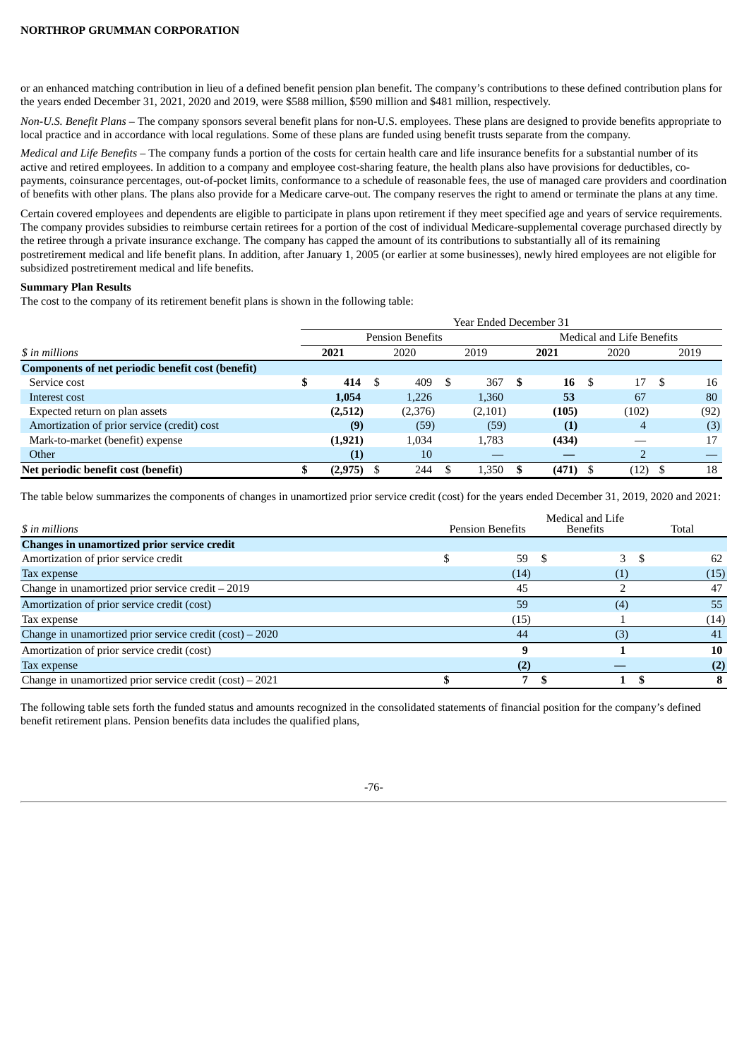or an enhanced matching contribution in lieu of a defined benefit pension plan benefit. The company's contributions to these defined contribution plans for the years ended December 31, 2021, 2020 and 2019, were \$588 million, \$590 million and \$481 million, respectively.

*Non-U.S. Benefit Plans –* The company sponsors several benefit plans for non-U.S. employees. These plans are designed to provide benefits appropriate to local practice and in accordance with local regulations. Some of these plans are funded using benefit trusts separate from the company.

*Medical and Life Benefits* – The company funds a portion of the costs for certain health care and life insurance benefits for a substantial number of its active and retired employees. In addition to a company and employee cost-sharing feature, the health plans also have provisions for deductibles, copayments, coinsurance percentages, out-of-pocket limits, conformance to a schedule of reasonable fees, the use of managed care providers and coordination of benefits with other plans. The plans also provide for a Medicare carve-out. The company reserves the right to amend or terminate the plans at any time.

Certain covered employees and dependents are eligible to participate in plans upon retirement if they meet specified age and years of service requirements. The company provides subsidies to reimburse certain retirees for a portion of the cost of individual Medicare-supplemental coverage purchased directly by the retiree through a private insurance exchange. The company has capped the amount of its contributions to substantially all of its remaining postretirement medical and life benefit plans. In addition, after January 1, 2005 (or earlier at some businesses), newly hired employees are not eligible for subsidized postretirement medical and life benefits.

### **Summary Plan Results**

The cost to the company of its retirement benefit plans is shown in the following table:

|                                                   | Year Ended December 31                                      |                              |  |         |    |         |      |       |      |                |    |      |
|---------------------------------------------------|-------------------------------------------------------------|------------------------------|--|---------|----|---------|------|-------|------|----------------|----|------|
|                                                   | <b>Medical and Life Benefits</b><br><b>Pension Benefits</b> |                              |  |         |    |         |      |       |      |                |    |      |
| \$ in millions                                    |                                                             | 2021<br>2020<br>2021<br>2019 |  |         |    |         | 2020 | 2019  |      |                |    |      |
| Components of net periodic benefit cost (benefit) |                                                             |                              |  |         |    |         |      |       |      |                |    |      |
| Service cost                                      |                                                             | 414                          |  | 409     | -S | 367     | £.   | 16    | - \$ | 17             | -S | 16   |
| Interest cost                                     |                                                             | 1,054                        |  | 1,226   |    | 1,360   |      | 53    |      | 67             |    | 80   |
| Expected return on plan assets                    |                                                             | (2,512)                      |  | (2,376) |    | (2,101) |      | (105) |      | (102)          |    | (92) |
| Amortization of prior service (credit) cost       |                                                             | (9)                          |  | (59)    |    | (59)    |      | (1)   |      | $\overline{4}$ |    | (3)  |
| Mark-to-market (benefit) expense                  |                                                             | (1, 921)                     |  | 1,034   |    | 1,783   |      | (434) |      |                |    | 17   |
| Other                                             |                                                             | (1)                          |  | 10      |    |         |      |       |      | フ              |    |      |
| Net periodic benefit cost (benefit)               | J.                                                          | (2, 975)                     |  | 244     |    | 1,350   |      | (471) |      | (12)           |    | 18   |

The table below summarizes the components of changes in unamortized prior service credit (cost) for the years ended December 31, 2019, 2020 and 2021:

|                                                            |                         |    | Medical and Life |       |
|------------------------------------------------------------|-------------------------|----|------------------|-------|
| \$ in millions                                             | <b>Pension Benefits</b> |    | <b>Benefits</b>  | Total |
| Changes in unamortized prior service credit                |                         |    |                  |       |
| Amortization of prior service credit                       | 59                      | -S | 3                | 62    |
| Tax expense                                                | (14)                    |    |                  | (15)  |
| Change in unamortized prior service credit $-2019$         | 45                      |    |                  | 47    |
| Amortization of prior service credit (cost)                | 59                      |    | (4)              | 55    |
| Tax expense                                                | (15)                    |    |                  | (14)  |
| Change in unamortized prior service credit $(cost) - 2020$ | 44                      |    | (3)              | 41    |
| Amortization of prior service credit (cost)                |                         |    |                  | 10    |
| Tax expense                                                |                         |    |                  | (2)   |
| Change in unamortized prior service credit $(cost) - 2021$ | 7                       |    |                  | 8     |

The following table sets forth the funded status and amounts recognized in the consolidated statements of financial position for the company's defined benefit retirement plans. Pension benefits data includes the qualified plans,

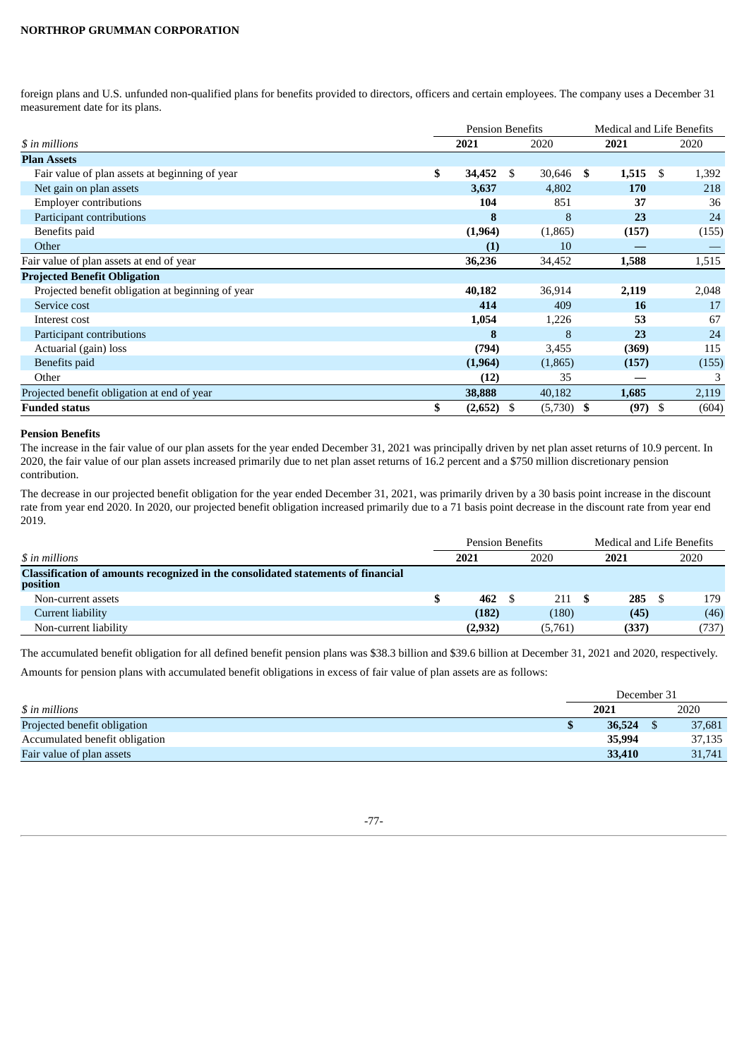foreign plans and U.S. unfunded non-qualified plans for benefits provided to directors, officers and certain employees. The company uses a December 31 measurement date for its plans.

|                                                   | <b>Pension Benefits</b> |     |         |              | Medical and Life Benefits |       |
|---------------------------------------------------|-------------------------|-----|---------|--------------|---------------------------|-------|
| \$ in millions                                    | 2021                    |     | 2020    | 2021         |                           | 2020  |
| <b>Plan Assets</b>                                |                         |     |         |              |                           |       |
| Fair value of plan assets at beginning of year    | \$<br>34,452            | \$. | 30,646  | S.<br>1,515  | \$                        | 1,392 |
| Net gain on plan assets                           | 3,637                   |     | 4,802   | 170          |                           | 218   |
| <b>Employer contributions</b>                     | 104                     |     | 851     | 37           |                           | 36    |
| Participant contributions                         | 8                       |     | 8       | 23           |                           | 24    |
| Benefits paid                                     | (1,964)                 |     | (1,865) | (157)        |                           | (155) |
| Other                                             | (1)                     |     | 10      |              |                           |       |
| Fair value of plan assets at end of year          | 36,236                  |     | 34,452  | 1,588        |                           | 1,515 |
| <b>Projected Benefit Obligation</b>               |                         |     |         |              |                           |       |
| Projected benefit obligation at beginning of year | 40,182                  |     | 36,914  | 2,119        |                           | 2,048 |
| Service cost                                      | 414                     |     | 409     | 16           |                           | 17    |
| Interest cost                                     | 1,054                   |     | 1,226   | 53           |                           | 67    |
| Participant contributions                         | 8                       |     | 8       | 23           |                           | 24    |
| Actuarial (gain) loss                             | (794)                   |     | 3,455   | (369)        |                           | 115   |
| Benefits paid                                     | (1,964)                 |     | (1,865) | (157)        |                           | (155) |
| Other                                             | (12)                    |     | 35      |              |                           | 3     |
| Projected benefit obligation at end of year       | 38,888                  |     | 40,182  | 1,685        |                           | 2,119 |
| <b>Funded status</b>                              | \$<br>(2,652)           | \$  | (5,730) | (97)<br>- \$ | \$                        | (604) |

# **Pension Benefits**

The increase in the fair value of our plan assets for the year ended December 31, 2021 was principally driven by net plan asset returns of 10.9 percent. In 2020, the fair value of our plan assets increased primarily due to net plan asset returns of 16.2 percent and a \$750 million discretionary pension contribution.

The decrease in our projected benefit obligation for the year ended December 31, 2021, was primarily driven by a 30 basis point increase in the discount rate from year end 2020. In 2020, our projected benefit obligation increased primarily due to a 71 basis point decrease in the discount rate from year end 2019.

|                                                                                              | <b>Pension Benefits</b> |         |  |         |      | Medical and Life Benefits |  |       |  |  |
|----------------------------------------------------------------------------------------------|-------------------------|---------|--|---------|------|---------------------------|--|-------|--|--|
| \$ in millions                                                                               |                         | 2021    |  | 2020    | 2021 |                           |  | 2020  |  |  |
| Classification of amounts recognized in the consolidated statements of financial<br>position |                         |         |  |         |      |                           |  |       |  |  |
| Non-current assets                                                                           | \$                      | 462     |  | 211S    |      | 285                       |  | 179   |  |  |
| Current liability                                                                            |                         | (182)   |  | (180)   |      | (45)                      |  | (46)  |  |  |
| Non-current liability                                                                        |                         | (2,932) |  | (5,761) |      | (337)                     |  | (737) |  |  |

The accumulated benefit obligation for all defined benefit pension plans was \$38.3 billion and \$39.6 billion at December 31, 2021 and 2020, respectively.

Amounts for pension plans with accumulated benefit obligations in excess of fair value of plan assets are as follows:

|                                | December 31 |  |        |  |  |  |
|--------------------------------|-------------|--|--------|--|--|--|
| \$ in millions                 | 2021        |  | 2020   |  |  |  |
| Projected benefit obligation   | 36,524      |  | 37,681 |  |  |  |
| Accumulated benefit obligation | 35,994      |  | 37,135 |  |  |  |
| Fair value of plan assets      | 33,410      |  | 31,741 |  |  |  |

-77-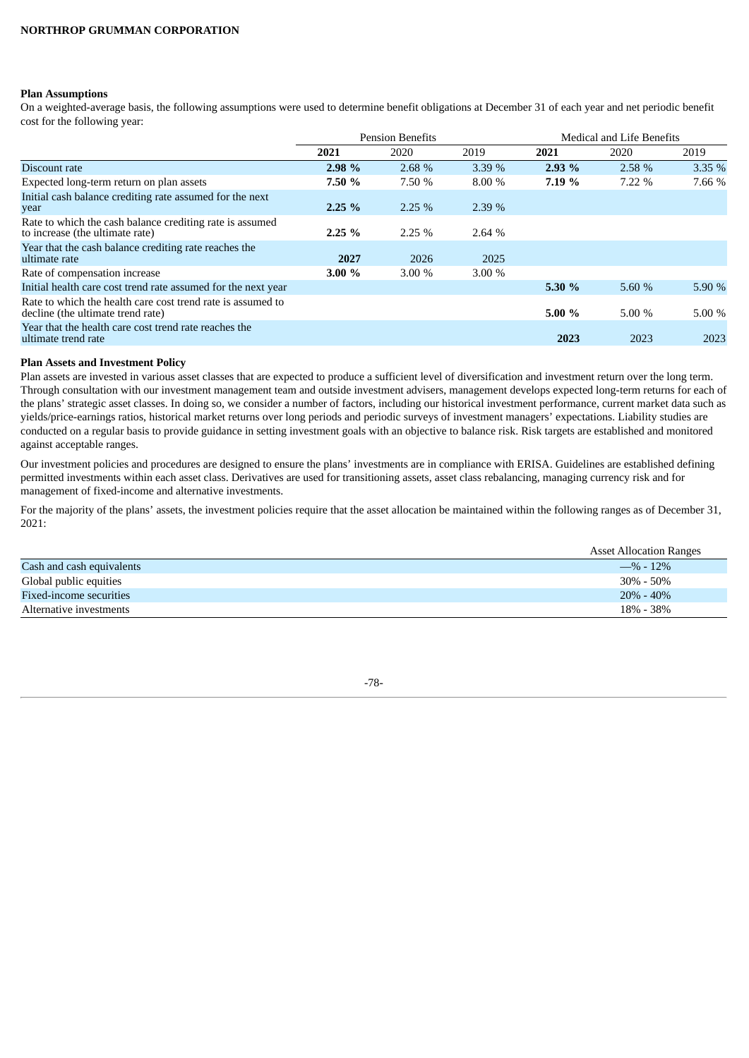### **Plan Assumptions**

On a weighted-average basis, the following assumptions were used to determine benefit obligations at December 31 of each year and net periodic benefit cost for the following year:

|                                                                                                  |        | <b>Pension Benefits</b> |        | <b>Medical and Life Benefits</b> |          |        |
|--------------------------------------------------------------------------------------------------|--------|-------------------------|--------|----------------------------------|----------|--------|
|                                                                                                  | 2021   | 2020                    | 2019   | 2021                             | 2020     | 2019   |
| Discount rate                                                                                    | 2.98 % | 2.68%                   | 3.39%  | 2.93%                            | 2.58%    | 3.35%  |
| Expected long-term return on plan assets                                                         | 7.50 % | 7.50 %                  | 8.00%  | 7.19 %                           | 7.22%    | 7.66 % |
| Initial cash balance crediting rate assumed for the next<br>year                                 | 2.25%  | 2.25%                   | 2.39%  |                                  |          |        |
| Rate to which the cash balance crediting rate is assumed<br>to increase (the ultimate rate)      | 2.25%  | 2.25%                   | 2.64 % |                                  |          |        |
| Year that the cash balance crediting rate reaches the<br>ultimate rate                           | 2027   | 2026                    | 2025   |                                  |          |        |
| Rate of compensation increase                                                                    | 3.00%  | 3.00%                   | 3.00%  |                                  |          |        |
| Initial health care cost trend rate assumed for the next year                                    |        |                         |        | 5.30 %                           | 5.60 %   | 5.90 % |
| Rate to which the health care cost trend rate is assumed to<br>decline (the ultimate trend rate) |        |                         |        | 5.00%                            | $5.00\%$ | 5.00%  |
| Year that the health care cost trend rate reaches the<br>ultimate trend rate                     |        |                         |        | 2023                             | 2023     | 2023   |

### **Plan Assets and Investment Policy**

Plan assets are invested in various asset classes that are expected to produce a sufficient level of diversification and investment return over the long term. Through consultation with our investment management team and outside investment advisers, management develops expected long-term returns for each of the plans' strategic asset classes. In doing so, we consider a number of factors, including our historical investment performance, current market data such as yields/price-earnings ratios, historical market returns over long periods and periodic surveys of investment managers' expectations. Liability studies are conducted on a regular basis to provide guidance in setting investment goals with an objective to balance risk. Risk targets are established and monitored against acceptable ranges.

Our investment policies and procedures are designed to ensure the plans' investments are in compliance with ERISA. Guidelines are established defining permitted investments within each asset class. Derivatives are used for transitioning assets, asset class rebalancing, managing currency risk and for management of fixed-income and alternative investments.

For the majority of the plans' assets, the investment policies require that the asset allocation be maintained within the following ranges as of December 31, 2021:

|                           | <b>Asset Allocation Ranges</b> |
|---------------------------|--------------------------------|
| Cash and cash equivalents | $-$ % - 12%                    |
| Global public equities    | $30\% - 50\%$                  |
| Fixed-income securities   | $20\% - 40\%$                  |
| Alternative investments   | 18% - 38%                      |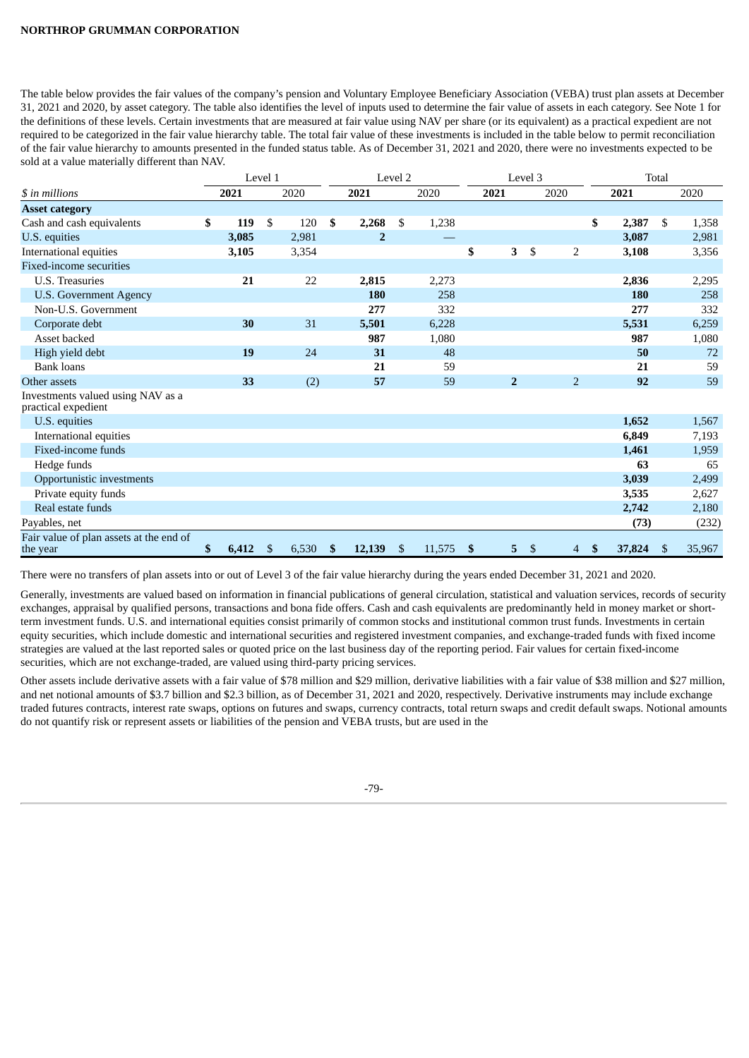The table below provides the fair values of the company's pension and Voluntary Employee Beneficiary Association (VEBA) trust plan assets at December 31, 2021 and 2020, by asset category. The table also identifies the level of inputs used to determine the fair value of assets in each category. See Note 1 for the definitions of these levels. Certain investments that are measured at fair value using NAV per share (or its equivalent) as a practical expedient are not required to be categorized in the fair value hierarchy table. The total fair value of these investments is included in the table below to permit reconciliation of the fair value hierarchy to amounts presented in the funded status table. As of December 31, 2021 and 2020, there were no investments expected to be sold at a value materially different than NAV.

|                                                          |             | Level 1 |       |                | Level 3<br>Level 2 |        |    |                | Total |                |    |        |    |        |
|----------------------------------------------------------|-------------|---------|-------|----------------|--------------------|--------|----|----------------|-------|----------------|----|--------|----|--------|
| \$ in millions                                           | 2021        |         | 2020  | 2021           |                    | 2020   |    | 2021           | 2020  |                |    | 2021   |    | 2020   |
| <b>Asset category</b>                                    |             |         |       |                |                    |        |    |                |       |                |    |        |    |        |
| Cash and cash equivalents                                | \$<br>119   | \$      | 120   | \$<br>2,268    | \$                 | 1,238  |    |                |       |                | \$ | 2,387  | \$ | 1,358  |
| U.S. equities                                            | 3,085       |         | 2,981 | $\overline{2}$ |                    |        |    |                |       |                |    | 3,087  |    | 2,981  |
| International equities                                   | 3,105       |         | 3,354 |                |                    |        | \$ | 3              | \$    | 2              |    | 3,108  |    | 3,356  |
| Fixed-income securities                                  |             |         |       |                |                    |        |    |                |       |                |    |        |    |        |
| U.S. Treasuries                                          | 21          |         | 22    | 2,815          |                    | 2,273  |    |                |       |                |    | 2,836  |    | 2,295  |
| <b>U.S. Government Agency</b>                            |             |         |       | 180            |                    | 258    |    |                |       |                |    | 180    |    | 258    |
| Non-U.S. Government                                      |             |         |       | 277            |                    | 332    |    |                |       |                |    | 277    |    | 332    |
| Corporate debt                                           | 30          |         | 31    | 5,501          |                    | 6,228  |    |                |       |                |    | 5,531  |    | 6,259  |
| Asset backed                                             |             |         |       | 987            |                    | 1,080  |    |                |       |                |    | 987    |    | 1,080  |
| High yield debt                                          | 19          |         | 24    | 31             |                    | 48     |    |                |       |                |    | 50     |    | 72     |
| <b>Bank loans</b>                                        |             |         |       | 21             |                    | 59     |    |                |       |                |    | 21     |    | 59     |
| Other assets                                             | 33          |         | (2)   | 57             |                    | 59     |    | $\overline{2}$ |       | $\overline{2}$ |    | 92     |    | 59     |
| Investments valued using NAV as a<br>practical expedient |             |         |       |                |                    |        |    |                |       |                |    |        |    |        |
| U.S. equities                                            |             |         |       |                |                    |        |    |                |       |                |    | 1,652  |    | 1,567  |
| International equities                                   |             |         |       |                |                    |        |    |                |       |                |    | 6,849  |    | 7,193  |
| Fixed-income funds                                       |             |         |       |                |                    |        |    |                |       |                |    | 1,461  |    | 1,959  |
| Hedge funds                                              |             |         |       |                |                    |        |    |                |       |                |    | 63     |    | 65     |
| Opportunistic investments                                |             |         |       |                |                    |        |    |                |       |                |    | 3,039  |    | 2,499  |
| Private equity funds                                     |             |         |       |                |                    |        |    |                |       |                |    | 3,535  |    | 2,627  |
| Real estate funds                                        |             |         |       |                |                    |        |    |                |       |                |    | 2,742  |    | 2,180  |
| Payables, net                                            |             |         |       |                |                    |        |    |                |       |                |    | (73)   |    | (232)  |
| Fair value of plan assets at the end of<br>the year      | \$<br>6,412 | \$      | 6,530 | \$<br>12,139   | \$                 | 11,575 | \$ | 5              | \$    | $\overline{4}$ | \$ | 37,824 | \$ | 35,967 |

There were no transfers of plan assets into or out of Level 3 of the fair value hierarchy during the years ended December 31, 2021 and 2020.

Generally, investments are valued based on information in financial publications of general circulation, statistical and valuation services, records of security exchanges, appraisal by qualified persons, transactions and bona fide offers. Cash and cash equivalents are predominantly held in money market or shortterm investment funds. U.S. and international equities consist primarily of common stocks and institutional common trust funds. Investments in certain equity securities, which include domestic and international securities and registered investment companies, and exchange-traded funds with fixed income strategies are valued at the last reported sales or quoted price on the last business day of the reporting period. Fair values for certain fixed-income securities, which are not exchange-traded, are valued using third-party pricing services.

Other assets include derivative assets with a fair value of \$78 million and \$29 million, derivative liabilities with a fair value of \$38 million and \$27 million, and net notional amounts of \$3.7 billion and \$2.3 billion, as of December 31, 2021 and 2020, respectively. Derivative instruments may include exchange traded futures contracts, interest rate swaps, options on futures and swaps, currency contracts, total return swaps and credit default swaps. Notional amounts do not quantify risk or represent assets or liabilities of the pension and VEBA trusts, but are used in the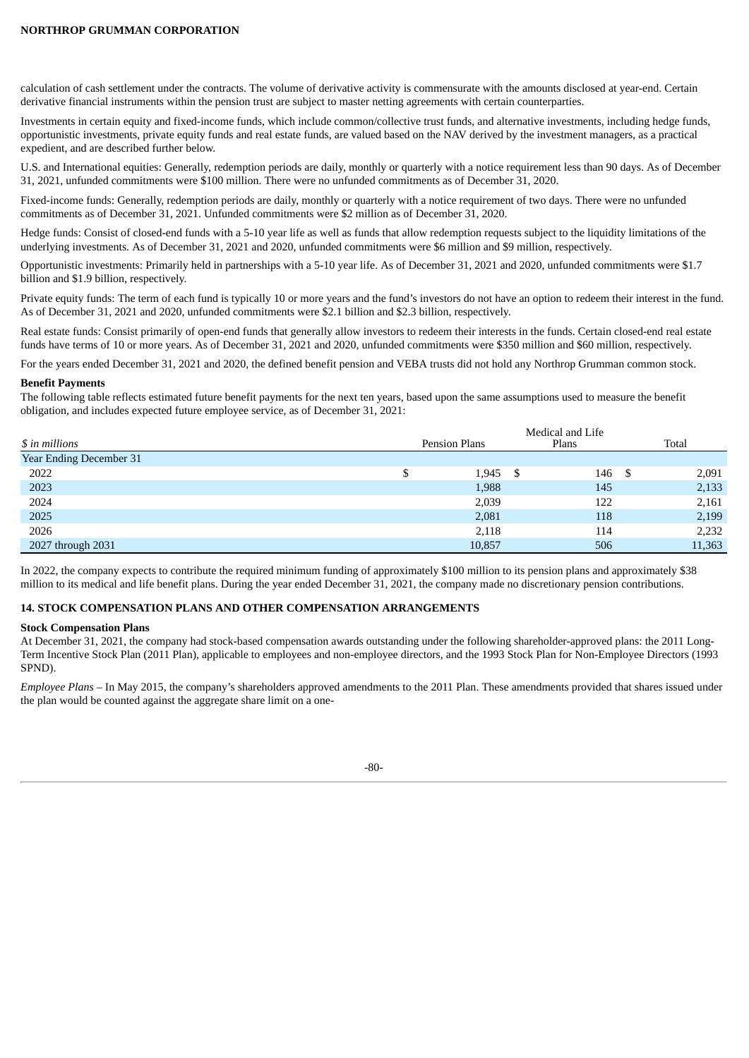calculation of cash settlement under the contracts. The volume of derivative activity is commensurate with the amounts disclosed at year-end. Certain derivative financial instruments within the pension trust are subject to master netting agreements with certain counterparties.

Investments in certain equity and fixed-income funds, which include common/collective trust funds, and alternative investments, including hedge funds, opportunistic investments, private equity funds and real estate funds, are valued based on the NAV derived by the investment managers, as a practical expedient, and are described further below.

U.S. and International equities: Generally, redemption periods are daily, monthly or quarterly with a notice requirement less than 90 days. As of December 31, 2021, unfunded commitments were \$100 million. There were no unfunded commitments as of December 31, 2020.

Fixed-income funds: Generally, redemption periods are daily, monthly or quarterly with a notice requirement of two days. There were no unfunded commitments as of December 31, 2021. Unfunded commitments were \$2 million as of December 31, 2020.

Hedge funds: Consist of closed-end funds with a 5-10 year life as well as funds that allow redemption requests subject to the liquidity limitations of the underlying investments. As of December 31, 2021 and 2020, unfunded commitments were \$6 million and \$9 million, respectively.

Opportunistic investments: Primarily held in partnerships with a 5-10 year life. As of December 31, 2021 and 2020, unfunded commitments were \$1.7 billion and \$1.9 billion, respectively.

Private equity funds: The term of each fund is typically 10 or more years and the fund's investors do not have an option to redeem their interest in the fund. As of December 31, 2021 and 2020, unfunded commitments were \$2.1 billion and \$2.3 billion, respectively.

Real estate funds: Consist primarily of open-end funds that generally allow investors to redeem their interests in the funds. Certain closed-end real estate funds have terms of 10 or more years. As of December 31, 2021 and 2020, unfunded commitments were \$350 million and \$60 million, respectively.

For the years ended December 31, 2021 and 2020, the defined benefit pension and VEBA trusts did not hold any Northrop Grumman common stock.

### **Benefit Payments**

The following table reflects estimated future benefit payments for the next ten years, based upon the same assumptions used to measure the benefit obligation, and includes expected future employee service, as of December 31, 2021:

|                         |    | Medical and Life     |             |               |  |  |  |  |
|-------------------------|----|----------------------|-------------|---------------|--|--|--|--|
| \$ in millions          |    | <b>Pension Plans</b> | Plans       | Total         |  |  |  |  |
| Year Ending December 31 |    |                      |             |               |  |  |  |  |
| 2022                    | ۰υ | 1,945                | 146<br>- \$ | 2,091<br>- \$ |  |  |  |  |
| 2023                    |    | 1,988                | 145         | 2,133         |  |  |  |  |
| 2024                    |    | 2,039                | 122         | 2,161         |  |  |  |  |
| 2025                    |    | 2,081                | 118         | 2,199         |  |  |  |  |
| 2026                    |    | 2,118                | 114         | 2,232         |  |  |  |  |
| 2027 through 2031       |    | 10,857               | 506         | 11,363        |  |  |  |  |

In 2022, the company expects to contribute the required minimum funding of approximately \$100 million to its pension plans and approximately \$38 million to its medical and life benefit plans. During the year ended December 31, 2021, the company made no discretionary pension contributions.

# **14. STOCK COMPENSATION PLANS AND OTHER COMPENSATION ARRANGEMENTS**

### **Stock Compensation Plans**

At December 31, 2021, the company had stock-based compensation awards outstanding under the following shareholder-approved plans: the 2011 Long-Term Incentive Stock Plan (2011 Plan), applicable to employees and non-employee directors, and the 1993 Stock Plan for Non-Employee Directors (1993 SPND).

*Employee Plans* – In May 2015, the company's shareholders approved amendments to the 2011 Plan. These amendments provided that shares issued under the plan would be counted against the aggregate share limit on a one-

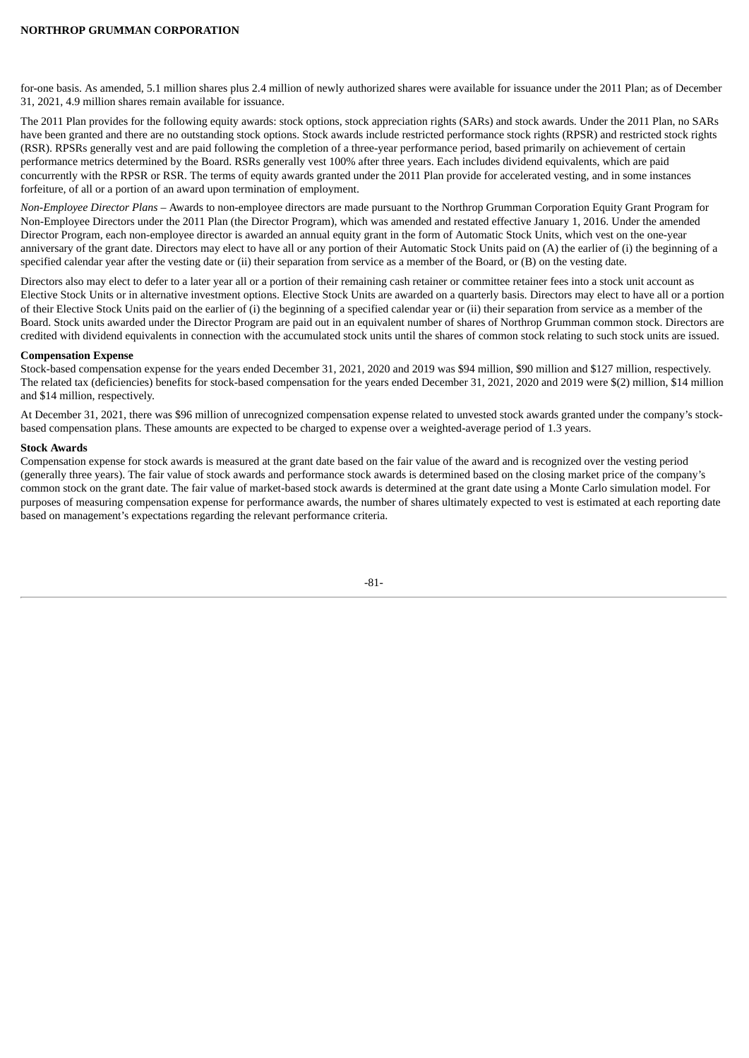for-one basis. As amended, 5.1 million shares plus 2.4 million of newly authorized shares were available for issuance under the 2011 Plan; as of December 31, 2021, 4.9 million shares remain available for issuance.

The 2011 Plan provides for the following equity awards: stock options, stock appreciation rights (SARs) and stock awards. Under the 2011 Plan, no SARs have been granted and there are no outstanding stock options. Stock awards include restricted performance stock rights (RPSR) and restricted stock rights (RSR). RPSRs generally vest and are paid following the completion of a three-year performance period, based primarily on achievement of certain performance metrics determined by the Board. RSRs generally vest 100% after three years. Each includes dividend equivalents, which are paid concurrently with the RPSR or RSR. The terms of equity awards granted under the 2011 Plan provide for accelerated vesting, and in some instances forfeiture, of all or a portion of an award upon termination of employment.

*Non-Employee Director Plans* – Awards to non-employee directors are made pursuant to the Northrop Grumman Corporation Equity Grant Program for Non-Employee Directors under the 2011 Plan (the Director Program), which was amended and restated effective January 1, 2016. Under the amended Director Program, each non-employee director is awarded an annual equity grant in the form of Automatic Stock Units, which vest on the one-year anniversary of the grant date. Directors may elect to have all or any portion of their Automatic Stock Units paid on (A) the earlier of (i) the beginning of a specified calendar year after the vesting date or (ii) their separation from service as a member of the Board, or (B) on the vesting date.

Directors also may elect to defer to a later year all or a portion of their remaining cash retainer or committee retainer fees into a stock unit account as Elective Stock Units or in alternative investment options. Elective Stock Units are awarded on a quarterly basis. Directors may elect to have all or a portion of their Elective Stock Units paid on the earlier of (i) the beginning of a specified calendar year or (ii) their separation from service as a member of the Board. Stock units awarded under the Director Program are paid out in an equivalent number of shares of Northrop Grumman common stock. Directors are credited with dividend equivalents in connection with the accumulated stock units until the shares of common stock relating to such stock units are issued.

### **Compensation Expense**

Stock-based compensation expense for the years ended December 31, 2021, 2020 and 2019 was \$94 million, \$90 million and \$127 million, respectively. The related tax (deficiencies) benefits for stock-based compensation for the years ended December 31, 2021, 2020 and 2019 were \$(2) million, \$14 million and \$14 million, respectively.

At December 31, 2021, there was \$96 million of unrecognized compensation expense related to unvested stock awards granted under the company's stockbased compensation plans. These amounts are expected to be charged to expense over a weighted-average period of 1.3 years.

### **Stock Awards**

Compensation expense for stock awards is measured at the grant date based on the fair value of the award and is recognized over the vesting period (generally three years). The fair value of stock awards and performance stock awards is determined based on the closing market price of the company's common stock on the grant date. The fair value of market-based stock awards is determined at the grant date using a Monte Carlo simulation model. For purposes of measuring compensation expense for performance awards, the number of shares ultimately expected to vest is estimated at each reporting date based on management's expectations regarding the relevant performance criteria.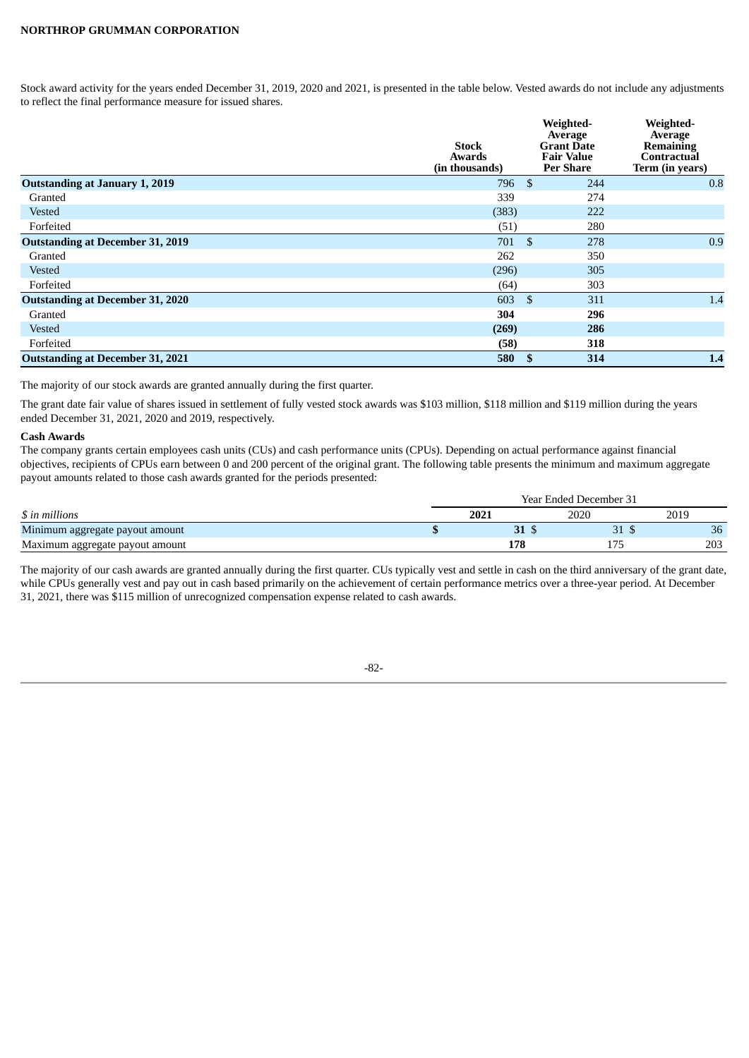## **NORTHROP GRUMMAN CORPORATION**

Stock award activity for the years ended December 31, 2019, 2020 and 2021, is presented in the table below. Vested awards do not include any adjustments to reflect the final performance measure for issued shares.

|                                         | <b>Stock</b><br>Awards<br>(in thousands) |               | Weighted-<br>Average<br><b>Grant Date</b><br><b>Fair Value</b><br><b>Per Share</b> | Weighted-<br>Average<br><b>Remaining</b><br>Contractual<br>Term (in years) |
|-----------------------------------------|------------------------------------------|---------------|------------------------------------------------------------------------------------|----------------------------------------------------------------------------|
| <b>Outstanding at January 1, 2019</b>   | 796                                      | <sup>\$</sup> | 244                                                                                | 0.8                                                                        |
| Granted                                 | 339                                      |               | 274                                                                                |                                                                            |
| <b>Vested</b>                           | (383)                                    |               | 222                                                                                |                                                                            |
| Forfeited                               | (51)                                     |               | 280                                                                                |                                                                            |
| <b>Outstanding at December 31, 2019</b> | 701                                      | <sup>\$</sup> | 278                                                                                | 0.9                                                                        |
| Granted                                 | 262                                      |               | 350                                                                                |                                                                            |
| <b>Vested</b>                           | (296)                                    |               | 305                                                                                |                                                                            |
| Forfeited                               | (64)                                     |               | 303                                                                                |                                                                            |
| <b>Outstanding at December 31, 2020</b> | 603                                      | \$            | 311                                                                                | 1.4                                                                        |
| Granted                                 | 304                                      |               | 296                                                                                |                                                                            |
| <b>Vested</b>                           | (269)                                    |               | 286                                                                                |                                                                            |
| Forfeited                               | (58)                                     |               | 318                                                                                |                                                                            |
| <b>Outstanding at December 31, 2021</b> | 580                                      | <sup>\$</sup> | 314                                                                                | 1.4                                                                        |

The majority of our stock awards are granted annually during the first quarter.

The grant date fair value of shares issued in settlement of fully vested stock awards was \$103 million, \$118 million and \$119 million during the years ended December 31, 2021, 2020 and 2019, respectively.

### **Cash Awards**

The company grants certain employees cash units (CUs) and cash performance units (CPUs). Depending on actual performance against financial objectives, recipients of CPUs earn between 0 and 200 percent of the original grant. The following table presents the minimum and maximum aggregate payout amounts related to those cash awards granted for the periods presented:

|                                 | Year Ended December 31 |      |      |  |  |  |  |
|---------------------------------|------------------------|------|------|--|--|--|--|
| \$ in millions                  | 2021                   | 2020 | 2019 |  |  |  |  |
| Minimum aggregate payout amount |                        |      | 36   |  |  |  |  |
| Maximum aggregate payout amount | 178                    |      | 203  |  |  |  |  |

The majority of our cash awards are granted annually during the first quarter. CUs typically vest and settle in cash on the third anniversary of the grant date, while CPUs generally vest and pay out in cash based primarily on the achievement of certain performance metrics over a three-year period. At December 31, 2021, there was \$115 million of unrecognized compensation expense related to cash awards.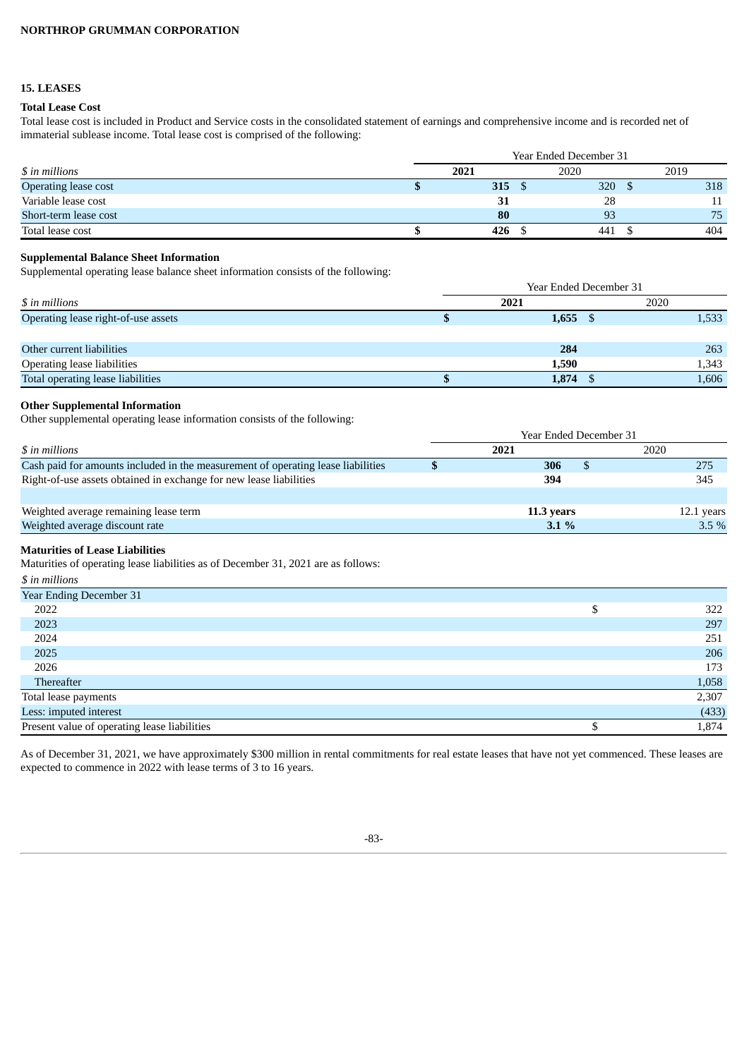# **15. LEASES**

# **Total Lease Cost**

Total lease cost is included in Product and Service costs in the consolidated statement of earnings and comprehensive income and is recorded net of immaterial sublease income. Total lease cost is comprised of the following:

| \$ in millions              |  | 2021 | 2020 |     |  | 2019 |
|-----------------------------|--|------|------|-----|--|------|
| <b>Operating lease cost</b> |  | 315  |      | 320 |  | 318  |
| Variable lease cost         |  | 31   |      | 28  |  | 11   |
| Short-term lease cost       |  | 80   |      | 93  |  | 75   |
| Total lease cost            |  | 426  |      | 441 |  | 404  |

# **Supplemental Balance Sheet Information**

Supplemental operating lease balance sheet information consists of the following:

|                                     | Year Ended December 31 |            |       |  |  |  |  |  |
|-------------------------------------|------------------------|------------|-------|--|--|--|--|--|
| \$ in millions                      | 2021                   |            | 2020  |  |  |  |  |  |
| Operating lease right-of-use assets |                        | $1,655$ \$ | 1,533 |  |  |  |  |  |
|                                     |                        |            |       |  |  |  |  |  |
| Other current liabilities           |                        | 284        | 263   |  |  |  |  |  |
| Operating lease liabilities         |                        | 1,590      | 1,343 |  |  |  |  |  |
| Total operating lease liabilities   |                        | 1,874      | 1,606 |  |  |  |  |  |

# **Other Supplemental Information**

Other supplemental operating lease information consists of the following:

|                                                                                  |  | Year Ended December 31 |              |
|----------------------------------------------------------------------------------|--|------------------------|--------------|
| \$ in millions                                                                   |  | 2021                   | 2020         |
| Cash paid for amounts included in the measurement of operating lease liabilities |  | 306                    | 275          |
| Right-of-use assets obtained in exchange for new lease liabilities               |  | 394                    | 345          |
|                                                                                  |  |                        |              |
| Weighted average remaining lease term                                            |  | $11.3$ years           | $12.1$ years |
| Weighted average discount rate                                                   |  | $3.1 \%$               | $3.5\%$      |

## **Maturities of Lease Liabilities**

Maturities of operating lease liabilities as of December 31, 2021 are as follows:

*\$ in millions*

| <b>Year Ending December 31</b>               |       |
|----------------------------------------------|-------|
| 2022                                         | 322   |
| 2023                                         | 297   |
| 2024                                         | 251   |
| 2025                                         | 206   |
| 2026                                         | 173   |
| Thereafter                                   | 1,058 |
| Total lease payments                         | 2,307 |
| Less: imputed interest                       | (433) |
| Present value of operating lease liabilities | 1,874 |

As of December 31, 2021, we have approximately \$300 million in rental commitments for real estate leases that have not yet commenced. These leases are expected to commence in 2022 with lease terms of 3 to 16 years.

-83-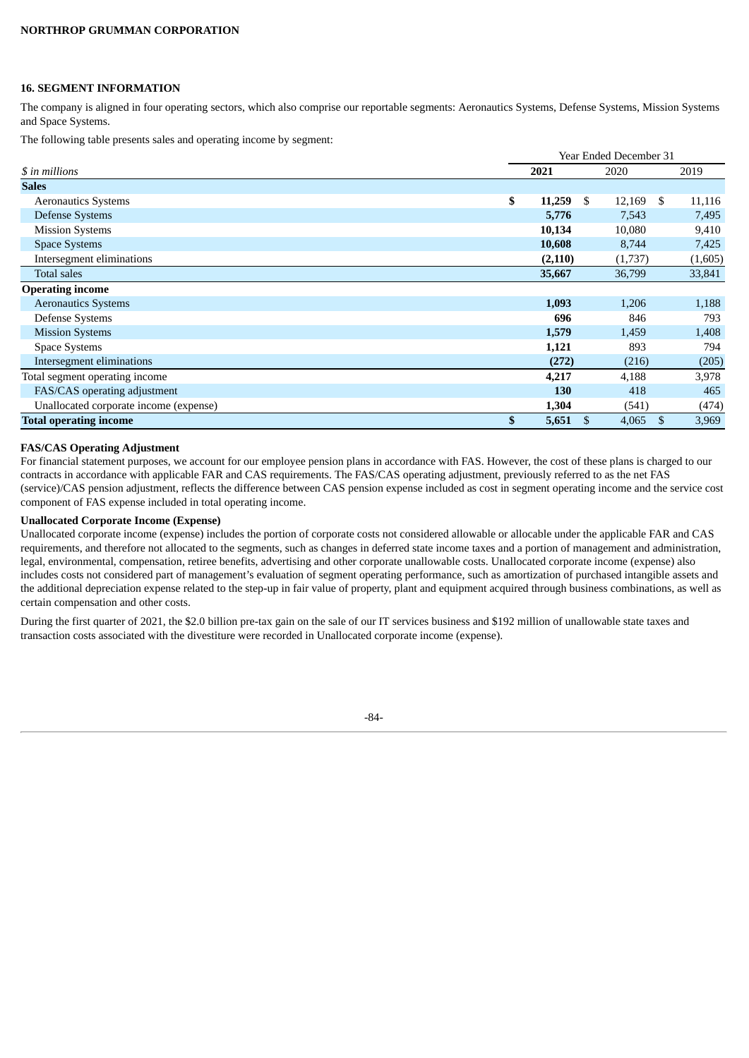## **16. SEGMENT INFORMATION**

The company is aligned in four operating sectors, which also comprise our reportable segments: Aeronautics Systems, Defense Systems, Mission Systems and Space Systems.

The following table presents sales and operating income by segment:

|                                        |              | Year Ended December 31 |     |              |
|----------------------------------------|--------------|------------------------|-----|--------------|
| \$ in millions                         | 2021         | 2020                   |     | 2019         |
| <b>Sales</b>                           |              |                        |     |              |
| <b>Aeronautics Systems</b>             | \$<br>11,259 | 12,169<br>S            |     | \$<br>11,116 |
| <b>Defense Systems</b>                 | 5,776        | 7,543                  |     | 7,495        |
| <b>Mission Systems</b>                 | 10,134       | 10,080                 |     | 9,410        |
| <b>Space Systems</b>                   | 10,608       | 8,744                  |     | 7,425        |
| Intersegment eliminations              | (2, 110)     | (1,737)                |     | (1,605)      |
| <b>Total sales</b>                     | 35,667       | 36,799                 |     | 33,841       |
| <b>Operating income</b>                |              |                        |     |              |
| <b>Aeronautics Systems</b>             | 1,093        | 1,206                  |     | 1,188        |
| Defense Systems                        | 696          |                        | 846 | 793          |
| <b>Mission Systems</b>                 | 1,579        | 1,459                  |     | 1,408        |
| <b>Space Systems</b>                   | 1,121        |                        | 893 | 794          |
| Intersegment eliminations              | (272)        | (216)                  |     | (205)        |
| Total segment operating income         | 4,217        | 4,188                  |     | 3,978        |
| FAS/CAS operating adjustment           | <b>130</b>   |                        | 418 | 465          |
| Unallocated corporate income (expense) | 1,304        | (541)                  |     | (474)        |
| <b>Total operating income</b>          | \$<br>5,651  | 4,065<br>\$            |     | \$<br>3,969  |

## **FAS/CAS Operating Adjustment**

For financial statement purposes, we account for our employee pension plans in accordance with FAS. However, the cost of these plans is charged to our contracts in accordance with applicable FAR and CAS requirements. The FAS/CAS operating adjustment, previously referred to as the net FAS (service)/CAS pension adjustment, reflects the difference between CAS pension expense included as cost in segment operating income and the service cost component of FAS expense included in total operating income.

## **Unallocated Corporate Income (Expense)**

Unallocated corporate income (expense) includes the portion of corporate costs not considered allowable or allocable under the applicable FAR and CAS requirements, and therefore not allocated to the segments, such as changes in deferred state income taxes and a portion of management and administration, legal, environmental, compensation, retiree benefits, advertising and other corporate unallowable costs. Unallocated corporate income (expense) also includes costs not considered part of management's evaluation of segment operating performance, such as amortization of purchased intangible assets and the additional depreciation expense related to the step-up in fair value of property, plant and equipment acquired through business combinations, as well as certain compensation and other costs.

During the first quarter of 2021, the \$2.0 billion pre-tax gain on the sale of our IT services business and \$192 million of unallowable state taxes and transaction costs associated with the divestiture were recorded in Unallocated corporate income (expense).

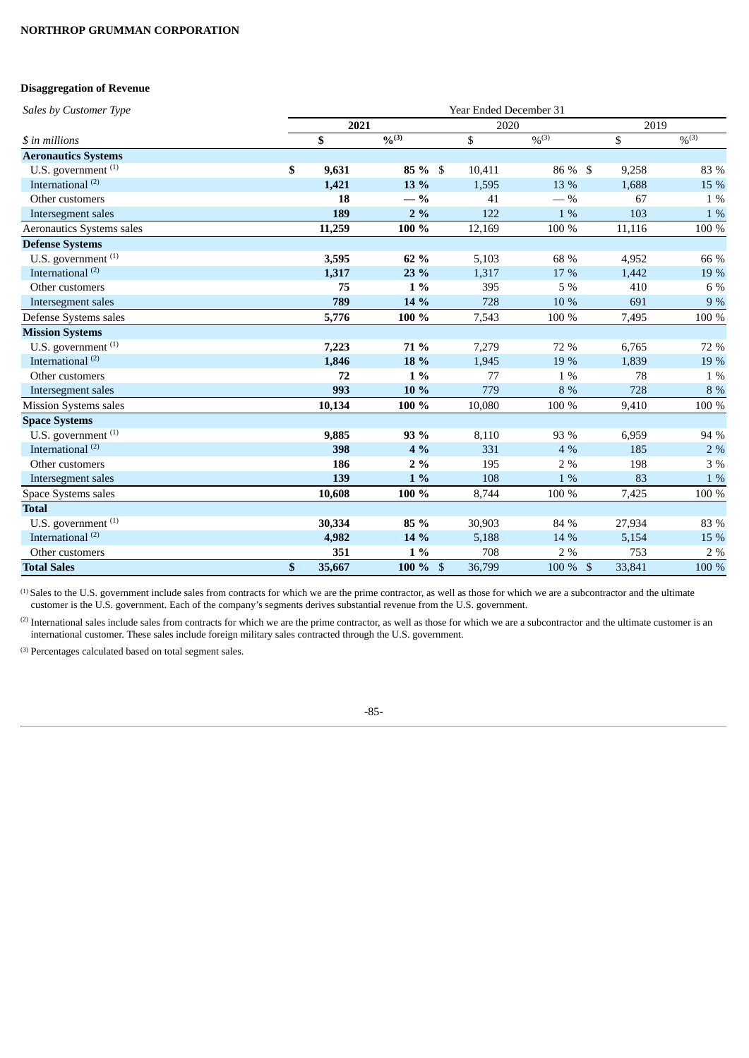# **Disaggregation of Revenue**

| Sales by Customer Type         | Year Ended December 31 |        |                 |              |        |             |        |                   |  |  |
|--------------------------------|------------------------|--------|-----------------|--------------|--------|-------------|--------|-------------------|--|--|
|                                |                        | 2021   |                 |              | 2020   |             |        | 2019              |  |  |
| \$ in millions                 |                        | \$     | $\frac{0}{(3)}$ |              | \$     | $0/6^{(3)}$ | \$     | $\frac{0}{6}$ (3) |  |  |
| <b>Aeronautics Systems</b>     |                        |        |                 |              |        |             |        |                   |  |  |
| U.S. government <sup>(1)</sup> | \$                     | 9,631  | 85 %            | $\mathbb{S}$ | 10,411 | 86 % \$     | 9,258  | 83 %              |  |  |
| International <sup>(2)</sup>   |                        | 1,421  | 13 %            |              | 1,595  | 13 %        | 1,688  | 15 %              |  |  |
| Other customers                |                        | 18     | $-$ %           |              | 41     | $-$ %       | 67     | 1 %               |  |  |
| Intersegment sales             |                        | 189    | 2%              |              | 122    | 1 %         | 103    | 1 %               |  |  |
| Aeronautics Systems sales      |                        | 11,259 | 100 %           |              | 12,169 | 100 %       | 11,116 | 100 %             |  |  |
| <b>Defense Systems</b>         |                        |        |                 |              |        |             |        |                   |  |  |
| U.S. government <sup>(1)</sup> |                        | 3,595  | 62 %            |              | 5,103  | 68 %        | 4,952  | 66 %              |  |  |
| International <sup>(2)</sup>   |                        | 1,317  | 23 %            |              | 1,317  | 17 %        | 1,442  | 19 %              |  |  |
| Other customers                |                        | 75     | $1\%$           |              | 395    | 5 %         | 410    | 6 %               |  |  |
| Intersegment sales             |                        | 789    | 14 %            |              | 728    | 10 %        | 691    | $9%$              |  |  |
| Defense Systems sales          |                        | 5,776  | 100 %           |              | 7,543  | 100 %       | 7,495  | 100 %             |  |  |
| <b>Mission Systems</b>         |                        |        |                 |              |        |             |        |                   |  |  |
| U.S. government $(1)$          |                        | 7,223  | 71 %            |              | 7,279  | 72 %        | 6,765  | 72 %              |  |  |
| International <sup>(2)</sup>   |                        | 1,846  | 18 %            |              | 1,945  | 19 %        | 1,839  | 19 %              |  |  |
| Other customers                |                        | 72     | $1\%$           |              | 77     | 1 %         | 78     | 1 %               |  |  |
| Intersegment sales             |                        | 993    | 10 %            |              | 779    | 8 %         | 728    | $8\ \%$           |  |  |
| <b>Mission Systems sales</b>   |                        | 10,134 | 100 %           |              | 10,080 | 100 %       | 9,410  | 100 %             |  |  |
| <b>Space Systems</b>           |                        |        |                 |              |        |             |        |                   |  |  |
| U.S. government <sup>(1)</sup> |                        | 9,885  | 93 %            |              | 8,110  | 93 %        | 6,959  | 94 %              |  |  |
| International <sup>(2)</sup>   |                        | 398    | 4%              |              | 331    | 4 %         | 185    | 2 %               |  |  |
| Other customers                |                        | 186    | 2%              |              | 195    | 2 %         | 198    | 3 %               |  |  |
| Intersegment sales             |                        | 139    | $1\%$           |              | 108    | 1 %         | 83     | 1 %               |  |  |
| Space Systems sales            |                        | 10,608 | 100 %           |              | 8,744  | 100 %       | 7,425  | 100 %             |  |  |
| <b>Total</b>                   |                        |        |                 |              |        |             |        |                   |  |  |
| U.S. government <sup>(1)</sup> |                        | 30,334 | 85 %            |              | 30,903 | 84 %        | 27,934 | 83 %              |  |  |
| International <sup>(2)</sup>   |                        | 4,982  | 14 %            |              | 5,188  | 14 %        | 5,154  | 15 %              |  |  |
| Other customers                |                        | 351    | $1\%$           |              | 708    | 2 %         | 753    | 2 %               |  |  |
| <b>Total Sales</b>             | \$                     | 35,667 | 100 % \$        |              | 36,799 | 100 % \$    | 33,841 | 100 %             |  |  |

Sales to the U.S. government include sales from contracts for which we are the prime contractor, as well as those for which we are a subcontractor and the ultimate customer is the U.S. government. Each of the company's segments derives substantial revenue from the U.S. government. (1)

 $^{(2)}$  International sales include sales from contracts for which we are the prime contractor, as well as those for which we are a subcontractor and the ultimate customer is an international customer. These sales include foreign military sales contracted through the U.S. government.

<sup>(3)</sup> Percentages calculated based on total segment sales.

-85-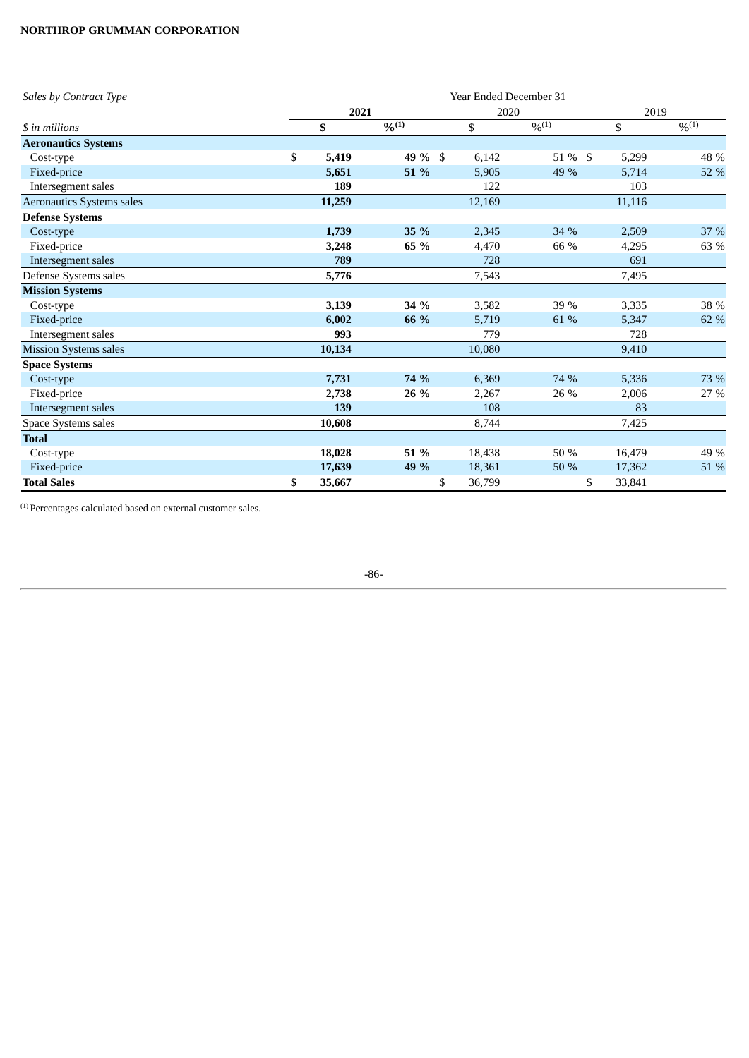# **NORTHROP GRUMMAN CORPORATION**

| Sales by Contract Type           | Year Ended December 31 |             |              |             |        |                   |  |  |
|----------------------------------|------------------------|-------------|--------------|-------------|--------|-------------------|--|--|
|                                  | 2021                   |             | 2020         |             | 2019   |                   |  |  |
| \$ in millions                   | \$                     | $0/0^{(1)}$ | \$           | $0/0^{(1)}$ | \$     | $\frac{0}{0}$ (1) |  |  |
| <b>Aeronautics Systems</b>       |                        |             |              |             |        |                   |  |  |
| Cost-type                        | \$<br>5,419            | 49 % \$     | 6,142        | 51 % \$     | 5,299  | 48 %              |  |  |
| Fixed-price                      | 5,651                  | 51 %        | 5,905        | 49 %        | 5,714  | 52 %              |  |  |
| Intersegment sales               | 189                    |             | 122          |             | 103    |                   |  |  |
| <b>Aeronautics Systems sales</b> | 11,259                 |             | 12,169       |             | 11,116 |                   |  |  |
| <b>Defense Systems</b>           |                        |             |              |             |        |                   |  |  |
| Cost-type                        | 1,739                  | 35 %        | 2,345        | 34 %        | 2,509  | 37 %              |  |  |
| Fixed-price                      | 3,248                  | 65 %        | 4,470        | 66 %        | 4,295  | 63 %              |  |  |
| Intersegment sales               | 789                    |             | 728          |             | 691    |                   |  |  |
| Defense Systems sales            | 5,776                  |             | 7,543        |             | 7,495  |                   |  |  |
| <b>Mission Systems</b>           |                        |             |              |             |        |                   |  |  |
| Cost-type                        | 3,139                  | 34 %        | 3,582        | 39 %        | 3,335  | 38 %              |  |  |
| Fixed-price                      | 6,002                  | 66 %        | 5,719        | 61 %        | 5,347  | 62 %              |  |  |
| Intersegment sales               | 993                    |             | 779          |             | 728    |                   |  |  |
| <b>Mission Systems sales</b>     | 10,134                 |             | 10,080       |             | 9,410  |                   |  |  |
| <b>Space Systems</b>             |                        |             |              |             |        |                   |  |  |
| Cost-type                        | 7,731                  | 74 %        | 6,369        | 74 %        | 5,336  | 73 %              |  |  |
| Fixed-price                      | 2,738                  | 26 %        | 2,267        | 26 %        | 2,006  | 27 %              |  |  |
| Intersegment sales               | 139                    |             | 108          |             | 83     |                   |  |  |
| Space Systems sales              | 10.608                 |             | 8,744        |             | 7,425  |                   |  |  |
| <b>Total</b>                     |                        |             |              |             |        |                   |  |  |
| Cost-type                        | 18,028                 | 51 %        | 18,438       | 50 %        | 16,479 | 49 %              |  |  |
| Fixed-price                      | 17,639                 | 49 %        | 18,361       | 50 %        | 17,362 | 51 %              |  |  |
| <b>Total Sales</b>               | \$<br>35,667           |             | \$<br>36,799 | \$          | 33,841 |                   |  |  |

 $<sup>(1)</sup>$  Percentages calculated based on external customer sales.</sup>

-86-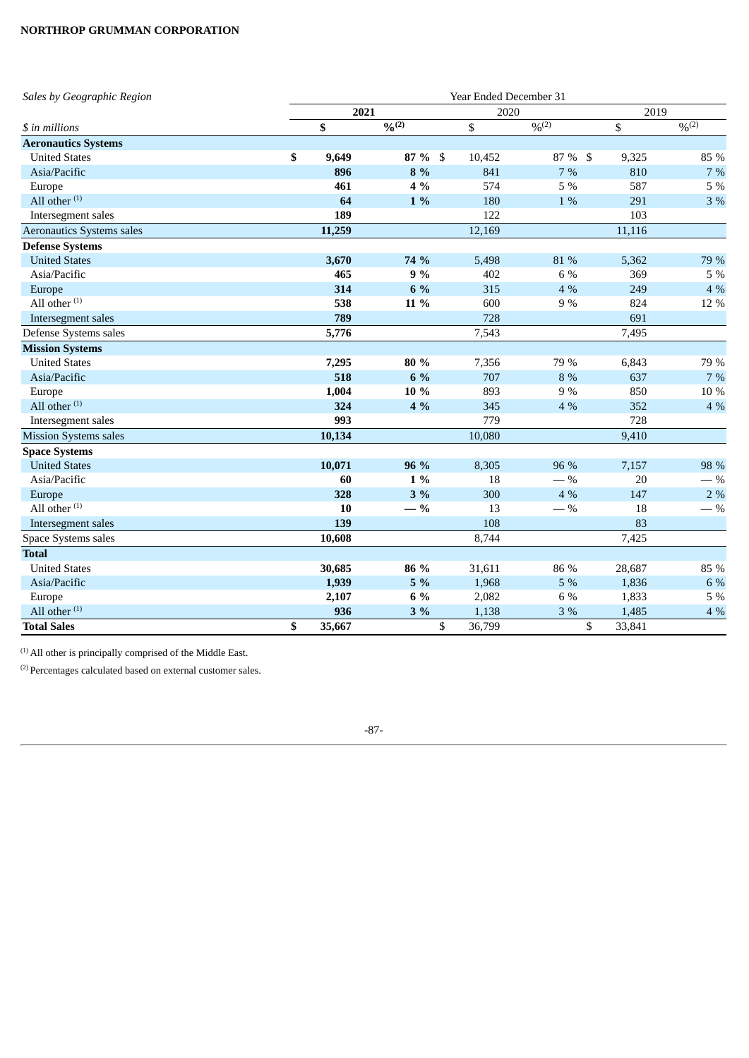# **NORTHROP GRUMMAN CORPORATION**

| Sales by Geographic Region       | Year Ended December 31 |        |                              |              |                   |              |                  |  |  |  |
|----------------------------------|------------------------|--------|------------------------------|--------------|-------------------|--------------|------------------|--|--|--|
|                                  | 2021                   |        |                              |              | 2020              |              | 2019             |  |  |  |
| \$ in millions                   |                        | \$     | $\frac{0}{2}$ <sup>(2)</sup> | \$           | $\frac{0}{20}(2)$ | \$           | $\sqrt{0^{(2)}}$ |  |  |  |
| <b>Aeronautics Systems</b>       |                        |        |                              |              |                   |              |                  |  |  |  |
| <b>United States</b>             | \$                     | 9,649  | 87 % \$                      | 10,452       | 87 % \$           | 9,325        | 85 %             |  |  |  |
| Asia/Pacific                     |                        | 896    | 8%                           | 841          | 7 %               | 810          | 7 %              |  |  |  |
| Europe                           |                        | 461    | 4 %                          | 574          | 5 %               | 587          | 5 %              |  |  |  |
| All other <sup>(1)</sup>         |                        | 64     | $1\%$                        | 180          | $1\, \%$          | 291          | 3 %              |  |  |  |
| Intersegment sales               |                        | 189    |                              | 122          |                   | 103          |                  |  |  |  |
| <b>Aeronautics Systems sales</b> |                        | 11,259 |                              | 12,169       |                   | 11,116       |                  |  |  |  |
| <b>Defense Systems</b>           |                        |        |                              |              |                   |              |                  |  |  |  |
| <b>United States</b>             |                        | 3,670  | 74 %                         | 5,498        | 81 %              | 5,362        | 79 %             |  |  |  |
| Asia/Pacific                     |                        | 465    | 9%                           | 402          | 6 %               | 369          | 5 %              |  |  |  |
| Europe                           |                        | 314    | 6 %                          | 315          | 4 %               | 249          | 4 %              |  |  |  |
| All other $(1)$                  |                        | 538    | 11 %                         | 600          | 9%                | 824          | 12 %             |  |  |  |
| Intersegment sales               |                        | 789    |                              | 728          |                   | 691          |                  |  |  |  |
| Defense Systems sales            |                        | 5,776  |                              | 7,543        |                   | 7,495        |                  |  |  |  |
| <b>Mission Systems</b>           |                        |        |                              |              |                   |              |                  |  |  |  |
| <b>United States</b>             |                        | 7,295  | 80 %                         | 7,356        | 79 %              | 6,843        | 79 %             |  |  |  |
| Asia/Pacific                     |                        | 518    | 6%                           | 707          | $8\ \%$           | 637          | $7\%$            |  |  |  |
| Europe                           |                        | 1,004  | 10 %                         | 893          | 9%                | 850          | 10 %             |  |  |  |
| All other <sup>(1)</sup>         |                        | 324    | 4 %                          | 345          | 4 %               | 352          | 4 %              |  |  |  |
| Intersegment sales               |                        | 993    |                              | 779          |                   | 728          |                  |  |  |  |
| <b>Mission Systems sales</b>     |                        | 10,134 |                              | 10,080       |                   | 9,410        |                  |  |  |  |
| <b>Space Systems</b>             |                        |        |                              |              |                   |              |                  |  |  |  |
| <b>United States</b>             |                        | 10,071 | 96 %                         | 8,305        | 96 %              | 7,157        | 98 %             |  |  |  |
| Asia/Pacific                     |                        | 60     | 1 %                          | 18           | $-$ %             | 20           | $-$ %            |  |  |  |
| Europe                           |                        | 328    | 3%                           | 300          | 4 %               | 147          | 2%               |  |  |  |
| All other $(1)$                  |                        | 10     | $-$ %                        | 13           | $-$ %             | 18           | $-$ %            |  |  |  |
| Intersegment sales               |                        | 139    |                              | 108          |                   | 83           |                  |  |  |  |
| Space Systems sales              |                        | 10.608 |                              | 8,744        |                   | 7,425        |                  |  |  |  |
| <b>Total</b>                     |                        |        |                              |              |                   |              |                  |  |  |  |
| <b>United States</b>             |                        | 30,685 | 86 %                         | 31,611       | 86 %              | 28,687       | 85 %             |  |  |  |
| Asia/Pacific                     |                        | 1,939  | 5 %                          | 1,968        | 5 %               | 1,836        | 6 %              |  |  |  |
| Europe                           |                        | 2,107  | $6\%$                        | 2,082        | $6\ \%$           | 1,833        | 5 %              |  |  |  |
| All other <sup>(1)</sup>         |                        | 936    | 3%                           | 1,138        | 3 %               | 1,485        | 4 %              |  |  |  |
| <b>Total Sales</b>               | \$                     | 35,667 |                              | \$<br>36,799 |                   | \$<br>33,841 |                  |  |  |  |

 $<sup>(1)</sup>$  All other is principally comprised of the Middle East.</sup>

 $(2)$  Percentages calculated based on external customer sales.

-87-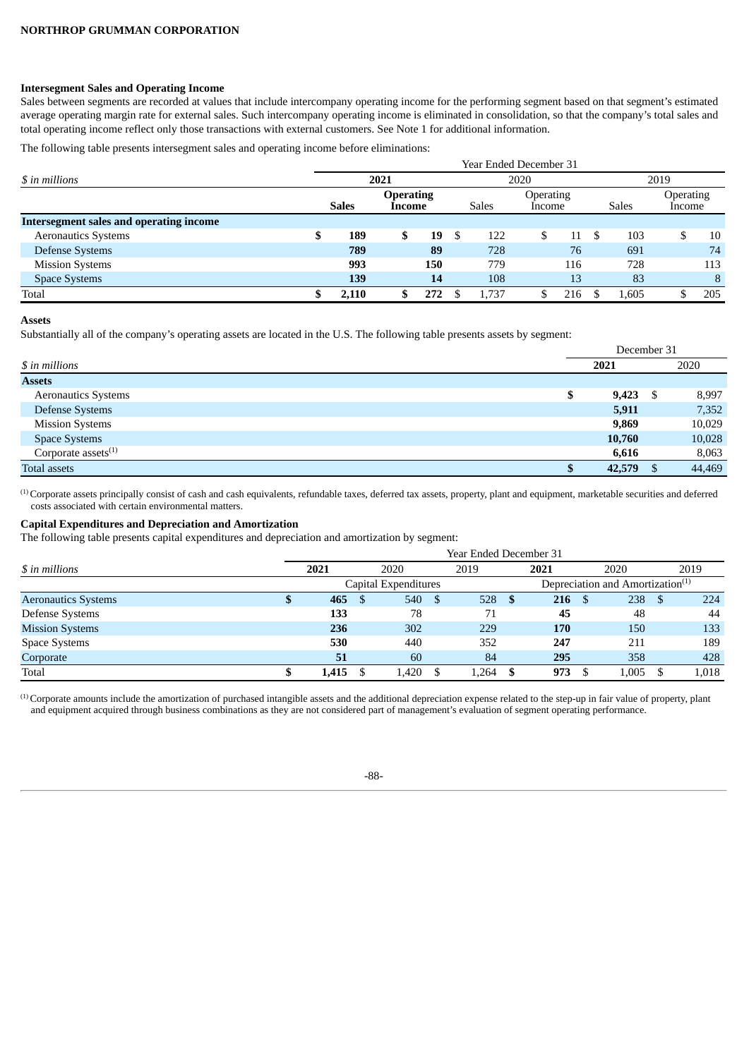## **Intersegment Sales and Operating Income**

Sales between segments are recorded at values that include intercompany operating income for the performing segment based on that segment's estimated average operating margin rate for external sales. Such intercompany operating income is eliminated in consolidation, so that the company's total sales and total operating income reflect only those transactions with external customers. See Note 1 for additional information.

The following table presents intersegment sales and operating income before eliminations:

|                                                | Year Ended December 31 |              |                                     |     |      |                     |  |     |              |                            |     |     |  |
|------------------------------------------------|------------------------|--------------|-------------------------------------|-----|------|---------------------|--|-----|--------------|----------------------------|-----|-----|--|
| \$ in millions                                 |                        |              | 2021                                |     | 2020 |                     |  |     |              | 2019                       |     |     |  |
|                                                |                        | <b>Sales</b> | Operating<br><b>Sales</b><br>Income |     |      | Operating<br>Income |  |     | <b>Sales</b> | <b>Operating</b><br>Income |     |     |  |
| <b>Intersegment sales and operating income</b> |                        |              |                                     |     |      |                     |  |     |              |                            |     |     |  |
| <b>Aeronautics Systems</b>                     | đ                      | 189          | \$                                  | 19  |      | 122                 |  | 11  |              | 103                        | \$. | 10  |  |
| Defense Systems                                |                        | 789          |                                     | 89  |      | 728                 |  | 76  |              | 691                        |     | 74  |  |
| <b>Mission Systems</b>                         |                        | 993          |                                     | 150 |      | 779                 |  | 116 |              | 728                        |     | 113 |  |
| Space Systems                                  |                        | 139          |                                     | 14  |      | 108                 |  | 13  |              | 83                         |     | 8   |  |
| Total                                          |                        | 2.110        |                                     | 272 |      | 1,737               |  | 216 |              | 1,605                      |     | 205 |  |

#### **Assets**

Substantially all of the company's operating assets are located in the U.S. The following table presents assets by segment:

|                            | December 31 |        |   |        |
|----------------------------|-------------|--------|---|--------|
| \$ in millions             |             | 2021   |   | 2020   |
| <b>Assets</b>              |             |        |   |        |
| <b>Aeronautics Systems</b> | \$          | 9,423  | S | 8,997  |
| <b>Defense Systems</b>     |             | 5,911  |   | 7,352  |
| <b>Mission Systems</b>     |             | 9,869  |   | 10,029 |
| <b>Space Systems</b>       |             | 10,760 |   | 10,028 |
| Corporate assets $^{(1)}$  |             | 6,616  |   | 8,063  |
| <b>Total assets</b>        |             | 42,579 | S | 44,469 |

 $^{(1)}$ Corporate assets principally consist of cash and cash equivalents, refundable taxes, deferred tax assets, property, plant and equipment, marketable securities and deferred costs associated with certain environmental matters.

## **Capital Expenditures and Depreciation and Amortization**

The following table presents capital expenditures and depreciation and amortization by segment:

|                            | Year Ended December 31                                               |       |   |       |    |      |    |      |   |       |  |       |
|----------------------------|----------------------------------------------------------------------|-------|---|-------|----|------|----|------|---|-------|--|-------|
| \$ in millions             |                                                                      | 2021  |   | 2020  |    | 2019 |    | 2021 |   | 2020  |  | 2019  |
|                            | Depreciation and Amortization <sup>(1)</sup><br>Capital Expenditures |       |   |       |    |      |    |      |   |       |  |       |
| <b>Aeronautics Systems</b> | Φ                                                                    | 465   | Ъ | 540   | -S | 528  | -S | 216  | S | 238   |  | 224   |
| Defense Systems            |                                                                      | 133   |   | 78    |    | 71   |    | 45   |   | 48    |  | 44    |
| <b>Mission Systems</b>     |                                                                      | 236   |   | 302   |    | 229  |    | 170  |   | 150   |  | 133   |
| <b>Space Systems</b>       |                                                                      | 530   |   | 440   |    | 352  |    | 247  |   | 211   |  | 189   |
| Corporate                  |                                                                      | 51    |   | 60    |    | 84   |    | 295  |   | 358   |  | 428   |
| Total                      |                                                                      | 1,415 |   | 1.420 |    | .264 |    | 973  |   | 1.005 |  | 1,018 |

 $(1)$  Corporate amounts include the amortization of purchased intangible assets and the additional depreciation expense related to the step-up in fair value of property, plant and equipment acquired through business combinations as they are not considered part of management's evaluation of segment operating performance.

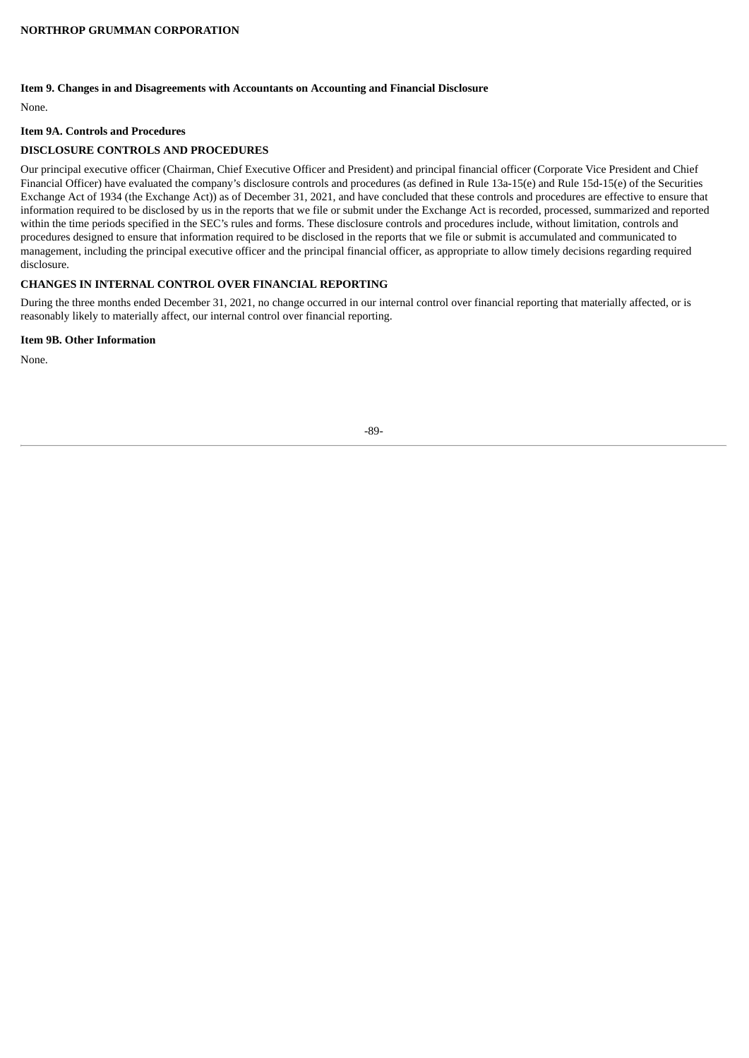### **Item 9. Changes in and Disagreements with Accountants on Accounting and Financial Disclosure**

None.

# **Item 9A. Controls and Procedures**

# **DISCLOSURE CONTROLS AND PROCEDURES**

Our principal executive officer (Chairman, Chief Executive Officer and President) and principal financial officer (Corporate Vice President and Chief Financial Officer) have evaluated the company's disclosure controls and procedures (as defined in Rule 13a-15(e) and Rule 15d-15(e) of the Securities Exchange Act of 1934 (the Exchange Act)) as of December 31, 2021, and have concluded that these controls and procedures are effective to ensure that information required to be disclosed by us in the reports that we file or submit under the Exchange Act is recorded, processed, summarized and reported within the time periods specified in the SEC's rules and forms. These disclosure controls and procedures include, without limitation, controls and procedures designed to ensure that information required to be disclosed in the reports that we file or submit is accumulated and communicated to management, including the principal executive officer and the principal financial officer, as appropriate to allow timely decisions regarding required disclosure.

# **CHANGES IN INTERNAL CONTROL OVER FINANCIAL REPORTING**

During the three months ended December 31, 2021, no change occurred in our internal control over financial reporting that materially affected, or is reasonably likely to materially affect, our internal control over financial reporting.

## **Item 9B. Other Information**

None.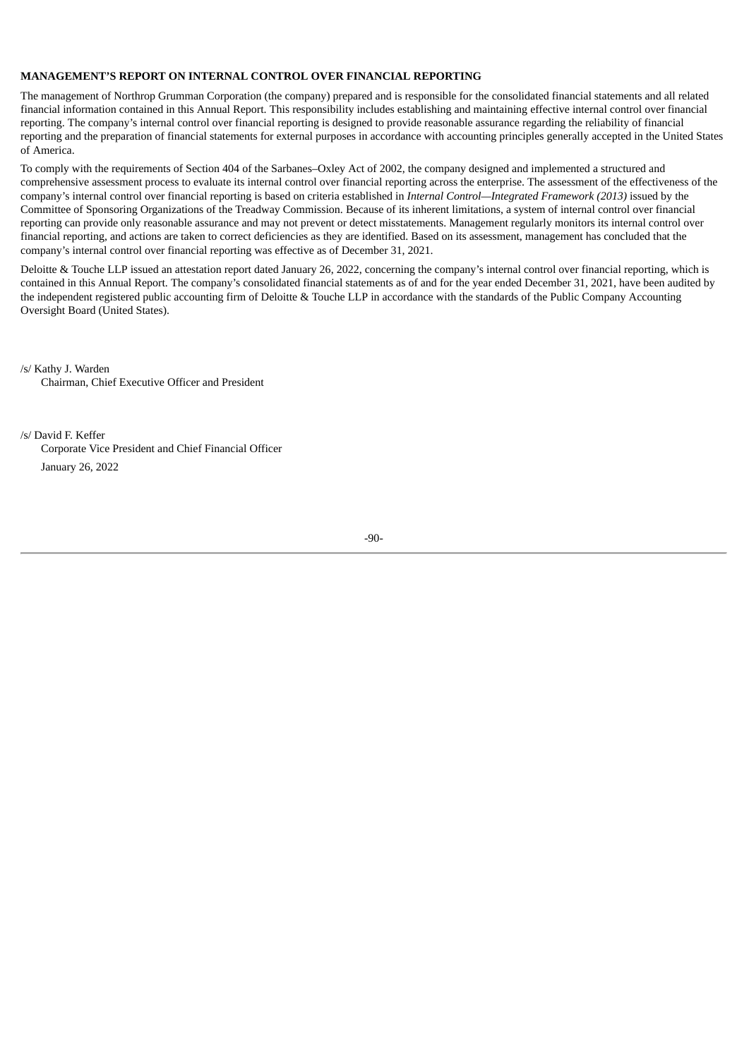## **MANAGEMENT'S REPORT ON INTERNAL CONTROL OVER FINANCIAL REPORTING**

The management of Northrop Grumman Corporation (the company) prepared and is responsible for the consolidated financial statements and all related financial information contained in this Annual Report. This responsibility includes establishing and maintaining effective internal control over financial reporting. The company's internal control over financial reporting is designed to provide reasonable assurance regarding the reliability of financial reporting and the preparation of financial statements for external purposes in accordance with accounting principles generally accepted in the United States of America.

To comply with the requirements of Section 404 of the Sarbanes–Oxley Act of 2002, the company designed and implemented a structured and comprehensive assessment process to evaluate its internal control over financial reporting across the enterprise. The assessment of the effectiveness of the company's internal control over financial reporting is based on criteria established in *Internal Control—Integrated Framework (2013)* issued by the Committee of Sponsoring Organizations of the Treadway Commission. Because of its inherent limitations, a system of internal control over financial reporting can provide only reasonable assurance and may not prevent or detect misstatements. Management regularly monitors its internal control over financial reporting, and actions are taken to correct deficiencies as they are identified. Based on its assessment, management has concluded that the company's internal control over financial reporting was effective as of December 31, 2021.

Deloitte & Touche LLP issued an attestation report dated January 26, 2022, concerning the company's internal control over financial reporting, which is contained in this Annual Report. The company's consolidated financial statements as of and for the year ended December 31, 2021, have been audited by the independent registered public accounting firm of Deloitte & Touche LLP in accordance with the standards of the Public Company Accounting Oversight Board (United States).

/s/ Kathy J. Warden Chairman, Chief Executive Officer and President

/s/ David F. Keffer Corporate Vice President and Chief Financial Officer January 26, 2022

-90-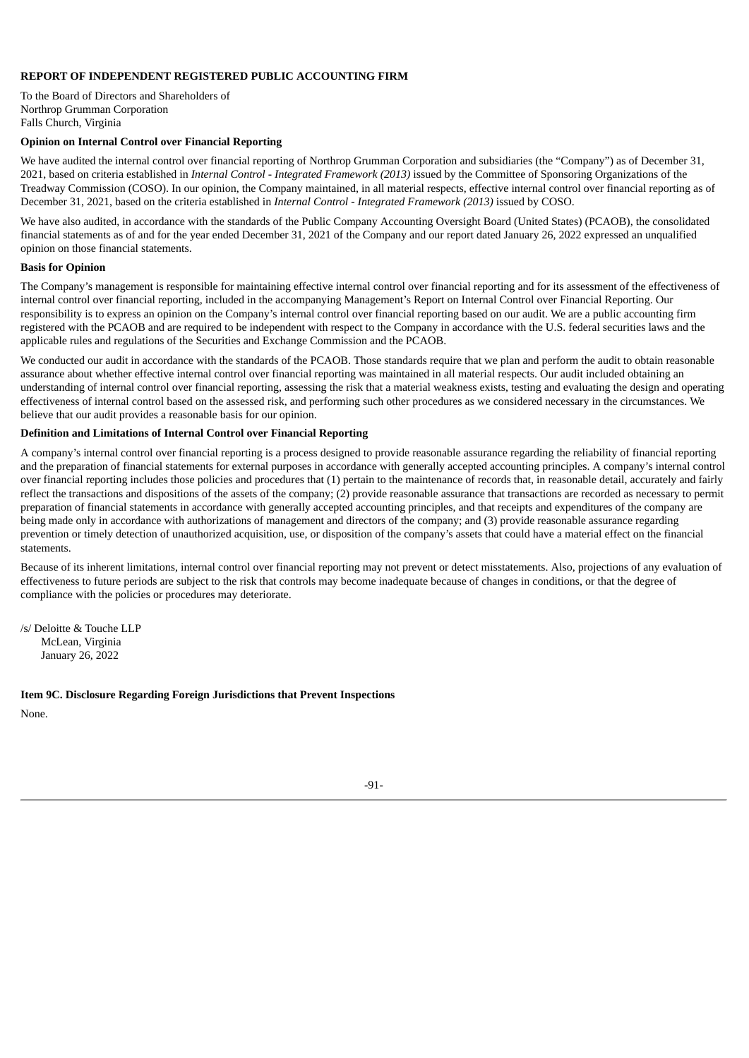# **REPORT OF INDEPENDENT REGISTERED PUBLIC ACCOUNTING FIRM**

To the Board of Directors and Shareholders of Northrop Grumman Corporation Falls Church, Virginia

## **Opinion on Internal Control over Financial Reporting**

We have audited the internal control over financial reporting of Northrop Grumman Corporation and subsidiaries (the "Company") as of December 31, 2021, based on criteria established in *Internal Control - Integrated Framework (2013)* issued by the Committee of Sponsoring Organizations of the Treadway Commission (COSO). In our opinion, the Company maintained, in all material respects, effective internal control over financial reporting as of December 31, 2021, based on the criteria established in *Internal Control - Integrated Framework (2013)* issued by COSO.

We have also audited, in accordance with the standards of the Public Company Accounting Oversight Board (United States) (PCAOB), the consolidated financial statements as of and for the year ended December 31, 2021 of the Company and our report dated January 26, 2022 expressed an unqualified opinion on those financial statements.

# **Basis for Opinion**

The Company's management is responsible for maintaining effective internal control over financial reporting and for its assessment of the effectiveness of internal control over financial reporting, included in the accompanying Management's Report on Internal Control over Financial Reporting. Our responsibility is to express an opinion on the Company's internal control over financial reporting based on our audit. We are a public accounting firm registered with the PCAOB and are required to be independent with respect to the Company in accordance with the U.S. federal securities laws and the applicable rules and regulations of the Securities and Exchange Commission and the PCAOB.

We conducted our audit in accordance with the standards of the PCAOB. Those standards require that we plan and perform the audit to obtain reasonable assurance about whether effective internal control over financial reporting was maintained in all material respects. Our audit included obtaining an understanding of internal control over financial reporting, assessing the risk that a material weakness exists, testing and evaluating the design and operating effectiveness of internal control based on the assessed risk, and performing such other procedures as we considered necessary in the circumstances. We believe that our audit provides a reasonable basis for our opinion.

## **Definition and Limitations of Internal Control over Financial Reporting**

A company's internal control over financial reporting is a process designed to provide reasonable assurance regarding the reliability of financial reporting and the preparation of financial statements for external purposes in accordance with generally accepted accounting principles. A company's internal control over financial reporting includes those policies and procedures that (1) pertain to the maintenance of records that, in reasonable detail, accurately and fairly reflect the transactions and dispositions of the assets of the company; (2) provide reasonable assurance that transactions are recorded as necessary to permit preparation of financial statements in accordance with generally accepted accounting principles, and that receipts and expenditures of the company are being made only in accordance with authorizations of management and directors of the company; and (3) provide reasonable assurance regarding prevention or timely detection of unauthorized acquisition, use, or disposition of the company's assets that could have a material effect on the financial statements.

Because of its inherent limitations, internal control over financial reporting may not prevent or detect misstatements. Also, projections of any evaluation of effectiveness to future periods are subject to the risk that controls may become inadequate because of changes in conditions, or that the degree of compliance with the policies or procedures may deteriorate.

/s/ Deloitte & Touche LLP McLean, Virginia January 26, 2022

### **Item 9C. Disclosure Regarding Foreign Jurisdictions that Prevent Inspections**

None.

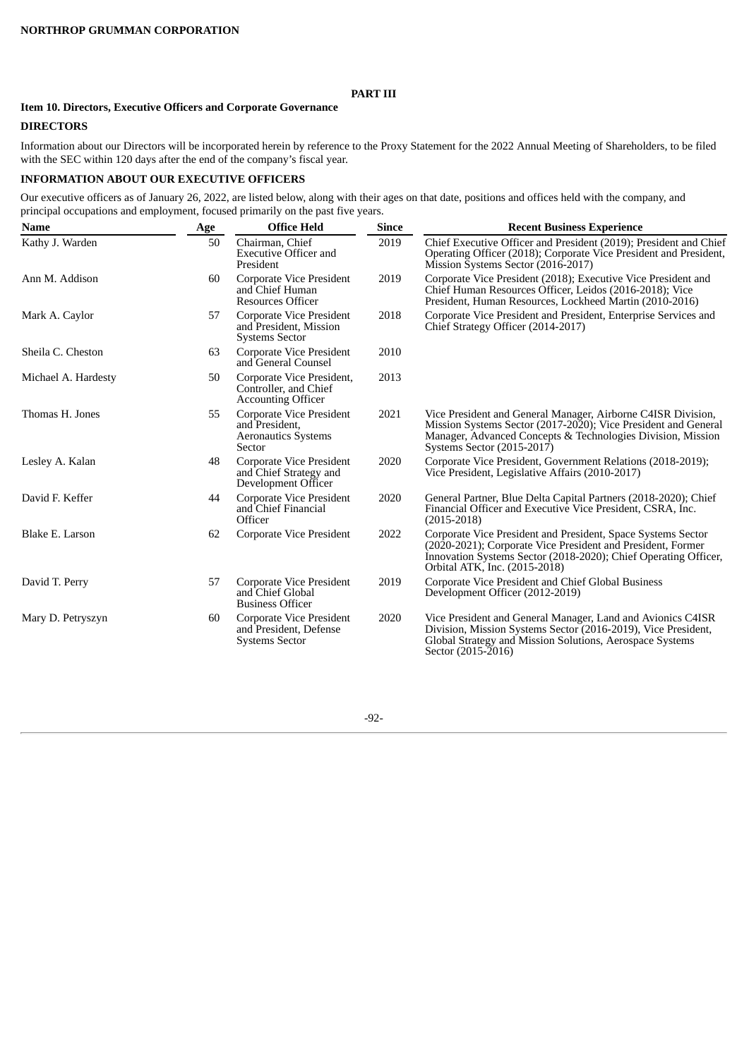### **PART III**

# **Item 10. Directors, Executive Officers and Corporate Governance**

# **DIRECTORS**

Information about our Directors will be incorporated herein by reference to the Proxy Statement for the 2022 Annual Meeting of Shareholders, to be filed with the SEC within 120 days after the end of the company's fiscal year.

# **INFORMATION ABOUT OUR EXECUTIVE OFFICERS**

Our executive officers as of January 26, 2022, are listed below, along with their ages on that date, positions and offices held with the company, and principal occupations and employment, focused primarily on the past five years.

| <b>Name</b>         | Age | <b>Office Held</b>                                                                 | <b>Since</b> | <b>Recent Business Experience</b>                                                                                                                                                                                               |
|---------------------|-----|------------------------------------------------------------------------------------|--------------|---------------------------------------------------------------------------------------------------------------------------------------------------------------------------------------------------------------------------------|
| Kathy J. Warden     | 50  | Chairman, Chief<br><b>Executive Officer and</b><br>President                       | 2019         | Chief Executive Officer and President (2019); President and Chief<br>Operating Officer (2018); Corporate Vice President and President,<br>Mission Systems Sector (2016-2017)                                                    |
| Ann M. Addison      | 60  | Corporate Vice President<br>and Chief Human<br><b>Resources Officer</b>            | 2019         | Corporate Vice President (2018); Executive Vice President and<br>Chief Human Resources Officer, Leidos (2016-2018); Vice<br>President, Human Resources, Lockheed Martin (2010-2016)                                             |
| Mark A. Caylor      | 57  | Corporate Vice President<br>and President, Mission<br><b>Systems Sector</b>        | 2018         | Corporate Vice President and President, Enterprise Services and<br>Chief Strategy Officer (2014-2017)                                                                                                                           |
| Sheila C. Cheston   | 63  | Corporate Vice President<br>and General Counsel                                    | 2010         |                                                                                                                                                                                                                                 |
| Michael A. Hardesty | 50  | Corporate Vice President,<br>Controller, and Chief<br><b>Accounting Officer</b>    | 2013         |                                                                                                                                                                                                                                 |
| Thomas H. Jones     | 55  | Corporate Vice President<br>and President,<br><b>Aeronautics Systems</b><br>Sector | 2021         | Vice President and General Manager, Airborne C4ISR Division,<br>Mission Systems Sector (2017-2020); Vice President and General<br>Manager, Advanced Concepts & Technologies Division, Mission<br>Systems Sector (2015-2017)     |
| Lesley A. Kalan     | 48  | Corporate Vice President<br>and Chief Strategy and<br>Development Officer          | 2020         | Corporate Vice President, Government Relations (2018-2019);<br>Vice President, Legislative Affairs (2010-2017)                                                                                                                  |
| David F. Keffer     | 44  | Corporate Vice President<br>and Chief Financial<br>Officer                         | 2020         | General Partner, Blue Delta Capital Partners (2018-2020); Chief<br>Financial Officer and Executive Vice President, CSRA, Inc.<br>$(2015 - 2018)$                                                                                |
| Blake E. Larson     | 62  | Corporate Vice President                                                           | 2022         | Corporate Vice President and President, Space Systems Sector<br>(2020-2021); Corporate Vice President and President, Former<br>Innovation Systems Sector (2018-2020); Chief Operating Officer,<br>Orbital ATK, Inc. (2015-2018) |
| David T. Perry      | 57  | Corporate Vice President<br>and Chief Global<br><b>Business Officer</b>            | 2019         | Corporate Vice President and Chief Global Business<br>Development Officer (2012-2019)                                                                                                                                           |
| Mary D. Petryszyn   | 60  | Corporate Vice President<br>and President, Defense<br><b>Systems Sector</b>        | 2020         | Vice President and General Manager, Land and Avionics C4ISR<br>Division, Mission Systems Sector (2016-2019), Vice President,<br>Global Strategy and Mission Solutions, Aerospace Systems<br>Sector (2015-2016)                  |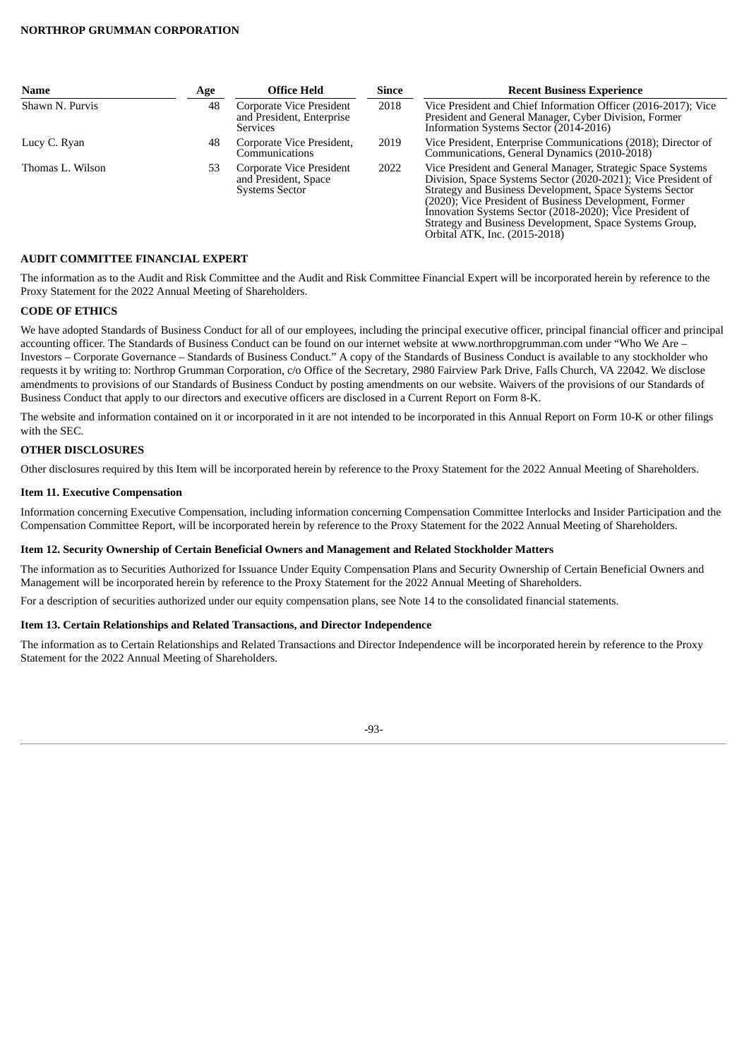| <b>Name</b>      | Age | <b>Office Held</b>                                                        | Since | <b>Recent Business Experience</b>                                                                                                                                                                                                                                                                                                                                                                         |
|------------------|-----|---------------------------------------------------------------------------|-------|-----------------------------------------------------------------------------------------------------------------------------------------------------------------------------------------------------------------------------------------------------------------------------------------------------------------------------------------------------------------------------------------------------------|
| Shawn N. Purvis  | 48  | Corporate Vice President<br>and President, Enterprise<br><b>Services</b>  | 2018  | Vice President and Chief Information Officer (2016-2017); Vice<br>President and General Manager, Cyber Division, Former<br>Information Systems Sector (2014-2016)                                                                                                                                                                                                                                         |
| Lucy C. Ryan     | 48  | Corporate Vice President,<br>Communications                               | 2019  | Vice President, Enterprise Communications (2018); Director of<br>Communications, General Dynamics (2010-2018)                                                                                                                                                                                                                                                                                             |
| Thomas L. Wilson | 53  | Corporate Vice President<br>and President, Space<br><b>Systems Sector</b> | 2022  | Vice President and General Manager, Strategic Space Systems<br>Division, Space Systems Sector (2020-2021); Vice President of<br>Strategy and Business Development, Space Systems Sector<br>(2020); Vice President of Business Development, Former<br>Innovation Systems Sector (2018-2020); Vice President of<br>Strategy and Business Development, Space Systems Group,<br>Orbital ATK, Inc. (2015-2018) |

# **AUDIT COMMITTEE FINANCIAL EXPERT**

The information as to the Audit and Risk Committee and the Audit and Risk Committee Financial Expert will be incorporated herein by reference to the Proxy Statement for the 2022 Annual Meeting of Shareholders.

### **CODE OF ETHICS**

We have adopted Standards of Business Conduct for all of our employees, including the principal executive officer, principal financial officer and principal accounting officer. The Standards of Business Conduct can be found on our internet website at www.northropgrumman.com under "Who We Are – Investors – Corporate Governance – Standards of Business Conduct." A copy of the Standards of Business Conduct is available to any stockholder who requests it by writing to: Northrop Grumman Corporation, c/o Office of the Secretary, 2980 Fairview Park Drive, Falls Church, VA 22042. We disclose amendments to provisions of our Standards of Business Conduct by posting amendments on our website. Waivers of the provisions of our Standards of Business Conduct that apply to our directors and executive officers are disclosed in a Current Report on Form 8-K.

The website and information contained on it or incorporated in it are not intended to be incorporated in this Annual Report on Form 10-K or other filings with the SEC.

### **OTHER DISCLOSURES**

Other disclosures required by this Item will be incorporated herein by reference to the Proxy Statement for the 2022 Annual Meeting of Shareholders.

### **Item 11. Executive Compensation**

Information concerning Executive Compensation, including information concerning Compensation Committee Interlocks and Insider Participation and the Compensation Committee Report, will be incorporated herein by reference to the Proxy Statement for the 2022 Annual Meeting of Shareholders.

# **Item 12. Security Ownership of Certain Beneficial Owners and Management and Related Stockholder Matters**

The information as to Securities Authorized for Issuance Under Equity Compensation Plans and Security Ownership of Certain Beneficial Owners and Management will be incorporated herein by reference to the Proxy Statement for the 2022 Annual Meeting of Shareholders.

For a description of securities authorized under our equity compensation plans, see Note 14 to the consolidated financial statements.

### **Item 13. Certain Relationships and Related Transactions, and Director Independence**

The information as to Certain Relationships and Related Transactions and Director Independence will be incorporated herein by reference to the Proxy Statement for the 2022 Annual Meeting of Shareholders.

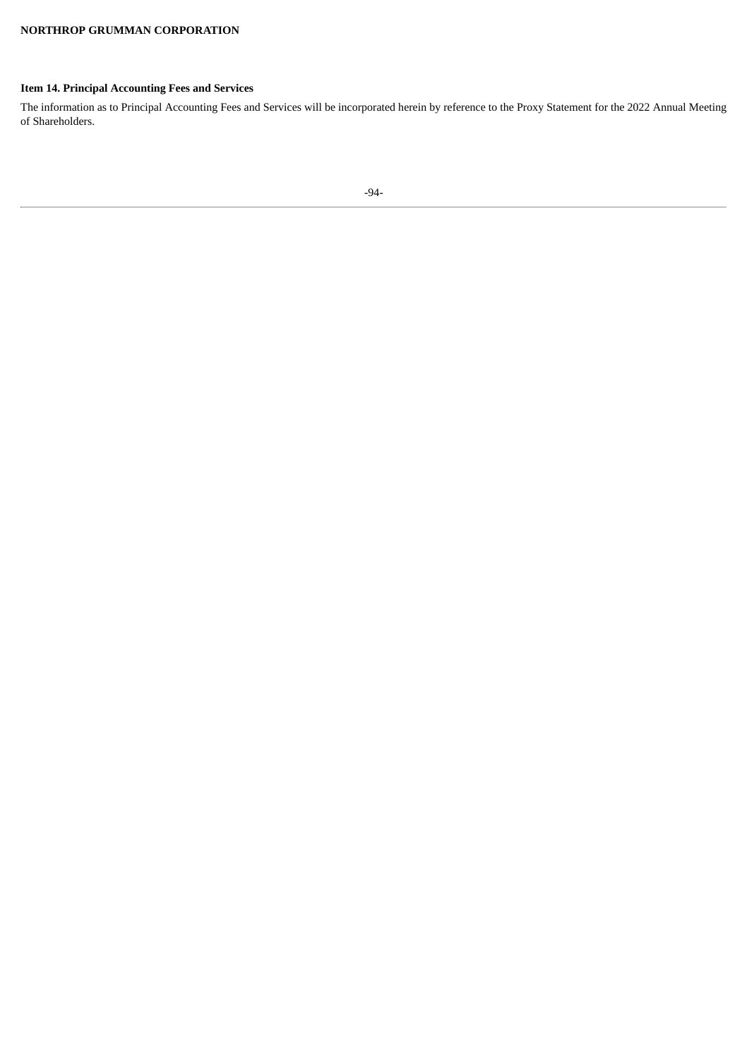# **Item 14. Principal Accounting Fees and Services**

The information as to Principal Accounting Fees and Services will be incorporated herein by reference to the Proxy Statement for the 2022 Annual Meeting of Shareholders.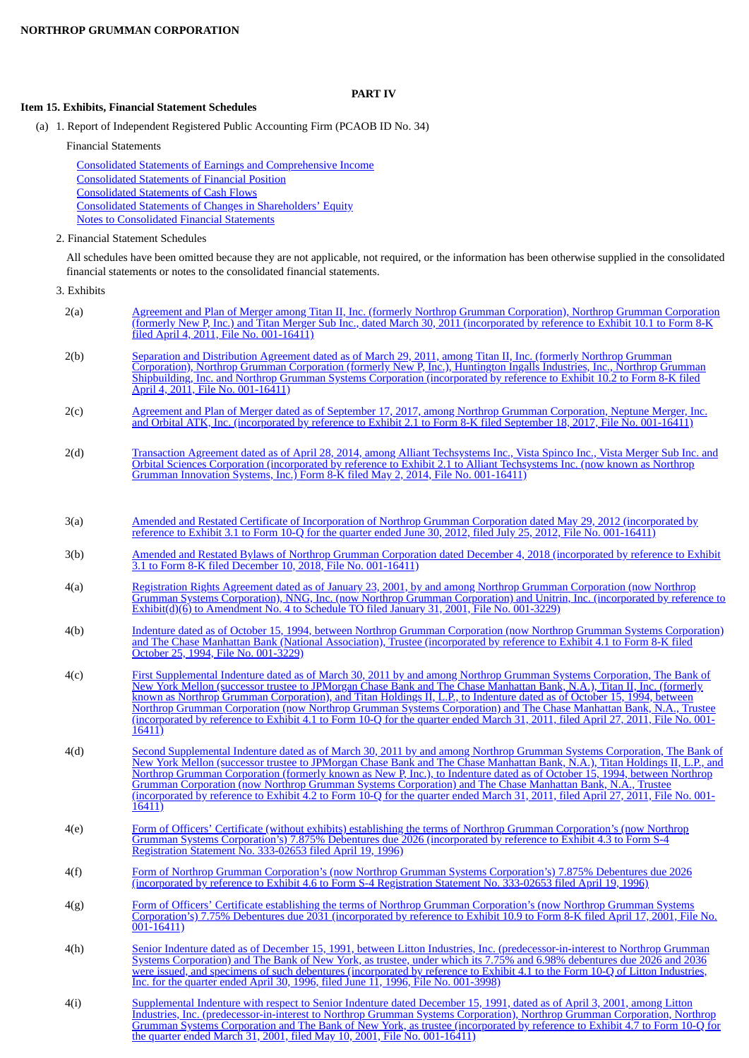### **PART IV**

### **Item 15. Exhibits, Financial Statement Schedules**

(a) 1. Report of Independent Registered Public Accounting Firm (PCAOB ID No. 34)

Financial Statements

Consolidated Statements of Earnings and [Comprehensive](#page-54-0) Income [Consolidated](#page-55-0) Statements of Financial Position [Consolidated](#page-56-0) Statements of Cash Flows Consolidated Statements of Changes in [Shareholders'](#page-57-0) Equity Notes to [Consolidated](#page-58-0) Financial Statements

2. Financial Statement Schedules

All schedules have been omitted because they are not applicable, not required, or the information has been otherwise supplied in the consolidated financial statements or notes to the consolidated financial statements.

3. Exhibits

| 2(a) | Agreement and Plan of Merger among Titan II, Inc. (formerly Northrop Grumman Corporation), Northrop Grumman Corporation       |
|------|-------------------------------------------------------------------------------------------------------------------------------|
|      | (formerly New P. Inc.) and Titan Merger Sub Inc., dated March 30, 2011 (incorporated by reference to Exhibit 10.1 to Form 8-K |
|      | filed April 4, 2011. File No. 001-16411)                                                                                      |

- 2(b) Separation and Distribution Agreement dated as of March 29, 2011, among Titan II, Inc. (formerly Northrop Grumman Corporation), Northrop Grumman Corporation (formerly New P, Inc.), Huntington Ingalls Industries, Inc., Northrop Grumman [Shipbuilding,](http://www.sec.gov/Archives/edgar/data/1133421/000095012311032455/v59140exv10w2.htm) Inc. and Northrop Grumman Systems Corporation (incorporated by reference to Exhibit 10.2 to Form 8-K filed April 4, 2011, File No. 001-16411)
- 2(c) Agreement and Plan of Merger dated as of September 17, 2017, among Northrop Grumman Corporation, Neptune Merger, Inc. and Orbital ATK, Inc. [\(incorporated](http://www.sec.gov/Archives/edgar/data/1133421/000095015717001300/ex2-1.htm) by reference to Exhibit 2.1 to Form 8-K filed September 18, 2017, File No. 001-16411)
- 2(d) Transaction Agreement dated as of April 28, 2014, among Alliant Techsystems Inc., Vista Spinco Inc., Vista Merger Sub Inc. and Orbital Sciences Corporation [\(incorporated](http://www.sec.gov/Archives/edgar/data/866121/000095015714000426/ex2-1.htm) by reference to Exhibit 2.1 to Alliant Techsystems Inc. (now known as Northrop Grumman Innovation Systems, Inc.) Form 8-K filed May 2, 2014, File No. 001-16411)
- 3(a) Amended and Restated Certificate of [Incorporation](http://www.sec.gov/Archives/edgar/data/1133421/000113342112000033/noc-6302012xex31.htm) of Northrop Grumman Corporation dated May 29, 2012 (incorporated by reference to Exhibit 3.1 to Form 10-Q for the quarter ended June 30, 2012, filed July 25, 2012, File No. 001-16411)
- 3(b) Amended and Restated Bylaws of Northrop Grumman Corporation dated December 4, 2018 [\(incorporated](http://www.sec.gov/Archives/edgar/data/1133421/000113342118000055/form8-k120418xex31bylaws.htm) by reference to Exhibit 3.1 to Form 8-K filed December 10, 2018, File No. 001-16411)
- 4(a) Registration Rights Agreement dated as of January 23, 2001, by and among Northrop Grumman Corporation (now Northrop Grumman Systems [Corporation\),](http://www.sec.gov/Archives/edgar/data/59880/000089843001000375/0000898430-01-000375-0004.txt) NNG, Inc. (now Northrop Grumman Corporation) and Unitrin, Inc. (incorporated by reference to Exhibit(d)(6) to Amendment No. 4 to Schedule TO filed January 31, 2001, File No. 001-3229)
- 4(b) Indenture dated as of October 15, 1994, between Northrop Grumman Corporation (now Northrop Grumman Systems Corporation) and The Chase Manhattan Bank (National Association), Trustee [\(incorporated](http://www.sec.gov/Archives/edgar/data/72945/0000912057-94-003514.txt) by reference to Exhibit 4.1 to Form 8-K filed October 25, 1994, File No. 001-3229)
- 4(c) First [Supplemental](http://www.sec.gov/Archives/edgar/data/1133421/000095012311039852/v58707exv4w1.htm) Indenture dated as of March 30, 2011 by and among Northrop Grumman Systems Corporation, The Bank of New York Mellon (successor trustee to JPMorgan Chase Bank and The Chase Manhattan Bank, N.A.), Titan II, Inc. (formerly known as Northrop Grumman Corporation), and Titan Holdings II, L.P., to Indenture dated as of October 15, 1994, between Northrop Grumman Corporation (now Northrop Grumman Systems Corporation) and The Chase Manhattan Bank, N.A., Trustee (incorporated by reference to Exhibit 4.1 to Form 10-Q for the quarter ended March 31, 2011, filed April 27, 2011, File No. 001- 16411)
- 4(d) Second [Supplemental](http://www.sec.gov/Archives/edgar/data/1133421/000095012311039852/v58707exv4w2.htm) Indenture dated as of March 30, 2011 by and among Northrop Grumman Systems Corporation, The Bank of New York Mellon (successor trustee to JPMorgan Chase Bank and The Chase Manhattan Bank, N.A.), Titan Holdings II, L.P., and Northrop Grumman Corporation (formerly known as New P, Inc.), to Indenture dated as of October 15, 1994, between Northrop Grumman Corporation (now Northrop Grumman Systems Corporation) and The Chase Manhattan Bank, N.A., Trustee (incorporated by reference to Exhibit 4.2 to Form 10-Q for the quarter ended March 31, 2011, filed April 27, 2011, File No. 001- 16411)
- 4(e) Form of Officers' Certificate (without exhibits) establishing the terms of Northrop Grumman Corporation's (now Northrop Grumman Systems [Corporation's\)](http://www.sec.gov/Archives/edgar/data/72945/0000912057-96-006729.txt) 7.875% Debentures due 2026 (incorporated by reference to Exhibit 4.3 to Form S-4 Registration Statement No. 333-02653 filed April 19, 1996)
- 4(f) Form of Northrop Grumman Corporation's (now Northrop Grumman Systems [Corporation's\)](http://www.sec.gov/Archives/edgar/data/72945/0000912057-96-006729.txt) 7.875% Debentures due 2026 (incorporated by reference to Exhibit 4.6 to Form S-4 Registration Statement No. 333-02653 filed April 19, 1996)
- 4(g) Form of Officers' Certificate establishing the terms of Northrop Grumman Corporation's (now Northrop Grumman Systems [Corporation's\)](http://www.sec.gov/Archives/edgar/data/1133421/000089843001500160/dex109.txt) 7.75% Debentures due 2031 (incorporated by reference to Exhibit 10.9 to Form 8-K filed April 17, 2001, File No.  $001 - 16411$
- 4(h) Senior Indenture dated as of December 15, 1991, between Litton Industries, Inc. [\(predecessor-in-interest](http://www.sec.gov/Archives/edgar/data/59880/0000950148-96-001149.txt) to Northrop Grumman Systems Corporation) and The Bank of New York, as trustee, under which its 7.75% and 6.98% debentures due 2026 and 2036 were issued, and specimens of such debentures (incorporated by reference to Exhibit 4.1 to the Form 10-Q of Litton Industries, Inc. for the quarter ended April 30, 1996, filed June 11, 1996, File No. 001-3998)
- 4(i) Supplemental Indenture with respect to Senior Indenture dated December 15, 1991, dated as of April 3, 2001, among Litton Industries, Inc. [\(predecessor-in-interest](http://www.sec.gov/Archives/edgar/data/1133421/000102140801500799/dex47.txt) to Northrop Grumman Systems Corporation), Northrop Grumman Corporation, Northrop Grumman Systems Corporation and The Bank of New York, as trustee (incorporated by reference to Exhibit 4.7 to Form 10-Q for the quarter ended March 31, 2001, filed May 10, 2001, File No. 001-16411)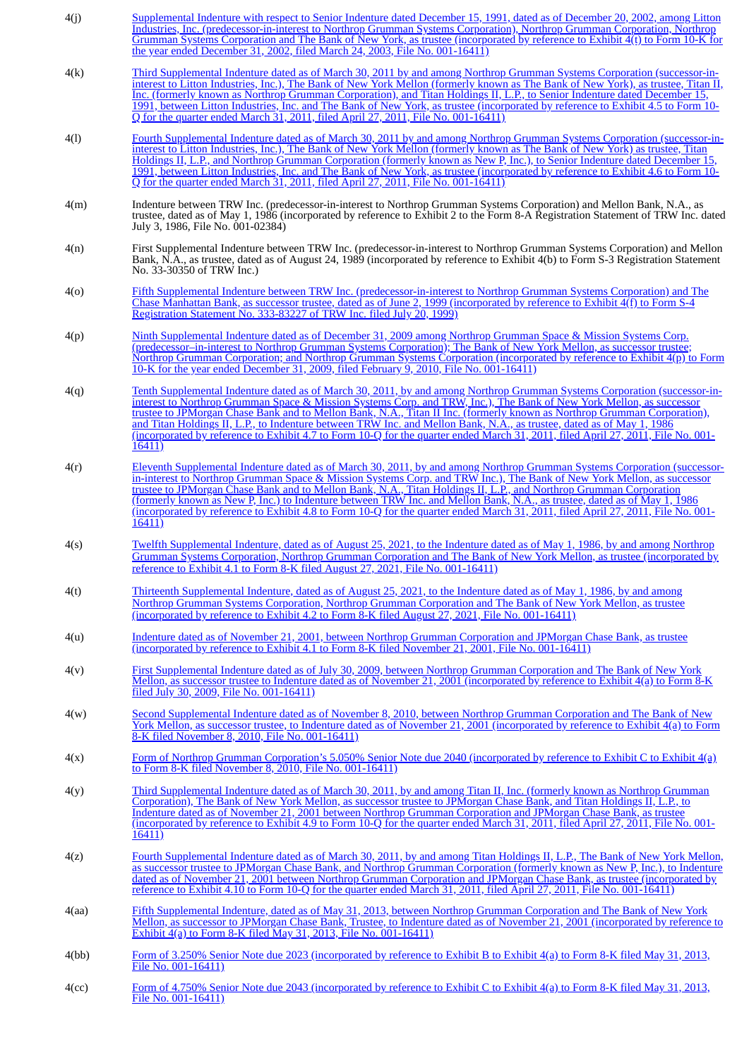- 4(j) Supplemental Indenture with respect to Senior Indenture dated December 15, 1991, dated as of December 20, 2002, among Litton Industries, Inc. [\(predecessor-in-interest](http://www.sec.gov/Archives/edgar/data/1133421/000089843003002012/dex4t.htm) to Northrop Grumman Systems Corporation), Northrop Grumman Corporation, Northrop Grumman Systems Corporation and The Bank of New York, as trustee (incorporated by reference to Exhibit 4(t) to Form 10-K for the year ended December 31, 2002, filed March 24, 2003, File No. 001-16411)
- 4(k) Third Supplemental Indenture dated as of March 30, 2011 by and among Northrop Grumman Systems Corporation [\(successor-in](http://www.sec.gov/Archives/edgar/data/1133421/000095012311039852/v58707exv4w5.htm)interest to Litton Industries, Inc.), The Bank of New York Mellon (formerly known as The Bank of New York), as trustee, Titan II, Inc. (formerly known as Northrop Grumman Corporation), and Titan Holdings II, L.P., to Senior Indenture dated December 15, 1991, between Litton Industries, Inc. and The Bank of New York, as trustee (incorporated by reference to Exhibit 4.5 to Form 10- Q for the quarter ended March 31, 2011, filed April 27, 2011, File No. 001-16411)
- 4(1) Fourth Supplemental Indenture dated as of March 30, 2011 by and among Northrop Grumman Systems Corporation [\(successor-in](http://www.sec.gov/Archives/edgar/data/1133421/000095012311039852/v58707exv4w6.htm)interest to Litton Industries, Inc.), The Bank of New York Mellon (formerly known as The Bank of New York) as trustee, Titan Holdings II, L.P., and Northrop Grumman Corporation (formerly known as New P, Inc.), to Senior Indenture dated December 15, 1991, between Litton Industries, Inc. and The Bank of New York, as trustee (incorporated by reference to Exhibit 4.6 to Form 10- Q for the quarter ended March 31, 2011, filed April 27, 2011, File No. 001-16411)
- 4(m) Indenture between TRW Inc. (predecessor-in-interest to Northrop Grumman Systems Corporation) and Mellon Bank, N.A., as trustee, dated as of May 1, 1986 (incorporated by reference to Exhibit 2 to the Form 8-A Registration Statement of TRW Inc. dated July 3, 1986, File No. 001-02384)
- 4(n) First Supplemental Indenture between TRW Inc. (predecessor-in-interest to Northrop Grumman Systems Corporation) and Mellon Bank, N.A., as trustee, dated as of August 24, 1989 (incorporated by reference to Exhibit 4(b) to Form S-3 Registration Statement No. 33-30350 of TRW Inc.)
- 4(o) Fifth Supplemental Indenture between TRW Inc. [\(predecessor-in-interest](http://www.sec.gov/Archives/edgar/data/100030/000095015299006103/0000950152-99-006103.txt) to Northrop Grumman Systems Corporation) and The Chase Manhattan Bank, as successor trustee, dated as of June 2, 1999 (incorporated by reference to Exhibit 4(f) to Form S-4 Registration Statement No. 333-83227 of TRW Inc. filed July 20, 1999)
- 4(p) Ninth Supplemental Indenture dated as of December 31, 2009 among Northrop Grumman Space & Mission Systems Corp. [\(predecessor–in-interest](http://www.sec.gov/Archives/edgar/data/1133421/000095012310010126/v54508exv4wp.htm) to Northrop Grumman Systems Corporation); The Bank of New York Mellon, as successor trustee; Northrop Grumman Corporation; and Northrop Grumman Systems Corporation (incorporated by reference to Exhibit 4(p) to Form 10-K for the year ended December 31, 2009, filed February 9, 2010, File No. 001-16411)
- 4(q) Tenth Supplemental Indenture dated as of March 30, 2011, by and among Northrop Grumman Systems Corporation [\(successor-in](http://www.sec.gov/Archives/edgar/data/1133421/000095012311039852/v58707exv4w7.htm)interest to Northrop Grumman Space & Mission Systems Corp. and TRW, Inc.), The Bank of New York Mellon, as successor trustee to JPMorgan Chase Bank and to Mellon Bank, N.A., Titan II Inc. (formerly known as Northrop Grumman Corporation), and Titan Holdings II, L.P., to Indenture between TRW Inc. and Mellon Bank, N.A., as trustee, dated as of May 1, 1986 (incorporated by reference to Exhibit 4.7 to Form 10-Q for the quarter ended March 31, 2011, filed April 27, 2011, File No. 001- 16411)
- 4(r) Eleventh [Supplemental](http://www.sec.gov/Archives/edgar/data/1133421/000095012311039852/v58707exv4w8.htm) Indenture dated as of March 30, 2011, by and among Northrop Grumman Systems Corporation (successorin-interest to Northrop Grumman Space & Mission Systems Corp. and TRW Inc.), The Bank of New York Mellon, as successor trustee to JPMorgan Chase Bank and to Mellon Bank, N.A., Titan Holdings II, L.P., and Northrop Grumman Corporation (formerly known as New P, Inc.) to Indenture between TRW Inc. and Mellon Bank, N.A., as trustee, dated as of May 1, 1986 (incorporated by reference to Exhibit 4.8 to Form 10-Q for the quarter ended March 31, 2011, filed April 27, 2011, File No. 001- 16411)
- 4(s) Twelfth [Supplemental](https://www.sec.gov/Archives/edgar/data/1133421/000095015721000904/ex4-1.htm) Indenture, dated as of August 25, 2021, to the Indenture dated as of May 1, 1986, by and among Northrop Grumman Systems Corporation, Northrop Grumman Corporation and The Bank of New York Mellon, as trustee (incorporated by reference to Exhibit 4.1 to Form 8-K filed August 27, 2021, File No. 001-16411)
- 4(t) Thirteenth [Supplemental](https://www.sec.gov/Archives/edgar/data/1133421/000095015721000904/ex4-2.htm) Indenture, dated as of August 25, 2021, to the Indenture dated as of May 1, 1986, by and among Northrop Grumman Systems Corporation, Northrop Grumman Corporation and The Bank of New York Mellon, as trustee (incorporated by reference to Exhibit 4.2 to Form 8-K filed August 27, 2021, File No. 001-16411)
- 4(u) Indenture dated as of November 21, 2001, between Northrop Grumman Corporation and JPMorgan Chase Bank, as trustee [\(incorporated](http://www.sec.gov/Archives/edgar/data/1133421/000089843001503659/dex41.txt) by reference to Exhibit 4.1 to Form 8-K filed November 21, 2001, File No. 001-16411)
- 4(v) First [Supplemental](https://www.sec.gov/Archives/edgar/data/1133421/000095012309027412/v53270exv4wxay.htm) Indenture dated as of July 30, 2009, between Northrop Grumman Corporation and The Bank of New York Mellon, as successor trustee to Indenture dated as of November 21, 2001 (incorporated by reference to Exhibit 4(a) to Form 8-K filed July 30, 2009, File No. 001-16411)
- 4(w) Second [Supplemental](http://www.sec.gov/Archives/edgar/data/1133421/000095012310102289/v57777exv4wa.htm) Indenture dated as of November 8, 2010, between Northrop Grumman Corporation and The Bank of New York Mellon, as successor trustee, to Indenture dated as of November 21, 2001 (incorporated by reference to Exhibit 4(a) to Form 8-K filed November 8, 2010, File No. 001-16411)
- 4(x) Form of Northrop Grumman [Corporation's](http://www.sec.gov/Archives/edgar/data/1133421/000095012310102289/v57777exv4wa.htm) 5.050% Senior Note due 2040 (incorporated by reference to Exhibit C to Exhibit 4(a) to Form 8-K filed November 8, 2010, File No. 001-16411)
- 4(y) Third [Supplemental](http://www.sec.gov/Archives/edgar/data/1133421/000095012311039852/v58707exv4w9.htm) Indenture dated as of March 30, 2011, by and among Titan II, Inc. (formerly known as Northrop Grumman Corporation), The Bank of New York Mellon, as successor trustee to JPMorgan Chase Bank, and Titan Holdings II, L.P., to Indenture dated as of November 21, 2001 between Northrop Grumman Corporation and JPMorgan Chase Bank, as trustee (incorporated by reference to Exhibit 4.9 to Form 10-Q for the quarter ended March 31, 2011, filed April 27, 2011, File No. 001- 16411)
- 4(z) Fourth [Supplemental](http://www.sec.gov/Archives/edgar/data/1133421/000095012311039852/v58707exv4w10.htm) Indenture dated as of March 30, 2011, by and among Titan Holdings II, L.P., The Bank of New York Mellon, as successor trustee to JPMorgan Chase Bank, and Northrop Grumman Corporation (formerly known as New P, Inc.), to Indenture dated as of November 21, 2001 between Northrop Grumman Corporation and JPMorgan Chase Bank, as trustee (incorporated by reference to Exhibit 4.10 to Form 10-Q for the quarter ended March 31, 2011, filed April 27, 2011, File No. 001-16411)
- 4(aa) Fifth [Supplemental](http://www.sec.gov/Archives/edgar/data/1133421/000119312513243040/d545882dex4a.htm) Indenture, dated as of May 31, 2013, between Northrop Grumman Corporation and The Bank of New York Mellon, as successor to JPMorgan Chase Bank, Trustee, to Indenture dated as of November 21, 2001 (incorporated by reference to Exhibit 4(a) to Form 8-K filed May 31, 2013, File No. 001-16411)
- 4(bb) Form of 3.250% Senior Note due 2023 [\(incorporated](http://www.sec.gov/Archives/edgar/data/1133421/000119312513243040/d545882dex4a.htm) by reference to Exhibit B to Exhibit 4(a) to Form 8-K filed May 31, 2013, File No. 001-16411)
- 4(cc) Form of 4.750% Senior Note due 2043 [\(incorporated](http://www.sec.gov/Archives/edgar/data/1133421/000119312513243040/d545882dex4a.htm) by reference to Exhibit C to Exhibit 4(a) to Form 8-K filed May 31, 2013, File No. 001-16411)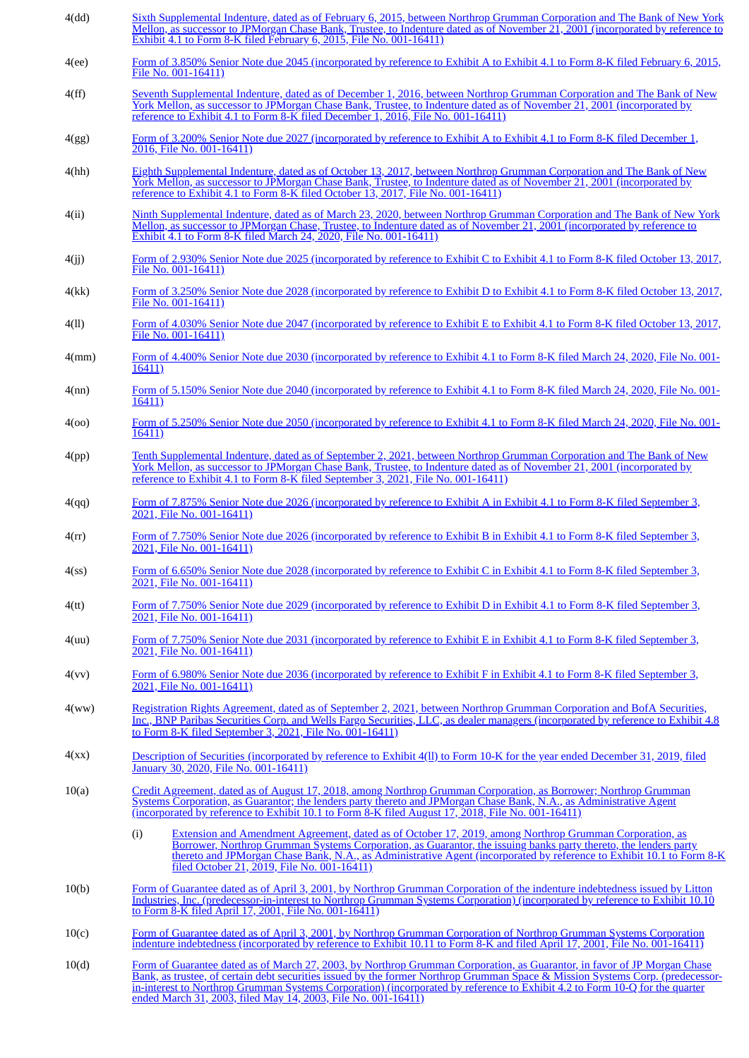- 4(dd) Sixth [Supplemental](http://www.sec.gov/Archives/edgar/data/1133421/000119312515037499/d865409dex41.htm) Indenture, dated as of February 6, 2015, between Northrop Grumman Corporation and The Bank of New York Mellon, as successor to JPMorgan Chase Bank, Trustee, to Indenture dated as of November 21, 2001 (incorporated by reference to Exhibit 4.1 to Form 8-K filed February 6, 2015, File No. 001-16411)
- 4(ee) Form of 3.850% Senior Note due 2045 [\(incorporated](http://www.sec.gov/Archives/edgar/data/1133421/000119312515037499/d865409dex41.htm) by reference to Exhibit A to Exhibit 4.1 to Form 8-K filed February 6, 2015, File No. 001-16411)
- 4(ff) Seventh [Supplemental](http://www.sec.gov/Archives/edgar/data/1133421/000119312516782630/d301589dex41.htm) Indenture, dated as of December 1, 2016, between Northrop Grumman Corporation and The Bank of New York Mellon, as successor to JPMorgan Chase Bank, Trustee, to Indenture dated as of November 21, 2001 (incorporated by reference to Exhibit 4.1 to Form 8-K filed December 1, 2016, File No. 001-16411)
- 4(gg) Form of 3.200% Senior Note due 2027 [\(incorporated](http://www.sec.gov/Archives/edgar/data/1133421/000119312516782630/d301589dex41.htm) by reference to Exhibit A to Exhibit 4.1 to Form 8-K filed December 1, 2016, File No. 001-16411)
- 4(hh) Eighth [Supplemental](http://www.sec.gov/Archives/edgar/data/1133421/000119312517309966/d463997dex41.htm) Indenture, dated as of October 13, 2017, between Northrop Grumman Corporation and The Bank of New York Mellon, as successor to JPMorgan Chase Bank, Trustee, to Indenture dated as of November 21, 2001 (incorporated by reference to Exhibit 4.1 to Form 8-K filed October 13, 2017, File No. 001-16411)
- 4(ii) Ninth [Supplemental](https://www.sec.gov/Archives/edgar/data/1133421/000119312520082921/d895407dex41.htm) Indenture, dated as of March 23, 2020, between Northrop Grumman Corporation and The Bank of New York Mellon, as successor to JPMorgan Chase, Trustee, to Indenture dated as of November 21, 2001 (incorporated by reference to Exhibit 4.1 to Form 8-K filed March 24, 2020, File No. 001-16411)
- 4(jj) Form of 2.930% Senior Note due 2025 [\(incorporated](http://www.sec.gov/Archives/edgar/data/1133421/000119312517309966/d463997dex41.htm) by reference to Exhibit C to Exhibit 4.1 to Form 8-K filed October 13, 2017, File No. 001-16411)
- 4(kk) Form of 3.250% Senior Note due 2028 [\(incorporated](http://www.sec.gov/Archives/edgar/data/1133421/000119312517309966/d463997dex41.htm) by reference to Exhibit D to Exhibit 4.1 to Form 8-K filed October 13, 2017, File No. 001-16411)
- 4(ll) Form of 4.030% Senior Note due 2047 [\(incorporated](http://www.sec.gov/Archives/edgar/data/1133421/000119312517309966/d463997dex41.htm) by reference to Exhibit E to Exhibit 4.1 to Form 8-K filed October 13, 2017, File No. 001-16411)
- 4(mm) Form of 4.400% Senior Note due 2030 [\(incorporated](https://www.sec.gov/Archives/edgar/data/1133421/000119312520082921/d895407dex41.htm) by reference to Exhibit 4.1 to Form 8-K filed March 24, 2020, File No. 001- 16411)
- 4(nn) Form of 5.150% Senior Note due 2040 [\(incorporated](https://www.sec.gov/Archives/edgar/data/1133421/000119312520082921/d895407dex41.htm) by reference to Exhibit 4.1 to Form 8-K filed March 24, 2020, File No. 001- 16411)
- 4(oo) Form of 5.250% Senior Note due 2050 [\(incorporated](https://www.sec.gov/Archives/edgar/data/1133421/000119312520082921/d895407dex41.htm) by reference to Exhibit 4.1 to Form 8-K filed March 24, 2020, File No. 001- 16411)
- 4(pp) Tenth [Supplemental](https://www.sec.gov/Archives/edgar/data/1133421/000119312521265095/d216834dex41.htm) Indenture, dated as of September 2, 2021, between Northrop Grumman Corporation and The Bank of New York Mellon, as successor to JPMorgan Chase Bank, Trustee, to Indenture dated as of November 21, 2001 (incorporated by reference to Exhibit 4.1 to Form 8-K filed September 3, 2021, File No. 001-16411)
- 4(qq) Form of 7.875% Senior Note due 2026 [\(incorporated](https://www.sec.gov/Archives/edgar/data/1133421/000119312521265095/d216834dex41.htm) by reference to Exhibit A in Exhibit 4.1 to Form 8-K filed September 3, 2021, File No. 001-16411)
- 4(rr) Form of 7.750% Senior Note due 2026 [\(incorporated](https://www.sec.gov/Archives/edgar/data/1133421/000119312521265095/d216834dex41.htm) by reference to Exhibit B in Exhibit 4.1 to Form 8-K filed September 3, 2021, File No. 001-16411)
- 4(ss) Form of 6.650% Senior Note due 2028 [\(incorporated](https://www.sec.gov/Archives/edgar/data/1133421/000119312521265095/d216834dex41.htm) by reference to Exhibit C in Exhibit 4.1 to Form 8-K filed September 3, 2021, File No. 001-16411)
- 4(tt) Form of 7.750% Senior Note due 2029 [\(incorporated](https://www.sec.gov/Archives/edgar/data/1133421/000119312521265095/d216834dex41.htm) by reference to Exhibit D in Exhibit 4.1 to Form 8-K filed September 3, 2021, File No. 001-16411)
- 4(uu) Form of 7.750% Senior Note due 2031 [\(incorporated](https://www.sec.gov/Archives/edgar/data/1133421/000119312521265095/d216834dex41.htm) by reference to Exhibit E in Exhibit 4.1 to Form 8-K filed September 3, 2021, File No. 001-16411)
- 4(vv) Form of 6.980% Senior Note due 2036 [\(incorporated](https://www.sec.gov/Archives/edgar/data/1133421/000119312521265095/d216834dex41.htm) by reference to Exhibit F in Exhibit 4.1 to Form 8-K filed September 3, 2021, File No. 001-16411)
- 4(ww) Registration Rights Agreement, dated as of September 2, 2021, between Northrop Grumman Corporation and BofA Securities, Inc., BNP Paribas Securities Corp. and Wells Fargo Securities, LLC, as dealer managers [\(incorporated](https://www.sec.gov/Archives/edgar/data/1133421/000119312521265095/d216834dex48.htm) by reference to Exhibit 4.8 to Form 8-K filed September 3, 2021, File No. 001-16411)
- 4(xx) [Description](https://www.sec.gov/Archives/edgar/data/1133421/000113342120000006/noc-12312019xex4ll.htm) of Securities [\(incorporated](https://www.sec.gov/Archives/edgar/data/1133421/000113342120000006/noc-12312019xex4ll.htm) by reference to Exhibit 4(ll) to Form 10-K for the year ended December 31, 2019, filed January 30, 2020, File No. 001-16411)
- 10(a) Credit Agreement, dated as of August 17, 2018, among Northrop Grumman Corporation, as Borrower; Northrop Grumman Systems Corporation, as Guarantor; the lenders party thereto and JPMorgan Chase Bank, N.A., as [Administrative](http://www.sec.gov/Archives/edgar/data/1133421/000095015718000910/ex10-1.htm) Agent (incorporated by reference to Exhibit 10.1 to Form 8-K filed August 17, 2018, File No. 001-16411)
	- (i) Extension and Amendment Agreement, dated as of October 17, 2019, among Northrop Grumman Corporation, as Borrower, Northrop Grumman Systems Corporation, as Guarantor, the issuing banks party thereto, the lenders party thereto and JPMorgan Chase Bank, N.A., as [Administrative](https://www.sec.gov/Archives/edgar/data/1133421/000095015719001202/ex10-1.htm) Agent (incorporated by reference to Exhibit 10.1 to Form 8-K filed October 21, 2019, File No. 001-16411)
- 10(b) Form of Guarantee dated as of April 3, 2001, by Northrop Grumman Corporation of the indenture indebtedness issued by Litton Industries, Inc. [\(predecessor-in-interest](http://www.sec.gov/Archives/edgar/data/1133421/000089843001500160/dex1010.txt) to Northrop Grumman Systems Corporation) (incorporated by reference to Exhibit 10.10 to Form 8-K filed April 17, 2001, File No. 001-16411)
- 10(c) Form of Guarantee dated as of April 3, 2001, by Northrop Grumman Corporation of Northrop Grumman Systems Corporation indenture indebtedness [\(incorporated](http://www.sec.gov/Archives/edgar/data/1133421/000089843001500160/dex1011.txt) by reference to Exhibit 10.11 to Form 8-K and filed April 17, 2001, File No. 001-16411)
- 10(d) Form of Guarantee dated as of March 27, 2003, by Northrop Grumman Corporation, as Guarantor, in favor of JP Morgan Chase Bank, as trustee, of certain debt securities issued by the former Northrop Grumman Space & Mission Systems Corp. (predecessorin-interest to Northrop Grumman Systems Corporation) [\(incorporated](http://www.sec.gov/Archives/edgar/data/1133421/000095013003003625/dex42.htm) by reference to Exhibit 4.2 to Form 10-Q for the quarter ended March 31, 2003, filed May 14, 2003, File No. 001-16411)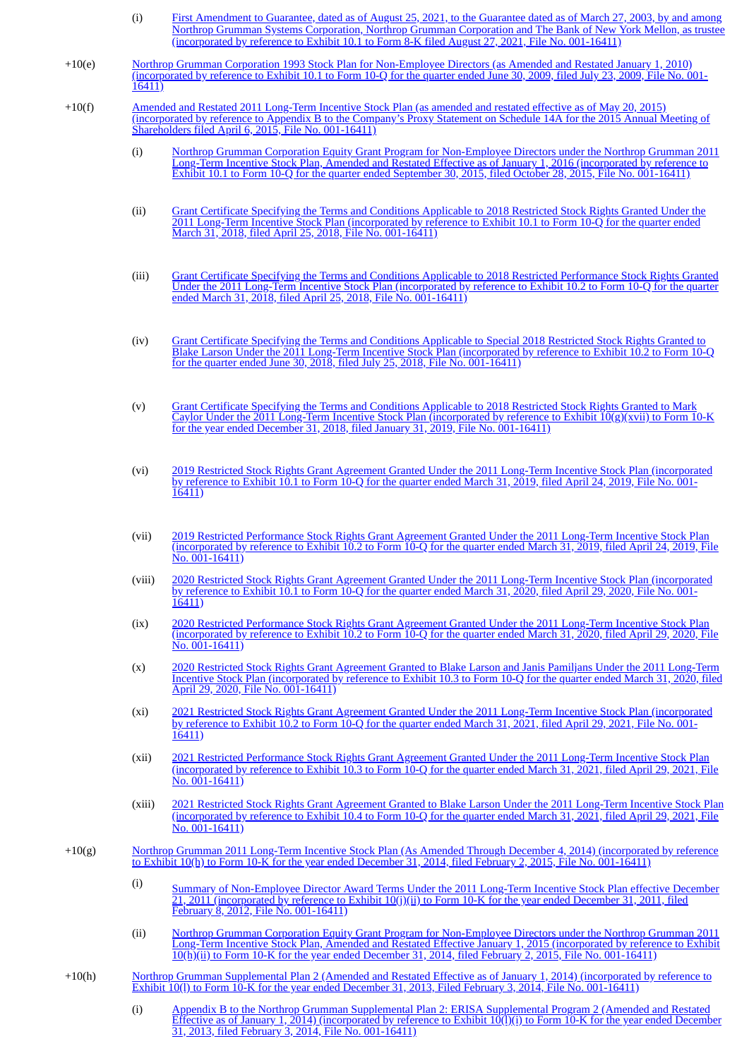| (i) | First Amendment to Guarantee, dated as of August 25, 2021, to the Guarantee dated as of March 27, 2003, by and among |
|-----|----------------------------------------------------------------------------------------------------------------------|
|     | Northrop Grumman Systems Corporation, Northrop Grumman Corporation and The Bank of New York Mellon, as trustee       |
|     | (incorporated by reference to Exhibit 10.1 to Form 8-K filed August 27, 2021, File No. 001-16411)                    |

- +10(e) Northrop Grumman Corporation 1993 Stock Plan for [Non-Employee](http://www.sec.gov/Archives/edgar/data/1133421/000095012309024563/v52989exv10w1.htm) Directors (as Amended and Restated January 1, 2010) (incorporated by reference to Exhibit 10.1 to Form 10-Q for the quarter ended June 30, 2009, filed July 23, 2009, File No. 001- <u>16411)</u>
- +10(f) Amended and Restated 2011 Long-Term Incentive Stock Plan (as amended and restated effective as of May 20, 2015) [\(incorporated](http://www.sec.gov/Archives/edgar/data/1133421/000119312515120112/d883285ddef14a.htm#rom883285_55) by reference to Appendix B to the Company's Proxy Statement on Schedule 14A for the 2015 Annual Meeting of Shareholders filed April 6, 2015, File No. 001-16411)
	- (i) Northrop Grumman Corporation Equity Grant Program for [Non-Employee](http://www.sec.gov/Archives/edgar/data/1133421/000113342115000057/noc-9302015xex101.htm) Directors under the Northrop Grumman 2011 Long-Term Incentive Stock Plan, Amended and Restated Effective as of January 1, 2016 (incorporated by reference to Exhibit 10.1 to Form 10-Q for the quarter ended September 30, 2015, filed October 28, 2015, File No. 001-16411)
	- (ii) Grant Certificate Specifying the Terms and Conditions Applicable to 2018 Restricted Stock Rights Granted Under the 2011 Long-Term Incentive Stock Plan [\(incorporated](http://www.sec.gov/Archives/edgar/data/1133421/000113342118000012/noc-03312018xex101.htm) by reference to Exhibit 10.1 to Form 10-Q for the quarter ended <u>March 31, 2018, filed April 25, 2018, File No. 001-16411)</u>
	- (iii) Grant Certificate Specifying the Terms and Conditions Applicable to 2018 Restricted Performance Stock Rights Granted Under the 2011 Long-Term Incentive Stock Plan [\(incorporated](http://www.sec.gov/Archives/edgar/data/1133421/000113342118000012/noc-03312018xex102.htm) by reference to Exhibit 10.2 to Form 10-Q for the quarter <u>ended March 31, 2018, filed April 25, 2018, File No. 001-16411)</u>
	- (iv) Grant Certificate Specifying the Terms and Conditions Applicable to Special 2018 Restricted Stock Rights Granted to Blake Larson Under the 2011 Long-Term Incentive Stock Plan [\(incorporated](http://www.sec.gov/Archives/edgar/data/1133421/000113342118000038/noc-06302018xex102.htm) by reference to Exhibit 10.2 to Form 10-Q for the quarter ended June 30, 2018, filed July 25, 2018, File No. 001-16411)
	- (v) Grant Certificate Specifying the Terms and Conditions Applicable to 2018 Restricted Stock Rights Granted to Mark Caylor Under the 2011 Long-Term Incentive Stock Plan [\(incorporated](https://www.sec.gov/Archives/edgar/data/1133421/000113342119000007/noc-12312018xex10gxvii.htm) by reference to Exhibit  $10(g)(xvi)$  to Form 10-K for the year ended December 31, 2018, filed January 31, 2019, File No. 001-16411)
	- (vi) 2019 Restricted Stock Rights Grant Agreement Granted Under the 2011 Long-Term Incentive Stock Plan [\(incorporated](https://www.sec.gov/Archives/edgar/data/1133421/000113342119000021/noc-03312019xex101.htm) by reference to Exhibit 10.1 to Form 10-Q for the quarter ended March 31, 2019, filed April 24, 2019, File No. 001- 16411)
	- (vii) 2019 Restricted Performance Stock Rights Grant Agreement Granted Under the 2011 Long-Term Incentive Stock Plan [\(incorporated](https://www.sec.gov/Archives/edgar/data/1133421/000113342119000021/noc-03312019xex102.htm) by reference to Exhibit 10.2 to Form 10-Q for the quarter ended March 31, 2019, filed April 24, 2019, File No. 001-16411)
	- (viii) 2020 Restricted Stock Rights Grant Agreement Granted Under the 2011 Long-Term Incentive Stock Plan [\(incorporated](https://www.sec.gov/Archives/edgar/data/1133421/000113342120000019/noc-3312020xex101.htm) by reference to Exhibit 10.1 to Form 10-Q for the quarter ended March 31, 2020, filed April 29, 2020, File No. 001- 16411)
	- (ix) 2020 Restricted Performance Stock Rights Grant Agreement Granted Under the 2011 Long-Term Incentive Stock Plan [\(incorporated](https://www.sec.gov/Archives/edgar/data/1133421/000113342120000019/noc-3312020xex102.htm) by reference to Exhibit 10.2 to Form 10-Q for the quarter ended March 31, 2020, filed April 29, 2020, File  $N_0$ .  $001 - 16411$
	- (x) 2020 Restricted Stock Rights Grant Agreement Granted to Blake Larson and Janis Pamiljans Under the 2011 Long-Term Incentive Stock Plan [\(incorporated](https://www.sec.gov/Archives/edgar/data/1133421/000113342120000019/noc-3312020xex103.htm) by reference to Exhibit 10.3 to Form 10-Q for the quarter ended March 31, 2020, filed April 29, 2020, File No. 001-16411)
	- (xi) 2021 Restricted Stock Rights Grant Agreement Granted Under the 2011 Long-Term Incentive Stock Plan [\(incorporated](https://www.sec.gov/Archives/edgar/data/1133421/000113342121000029/noc-3312021xex102.htm) by reference to Exhibit 10.2 to Form 10-Q for the quarter ended March 31, 2021, filed April 29, 2021, File No. 001- 16411)
	- (xii) 2021 Restricted Performance Stock Rights Grant Agreement Granted Under the 2011 Long-Term Incentive Stock Plan [\(incorporated](https://www.sec.gov/Archives/edgar/data/1133421/000113342121000029/noc-3312021xex103.htm) by reference to Exhibit 10.3 to Form 10-Q for the quarter ended March 31, 2021, filed April 29, 2021, File  $N_0$ . 001-16411)
	- (xiii) 2021 Restricted Stock Rights Grant Agreement Granted to Blake Larson Under the 2011 Long-Term Incentive Stock Plan [\(incorporated](https://www.sec.gov/Archives/edgar/data/1133421/000113342121000029/noc-3312021xex104.htm) by reference to Exhibit 10.4 to Form 10-Q for the quarter ended March 31, 2021, filed April 29, 2021, File No. 001-16411)
- +10(g) Northrop Grumman 2011 Long-Term Incentive Stock Plan (As Amended Through December 4, 2014) [\(incorporated](http://www.sec.gov/Archives/edgar/data/1133421/000113342115000008/noc-12312014xex10h.htm) by reference to Exhibit 10(h) to Form 10-K for the year ended December 31, 2014, filed February 2, 2015, File No. 001-16411)
	- (i) Summary of [Non-Employee](http://www.sec.gov/Archives/edgar/data/1133421/000119312512045323/d250683dex10jii.htm) Director Award Terms Under the 2011 Long-Term Incentive Stock Plan effective December 21, 2011 (incorporated by reference to Exhibit 10(j)(ii) to Form 10-K for the year ended December 31, 2011, filed February 8, 2012, File No. 001-16411)
	- (ii) Northrop Grumman Corporation Equity Grant Program for [Non-Employee](http://www.sec.gov/Archives/edgar/data/1133421/000113342115000008/noc-12312014xex10hii.htm) Directors under the Northrop Grumman 2011 Long-Term Incentive Stock Plan, Amended and Restated Effective January 1, 2015 (incorporated by reference to Exhibit 10(h)(ii) to Form 10-K for the year ended December 31, 2014, filed February 2, 2015, File No. 001-16411)
- +10(h) Northrop Grumman [Supplemental](http://www.sec.gov/Archives/edgar/data/1133421/000113342114000006/noc-12312013xex10l.htm) Plan 2 (Amended and Restated Effective as of January 1, 2014) (incorporated by reference to Exhibit 10(l) to Form 10-K for the year ended December 31, 2013, Filed February 3, 2014, File No. 001-16411)
	- (i) Appendix B to the Northrop Grumman [Supplemental](http://www.sec.gov/Archives/edgar/data/1133421/000113342114000006/noc-12312013xex10li.htm) Plan 2: ERISA Supplemental Program 2 (Amended and Restated Effective as of January 1, 2014) (incorporated by reference to Exhibit 10(1)(i) to Form 10-K for the year ended December 31, 2013, filed February 3, 2014, File No. 001-16411)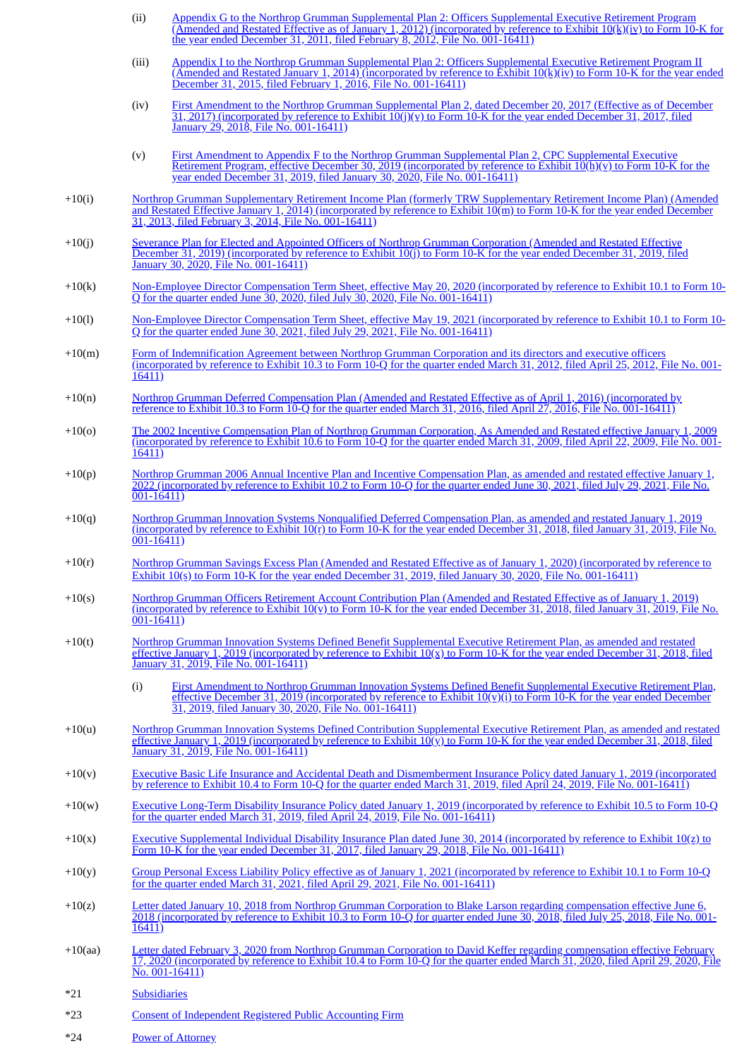|           | (ii)                | Appendix G to the Northrop Grumman Supplemental Plan 2: Officers Supplemental Executive Retirement Program<br>(Amended and Restated Effective as of January 1, 2012) (incorporated by reference to Exhibit 10(k)(iv) to Form 10-K for<br>the year ended December 31, 2011, filed February 8, 2012, File No. 001-16411) |
|-----------|---------------------|------------------------------------------------------------------------------------------------------------------------------------------------------------------------------------------------------------------------------------------------------------------------------------------------------------------------|
|           | (iii)               | Appendix I to the Northrop Grumman Supplemental Plan 2: Officers Supplemental Executive Retirement Program II<br>(Amended and Restated January 1, 2014) (incorporated by reference to Exhibit 10(k)(iv) to Form 10-K for the year ended<br>December 31, 2015, filed February 1, 2016, File No. 001-16411)              |
|           | (iv)                | First Amendment to the Northrop Grumman Supplemental Plan 2, dated December 20, 2017 (Effective as of December<br>$\frac{31,2017}{1}$ (incorporated by reference to Exhibit $\frac{10}{10}$ )(y) to Form 10-K for the year ended December 31, 2017, filed<br>January 29, 2018, File No. 001-16411)                     |
|           | (v)                 | First Amendment to Appendix F to the Northrop Grumman Supplemental Plan 2, CPC Supplemental Executive<br>Retirement Program, effective December 30, 2019 (incorporated by reference to Exhibit 10(h)(y) to Form 10-K for the<br>year ended December 31, 2019, filed January 30, 2020, File No. 001-16411)              |
| $+10(i)$  |                     | Northrop Grumman Supplementary Retirement Income Plan (formerly TRW Supplementary Retirement Income Plan) (Amended<br>and Restated Effective January 1, 2014) (incorporated by reference to Exhibit 10(m) to Form 10-K for the year ended December<br>31, 2013, filed February 3, 2014, File No. 001-16411)            |
| $+10(j)$  |                     | Severance Plan for Elected and Appointed Officers of Northrop Grumman Corporation (Amended and Restated Effective<br>December 31, 2019) (incorporated by reference to Exhibit 10(j) to Form 10-K for the year ended December 31, 2019, filed<br>January 30, 2020, File No. 001-16411)                                  |
| $+10(k)$  |                     | Non-Employee Director Compensation Term Sheet, effective May 20, 2020 (incorporated by reference to Exhibit 10.1 to Form 10-<br>Q for the quarter ended June 30, 2020, filed July 30, 2020, File No. 001-16411)                                                                                                        |
| $+10(l)$  |                     | Non-Employee Director Compensation Term Sheet, effective May 19, 2021 (incorporated by reference to Exhibit 10.1 to Form 10-<br>O for the quarter ended June 30, 2021, filed July 29, 2021, File No. 001-16411)                                                                                                        |
| $+10(m)$  | 16411)              | Form of Indemnification Agreement between Northrop Grumman Corporation and its directors and executive officers<br>(incorporated by reference to Exhibit 10.3 to Form 10-Q for the quarter ended March 31, 2012, filed April 25, 2012, File No. 001-                                                                   |
| $+10(n)$  |                     | Northrop Grumman Deferred Compensation Plan (Amended and Restated Effective as of April 1, 2016) (incorporated by<br>reference to Exhibit 10.3 to Form 10-Q for the quarter ended March 31, 2016, filed April 27, 2016, File No. 001-16411)                                                                            |
| $+10(0)$  | 16411)              | The 2002 Incentive Compensation Plan of Northrop Grumman Corporation, As Amended and Restated effective January 1, 2009<br>(incorporated by reference to Exhibit 10.6 to Form 10-Q for the quarter ended March 31, 2009, filed April 22, 2009, File No. 001-                                                           |
| $+10(p)$  | $001 - 16411$       | Northrop Grumman 2006 Annual Incentive Plan and Incentive Compensation Plan, as amended and restated effective January 1,<br>2022 (incorporated by reference to Exhibit 10.2 to Form 10-Q for the quarter ended June 30, 2021, filed July 29, 2021, File No.                                                           |
| $+10(q)$  | $001 - 16411$       | Northrop Grumman Innovation Systems Nonqualified Deferred Compensation Plan, as amended and restated January 1, 2019<br>(incorporated by reference to Exhibit $10(r)$ to Form 10-K for the year ended December 31, 2018, filed January 31, 2019, File No.                                                              |
| $+10(r)$  |                     | Northrop Grumman Savings Excess Plan (Amended and Restated Effective as of January 1, 2020) (incorporated by reference to<br>Exhibit 10(s) to Form 10-K for the year ended December 31, 2019, filed January 30, 2020, File No. 001-16411)                                                                              |
| $+10(s)$  | $001 - 16411$       | Northrop Grumman Officers Retirement Account Contribution Plan (Amended and Restated Effective as of January 1, 2019)<br>(incorporated by reference to Exhibit $10(y)$ to Form $10-K$ for the year ended December 31, 2018, filed January 31, 2019, File No.                                                           |
| $+10(t)$  |                     | Northrop Grumman Innovation Systems Defined Benefit Supplemental Executive Retirement Plan, as amended and restated<br>effective January 1, 2019 (incorporated by reference to Exhibit $10(x)$ to Form 10-K for the year ended December 31, 2018, filed<br>January 31, 2019, File No. 001-16411)                       |
|           | (i)                 | First Amendment to Northrop Grumman Innovation Systems Defined Benefit Supplemental Executive Retirement Plan,<br>effective December 31, 2019 (incorporated by reference to Exhibit $10(y)(i)$ to Form 10-K for the year ended December<br>, 2019, filed January 30, 2020, File No. 001-16411)                         |
| $+10(u)$  |                     | Northrop Grumman Innovation Systems Defined Contribution Supplemental Executive Retirement Plan, as amended and restated<br>effective January 1, 2019 (incorporated by reference to Exhibit $10(y)$ to Form 10-K for the year ended December 31, 2018, filed<br>January 31, 2019, File No. 001-16411)                  |
| $+10(v)$  |                     | Executive Basic Life Insurance and Accidental Death and Dismemberment Insurance Policy dated January 1, 2019 (incorporated<br>by reference to Exhibit 10.4 to Form 10-Q for the quarter ended March 31, 2019, filed April 24, 2019, File No. 001-16411)                                                                |
| $+10(w)$  |                     | Executive Long-Term Disability Insurance Policy dated January 1, 2019 (incorporated by reference to Exhibit 10.5 to Form 10-Q<br>for the quarter ended March 31, 2019, filed April 24, 2019, File No. 001-16411)                                                                                                       |
| $+10(x)$  |                     | Executive Supplemental Individual Disability Insurance Plan dated June 30, 2014 (incorporated by reference to Exhibit $10(z)$ to<br>Form 10-K for the year ended December 31, 2017, filed January 29, 2018, File No. 001-16411)                                                                                        |
| $+10(y)$  |                     | Group Personal Excess Liability Policy effective as of January 1, 2021 (incorporated by reference to Exhibit 10.1 to Form 10-Q<br>for the quarter ended March 31, 2021, filed April 29, 2021, File No. 001-16411)                                                                                                      |
| $+10(z)$  | 16411)              | Letter dated January 10, 2018 from Northrop Grumman Corporation to Blake Larson regarding compensation effective June 6,<br>2018 (incorporated by reference to Exhibit 10.3 to Form 10-Q for quarter ended June 30, 2018, filed July 25, 2018, File No. 001-                                                           |
| $+10(aa)$ |                     | Letter dated February 3, 2020 from Northrop Grumman Corporation to David Keffer regarding compensation effective February<br>17, 2020 (incorporated by reference to Exhibit 10.4 to Form 10-Q for the quarter ended March 31, 2020, filed April 29, 2020, File<br>No. 001-16411)                                       |
| *21       | <b>Subsidiaries</b> |                                                                                                                                                                                                                                                                                                                        |
| *23       |                     | <b>Consent of Independent Registered Public Accounting Firm</b>                                                                                                                                                                                                                                                        |
|           |                     |                                                                                                                                                                                                                                                                                                                        |

\*24 Power of [Attorney](#page-106-0)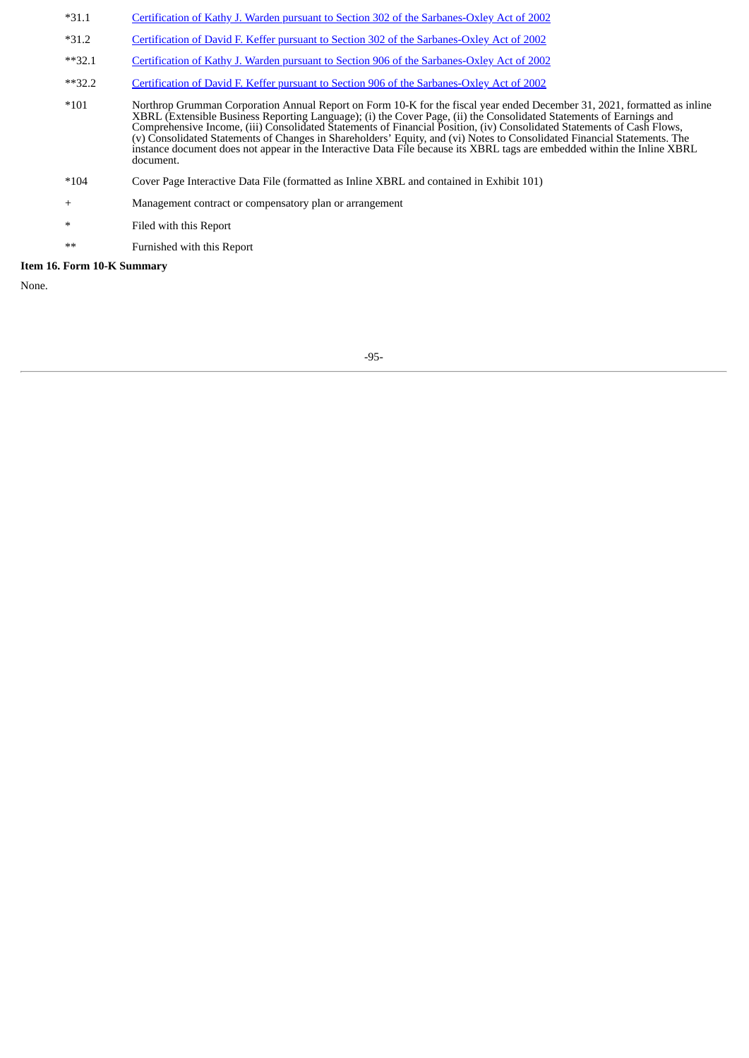- \*31.1 Certification of Kathy J. Warden pursuant to Section 302 of the [Sarbanes-Oxley](#page-108-0) Act of 2002
- \*31.2 Certification of David F. Keffer pursuant to Section 302 of the [Sarbanes-Oxley](#page-109-0) Act of 2002
- \*\*32.1 Certification of Kathy J. Warden pursuant to Section 906 of the [Sarbanes-Oxley](#page-110-0) Act of 2002
- \*\*32.2 Certification of David F. Keffer pursuant to Section 906 of the [Sarbanes-Oxley](#page-111-0) Act of 2002
- \*101 Northrop Grumman Corporation Annual Report on Form 10-K for the fiscal year ended December 31, 2021, formatted as inline XBRL (Extensible Business Reporting Language); (i) the Cover Page, (ii) the Consolidated Statements of Earnings and Comprehensive Income, (iii) Consolidated Statements of Financial Position, (iv) Consolidated Statements of Cash Flows, (v) Consolidated Statements of Changes in Shareholders' Equity, and (vi) Notes to Consolidated Financial Statements. The instance document does not appear in the Interactive Data File because its XBRL tags are embedded within the Inline XBRL document.
- \*104 Cover Page Interactive Data File (formatted as Inline XBRL and contained in Exhibit 101)
- + Management contract or compensatory plan or arrangement
- \* Filed with this Report
- \*\* Furnished with this Report

## **Item 16. Form 10-K Summary**

None.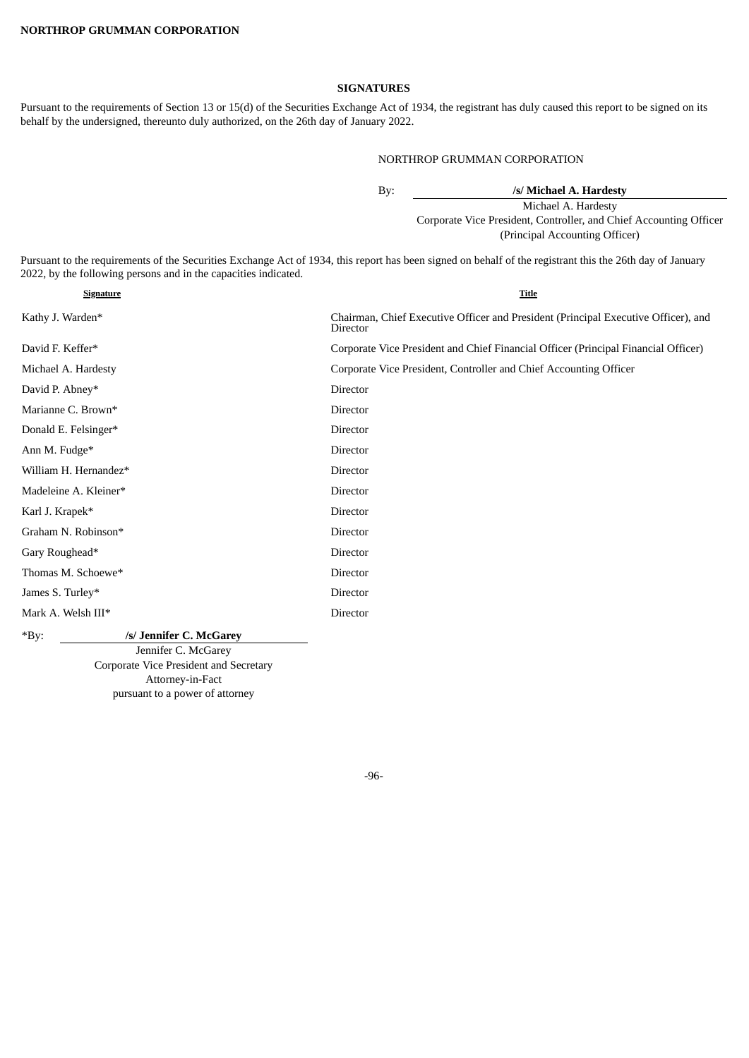## **SIGNATURES**

Pursuant to the requirements of Section 13 or 15(d) of the Securities Exchange Act of 1934, the registrant has duly caused this report to be signed on its behalf by the undersigned, thereunto duly authorized, on the 26th day of January 2022.

## NORTHROP GRUMMAN CORPORATION

By: **/s/ Michael A. Hardesty**

Michael A. Hardesty Corporate Vice President, Controller, and Chief Accounting Officer (Principal Accounting Officer)

Pursuant to the requirements of the Securities Exchange Act of 1934, this report has been signed on behalf of the registrant this the 26th day of January 2022, by the following persons and in the capacities indicated.

| Title                                                                                          |
|------------------------------------------------------------------------------------------------|
| Chairman, Chief Executive Officer and President (Principal Executive Officer), and<br>Director |
| Corporate Vice President and Chief Financial Officer (Principal Financial Officer)             |
| Corporate Vice President, Controller and Chief Accounting Officer                              |
| Director                                                                                       |
| Director                                                                                       |
| <b>Director</b>                                                                                |
| Director                                                                                       |
| <b>Director</b>                                                                                |
| Director                                                                                       |
| <b>Director</b>                                                                                |
| <b>Director</b>                                                                                |
| Director                                                                                       |
| Director                                                                                       |
| Director                                                                                       |
| Director                                                                                       |
|                                                                                                |
|                                                                                                |

Jennifer C. McGarey Corporate Vice President and Secretary Attorney-in-Fact pursuant to a power of attorney

-96-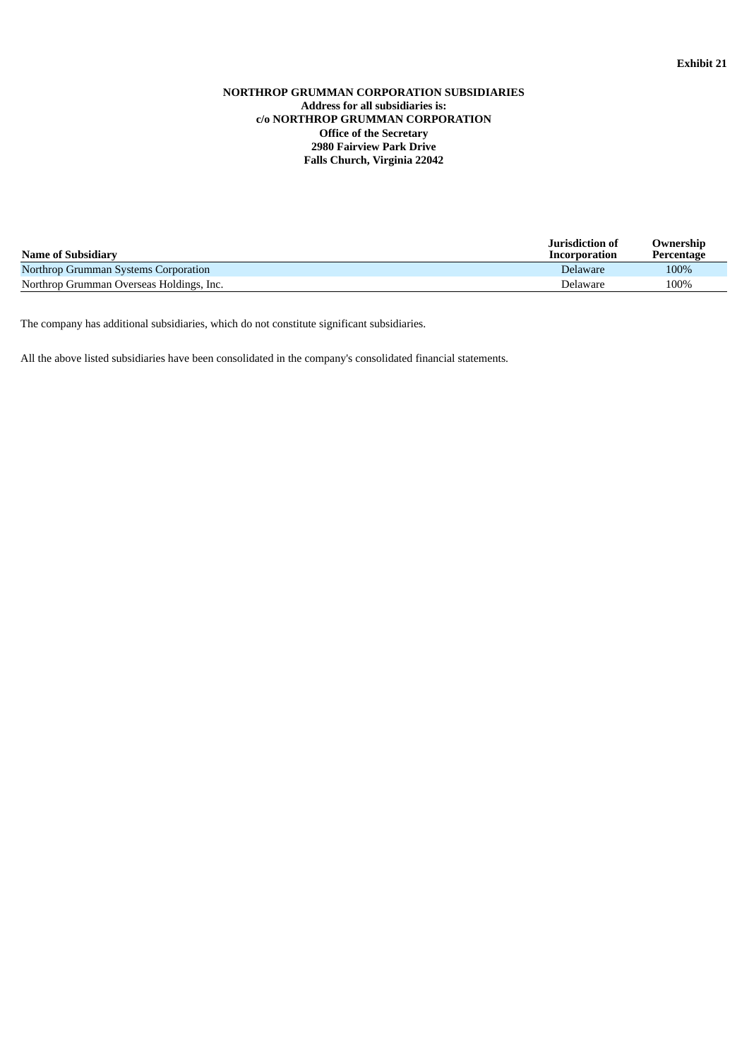## <span id="page-104-0"></span>**NORTHROP GRUMMAN CORPORATION SUBSIDIARIES Address for all subsidiaries is: c/o NORTHROP GRUMMAN CORPORATION Office of the Secretary 2980 Fairview Park Drive Falls Church, Virginia 22042**

| <b>Name of Subsidiary</b>                | Jurisdiction of<br>Incorporation | Ownership<br>Percentage |
|------------------------------------------|----------------------------------|-------------------------|
| Northrop Grumman Systems Corporation     | Delaware                         | 100%                    |
| Northrop Grumman Overseas Holdings, Inc. | Delaware                         | 100%                    |

The company has additional subsidiaries, which do not constitute significant subsidiaries.

All the above listed subsidiaries have been consolidated in the company's consolidated financial statements.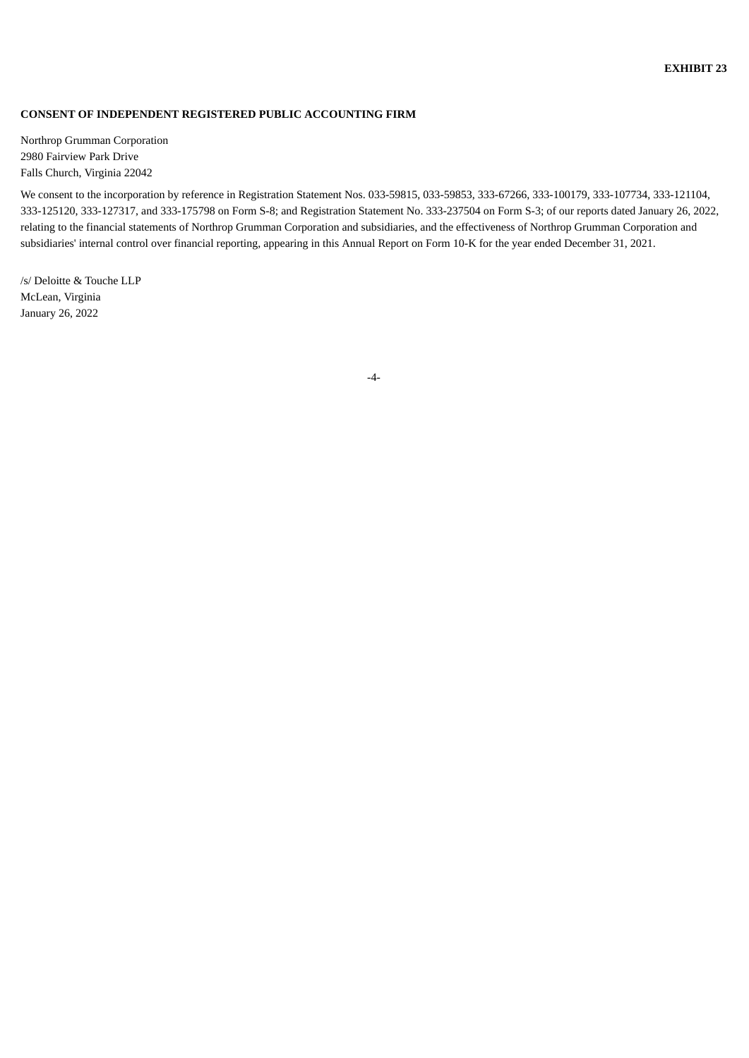# <span id="page-105-0"></span>**CONSENT OF INDEPENDENT REGISTERED PUBLIC ACCOUNTING FIRM**

Northrop Grumman Corporation 2980 Fairview Park Drive Falls Church, Virginia 22042

We consent to the incorporation by reference in Registration Statement Nos. 033-59815, 033-59853, 333-67266, 333-100179, 333-107734, 333-121104, 333-125120, 333-127317, and 333-175798 on Form S-8; and Registration Statement No. 333-237504 on Form S-3; of our reports dated January 26, 2022, relating to the financial statements of Northrop Grumman Corporation and subsidiaries, and the effectiveness of Northrop Grumman Corporation and subsidiaries' internal control over financial reporting, appearing in this Annual Report on Form 10-K for the year ended December 31, 2021.

/s/ Deloitte & Touche LLP McLean, Virginia January 26, 2022

-4-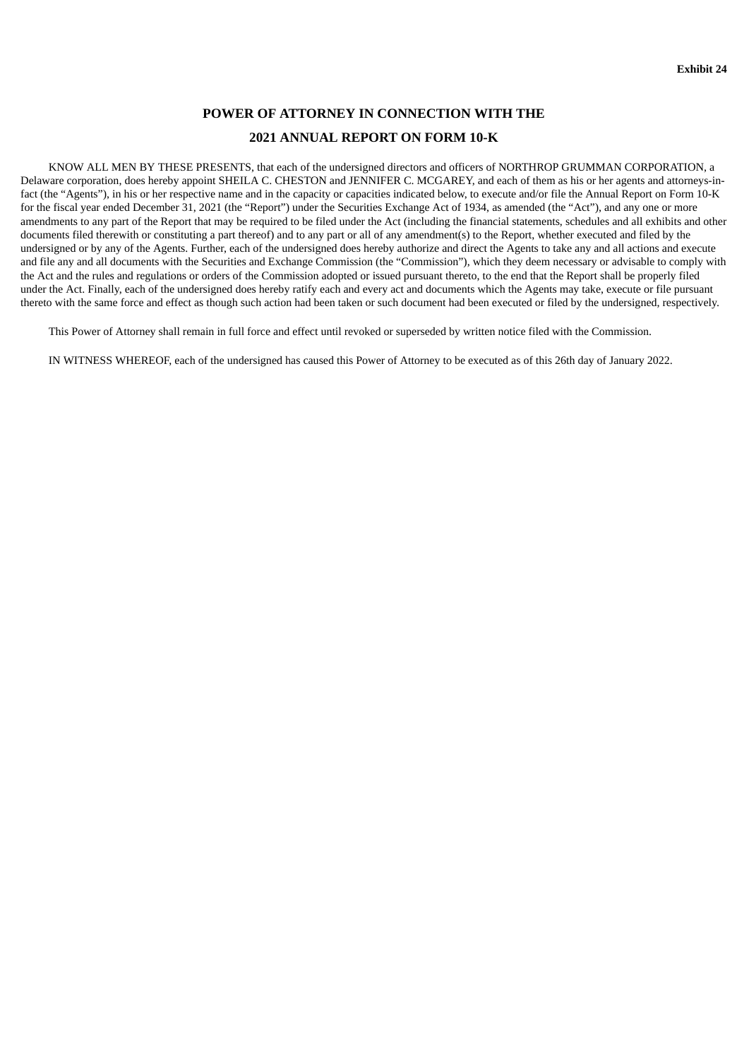# **POWER OF ATTORNEY IN CONNECTION WITH THE**

## **2021 ANNUAL REPORT ON FORM 10-K**

<span id="page-106-0"></span>KNOW ALL MEN BY THESE PRESENTS, that each of the undersigned directors and officers of NORTHROP GRUMMAN CORPORATION, a Delaware corporation, does hereby appoint SHEILA C. CHESTON and JENNIFER C. MCGAREY, and each of them as his or her agents and attorneys-infact (the "Agents"), in his or her respective name and in the capacity or capacities indicated below, to execute and/or file the Annual Report on Form 10-K for the fiscal year ended December 31, 2021 (the "Report") under the Securities Exchange Act of 1934, as amended (the "Act"), and any one or more amendments to any part of the Report that may be required to be filed under the Act (including the financial statements, schedules and all exhibits and other documents filed therewith or constituting a part thereof) and to any part or all of any amendment(s) to the Report, whether executed and filed by the undersigned or by any of the Agents. Further, each of the undersigned does hereby authorize and direct the Agents to take any and all actions and execute and file any and all documents with the Securities and Exchange Commission (the "Commission"), which they deem necessary or advisable to comply with the Act and the rules and regulations or orders of the Commission adopted or issued pursuant thereto, to the end that the Report shall be properly filed under the Act. Finally, each of the undersigned does hereby ratify each and every act and documents which the Agents may take, execute or file pursuant thereto with the same force and effect as though such action had been taken or such document had been executed or filed by the undersigned, respectively.

This Power of Attorney shall remain in full force and effect until revoked or superseded by written notice filed with the Commission.

IN WITNESS WHEREOF, each of the undersigned has caused this Power of Attorney to be executed as of this 26th day of January 2022.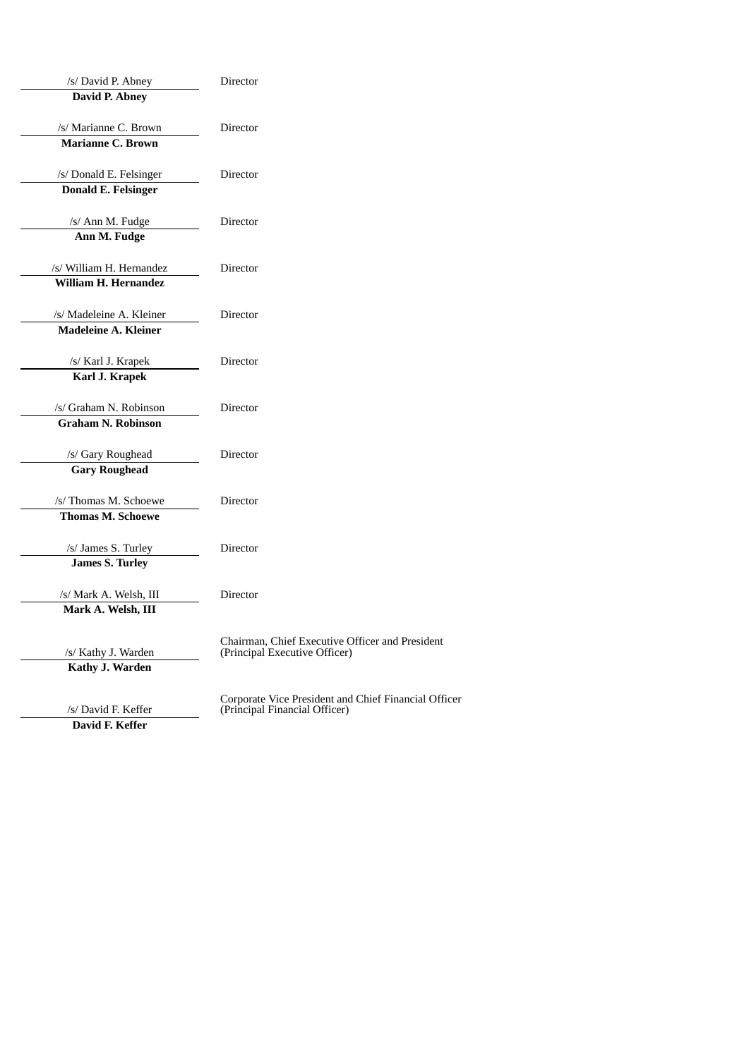| /s/ David P. Abney<br>David P. Abney                    | Director                                                                              |
|---------------------------------------------------------|---------------------------------------------------------------------------------------|
|                                                         |                                                                                       |
| /s/ Marianne C. Brown<br><b>Marianne C. Brown</b>       | Director                                                                              |
| /s/ Donald E. Felsinger<br><b>Donald E. Felsinger</b>   | Director                                                                              |
| /s/ Ann M. Fudge<br>Ann M. Fudge                        | Director                                                                              |
| /s/ William H. Hernandez<br>William H. Hernandez        | Director                                                                              |
| /s/ Madeleine A. Kleiner<br><b>Madeleine A. Kleiner</b> | Director                                                                              |
| /s/ Karl J. Krapek<br>Karl J. Krapek                    | Director                                                                              |
| /s/ Graham N. Robinson<br><b>Graham N. Robinson</b>     | Director                                                                              |
| /s/ Gary Roughead<br><b>Gary Roughead</b>               | Director                                                                              |
| /s/ Thomas M. Schoewe<br><b>Thomas M. Schoewe</b>       | Director                                                                              |
| /s/ James S. Turley<br><b>James S. Turley</b>           | Director                                                                              |
| /s/ Mark A. Welsh, III<br>Mark A. Welsh, III            | <b>Director</b>                                                                       |
| /s/ Kathy J. Warden<br>Kathy J. Warden                  | Chairman, Chief Executive Officer and President<br>(Principal Executive Officer)      |
| /s/ David F. Keffer<br>David F. Keffer                  | Corporate Vice President and Chief Financial Officer<br>(Principal Financial Officer) |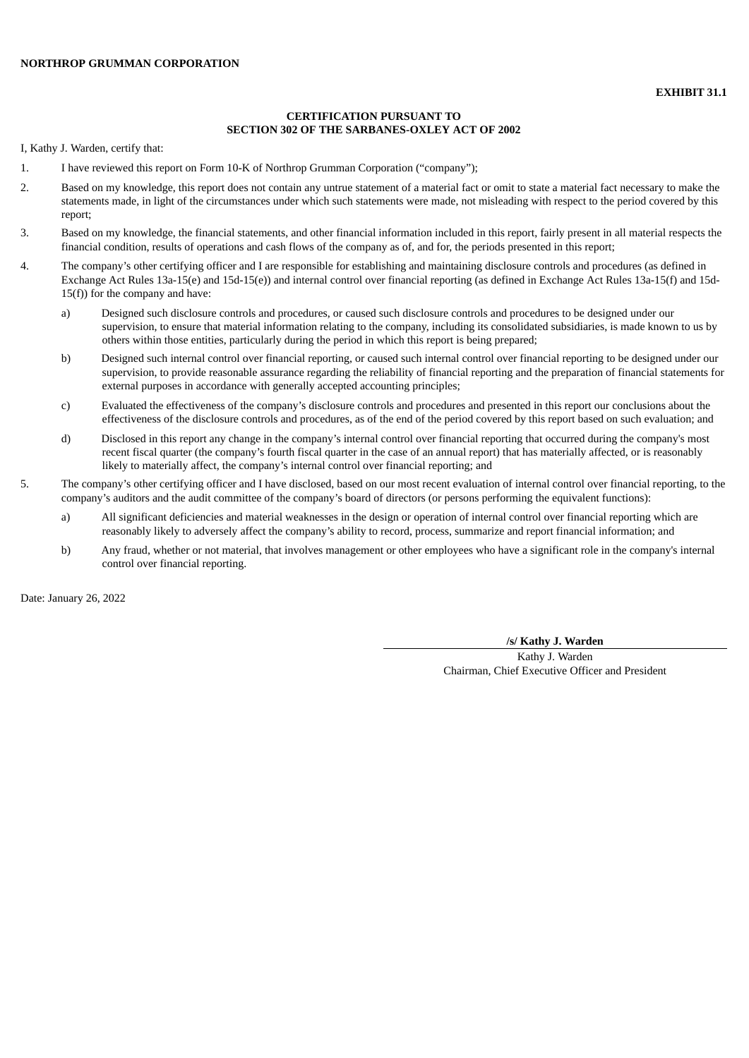## **CERTIFICATION PURSUANT TO SECTION 302 OF THE SARBANES-OXLEY ACT OF 2002**

I, Kathy J. Warden, certify that:

- 1. I have reviewed this report on Form 10-K of Northrop Grumman Corporation ("company");
- 2. Based on my knowledge, this report does not contain any untrue statement of a material fact or omit to state a material fact necessary to make the statements made, in light of the circumstances under which such statements were made, not misleading with respect to the period covered by this report;
- 3. Based on my knowledge, the financial statements, and other financial information included in this report, fairly present in all material respects the financial condition, results of operations and cash flows of the company as of, and for, the periods presented in this report;
- 4. The company's other certifying officer and I are responsible for establishing and maintaining disclosure controls and procedures (as defined in Exchange Act Rules 13a-15(e) and 15d-15(e)) and internal control over financial reporting (as defined in Exchange Act Rules 13a-15(f) and 15d-15(f)) for the company and have:
	- a) Designed such disclosure controls and procedures, or caused such disclosure controls and procedures to be designed under our supervision, to ensure that material information relating to the company, including its consolidated subsidiaries, is made known to us by others within those entities, particularly during the period in which this report is being prepared;
	- b) Designed such internal control over financial reporting, or caused such internal control over financial reporting to be designed under our supervision, to provide reasonable assurance regarding the reliability of financial reporting and the preparation of financial statements for external purposes in accordance with generally accepted accounting principles;
	- c) Evaluated the effectiveness of the company's disclosure controls and procedures and presented in this report our conclusions about the effectiveness of the disclosure controls and procedures, as of the end of the period covered by this report based on such evaluation; and
	- d) Disclosed in this report any change in the company's internal control over financial reporting that occurred during the company's most recent fiscal quarter (the company's fourth fiscal quarter in the case of an annual report) that has materially affected, or is reasonably likely to materially affect, the company's internal control over financial reporting; and
- 5. The company's other certifying officer and I have disclosed, based on our most recent evaluation of internal control over financial reporting, to the company's auditors and the audit committee of the company's board of directors (or persons performing the equivalent functions):
	- a) All significant deficiencies and material weaknesses in the design or operation of internal control over financial reporting which are reasonably likely to adversely affect the company's ability to record, process, summarize and report financial information; and
	- b) Any fraud, whether or not material, that involves management or other employees who have a significant role in the company's internal control over financial reporting.

Date: January 26, 2022

**/s/ Kathy J. Warden**

Kathy J. Warden Chairman, Chief Executive Officer and President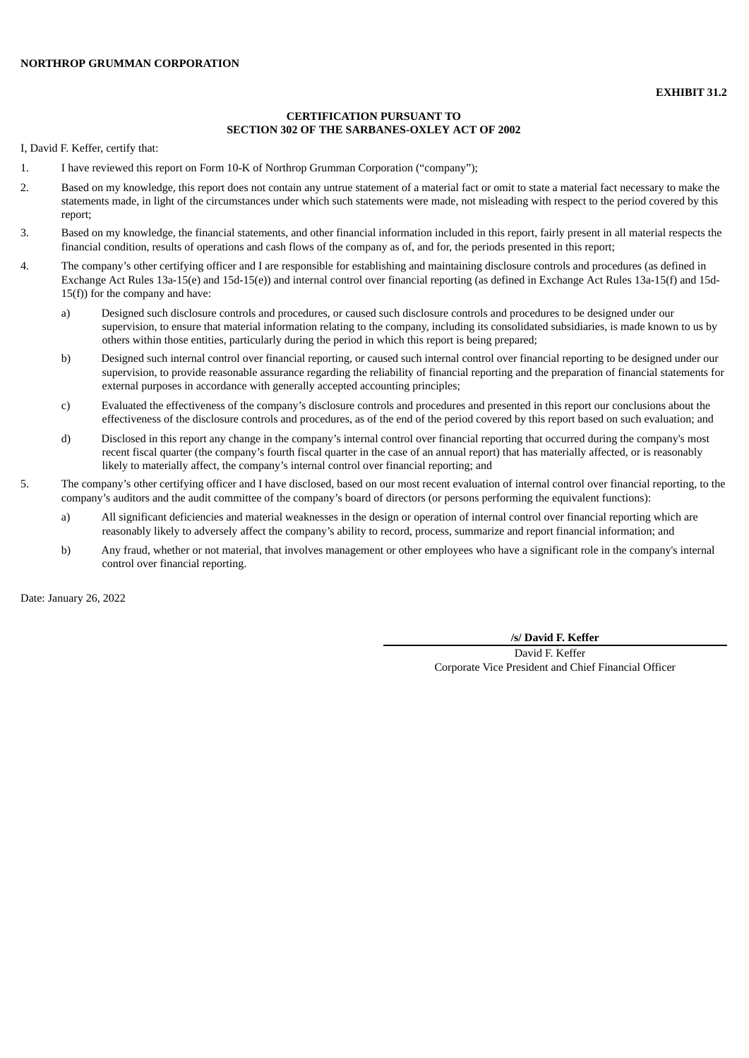## **CERTIFICATION PURSUANT TO SECTION 302 OF THE SARBANES-OXLEY ACT OF 2002**

I, David F. Keffer, certify that:

- 1. I have reviewed this report on Form 10-K of Northrop Grumman Corporation ("company");
- 2. Based on my knowledge, this report does not contain any untrue statement of a material fact or omit to state a material fact necessary to make the statements made, in light of the circumstances under which such statements were made, not misleading with respect to the period covered by this report;
- 3. Based on my knowledge, the financial statements, and other financial information included in this report, fairly present in all material respects the financial condition, results of operations and cash flows of the company as of, and for, the periods presented in this report;
- 4. The company's other certifying officer and I are responsible for establishing and maintaining disclosure controls and procedures (as defined in Exchange Act Rules 13a-15(e) and 15d-15(e)) and internal control over financial reporting (as defined in Exchange Act Rules 13a-15(f) and 15d-15(f)) for the company and have:
	- a) Designed such disclosure controls and procedures, or caused such disclosure controls and procedures to be designed under our supervision, to ensure that material information relating to the company, including its consolidated subsidiaries, is made known to us by others within those entities, particularly during the period in which this report is being prepared;
	- b) Designed such internal control over financial reporting, or caused such internal control over financial reporting to be designed under our supervision, to provide reasonable assurance regarding the reliability of financial reporting and the preparation of financial statements for external purposes in accordance with generally accepted accounting principles;
	- c) Evaluated the effectiveness of the company's disclosure controls and procedures and presented in this report our conclusions about the effectiveness of the disclosure controls and procedures, as of the end of the period covered by this report based on such evaluation; and
	- d) Disclosed in this report any change in the company's internal control over financial reporting that occurred during the company's most recent fiscal quarter (the company's fourth fiscal quarter in the case of an annual report) that has materially affected, or is reasonably likely to materially affect, the company's internal control over financial reporting; and
- 5. The company's other certifying officer and I have disclosed, based on our most recent evaluation of internal control over financial reporting, to the company's auditors and the audit committee of the company's board of directors (or persons performing the equivalent functions):
	- a) All significant deficiencies and material weaknesses in the design or operation of internal control over financial reporting which are reasonably likely to adversely affect the company's ability to record, process, summarize and report financial information; and
	- b) Any fraud, whether or not material, that involves management or other employees who have a significant role in the company's internal control over financial reporting.

Date: January 26, 2022

**/s/ David F. Keffer**

David F. Keffer Corporate Vice President and Chief Financial Officer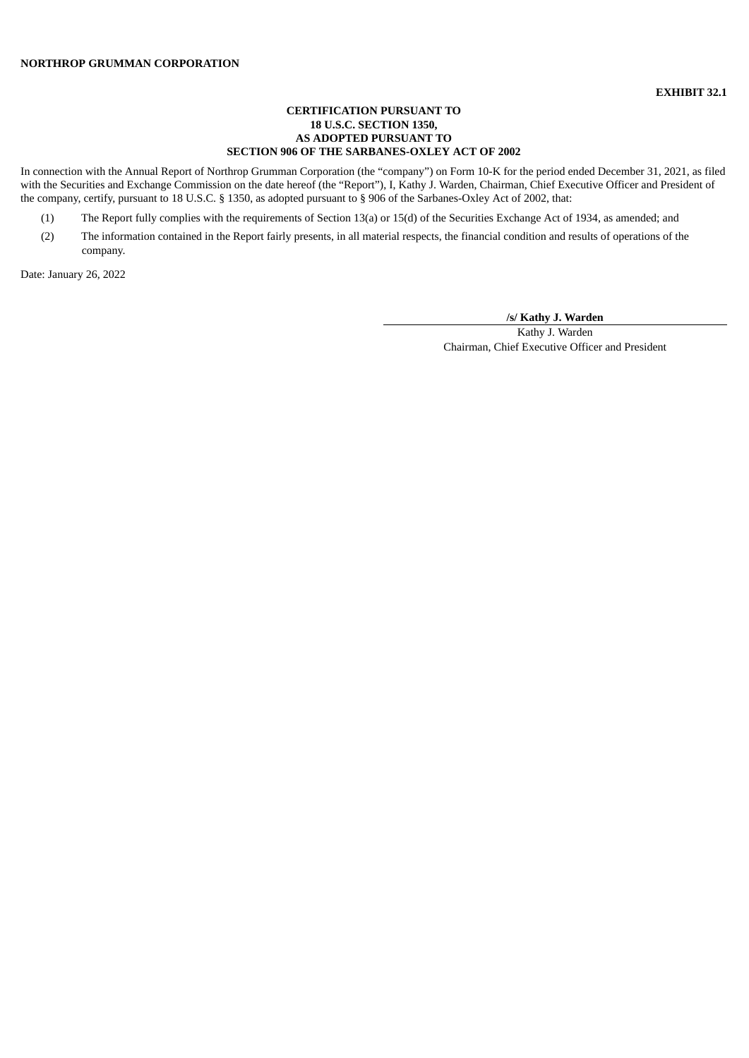**EXHIBIT 32.1**

# **CERTIFICATION PURSUANT TO 18 U.S.C. SECTION 1350, AS ADOPTED PURSUANT TO SECTION 906 OF THE SARBANES-OXLEY ACT OF 2002**

In connection with the Annual Report of Northrop Grumman Corporation (the "company") on Form 10-K for the period ended December 31, 2021, as filed with the Securities and Exchange Commission on the date hereof (the "Report"), I, Kathy J. Warden, Chairman, Chief Executive Officer and President of the company, certify, pursuant to 18 U.S.C. § 1350, as adopted pursuant to § 906 of the Sarbanes-Oxley Act of 2002, that:

- (1) The Report fully complies with the requirements of Section 13(a) or 15(d) of the Securities Exchange Act of 1934, as amended; and
- (2) The information contained in the Report fairly presents, in all material respects, the financial condition and results of operations of the company.

Date: January 26, 2022

**/s/ Kathy J. Warden**

Kathy J. Warden Chairman, Chief Executive Officer and President